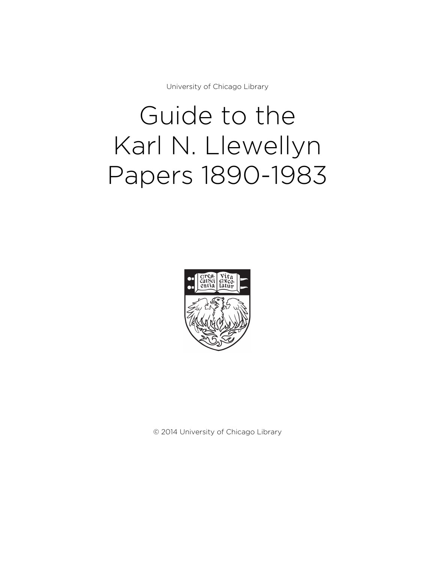University of Chicago Library

# Guide to the Karl N. Llewellyn Papers 1890-1983



© 2014 University of Chicago Library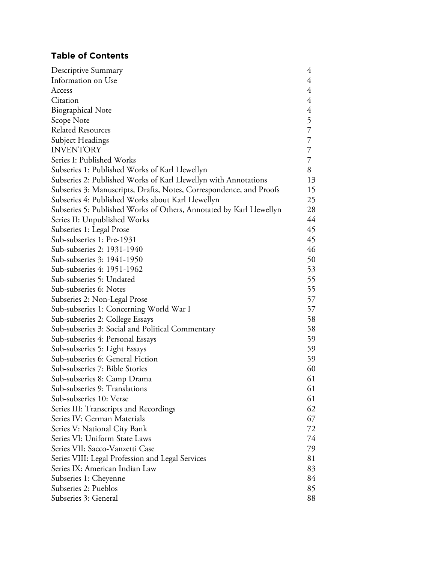# **Table of Contents**

| Descriptive Summary                                                 | 4              |
|---------------------------------------------------------------------|----------------|
| Information on Use                                                  | 4              |
| Access                                                              | $\overline{4}$ |
| Citation                                                            | 4              |
| <b>Biographical Note</b>                                            | $\overline{4}$ |
| Scope Note                                                          | 5              |
| <b>Related Resources</b>                                            | $\overline{7}$ |
| Subject Headings                                                    | $\overline{7}$ |
| <b>INVENTORY</b>                                                    | 7              |
| Series I: Published Works                                           | 7              |
| Subseries 1: Published Works of Karl Llewellyn                      | 8              |
| Subseries 2: Published Works of Karl Llewellyn with Annotations     | 13             |
| Subseries 3: Manuscripts, Drafts, Notes, Correspondence, and Proofs | 15             |
| Subseries 4: Published Works about Karl Llewellyn                   | 25             |
| Subseries 5: Published Works of Others, Annotated by Karl Llewellyn | 28             |
| Series II: Unpublished Works                                        | 44             |
| Subseries 1: Legal Prose                                            | 45             |
| Sub-subseries 1: Pre-1931                                           | 45             |
| Sub-subseries 2: 1931-1940                                          | 46             |
| Sub-subseries 3: 1941-1950                                          | 50             |
| Sub-subseries 4: 1951-1962                                          | 53             |
| Sub-subseries 5: Undated                                            | 55             |
| Sub-subseries 6: Notes                                              | 55             |
| Subseries 2: Non-Legal Prose                                        | 57             |
| Sub-subseries 1: Concerning World War I                             | 57             |
| Sub-subseries 2: College Essays                                     | 58             |
| Sub-subseries 3: Social and Political Commentary                    | 58             |
| Sub-subseries 4: Personal Essays                                    | 59             |
| Sub-subseries 5: Light Essays                                       | 59             |
| Sub-subseries 6: General Fiction                                    | 59             |
| Sub-subseries 7: Bible Stories                                      | 60             |
| Sub-subseries 8: Camp Drama                                         | 61             |
| Sub-subseries 9: Translations                                       | 61             |
| Sub-subseries 10: Verse                                             | 61             |
| Series III: Transcripts and Recordings                              | 62             |
| Series IV: German Materials                                         | 67             |
| Series V: National City Bank                                        | 72             |
| Series VI: Uniform State Laws                                       | 74             |
| Series VII: Sacco-Vanzetti Case                                     | 79             |
| Series VIII: Legal Profession and Legal Services                    | 81             |
| Series IX: American Indian Law                                      | 83             |
| Subseries 1: Cheyenne                                               | 84             |
| Subseries 2: Pueblos                                                | 85             |
| Subseries 3: General                                                | 88             |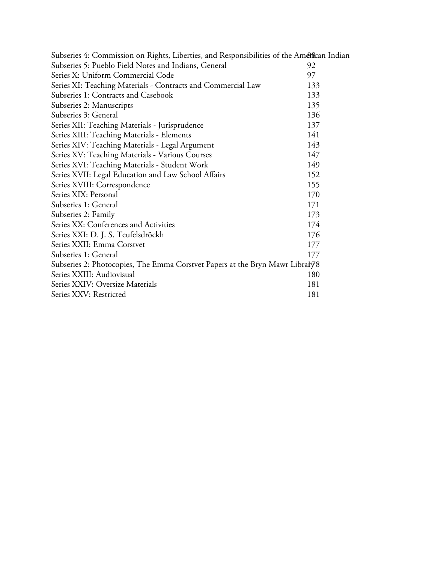| Subseries 4: Commission on Rights, Liberties, and Responsibilities of the American Indian |     |
|-------------------------------------------------------------------------------------------|-----|
| Subseries 5: Pueblo Field Notes and Indians, General                                      | 92  |
| Series X: Uniform Commercial Code                                                         | 97  |
| Series XI: Teaching Materials - Contracts and Commercial Law                              | 133 |
| Subseries 1: Contracts and Casebook                                                       | 133 |
| Subseries 2: Manuscripts                                                                  | 135 |
| Subseries 3: General                                                                      | 136 |
| Series XII: Teaching Materials - Jurisprudence                                            | 137 |
| Series XIII: Teaching Materials - Elements                                                | 141 |
| Series XIV: Teaching Materials - Legal Argument                                           | 143 |
| Series XV: Teaching Materials - Various Courses                                           | 147 |
| Series XVI: Teaching Materials - Student Work                                             | 149 |
| Series XVII: Legal Education and Law School Affairs                                       | 152 |
| Series XVIII: Correspondence                                                              | 155 |
| Series XIX: Personal                                                                      | 170 |
| Subseries 1: General                                                                      | 171 |
| Subseries 2: Family                                                                       | 173 |
| Series XX: Conferences and Activities                                                     | 174 |
| Series XXI: D. J. S. Teufelsdröckh                                                        | 176 |
| Series XXII: Emma Corstvet                                                                | 177 |
| Subseries 1: General                                                                      | 177 |
| Subseries 2: Photocopies, The Emma Corstvet Papers at the Bryn Mawr Libraly 78            |     |
| Series XXIII: Audiovisual                                                                 | 180 |
| Series XXIV: Oversize Materials                                                           | 181 |
| Series XXV: Restricted                                                                    | 181 |
|                                                                                           |     |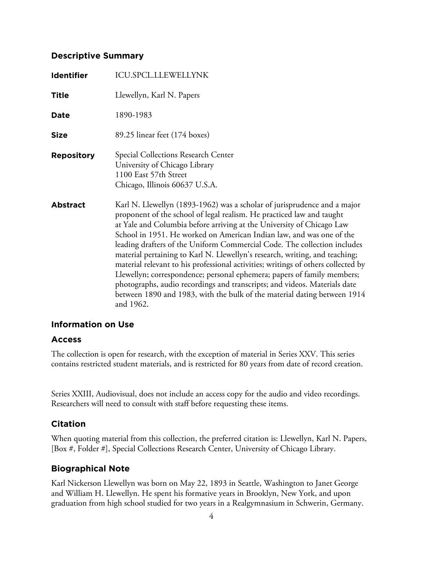## **Descriptive Summary**

| <b>Identifier</b> | <b>ICU.SPCL.LLEWELLYNK</b>                                                                                                                                                                                                                                                                                                                                                                                                                                                                                                                                                                                                                                                                                                                                                                          |
|-------------------|-----------------------------------------------------------------------------------------------------------------------------------------------------------------------------------------------------------------------------------------------------------------------------------------------------------------------------------------------------------------------------------------------------------------------------------------------------------------------------------------------------------------------------------------------------------------------------------------------------------------------------------------------------------------------------------------------------------------------------------------------------------------------------------------------------|
| <b>Title</b>      | Llewellyn, Karl N. Papers                                                                                                                                                                                                                                                                                                                                                                                                                                                                                                                                                                                                                                                                                                                                                                           |
| Date              | 1890-1983                                                                                                                                                                                                                                                                                                                                                                                                                                                                                                                                                                                                                                                                                                                                                                                           |
| <b>Size</b>       | 89.25 linear feet (174 boxes)                                                                                                                                                                                                                                                                                                                                                                                                                                                                                                                                                                                                                                                                                                                                                                       |
| <b>Repository</b> | Special Collections Research Center<br>University of Chicago Library<br>1100 East 57th Street<br>Chicago, Illinois 60637 U.S.A.                                                                                                                                                                                                                                                                                                                                                                                                                                                                                                                                                                                                                                                                     |
| <b>Abstract</b>   | Karl N. Llewellyn (1893-1962) was a scholar of jurisprudence and a major<br>proponent of the school of legal realism. He practiced law and taught<br>at Yale and Columbia before arriving at the University of Chicago Law<br>School in 1951. He worked on American Indian law, and was one of the<br>leading drafters of the Uniform Commercial Code. The collection includes<br>material pertaining to Karl N. Llewellyn's research, writing, and teaching;<br>material relevant to his professional activities; writings of others collected by<br>Llewellyn; correspondence; personal ephemera; papers of family members;<br>photographs, audio recordings and transcripts; and videos. Materials date<br>between 1890 and 1983, with the bulk of the material dating between 1914<br>and 1962. |

## **Information on Use**

## **Access**

The collection is open for research, with the exception of material in Series XXV. This series contains restricted student materials, and is restricted for 80 years from date of record creation.

Series XXIII, Audiovisual, does not include an access copy for the audio and video recordings. Researchers will need to consult with staff before requesting these items.

# **Citation**

When quoting material from this collection, the preferred citation is: Llewellyn, Karl N. Papers, [Box #, Folder #], Special Collections Research Center, University of Chicago Library.

# **Biographical Note**

Karl Nickerson Llewellyn was born on May 22, 1893 in Seattle, Washington to Janet George and William H. Llewellyn. He spent his formative years in Brooklyn, New York, and upon graduation from high school studied for two years in a Realgymnasium in Schwerin, Germany.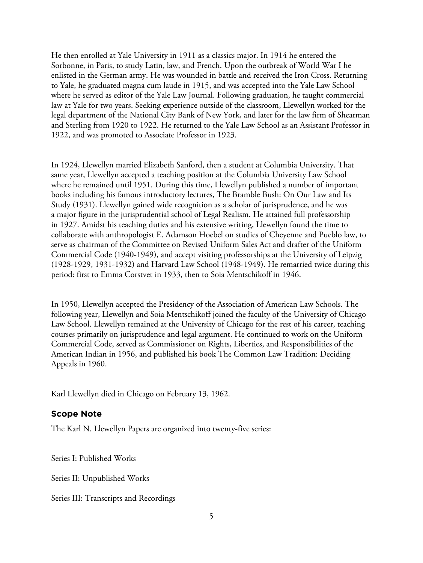He then enrolled at Yale University in 1911 as a classics major. In 1914 he entered the Sorbonne, in Paris, to study Latin, law, and French. Upon the outbreak of World War I he enlisted in the German army. He was wounded in battle and received the Iron Cross. Returning to Yale, he graduated magna cum laude in 1915, and was accepted into the Yale Law School where he served as editor of the Yale Law Journal. Following graduation, he taught commercial law at Yale for two years. Seeking experience outside of the classroom, Llewellyn worked for the legal department of the National City Bank of New York, and later for the law firm of Shearman and Sterling from 1920 to 1922. He returned to the Yale Law School as an Assistant Professor in 1922, and was promoted to Associate Professor in 1923.

In 1924, Llewellyn married Elizabeth Sanford, then a student at Columbia University. That same year, Llewellyn accepted a teaching position at the Columbia University Law School where he remained until 1951. During this time, Llewellyn published a number of important books including his famous introductory lectures, The Bramble Bush: On Our Law and Its Study (1931). Llewellyn gained wide recognition as a scholar of jurisprudence, and he was a major figure in the jurisprudential school of Legal Realism. He attained full professorship in 1927. Amidst his teaching duties and his extensive writing, Llewellyn found the time to collaborate with anthropologist E. Adamson Hoebel on studies of Cheyenne and Pueblo law, to serve as chairman of the Committee on Revised Uniform Sales Act and drafter of the Uniform Commercial Code (1940-1949), and accept visiting professorships at the University of Leipzig (1928-1929, 1931-1932) and Harvard Law School (1948-1949). He remarried twice during this period: first to Emma Corstvet in 1933, then to Soia Mentschikoff in 1946.

In 1950, Llewellyn accepted the Presidency of the Association of American Law Schools. The following year, Llewellyn and Soia Mentschikoff joined the faculty of the University of Chicago Law School. Llewellyn remained at the University of Chicago for the rest of his career, teaching courses primarily on jurisprudence and legal argument. He continued to work on the Uniform Commercial Code, served as Commissioner on Rights, Liberties, and Responsibilities of the American Indian in 1956, and published his book The Common Law Tradition: Deciding Appeals in 1960.

Karl Llewellyn died in Chicago on February 13, 1962.

# **Scope Note**

The Karl N. Llewellyn Papers are organized into twenty-five series:

Series I: Published Works

Series II: Unpublished Works

Series III: Transcripts and Recordings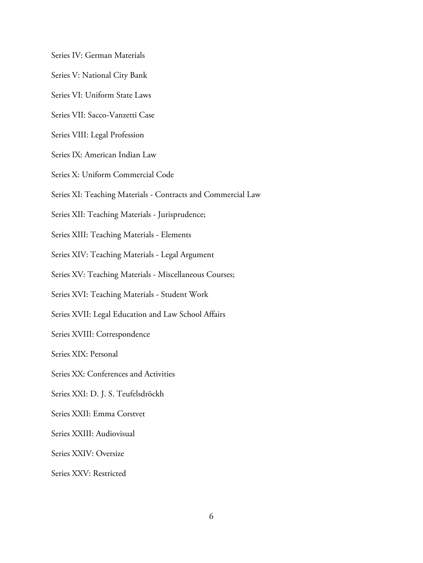Series IV: German Materials

- Series V: National City Bank
- Series VI: Uniform State Laws
- Series VII: Sacco-Vanzetti Case
- Series VIII: Legal Profession
- Series IX: American Indian Law
- Series X: Uniform Commercial Code
- Series XI: Teaching Materials Contracts and Commercial Law
- Series XII: Teaching Materials Jurisprudence;
- Series XIII: Teaching Materials Elements
- Series XIV: Teaching Materials Legal Argument
- Series XV: Teaching Materials Miscellaneous Courses;
- Series XVI: Teaching Materials Student Work
- Series XVII: Legal Education and Law School Affairs
- Series XVIII: Correspondence
- Series XIX: Personal
- Series XX: Conferences and Activities
- Series XXI: D. J. S. Teufelsdröckh
- Series XXII: Emma Corstvet
- Series XXIII: Audiovisual
- Series XXIV: Oversize
- Series XXV: Restricted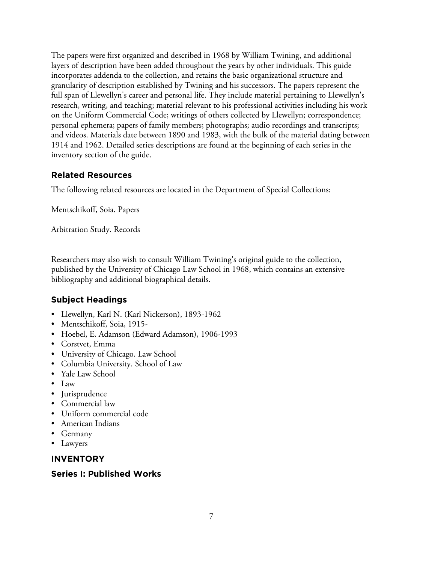The papers were first organized and described in 1968 by William Twining, and additional layers of description have been added throughout the years by other individuals. This guide incorporates addenda to the collection, and retains the basic organizational structure and granularity of description established by Twining and his successors. The papers represent the full span of Llewellyn's career and personal life. They include material pertaining to Llewellyn's research, writing, and teaching; material relevant to his professional activities including his work on the Uniform Commercial Code; writings of others collected by Llewellyn; correspondence; personal ephemera; papers of family members; photographs; audio recordings and transcripts; and videos. Materials date between 1890 and 1983, with the bulk of the material dating between 1914 and 1962. Detailed series descriptions are found at the beginning of each series in the inventory section of the guide.

# **Related Resources**

The following related resources are located in the Department of Special Collections:

Mentschikoff, Soia. Papers

Arbitration Study. Records

Researchers may also wish to consult William Twining's original guide to the collection, published by the University of Chicago Law School in 1968, which contains an extensive bibliography and additional biographical details.

# **Subject Headings**

- Llewellyn, Karl N. (Karl Nickerson), 1893-1962
- Mentschikoff, Soia, 1915-
- Hoebel, E. Adamson (Edward Adamson), 1906-1993
- Corstvet, Emma
- University of Chicago. Law School
- Columbia University. School of Law
- Yale Law School
- Law
- Jurisprudence
- Commercial law
- Uniform commercial code
- American Indians
- Germany
- Lawyers

# **INVENTORY**

# **Series I: Published Works**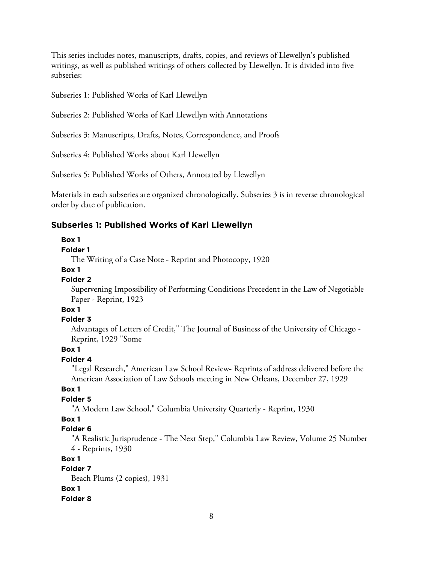This series includes notes, manuscripts, drafts, copies, and reviews of Llewellyn's published writings, as well as published writings of others collected by Llewellyn. It is divided into five subseries:

Subseries 1: Published Works of Karl Llewellyn

Subseries 2: Published Works of Karl Llewellyn with Annotations

Subseries 3: Manuscripts, Drafts, Notes, Correspondence, and Proofs

Subseries 4: Published Works about Karl Llewellyn

Subseries 5: Published Works of Others, Annotated by Llewellyn

Materials in each subseries are organized chronologically. Subseries 3 is in reverse chronological order by date of publication.

## **Subseries 1: Published Works of Karl Llewellyn**

#### **Box 1**

## **Folder 1**

The Writing of a Case Note - Reprint and Photocopy, 1920

#### **Box 1**

#### **Folder 2**

Supervening Impossibility of Performing Conditions Precedent in the Law of Negotiable Paper - Reprint, 1923

## **Box 1**

#### **Folder 3**

Advantages of Letters of Credit," The Journal of Business of the University of Chicago - Reprint, 1929 "Some

## **Box 1**

## **Folder 4**

"Legal Research," American Law School Review- Reprints of address delivered before the American Association of Law Schools meeting in New Orleans, December 27, 1929

#### **Box 1**

#### **Folder 5**

"A Modern Law School," Columbia University Quarterly - Reprint, 1930

#### **Box 1**

#### **Folder 6**

"A Realistic Jurisprudence - The Next Step," Columbia Law Review, Volume 25 Number 4 - Reprints, 1930

#### **Box 1**

#### **Folder 7**

Beach Plums (2 copies), 1931 **Box 1**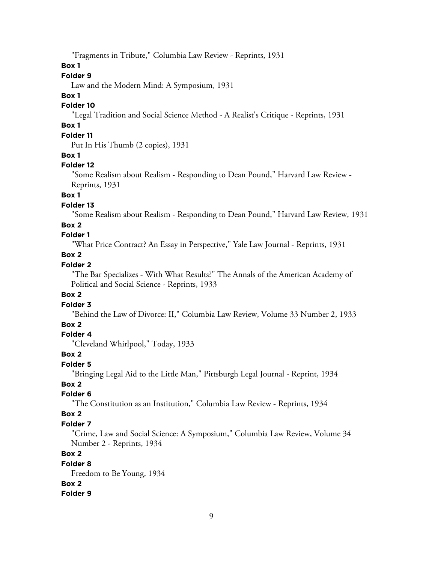"Fragments in Tribute," Columbia Law Review - Reprints, 1931

## **Box 1**

## **Folder 9**

Law and the Modern Mind: A Symposium, 1931

## **Box 1**

## **Folder 10**

"Legal Tradition and Social Science Method - A Realist's Critique - Reprints, 1931

# **Box 1**

# **Folder 11**

Put In His Thumb (2 copies), 1931

## **Box 1**

## **Folder 12**

"Some Realism about Realism - Responding to Dean Pound," Harvard Law Review - Reprints, 1931

## **Box 1**

## **Folder 13**

"Some Realism about Realism - Responding to Dean Pound," Harvard Law Review, 1931

## **Box 2**

# **Folder 1**

"What Price Contract? An Essay in Perspective," Yale Law Journal - Reprints, 1931

## **Box 2**

## **Folder 2**

"The Bar Specializes - With What Results?" The Annals of the American Academy of Political and Social Science - Reprints, 1933

## **Box 2**

#### **Folder 3**

"Behind the Law of Divorce: II," Columbia Law Review, Volume 33 Number 2, 1933

## **Box 2**

## **Folder 4**

"Cleveland Whirlpool," Today, 1933

## **Box 2**

## **Folder 5**

"Bringing Legal Aid to the Little Man," Pittsburgh Legal Journal - Reprint, 1934

## **Box 2**

## **Folder 6**

"The Constitution as an Institution," Columbia Law Review - Reprints, 1934

## **Box 2**

## **Folder 7**

"Crime, Law and Social Science: A Symposium," Columbia Law Review, Volume 34 Number 2 - Reprints, 1934

# **Box 2**

## **Folder 8**

Freedom to Be Young, 1934 **Box 2**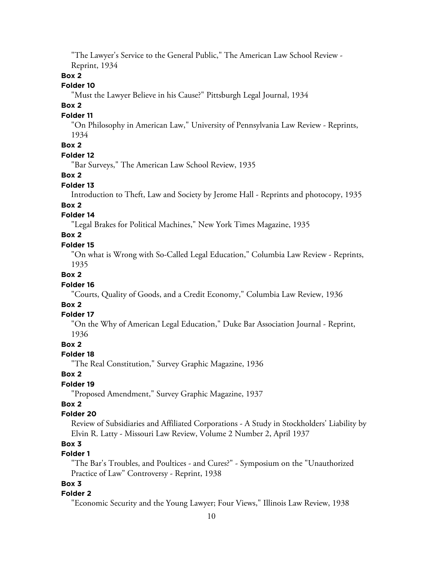"The Lawyer's Service to the General Public," The American Law School Review - Reprint, 1934

#### **Box 2**

#### **Folder 10**

"Must the Lawyer Believe in his Cause?" Pittsburgh Legal Journal, 1934

#### **Box 2**

#### **Folder 11**

"On Philosophy in American Law," University of Pennsylvania Law Review - Reprints, 1934

# **Box 2**

## **Folder 12**

"Bar Surveys," The American Law School Review, 1935

#### **Box 2**

#### **Folder 13**

Introduction to Theft, Law and Society by Jerome Hall - Reprints and photocopy, 1935

#### **Box 2**

## **Folder 14**

"Legal Brakes for Political Machines," New York Times Magazine, 1935

## **Box 2**

#### **Folder 15**

"On what is Wrong with So-Called Legal Education," Columbia Law Review - Reprints, 1935

## **Box 2**

#### **Folder 16**

"Courts, Quality of Goods, and a Credit Economy," Columbia Law Review, 1936

## **Box 2**

#### **Folder 17**

"On the Why of American Legal Education," Duke Bar Association Journal - Reprint, 1936

## **Box 2**

#### **Folder 18**

"The Real Constitution," Survey Graphic Magazine, 1936

#### **Box 2**

## **Folder 19**

"Proposed Amendment," Survey Graphic Magazine, 1937

#### **Box 2**

#### **Folder 20**

Review of Subsidiaries and Affiliated Corporations - A Study in Stockholders' Liability by Elvin R. Latty - Missouri Law Review, Volume 2 Number 2, April 1937

# **Box 3**

# **Folder 1**

"The Bar's Troubles, and Poultices - and Cures?" - Symposium on the "Unauthorized Practice of Law" Controversy - Reprint, 1938

# **Box 3**

#### **Folder 2**

"Economic Security and the Young Lawyer; Four Views," Illinois Law Review, 1938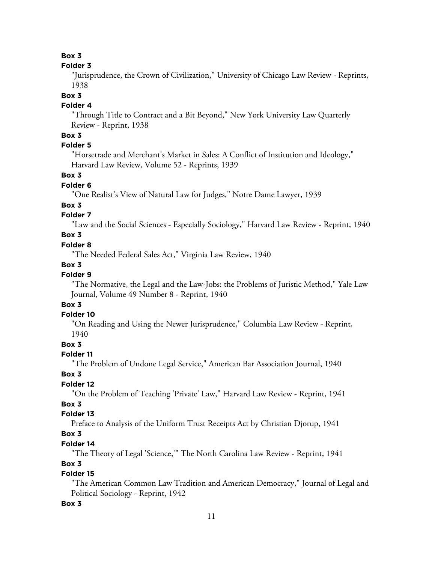## **Folder 3**

"Jurisprudence, the Crown of Civilization," University of Chicago Law Review - Reprints, 1938

## **Box 3**

## **Folder 4**

"Through Title to Contract and a Bit Beyond," New York University Law Quarterly Review - Reprint, 1938

# **Box 3**

# **Folder 5**

"Horsetrade and Merchant's Market in Sales: A Conflict of Institution and Ideology," Harvard Law Review, Volume 52 - Reprints, 1939

## **Box 3**

## **Folder 6**

"One Realist's View of Natural Law for Judges," Notre Dame Lawyer, 1939

# **Box 3**

# **Folder 7**

"Law and the Social Sciences - Especially Sociology," Harvard Law Review - Reprint, 1940

## **Box 3**

## **Folder 8**

"The Needed Federal Sales Act," Virginia Law Review, 1940

# **Box 3**

# **Folder 9**

"The Normative, the Legal and the Law-Jobs: the Problems of Juristic Method," Yale Law Journal, Volume 49 Number 8 - Reprint, 1940

## **Box 3**

# **Folder 10**

"On Reading and Using the Newer Jurisprudence," Columbia Law Review - Reprint, 1940

## **Box 3**

# **Folder 11**

"The Problem of Undone Legal Service," American Bar Association Journal, 1940

# **Box 3**

# **Folder 12**

"On the Problem of Teaching 'Private' Law," Harvard Law Review - Reprint, 1941

# **Box 3**

# **Folder 13**

Preface to Analysis of the Uniform Trust Receipts Act by Christian Djorup, 1941

# **Box 3**

# **Folder 14**

"The Theory of Legal 'Science,'" The North Carolina Law Review - Reprint, 1941

# **Box 3**

# **Folder 15**

"The American Common Law Tradition and American Democracy," Journal of Legal and Political Sociology - Reprint, 1942

# **Box 3**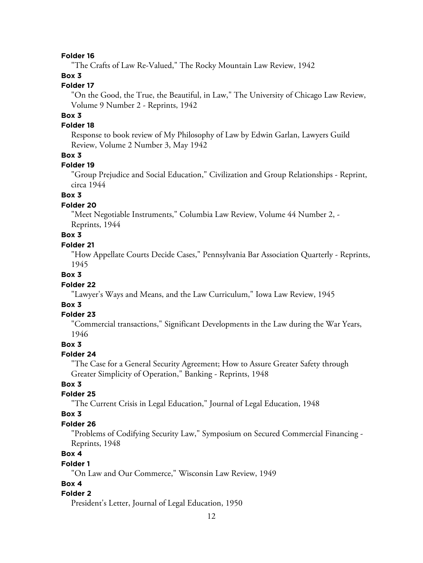"The Crafts of Law Re-Valued," The Rocky Mountain Law Review, 1942

## **Box 3**

#### **Folder 17**

"On the Good, the True, the Beautiful, in Law," The University of Chicago Law Review, Volume 9 Number 2 - Reprints, 1942

# **Box 3**

## **Folder 18**

Response to book review of My Philosophy of Law by Edwin Garlan, Lawyers Guild Review, Volume 2 Number 3, May 1942

## **Box 3**

## **Folder 19**

"Group Prejudice and Social Education," Civilization and Group Relationships - Reprint, circa 1944

## **Box 3**

#### **Folder 20**

"Meet Negotiable Instruments," Columbia Law Review, Volume 44 Number 2, - Reprints, 1944

## **Box 3**

#### **Folder 21**

"How Appellate Courts Decide Cases," Pennsylvania Bar Association Quarterly - Reprints, 1945

#### **Box 3**

#### **Folder 22**

"Lawyer's Ways and Means, and the Law Curriculum," Iowa Law Review, 1945

## **Box 3**

#### **Folder 23**

"Commercial transactions," Significant Developments in the Law during the War Years, 1946

#### **Box 3**

#### **Folder 24**

"The Case for a General Security Agreement; How to Assure Greater Safety through Greater Simplicity of Operation," Banking - Reprints, 1948

#### **Box 3**

#### **Folder 25**

"The Current Crisis in Legal Education," Journal of Legal Education, 1948

## **Box 3**

#### **Folder 26**

"Problems of Codifying Security Law," Symposium on Secured Commercial Financing - Reprints, 1948

# **Box 4**

#### **Folder 1**

"On Law and Our Commerce," Wisconsin Law Review, 1949

#### **Box 4**

#### **Folder 2**

President's Letter, Journal of Legal Education, 1950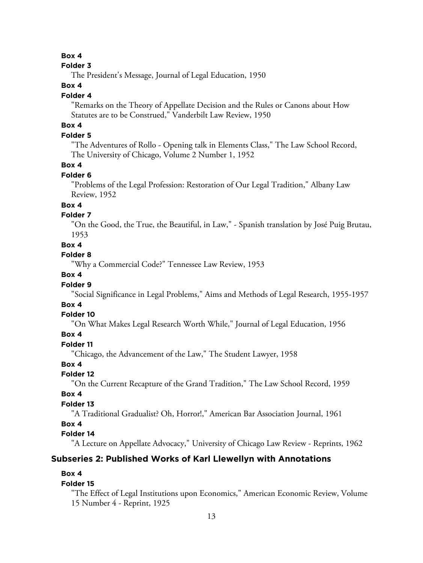#### **Folder 3**

The President's Message, Journal of Legal Education, 1950

## **Box 4**

#### **Folder 4**

"Remarks on the Theory of Appellate Decision and the Rules or Canons about How Statutes are to be Construed," Vanderbilt Law Review, 1950

# **Box 4**

## **Folder 5**

"The Adventures of Rollo - Opening talk in Elements Class," The Law School Record, The University of Chicago, Volume 2 Number 1, 1952

#### **Box 4**

#### **Folder 6**

"Problems of the Legal Profession: Restoration of Our Legal Tradition," Albany Law Review, 1952

## **Box 4**

## **Folder 7**

"On the Good, the True, the Beautiful, in Law," - Spanish translation by José Puig Brutau, 1953

#### **Box 4**

#### **Folder 8**

"Why a Commercial Code?" Tennessee Law Review, 1953

## **Box 4**

#### **Folder 9**

"Social Significance in Legal Problems," Aims and Methods of Legal Research, 1955-1957

## **Box 4**

#### **Folder 10**

"On What Makes Legal Research Worth While," Journal of Legal Education, 1956

#### **Box 4**

## **Folder 11**

"Chicago, the Advancement of the Law," The Student Lawyer, 1958

## **Box 4**

## **Folder 12**

"On the Current Recapture of the Grand Tradition," The Law School Record, 1959

#### **Box 4**

#### **Folder 13**

"A Traditional Gradualist? Oh, Horror!," American Bar Association Journal, 1961

## **Box 4**

# **Folder 14**

"A Lecture on Appellate Advocacy," University of Chicago Law Review - Reprints, 1962

## **Subseries 2: Published Works of Karl Llewellyn with Annotations**

## **Box 4**

#### **Folder 15**

"The Effect of Legal Institutions upon Economics," American Economic Review, Volume 15 Number 4 - Reprint, 1925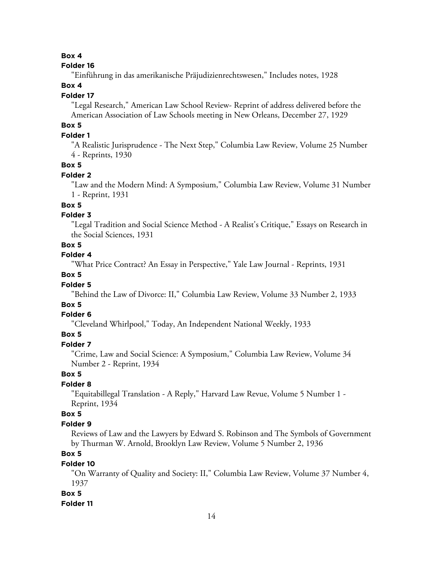#### **Folder 16**

"Einführung in das amerikanische Präjudizienrechtswesen," Includes notes, 1928

## **Box 4**

## **Folder 17**

"Legal Research," American Law School Review- Reprint of address delivered before the American Association of Law Schools meeting in New Orleans, December 27, 1929

# **Box 5**

## **Folder 1**

"A Realistic Jurisprudence - The Next Step," Columbia Law Review, Volume 25 Number 4 - Reprints, 1930

## **Box 5**

## **Folder 2**

"Law and the Modern Mind: A Symposium," Columbia Law Review, Volume 31 Number 1 - Reprint, 1931

## **Box 5**

## **Folder 3**

"Legal Tradition and Social Science Method - A Realist's Critique," Essays on Research in the Social Sciences, 1931

## **Box 5**

#### **Folder 4**

"What Price Contract? An Essay in Perspective," Yale Law Journal - Reprints, 1931

## **Box 5**

## **Folder 5**

"Behind the Law of Divorce: II," Columbia Law Review, Volume 33 Number 2, 1933

## **Box 5**

## **Folder 6**

"Cleveland Whirlpool," Today, An Independent National Weekly, 1933

## **Box 5**

## **Folder 7**

"Crime, Law and Social Science: A Symposium," Columbia Law Review, Volume 34 Number 2 - Reprint, 1934

## **Box 5**

# **Folder 8**

"Equitabillegal Translation - A Reply," Harvard Law Revue, Volume 5 Number 1 - Reprint, 1934

## **Box 5**

## **Folder 9**

Reviews of Law and the Lawyers by Edward S. Robinson and The Symbols of Government by Thurman W. Arnold, Brooklyn Law Review, Volume 5 Number 2, 1936

# **Box 5**

# **Folder 10**

"On Warranty of Quality and Society: II," Columbia Law Review, Volume 37 Number 4, 1937

## **Box 5**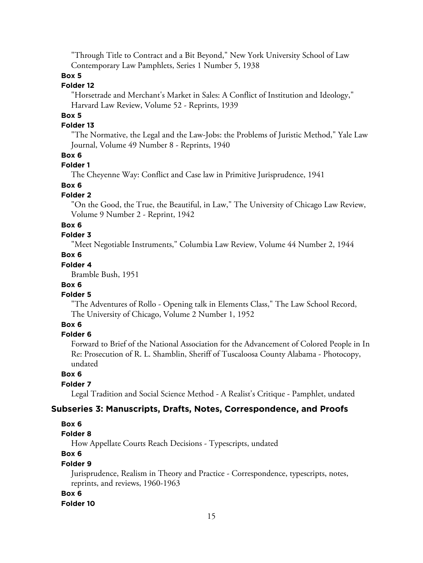"Through Title to Contract and a Bit Beyond," New York University School of Law Contemporary Law Pamphlets, Series 1 Number 5, 1938

## **Box 5**

## **Folder 12**

"Horsetrade and Merchant's Market in Sales: A Conflict of Institution and Ideology," Harvard Law Review, Volume 52 - Reprints, 1939

## **Box 5**

#### **Folder 13**

"The Normative, the Legal and the Law-Jobs: the Problems of Juristic Method," Yale Law Journal, Volume 49 Number 8 - Reprints, 1940

#### **Box 6**

#### **Folder 1**

The Cheyenne Way: Conflict and Case law in Primitive Jurisprudence, 1941

## **Box 6**

#### **Folder 2**

"On the Good, the True, the Beautiful, in Law," The University of Chicago Law Review, Volume 9 Number 2 - Reprint, 1942

#### **Box 6**

# **Folder 3**

"Meet Negotiable Instruments," Columbia Law Review, Volume 44 Number 2, 1944

## **Box 6**

# **Folder 4**

Bramble Bush, 1951

## **Box 6**

#### **Folder 5**

"The Adventures of Rollo - Opening talk in Elements Class," The Law School Record, The University of Chicago, Volume 2 Number 1, 1952

## **Box 6**

#### **Folder 6**

Forward to Brief of the National Association for the Advancement of Colored People in In Re: Prosecution of R. L. Shamblin, Sheriff of Tuscaloosa County Alabama - Photocopy, undated

## **Box 6**

#### **Folder 7**

Legal Tradition and Social Science Method - A Realist's Critique - Pamphlet, undated

#### **Subseries 3: Manuscripts, Drafts, Notes, Correspondence, and Proofs**

## **Box 6**

## **Folder 8**

How Appellate Courts Reach Decisions - Typescripts, undated

# **Box 6**

# **Folder 9**

Jurisprudence, Realism in Theory and Practice - Correspondence, typescripts, notes, reprints, and reviews, 1960-1963

#### **Box 6**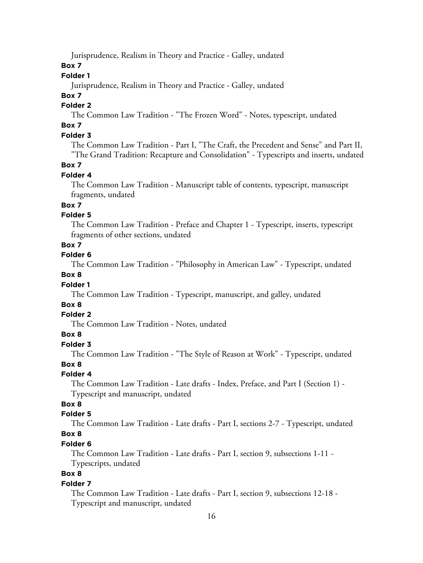Jurisprudence, Realism in Theory and Practice - Galley, undated

**Box 7**

## **Folder 1**

Jurisprudence, Realism in Theory and Practice - Galley, undated

## **Box 7**

# **Folder 2**

The Common Law Tradition - "The Frozen Word" - Notes, typescript, undated

# **Box 7**

## **Folder 3**

The Common Law Tradition - Part I, "The Craft, the Precedent and Sense" and Part II, "The Grand Tradition: Recapture and Consolidation" - Typescripts and inserts, undated

## **Box 7**

## **Folder 4**

The Common Law Tradition - Manuscript table of contents, typescript, manuscript fragments, undated

## **Box 7**

## **Folder 5**

The Common Law Tradition - Preface and Chapter 1 - Typescript, inserts, typescript fragments of other sections, undated

## **Box 7**

## **Folder 6**

The Common Law Tradition - "Philosophy in American Law" - Typescript, undated

#### **Box 8**

## **Folder 1**

The Common Law Tradition - Typescript, manuscript, and galley, undated

## **Box 8**

#### **Folder 2**

The Common Law Tradition - Notes, undated

## **Box 8**

## **Folder 3**

The Common Law Tradition - "The Style of Reason at Work" - Typescript, undated

## **Box 8**

## **Folder 4**

The Common Law Tradition - Late drafts - Index, Preface, and Part I (Section 1) - Typescript and manuscript, undated

## **Box 8**

## **Folder 5**

The Common Law Tradition - Late drafts - Part I, sections 2-7 - Typescript, undated

# **Box 8**

# **Folder 6**

The Common Law Tradition - Late drafts - Part I, section 9, subsections 1-11 - Typescripts, undated

## **Box 8**

## **Folder 7**

The Common Law Tradition - Late drafts - Part I, section 9, subsections 12-18 - Typescript and manuscript, undated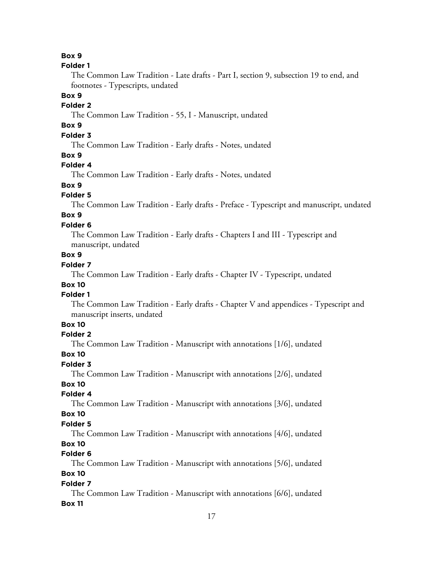#### **Folder 1**

The Common Law Tradition - Late drafts - Part I, section 9, subsection 19 to end, and footnotes - Typescripts, undated

#### **Box 9**

# **Folder 2**

The Common Law Tradition - 55, I - Manuscript, undated

# **Box 9**

# **Folder 3**

The Common Law Tradition - Early drafts - Notes, undated

## **Box 9**

#### **Folder 4**

The Common Law Tradition - Early drafts - Notes, undated

# **Box 9**

#### **Folder 5**

The Common Law Tradition - Early drafts - Preface - Typescript and manuscript, undated

# **Box 9**

## **Folder 6**

The Common Law Tradition - Early drafts - Chapters I and III - Typescript and manuscript, undated

## **Box 9**

## **Folder 7**

The Common Law Tradition - Early drafts - Chapter IV - Typescript, undated

## **Box 10**

#### **Folder 1**

The Common Law Tradition - Early drafts - Chapter V and appendices - Typescript and manuscript inserts, undated

## **Box 10**

## **Folder 2**

The Common Law Tradition - Manuscript with annotations [1/6], undated

#### **Box 10**

#### **Folder 3**

The Common Law Tradition - Manuscript with annotations [2/6], undated **Box 10**

#### **Folder 4**

The Common Law Tradition - Manuscript with annotations [3/6], undated

# **Box 10**

#### **Folder 5**

The Common Law Tradition - Manuscript with annotations [4/6], undated **Box 10**

#### **Folder 6**

The Common Law Tradition - Manuscript with annotations [5/6], undated **Box 10**

#### **Folder 7**

The Common Law Tradition - Manuscript with annotations [6/6], undated **Box 11**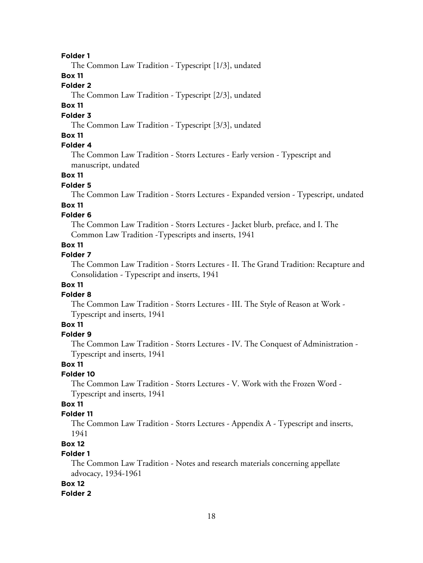The Common Law Tradition - Typescript [1/3], undated

## **Box 11**

# **Folder 2**

The Common Law Tradition - Typescript [2/3], undated

## **Box 11**

#### **Folder 3**

The Common Law Tradition - Typescript [3/3], undated

## **Box 11**

# **Folder 4**

The Common Law Tradition - Storrs Lectures - Early version - Typescript and manuscript, undated

#### **Box 11**

#### **Folder 5**

The Common Law Tradition - Storrs Lectures - Expanded version - Typescript, undated

#### **Box 11**

## **Folder 6**

The Common Law Tradition - Storrs Lectures - Jacket blurb, preface, and I. The Common Law Tradition -Typescripts and inserts, 1941

#### **Box 11**

## **Folder 7**

The Common Law Tradition - Storrs Lectures - II. The Grand Tradition: Recapture and Consolidation - Typescript and inserts, 1941

## **Box 11**

## **Folder 8**

The Common Law Tradition - Storrs Lectures - III. The Style of Reason at Work - Typescript and inserts, 1941

## **Box 11**

#### **Folder 9**

The Common Law Tradition - Storrs Lectures - IV. The Conquest of Administration - Typescript and inserts, 1941

#### **Box 11**

#### **Folder 10**

The Common Law Tradition - Storrs Lectures - V. Work with the Frozen Word - Typescript and inserts, 1941

## **Box 11**

#### **Folder 11**

The Common Law Tradition - Storrs Lectures - Appendix A - Typescript and inserts, 1941

# **Box 12**

## **Folder 1**

The Common Law Tradition - Notes and research materials concerning appellate advocacy, 1934-1961

#### **Box 12**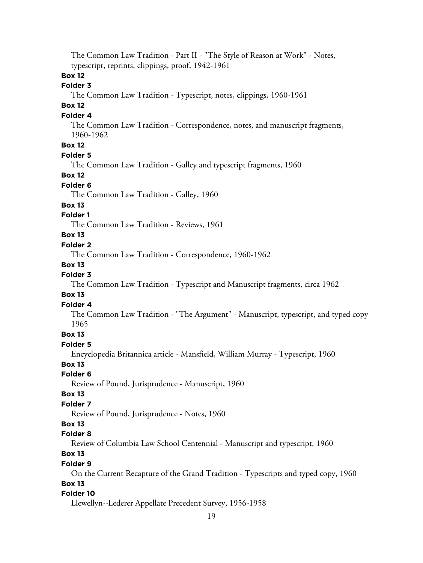The Common Law Tradition - Part II - "The Style of Reason at Work" - Notes, typescript, reprints, clippings, proof, 1942-1961 **Box 12 Folder 3** The Common Law Tradition - Typescript, notes, clippings, 1960-1961 **Box 12 Folder 4** The Common Law Tradition - Correspondence, notes, and manuscript fragments, 1960-1962 **Box 12 Folder 5** The Common Law Tradition - Galley and typescript fragments, 1960 **Box 12 Folder 6** The Common Law Tradition - Galley, 1960 **Box 13 Folder 1** The Common Law Tradition - Reviews, 1961 **Box 13 Folder 2** The Common Law Tradition - Correspondence, 1960-1962 **Box 13 Folder 3** The Common Law Tradition - Typescript and Manuscript fragments, circa 1962 **Box 13 Folder 4** The Common Law Tradition - "The Argument" - Manuscript, typescript, and typed copy 1965 **Box 13 Folder 5** Encyclopedia Britannica article - Mansfield, William Murray - Typescript, 1960 **Box 13 Folder 6** Review of Pound, Jurisprudence - Manuscript, 1960 **Box 13 Folder 7** Review of Pound, Jurisprudence - Notes, 1960 **Box 13 Folder 8** Review of Columbia Law School Centennial - Manuscript and typescript, 1960 **Box 13 Folder 9** On the Current Recapture of the Grand Tradition - Typescripts and typed copy, 1960 **Box 13 Folder 10** Llewellyn--Lederer Appellate Precedent Survey, 1956-1958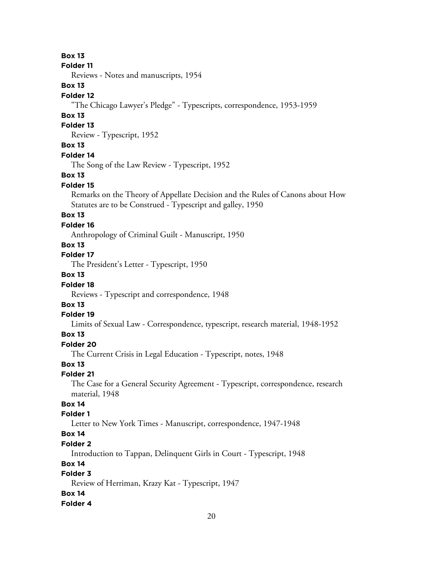#### **Folder 11**

Reviews - Notes and manuscripts, 1954

## **Box 13**

## **Folder 12**

"The Chicago Lawyer's Pledge" - Typescripts, correspondence, 1953-1959

## **Box 13**

#### **Folder 13**

Review - Typescript, 1952

## **Box 13**

## **Folder 14**

The Song of the Law Review - Typescript, 1952

## **Box 13**

## **Folder 15**

Remarks on the Theory of Appellate Decision and the Rules of Canons about How Statutes are to be Construed - Typescript and galley, 1950

# **Box 13**

## **Folder 16**

Anthropology of Criminal Guilt - Manuscript, 1950

## **Box 13**

## **Folder 17**

The President's Letter - Typescript, 1950

## **Box 13**

## **Folder 18**

Reviews - Typescript and correspondence, 1948

# **Box 13**

## **Folder 19**

Limits of Sexual Law - Correspondence, typescript, research material, 1948-1952

## **Box 13**

# **Folder 20**

The Current Crisis in Legal Education - Typescript, notes, 1948

## **Box 13**

# **Folder 21**

The Case for a General Security Agreement - Typescript, correspondence, research material, 1948

## **Box 14**

## **Folder 1**

Letter to New York Times - Manuscript, correspondence, 1947-1948

# **Box 14**

## **Folder 2**

Introduction to Tappan, Delinquent Girls in Court - Typescript, 1948

## **Box 14**

# **Folder 3**

Review of Herriman, Krazy Kat - Typescript, 1947

## **Box 14**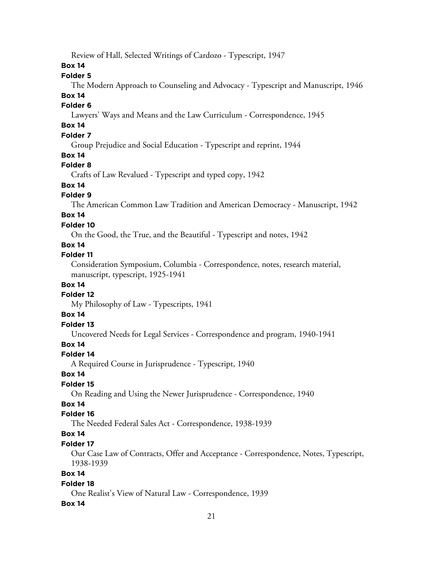Review of Hall, Selected Writings of Cardozo - Typescript, 1947

**Box 14**

## **Folder 5**

The Modern Approach to Counseling and Advocacy - Typescript and Manuscript, 1946

# **Box 14**

## **Folder 6**

Lawyers' Ways and Means and the Law Curriculum - Correspondence, 1945

# **Box 14**

# **Folder 7**

Group Prejudice and Social Education - Typescript and reprint, 1944

## **Box 14**

## **Folder 8**

Crafts of Law Revalued - Typescript and typed copy, 1942

## **Box 14**

## **Folder 9**

The American Common Law Tradition and American Democracy - Manuscript, 1942

# **Box 14**

## **Folder 10**

On the Good, the True, and the Beautiful - Typescript and notes, 1942

#### **Box 14**

#### **Folder 11**

Consideration Symposium, Columbia - Correspondence, notes, research material, manuscript, typescript, 1925-1941

#### **Box 14**

## **Folder 12**

My Philosophy of Law - Typescripts, 1941

## **Box 14**

## **Folder 13**

Uncovered Needs for Legal Services - Correspondence and program, 1940-1941

# **Box 14**

#### **Folder 14**

A Required Course in Jurisprudence - Typescript, 1940

#### **Box 14**

## **Folder 15**

On Reading and Using the Newer Jurisprudence - Correspondence, 1940

# **Box 14**

## **Folder 16**

The Needed Federal Sales Act - Correspondence, 1938-1939

# **Box 14**

## **Folder 17**

Our Case Law of Contracts, Offer and Acceptance - Correspondence, Notes, Typescript, 1938-1939

## **Box 14**

#### **Folder 18**

One Realist's View of Natural Law - Correspondence, 1939

## **Box 14**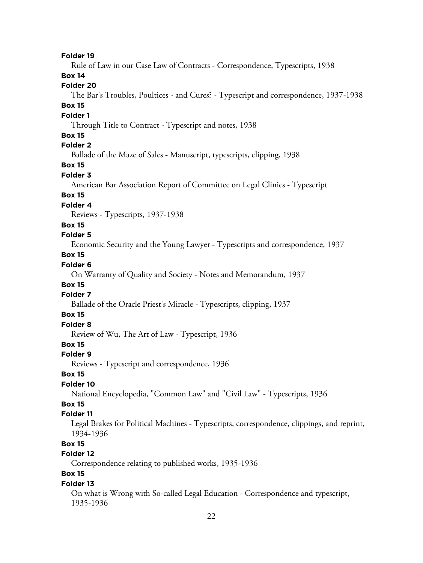Rule of Law in our Case Law of Contracts - Correspondence, Typescripts, 1938

## **Box 14**

# **Folder 20**

The Bar's Troubles, Poultices - and Cures? - Typescript and correspondence, 1937-1938

#### **Box 15**

## **Folder 1**

Through Title to Contract - Typescript and notes, 1938

## **Box 15**

## **Folder 2**

Ballade of the Maze of Sales - Manuscript, typescripts, clipping, 1938

# **Box 15**

## **Folder 3**

American Bar Association Report of Committee on Legal Clinics - Typescript

## **Box 15**

## **Folder 4**

Reviews - Typescripts, 1937-1938

## **Box 15**

## **Folder 5**

Economic Security and the Young Lawyer - Typescripts and correspondence, 1937

## **Box 15**

## **Folder 6**

On Warranty of Quality and Society - Notes and Memorandum, 1937

## **Box 15**

## **Folder 7**

Ballade of the Oracle Priest's Miracle - Typescripts, clipping, 1937

## **Box 15**

# **Folder 8**

Review of Wu, The Art of Law - Typescript, 1936

## **Box 15**

#### **Folder 9**

Reviews - Typescript and correspondence, 1936

## **Box 15**

#### **Folder 10**

National Encyclopedia, "Common Law" and "Civil Law" - Typescripts, 1936

# **Box 15**

## **Folder 11**

Legal Brakes for Political Machines - Typescripts, correspondence, clippings, and reprint, 1934-1936

# **Box 15**

# **Folder 12**

Correspondence relating to published works, 1935-1936

# **Box 15**

## **Folder 13**

On what is Wrong with So-called Legal Education - Correspondence and typescript, 1935-1936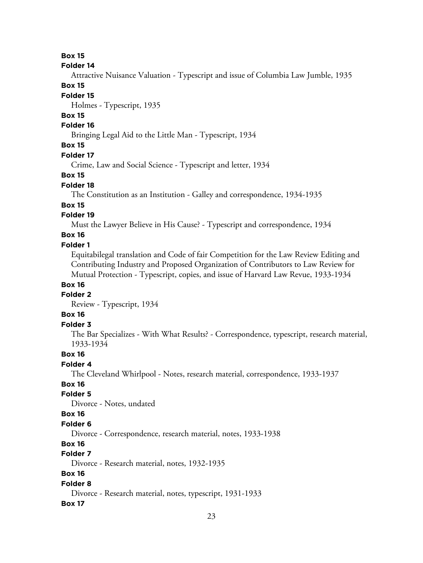#### **Folder 14**

Attractive Nuisance Valuation - Typescript and issue of Columbia Law Jumble, 1935

# **Box 15**

# **Folder 15**

Holmes - Typescript, 1935

# **Box 15**

## **Folder 16**

Bringing Legal Aid to the Little Man - Typescript, 1934

# **Box 15**

#### **Folder 17**

Crime, Law and Social Science - Typescript and letter, 1934

#### **Box 15**

#### **Folder 18**

The Constitution as an Institution - Galley and correspondence, 1934-1935

#### **Box 15**

## **Folder 19**

Must the Lawyer Believe in His Cause? - Typescript and correspondence, 1934

## **Box 16**

#### **Folder 1**

Equitabilegal translation and Code of fair Competition for the Law Review Editing and Contributing Industry and Proposed Organization of Contributors to Law Review for Mutual Protection - Typescript, copies, and issue of Harvard Law Revue, 1933-1934

#### **Box 16**

#### **Folder 2**

Review - Typescript, 1934

## **Box 16**

## **Folder 3**

The Bar Specializes - With What Results? - Correspondence, typescript, research material, 1933-1934

#### **Box 16**

## **Folder 4**

The Cleveland Whirlpool - Notes, research material, correspondence, 1933-1937

#### **Box 16**

#### **Folder 5**

Divorce - Notes, undated

## **Box 16**

#### **Folder 6**

Divorce - Correspondence, research material, notes, 1933-1938

## **Box 16**

## **Folder 7**

Divorce - Research material, notes, 1932-1935

## **Box 16**

#### **Folder 8**

Divorce - Research material, notes, typescript, 1931-1933

#### **Box 17**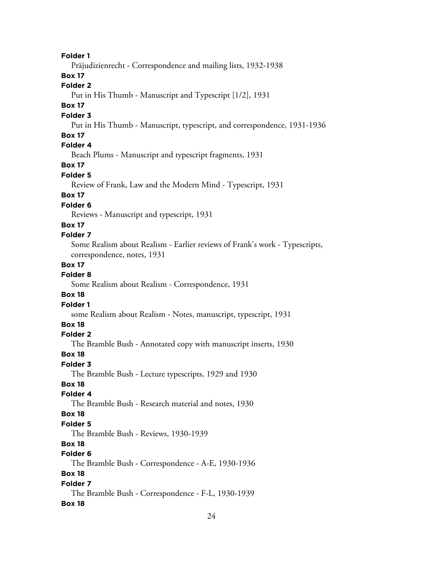Präjudizienrecht - Correspondence and mailing lists, 1932-1938

## **Box 17**

## **Folder 2**

Put in His Thumb - Manuscript and Typescript [1/2], 1931

# **Box 17**

#### **Folder 3**

Put in His Thumb - Manuscript, typescript, and correspondence, 1931-1936

## **Box 17**

# **Folder 4**

Beach Plums - Manuscript and typescript fragments, 1931

## **Box 17**

## **Folder 5**

Review of Frank, Law and the Modern Mind - Typescript, 1931

# **Box 17**

## **Folder 6**

Reviews - Manuscript and typescript, 1931

#### **Box 17**

## **Folder 7**

Some Realism about Realism - Earlier reviews of Frank's work - Typescripts, correspondence, notes, 1931

#### **Box 17**

## **Folder 8**

Some Realism about Realism - Correspondence, 1931

## **Box 18**

# **Folder 1**

some Realism about Realism - Notes, manuscript, typescript, 1931

## **Box 18**

## **Folder 2**

The Bramble Bush - Annotated copy with manuscript inserts, 1930

#### **Box 18**

## **Folder 3**

The Bramble Bush - Lecture typescripts, 1929 and 1930

## **Box 18**

## **Folder 4**

The Bramble Bush - Research material and notes, 1930

#### **Box 18**

#### **Folder 5**

The Bramble Bush - Reviews, 1930-1939

# **Box 18**

# **Folder 6**

The Bramble Bush - Correspondence - A-E, 1930-1936

## **Box 18**

## **Folder 7**

The Bramble Bush - Correspondence - F-L, 1930-1939

#### **Box 18**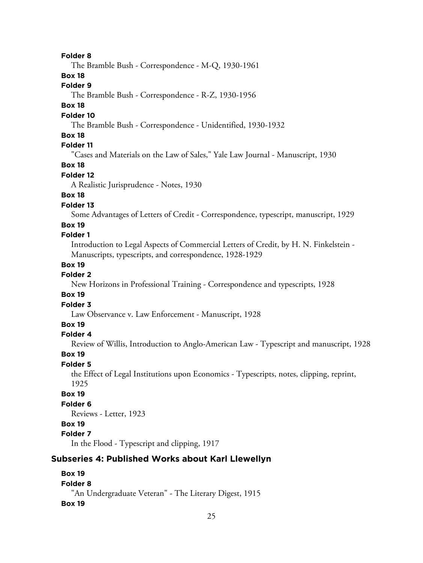The Bramble Bush - Correspondence - M-Q, 1930-1961

**Box 18**

## **Folder 9**

The Bramble Bush - Correspondence - R-Z, 1930-1956

## **Box 18**

#### **Folder 10**

The Bramble Bush - Correspondence - Unidentified, 1930-1932

## **Box 18**

# **Folder 11**

"Cases and Materials on the Law of Sales," Yale Law Journal - Manuscript, 1930

## **Box 18**

#### **Folder 12**

A Realistic Jurisprudence - Notes, 1930

# **Box 18**

## **Folder 13**

Some Advantages of Letters of Credit - Correspondence, typescript, manuscript, 1929

#### **Box 19**

## **Folder 1**

Introduction to Legal Aspects of Commercial Letters of Credit, by H. N. Finkelstein - Manuscripts, typescripts, and correspondence, 1928-1929

#### **Box 19**

## **Folder 2**

New Horizons in Professional Training - Correspondence and typescripts, 1928

## **Box 19**

#### **Folder 3**

Law Observance v. Law Enforcement - Manuscript, 1928

## **Box 19**

#### **Folder 4**

Review of Willis, Introduction to Anglo-American Law - Typescript and manuscript, 1928

#### **Box 19**

## **Folder 5**

the Effect of Legal Institutions upon Economics - Typescripts, notes, clipping, reprint, 1925

#### **Box 19**

# **Folder 6**

Reviews - Letter, 1923

## **Box 19**

# **Folder 7**

In the Flood - Typescript and clipping, 1917

# **Subseries 4: Published Works about Karl Llewellyn**

## **Box 19 Folder 8** "An Undergraduate Veteran" - The Literary Digest, 1915 **Box 19**

#### 25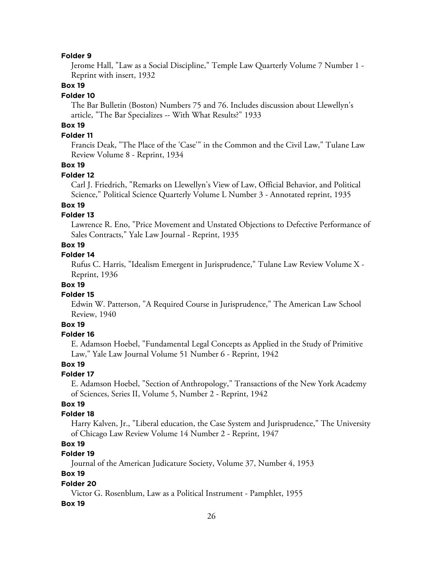Jerome Hall, "Law as a Social Discipline," Temple Law Quarterly Volume 7 Number 1 - Reprint with insert, 1932

## **Box 19**

#### **Folder 10**

The Bar Bulletin (Boston) Numbers 75 and 76. Includes discussion about Llewellyn's article, "The Bar Specializes -- With What Results?" 1933

# **Box 19**

#### **Folder 11**

Francis Deak, "The Place of the 'Case'" in the Common and the Civil Law," Tulane Law Review Volume 8 - Reprint, 1934

#### **Box 19**

## **Folder 12**

Carl J. Friedrich, "Remarks on Llewellyn's View of Law, Official Behavior, and Political Science," Political Science Quarterly Volume L Number 3 - Annotated reprint, 1935

## **Box 19**

#### **Folder 13**

Lawrence R. Eno, "Price Movement and Unstated Objections to Defective Performance of Sales Contracts," Yale Law Journal - Reprint, 1935

## **Box 19**

#### **Folder 14**

Rufus C. Harris, "Idealism Emergent in Jurisprudence," Tulane Law Review Volume X - Reprint, 1936

#### **Box 19**

#### **Folder 15**

Edwin W. Patterson, "A Required Course in Jurisprudence," The American Law School Review, 1940

## **Box 19**

## **Folder 16**

E. Adamson Hoebel, "Fundamental Legal Concepts as Applied in the Study of Primitive Law," Yale Law Journal Volume 51 Number 6 - Reprint, 1942

#### **Box 19**

#### **Folder 17**

E. Adamson Hoebel, "Section of Anthropology," Transactions of the New York Academy of Sciences, Series II, Volume 5, Number 2 - Reprint, 1942

## **Box 19**

#### **Folder 18**

Harry Kalven, Jr., "Liberal education, the Case System and Jurisprudence," The University of Chicago Law Review Volume 14 Number 2 - Reprint, 1947

## **Box 19**

## **Folder 19**

Journal of the American Judicature Society, Volume 37, Number 4, 1953

## **Box 19**

#### **Folder 20**

Victor G. Rosenblum, Law as a Political Instrument - Pamphlet, 1955

#### **Box 19**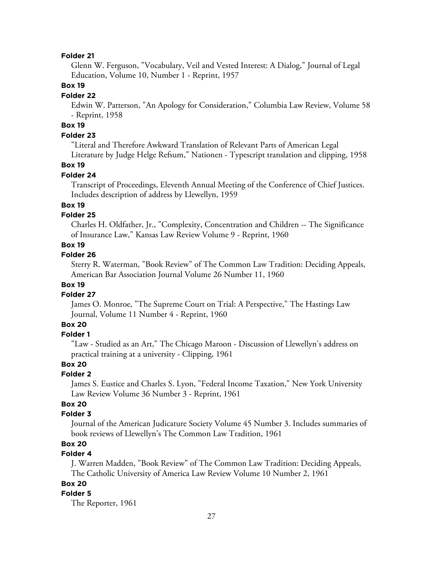Glenn W. Ferguson, "Vocabulary, Veil and Vested Interest: A Dialog," Journal of Legal Education, Volume 10, Number 1 - Reprint, 1957

## **Box 19**

#### **Folder 22**

Edwin W. Patterson, "An Apology for Consideration," Columbia Law Review, Volume 58 - Reprint, 1958

## **Box 19**

## **Folder 23**

"Literal and Therefore Awkward Translation of Relevant Parts of American Legal Literature by Judge Helge Refsum," Nationen - Typescript translation and clipping, 1958

#### **Box 19**

#### **Folder 24**

Transcript of Proceedings, Eleventh Annual Meeting of the Conference of Chief Justices. Includes description of address by Llewellyn, 1959

#### **Box 19**

#### **Folder 25**

Charles H. Oldfather, Jr., "Complexity, Concentration and Children -- The Significance of Insurance Law," Kansas Law Review Volume 9 - Reprint, 1960

#### **Box 19**

#### **Folder 26**

Sterry R. Waterman, "Book Review" of The Common Law Tradition: Deciding Appeals, American Bar Association Journal Volume 26 Number 11, 1960

## **Box 19**

#### **Folder 27**

James O. Monroe, "The Supreme Court on Trial: A Perspective," The Hastings Law Journal, Volume 11 Number 4 - Reprint, 1960

# **Box 20**

#### **Folder 1**

"Law - Studied as an Art," The Chicago Maroon - Discussion of Llewellyn's address on practical training at a university - Clipping, 1961

# **Box 20**

#### **Folder 2**

James S. Eustice and Charles S. Lyon, "Federal Income Taxation," New York University Law Review Volume 36 Number 3 - Reprint, 1961

# **Box 20**

#### **Folder 3**

Journal of the American Judicature Society Volume 45 Number 3. Includes summaries of book reviews of Llewellyn's The Common Law Tradition, 1961

# **Box 20**

# **Folder 4**

J. Warren Madden, "Book Review" of The Common Law Tradition: Deciding Appeals, The Catholic University of America Law Review Volume 10 Number 2, 1961

#### **Box 20**

#### **Folder 5**

The Reporter, 1961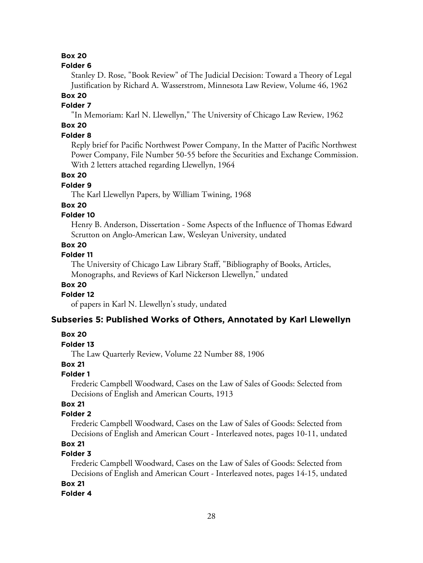#### **Folder 6**

Stanley D. Rose, "Book Review" of The Judicial Decision: Toward a Theory of Legal Justification by Richard A. Wasserstrom, Minnesota Law Review, Volume 46, 1962

# **Box 20**

# **Folder 7**

"In Memoriam: Karl N. Llewellyn," The University of Chicago Law Review, 1962

# **Box 20**

## **Folder 8**

Reply brief for Pacific Northwest Power Company, In the Matter of Pacific Northwest Power Company, File Number 50-55 before the Securities and Exchange Commission. With 2 letters attached regarding Llewellyn, 1964

#### **Box 20**

## **Folder 9**

The Karl Llewellyn Papers, by William Twining, 1968

#### **Box 20**

## **Folder 10**

Henry B. Anderson, Dissertation - Some Aspects of the Influence of Thomas Edward Scrutton on Anglo-American Law, Wesleyan University, undated

## **Box 20**

## **Folder 11**

The University of Chicago Law Library Staff, "Bibliography of Books, Articles, Monographs, and Reviews of Karl Nickerson Llewellyn," undated

## **Box 20**

#### **Folder 12**

of papers in Karl N. Llewellyn's study, undated

#### **Subseries 5: Published Works of Others, Annotated by Karl Llewellyn**

#### **Box 20**

## **Folder 13**

The Law Quarterly Review, Volume 22 Number 88, 1906

## **Box 21**

## **Folder 1**

Frederic Campbell Woodward, Cases on the Law of Sales of Goods: Selected from Decisions of English and American Courts, 1913

## **Box 21**

#### **Folder 2**

Frederic Campbell Woodward, Cases on the Law of Sales of Goods: Selected from Decisions of English and American Court - Interleaved notes, pages 10-11, undated

## **Box 21**

## **Folder 3**

Frederic Campbell Woodward, Cases on the Law of Sales of Goods: Selected from Decisions of English and American Court - Interleaved notes, pages 14-15, undated

## **Box 21**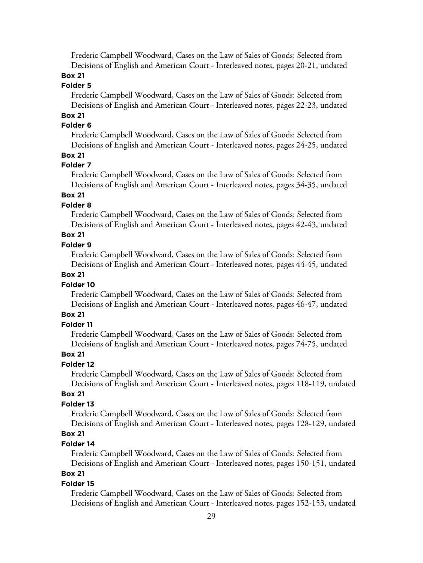Frederic Campbell Woodward, Cases on the Law of Sales of Goods: Selected from Decisions of English and American Court - Interleaved notes, pages 20-21, undated

## **Box 21**

## **Folder 5**

Frederic Campbell Woodward, Cases on the Law of Sales of Goods: Selected from Decisions of English and American Court - Interleaved notes, pages 22-23, undated

# **Box 21**

## **Folder 6**

Frederic Campbell Woodward, Cases on the Law of Sales of Goods: Selected from Decisions of English and American Court - Interleaved notes, pages 24-25, undated

## **Box 21**

#### **Folder 7**

Frederic Campbell Woodward, Cases on the Law of Sales of Goods: Selected from Decisions of English and American Court - Interleaved notes, pages 34-35, undated

## **Box 21**

#### **Folder 8**

Frederic Campbell Woodward, Cases on the Law of Sales of Goods: Selected from Decisions of English and American Court - Interleaved notes, pages 42-43, undated

# **Box 21**

#### **Folder 9**

Frederic Campbell Woodward, Cases on the Law of Sales of Goods: Selected from Decisions of English and American Court - Interleaved notes, pages 44-45, undated

## **Box 21**

#### **Folder 10**

Frederic Campbell Woodward, Cases on the Law of Sales of Goods: Selected from Decisions of English and American Court - Interleaved notes, pages 46-47, undated

## **Box 21**

## **Folder 11**

Frederic Campbell Woodward, Cases on the Law of Sales of Goods: Selected from Decisions of English and American Court - Interleaved notes, pages 74-75, undated

#### **Box 21**

# **Folder 12**

Frederic Campbell Woodward, Cases on the Law of Sales of Goods: Selected from Decisions of English and American Court - Interleaved notes, pages 118-119, undated

## **Box 21**

#### **Folder 13**

Frederic Campbell Woodward, Cases on the Law of Sales of Goods: Selected from Decisions of English and American Court - Interleaved notes, pages 128-129, undated

## **Box 21**

## **Folder 14**

Frederic Campbell Woodward, Cases on the Law of Sales of Goods: Selected from Decisions of English and American Court - Interleaved notes, pages 150-151, undated

## **Box 21**

#### **Folder 15**

Frederic Campbell Woodward, Cases on the Law of Sales of Goods: Selected from Decisions of English and American Court - Interleaved notes, pages 152-153, undated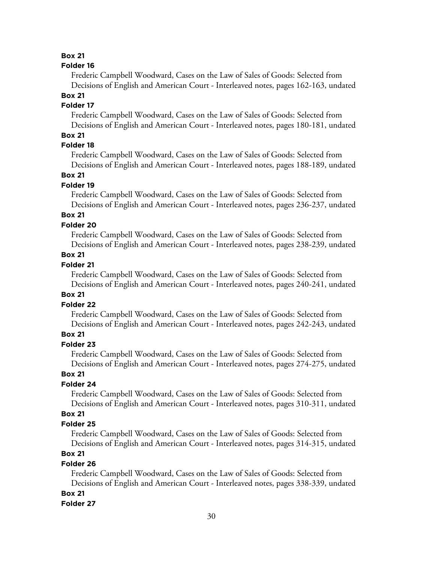#### **Folder 16**

Frederic Campbell Woodward, Cases on the Law of Sales of Goods: Selected from Decisions of English and American Court - Interleaved notes, pages 162-163, undated

## **Box 21**

## **Folder 17**

Frederic Campbell Woodward, Cases on the Law of Sales of Goods: Selected from Decisions of English and American Court - Interleaved notes, pages 180-181, undated

## **Box 21**

# **Folder 18**

Frederic Campbell Woodward, Cases on the Law of Sales of Goods: Selected from Decisions of English and American Court - Interleaved notes, pages 188-189, undated

## **Box 21**

#### **Folder 19**

Frederic Campbell Woodward, Cases on the Law of Sales of Goods: Selected from Decisions of English and American Court - Interleaved notes, pages 236-237, undated

# **Box 21**

#### **Folder 20**

Frederic Campbell Woodward, Cases on the Law of Sales of Goods: Selected from Decisions of English and American Court - Interleaved notes, pages 238-239, undated

## **Box 21**

## **Folder 21**

Frederic Campbell Woodward, Cases on the Law of Sales of Goods: Selected from Decisions of English and American Court - Interleaved notes, pages 240-241, undated

#### **Box 21**

## **Folder 22**

Frederic Campbell Woodward, Cases on the Law of Sales of Goods: Selected from Decisions of English and American Court - Interleaved notes, pages 242-243, undated

## **Box 21**

## **Folder 23**

Frederic Campbell Woodward, Cases on the Law of Sales of Goods: Selected from Decisions of English and American Court - Interleaved notes, pages 274-275, undated

## **Box 21**

#### **Folder 24**

Frederic Campbell Woodward, Cases on the Law of Sales of Goods: Selected from Decisions of English and American Court - Interleaved notes, pages 310-311, undated

## **Box 21**

#### **Folder 25**

Frederic Campbell Woodward, Cases on the Law of Sales of Goods: Selected from Decisions of English and American Court - Interleaved notes, pages 314-315, undated

# **Box 21**

## **Folder 26**

Frederic Campbell Woodward, Cases on the Law of Sales of Goods: Selected from Decisions of English and American Court - Interleaved notes, pages 338-339, undated

## **Box 21**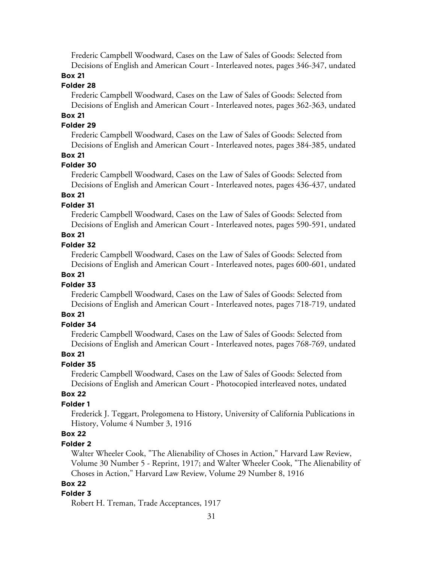Frederic Campbell Woodward, Cases on the Law of Sales of Goods: Selected from Decisions of English and American Court - Interleaved notes, pages 346-347, undated

## **Box 21**

## **Folder 28**

Frederic Campbell Woodward, Cases on the Law of Sales of Goods: Selected from Decisions of English and American Court - Interleaved notes, pages 362-363, undated

# **Box 21**

## **Folder 29**

Frederic Campbell Woodward, Cases on the Law of Sales of Goods: Selected from Decisions of English and American Court - Interleaved notes, pages 384-385, undated

#### **Box 21**

#### **Folder 30**

Frederic Campbell Woodward, Cases on the Law of Sales of Goods: Selected from Decisions of English and American Court - Interleaved notes, pages 436-437, undated

## **Box 21**

#### **Folder 31**

Frederic Campbell Woodward, Cases on the Law of Sales of Goods: Selected from Decisions of English and American Court - Interleaved notes, pages 590-591, undated

## **Box 21**

#### **Folder 32**

Frederic Campbell Woodward, Cases on the Law of Sales of Goods: Selected from Decisions of English and American Court - Interleaved notes, pages 600-601, undated

## **Box 21**

#### **Folder 33**

Frederic Campbell Woodward, Cases on the Law of Sales of Goods: Selected from Decisions of English and American Court - Interleaved notes, pages 718-719, undated

## **Box 21**

## **Folder 34**

Frederic Campbell Woodward, Cases on the Law of Sales of Goods: Selected from Decisions of English and American Court - Interleaved notes, pages 768-769, undated

#### **Box 21**

## **Folder 35**

Frederic Campbell Woodward, Cases on the Law of Sales of Goods: Selected from Decisions of English and American Court - Photocopied interleaved notes, undated

## **Box 22**

## **Folder 1**

Frederick J. Teggart, Prolegomena to History, University of California Publications in History, Volume 4 Number 3, 1916

# **Box 22**

#### **Folder 2**

Walter Wheeler Cook, "The Alienability of Choses in Action," Harvard Law Review, Volume 30 Number 5 - Reprint, 1917; and Walter Wheeler Cook, "The Alienability of Choses in Action," Harvard Law Review, Volume 29 Number 8, 1916

#### **Box 22**

#### **Folder 3**

Robert H. Treman, Trade Acceptances, 1917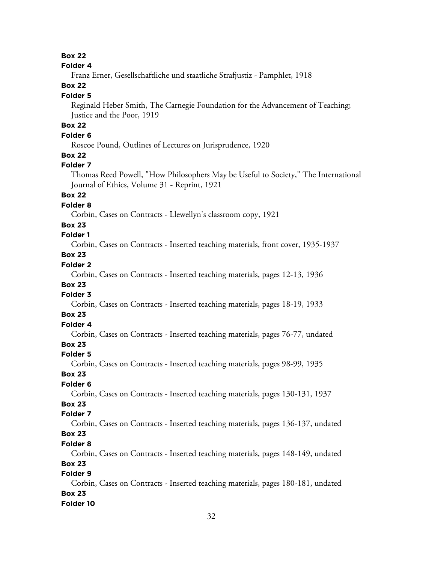#### **Folder 4**

Franz Erner, Gesellschaftliche und staatliche Strafjustiz - Pamphlet, 1918

# **Box 22**

#### **Folder 5**

Reginald Heber Smith, The Carnegie Foundation for the Advancement of Teaching; Justice and the Poor, 1919

# **Box 22**

## **Folder 6**

Roscoe Pound, Outlines of Lectures on Jurisprudence, 1920

## **Box 22**

#### **Folder 7**

Thomas Reed Powell, "How Philosophers May be Useful to Society," The International Journal of Ethics, Volume 31 - Reprint, 1921

# **Box 22**

## **Folder 8**

Corbin, Cases on Contracts - Llewellyn's classroom copy, 1921

## **Box 23**

# **Folder 1**

Corbin, Cases on Contracts - Inserted teaching materials, front cover, 1935-1937

# **Box 23**

# **Folder 2**

Corbin, Cases on Contracts - Inserted teaching materials, pages 12-13, 1936

# **Box 23**

# **Folder 3**

Corbin, Cases on Contracts - Inserted teaching materials, pages 18-19, 1933

## **Box 23**

# **Folder 4**

Corbin, Cases on Contracts - Inserted teaching materials, pages 76-77, undated

# **Box 23**

#### **Folder 5**

Corbin, Cases on Contracts - Inserted teaching materials, pages 98-99, 1935

## **Box 23**

## **Folder 6**

Corbin, Cases on Contracts - Inserted teaching materials, pages 130-131, 1937

# **Box 23**

## **Folder 7**

Corbin, Cases on Contracts - Inserted teaching materials, pages 136-137, undated **Box 23**

#### **Folder 8**

Corbin, Cases on Contracts - Inserted teaching materials, pages 148-149, undated

# **Box 23**

# **Folder 9**

Corbin, Cases on Contracts - Inserted teaching materials, pages 180-181, undated **Box 23 Folder 10**

#### 32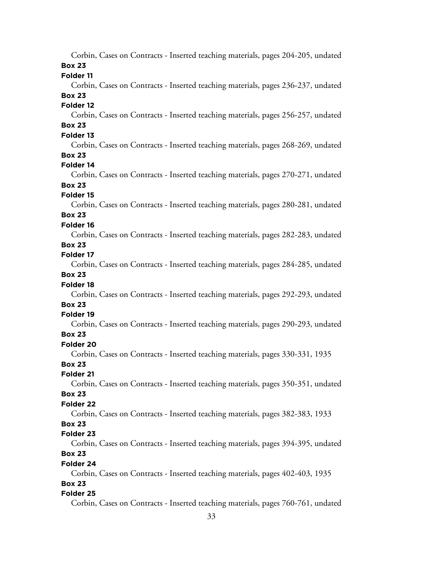|                      | Corbin, Cases on Contracts - Inserted teaching materials, pages 204-205, undated |  |  |  |
|----------------------|----------------------------------------------------------------------------------|--|--|--|
| <b>Box 23</b>        |                                                                                  |  |  |  |
| Folder 11            |                                                                                  |  |  |  |
|                      | Corbin, Cases on Contracts - Inserted teaching materials, pages 236-237, undated |  |  |  |
| <b>Box 23</b>        |                                                                                  |  |  |  |
| Folder 12            |                                                                                  |  |  |  |
|                      | Corbin, Cases on Contracts - Inserted teaching materials, pages 256-257, undated |  |  |  |
| <b>Box 23</b>        |                                                                                  |  |  |  |
| Folder 13            |                                                                                  |  |  |  |
|                      | Corbin, Cases on Contracts - Inserted teaching materials, pages 268-269, undated |  |  |  |
| <b>Box 23</b>        |                                                                                  |  |  |  |
| Folder 14            |                                                                                  |  |  |  |
|                      | Corbin, Cases on Contracts - Inserted teaching materials, pages 270-271, undated |  |  |  |
| <b>Box 23</b>        |                                                                                  |  |  |  |
| Folder 15            |                                                                                  |  |  |  |
|                      | Corbin, Cases on Contracts - Inserted teaching materials, pages 280-281, undated |  |  |  |
| <b>Box 23</b>        |                                                                                  |  |  |  |
| Folder 16            |                                                                                  |  |  |  |
|                      | Corbin, Cases on Contracts - Inserted teaching materials, pages 282-283, undated |  |  |  |
| <b>Box 23</b>        |                                                                                  |  |  |  |
| Folder 17            |                                                                                  |  |  |  |
|                      | Corbin, Cases on Contracts - Inserted teaching materials, pages 284-285, undated |  |  |  |
| <b>Box 23</b>        |                                                                                  |  |  |  |
| Folder <sub>18</sub> |                                                                                  |  |  |  |
|                      | Corbin, Cases on Contracts - Inserted teaching materials, pages 292-293, undated |  |  |  |
| <b>Box 23</b>        |                                                                                  |  |  |  |
| Folder 19            |                                                                                  |  |  |  |
|                      | Corbin, Cases on Contracts - Inserted teaching materials, pages 290-293, undated |  |  |  |
| <b>Box 23</b>        |                                                                                  |  |  |  |
| Folder 20            |                                                                                  |  |  |  |
|                      | Corbin, Cases on Contracts - Inserted teaching materials, pages 330-331, 1935    |  |  |  |
| <b>Box 23</b>        |                                                                                  |  |  |  |
| Folder 21            |                                                                                  |  |  |  |
|                      | Corbin, Cases on Contracts - Inserted teaching materials, pages 350-351, undated |  |  |  |
| <b>Box 23</b>        |                                                                                  |  |  |  |
| Folder 22            |                                                                                  |  |  |  |
|                      | Corbin, Cases on Contracts - Inserted teaching materials, pages 382-383, 1933    |  |  |  |
| <b>Box 23</b>        |                                                                                  |  |  |  |
| Folder 23            |                                                                                  |  |  |  |
|                      | Corbin, Cases on Contracts - Inserted teaching materials, pages 394-395, undated |  |  |  |
| <b>Box 23</b>        |                                                                                  |  |  |  |
| Folder 24            |                                                                                  |  |  |  |
|                      | Corbin, Cases on Contracts - Inserted teaching materials, pages 402-403, 1935    |  |  |  |
| <b>Box 23</b>        |                                                                                  |  |  |  |
| Folder 25            |                                                                                  |  |  |  |
|                      | Corbin, Cases on Contracts - Inserted teaching materials, pages 760-761, undated |  |  |  |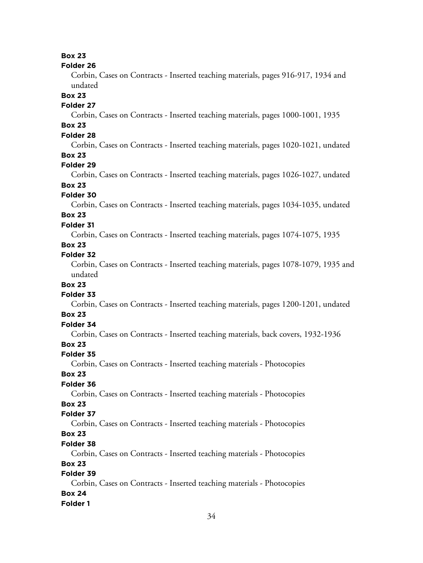#### **Folder 26**

Corbin, Cases on Contracts - Inserted teaching materials, pages 916-917, 1934 and undated

## **Box 23**

## **Folder 27**

Corbin, Cases on Contracts - Inserted teaching materials, pages 1000-1001, 1935

# **Box 23**

# **Folder 28**

Corbin, Cases on Contracts - Inserted teaching materials, pages 1020-1021, undated **Box 23**

#### **Folder 29**

Corbin, Cases on Contracts - Inserted teaching materials, pages 1026-1027, undated **Box 23**

# **Folder 30**

Corbin, Cases on Contracts - Inserted teaching materials, pages 1034-1035, undated

## **Box 23**

#### **Folder 31**

Corbin, Cases on Contracts - Inserted teaching materials, pages 1074-1075, 1935

## **Box 23**

# **Folder 32**

Corbin, Cases on Contracts - Inserted teaching materials, pages 1078-1079, 1935 and undated

## **Box 23**

## **Folder 33**

Corbin, Cases on Contracts - Inserted teaching materials, pages 1200-1201, undated

#### **Box 23**

# **Folder 34**

Corbin, Cases on Contracts - Inserted teaching materials, back covers, 1932-1936

## **Box 23**

#### **Folder 35**

Corbin, Cases on Contracts - Inserted teaching materials - Photocopies

## **Box 23**

## **Folder 36**

Corbin, Cases on Contracts - Inserted teaching materials - Photocopies

#### **Box 23**

#### **Folder 37**

Corbin, Cases on Contracts - Inserted teaching materials - Photocopies

# **Box 23**

# **Folder 38**

Corbin, Cases on Contracts - Inserted teaching materials - Photocopies

## **Box 23**

# **Folder 39**

Corbin, Cases on Contracts - Inserted teaching materials - Photocopies **Box 24 Folder 1**

## 34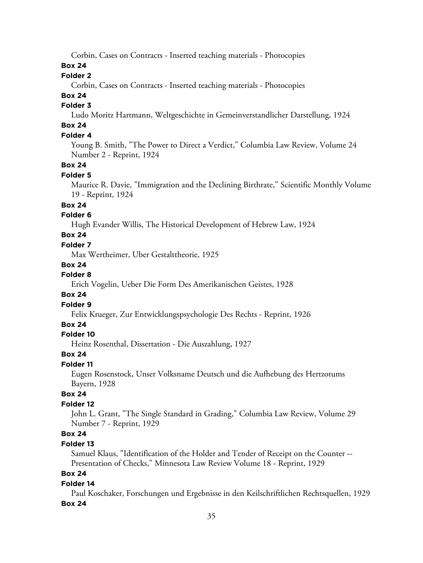Corbin, Cases on Contracts - Inserted teaching materials - Photocopies

## **Box 24**

## **Folder 2**

Corbin, Cases on Contracts - Inserted teaching materials - Photocopies

# **Box 24**

# **Folder 3**

Ludo Moritz Hartmann, Weltgeschichte in Gemeinverstandlicher Darstellung, 1924

# **Box 24**

# **Folder 4**

Young B. Smith, "The Power to Direct a Verdict," Columbia Law Review, Volume 24 Number 2 - Reprint, 1924

## **Box 24**

#### **Folder 5**

Maurice R. Davie, "Immigration and the Declining Birthrate," Scientific Monthly Volume 19 - Reprint, 1924

## **Box 24**

## **Folder 6**

Hugh Evander Willis, The Historical Development of Hebrew Law, 1924

## **Box 24**

## **Folder 7**

Max Wertheimer, Uber Gestalttheorie, 1925

#### **Box 24**

# **Folder 8**

Erich Vogelin, Ueber Die Form Des Amerikanischen Geistes, 1928

#### **Box 24**

## **Folder 9**

Felix Krueger, Zur Entwicklungspsychologie Des Rechts - Reprint, 1926

## **Box 24**

#### **Folder 10**

Heinz Rosenthal, Dissertation - Die Auszahlung, 1927

#### **Box 24**

#### **Folder 11**

Eugen Rosenstock, Unser Volksname Deutsch und die Aufhebung des Hertzotums Bayern, 1928

## **Box 24**

## **Folder 12**

John L. Grant, "The Single Standard in Grading," Columbia Law Review, Volume 29 Number 7 - Reprint, 1929

## **Box 24**

## **Folder 13**

Samuel Klaus, "Identification of the Holder and Tender of Receipt on the Counter -- Presentation of Checks," Minnesota Law Review Volume 18 - Reprint, 1929

## **Box 24**

#### **Folder 14**

Paul Koschaker, Forschungen und Ergebnisse in den Keilschriftlichen Rechtsquellen, 1929 **Box 24**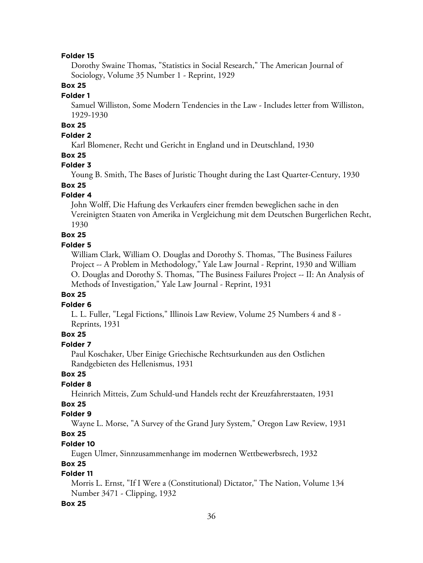Dorothy Swaine Thomas, "Statistics in Social Research," The American Journal of Sociology, Volume 35 Number 1 - Reprint, 1929

## **Box 25**

#### **Folder 1**

Samuel Williston, Some Modern Tendencies in the Law - Includes letter from Williston, 1929-1930

# **Box 25**

## **Folder 2**

Karl Blomener, Recht und Gericht in England und in Deutschland, 1930

## **Box 25**

#### **Folder 3**

Young B. Smith, The Bases of Juristic Thought during the Last Quarter-Century, 1930

# **Box 25**

#### **Folder 4**

John Wolff, Die Haftung des Verkaufers einer fremden beweglichen sache in den Vereinigten Staaten von Amerika in Vergleichung mit dem Deutschen Burgerlichen Recht, 1930

#### **Box 25**

#### **Folder 5**

William Clark, William O. Douglas and Dorothy S. Thomas, "The Business Failures Project -- A Problem in Methodology," Yale Law Journal - Reprint, 1930 and William O. Douglas and Dorothy S. Thomas, "The Business Failures Project -- II: An Analysis of Methods of Investigation," Yale Law Journal - Reprint, 1931

#### **Box 25**

#### **Folder 6**

L. L. Fuller, "Legal Fictions," Illinois Law Review, Volume 25 Numbers 4 and 8 - Reprints, 1931

## **Box 25**

#### **Folder 7**

Paul Koschaker, Uber Einige Griechische Rechtsurkunden aus den Ostlichen Randgebieten des Hellenismus, 1931

## **Box 25**

#### **Folder 8**

Heinrich Mitteis, Zum Schuld-und Handels recht der Kreuzfahrerstaaten, 1931

# **Box 25**

## **Folder 9**

Wayne L. Morse, "A Survey of the Grand Jury System," Oregon Law Review, 1931

# **Box 25**

# **Folder 10**

Eugen Ulmer, Sinnzusammenhange im modernen Wettbewerbsrech, 1932

## **Box 25**

## **Folder 11**

Morris L. Ernst, "If I Were a (Constitutional) Dictator," The Nation, Volume 134 Number 3471 - Clipping, 1932

#### **Box 25**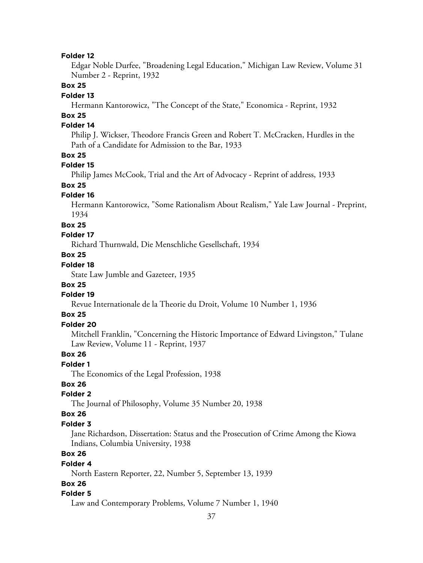Edgar Noble Durfee, "Broadening Legal Education," Michigan Law Review, Volume 31 Number 2 - Reprint, 1932

## **Box 25**

#### **Folder 13**

Hermann Kantorowicz, "The Concept of the State," Economica - Reprint, 1932

# **Box 25**

## **Folder 14**

Philip J. Wickser, Theodore Francis Green and Robert T. McCracken, Hurdles in the Path of a Candidate for Admission to the Bar, 1933

#### **Box 25**

#### **Folder 15**

Philip James McCook, Trial and the Art of Advocacy - Reprint of address, 1933

# **Box 25**

## **Folder 16**

Hermann Kantorowicz, "Some Rationalism About Realism," Yale Law Journal - Preprint, 1934

#### **Box 25**

#### **Folder 17**

Richard Thurnwald, Die Menschliche Gesellschaft, 1934

## **Box 25**

# **Folder 18**

State Law Jumble and Gazeteer, 1935

#### **Box 25**

## **Folder 19**

Revue Internationale de la Theorie du Droit, Volume 10 Number 1, 1936

## **Box 25**

## **Folder 20**

Mitchell Franklin, "Concerning the Historic Importance of Edward Livingston," Tulane Law Review, Volume 11 - Reprint, 1937

## **Box 26**

#### **Folder 1**

The Economics of the Legal Profession, 1938

## **Box 26**

### **Folder 2**

The Journal of Philosophy, Volume 35 Number 20, 1938

#### **Box 26**

#### **Folder 3**

Jane Richardson, Dissertation: Status and the Prosecution of Crime Among the Kiowa Indians, Columbia University, 1938

# **Box 26**

#### **Folder 4**

North Eastern Reporter, 22, Number 5, September 13, 1939

### **Box 26**

#### **Folder 5**

Law and Contemporary Problems, Volume 7 Number 1, 1940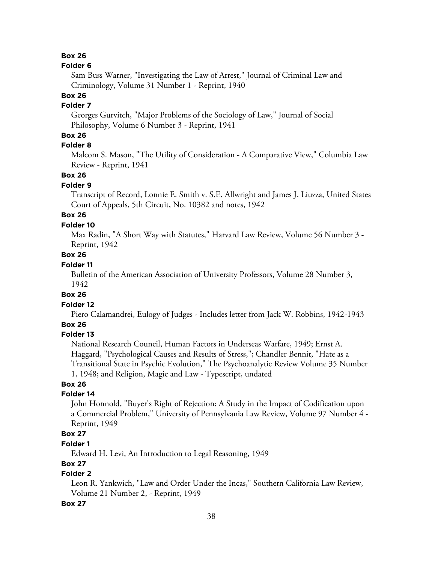#### **Folder 6**

Sam Buss Warner, "Investigating the Law of Arrest," Journal of Criminal Law and Criminology, Volume 31 Number 1 - Reprint, 1940

# **Box 26**

## **Folder 7**

Georges Gurvitch, "Major Problems of the Sociology of Law," Journal of Social Philosophy, Volume 6 Number 3 - Reprint, 1941

## **Box 26**

# **Folder 8**

Malcom S. Mason, "The Utility of Consideration - A Comparative View," Columbia Law Review - Reprint, 1941

#### **Box 26**

#### **Folder 9**

Transcript of Record, Lonnie E. Smith v. S.E. Allwright and James J. Liuzza, United States Court of Appeals, 5th Circuit, No. 10382 and notes, 1942

# **Box 26**

## **Folder 10**

Max Radin, "A Short Way with Statutes," Harvard Law Review, Volume 56 Number 3 - Reprint, 1942

## **Box 26**

## **Folder 11**

Bulletin of the American Association of University Professors, Volume 28 Number 3, 1942

#### **Box 26**

# **Folder 12**

Piero Calamandrei, Eulogy of Judges - Includes letter from Jack W. Robbins, 1942-1943

## **Box 26**

#### **Folder 13**

National Research Council, Human Factors in Underseas Warfare, 1949; Ernst A. Haggard, "Psychological Causes and Results of Stress,"; Chandler Bennit, "Hate as a Transitional State in Psychic Evolution," The Psychoanalytic Review Volume 35 Number 1, 1948; and Religion, Magic and Law - Typescript, undated

## **Box 26**

### **Folder 14**

John Honnold, "Buyer's Right of Rejection: A Study in the Impact of Codification upon a Commercial Problem," University of Pennsylvania Law Review, Volume 97 Number 4 - Reprint, 1949

# **Box 27**

## **Folder 1**

Edward H. Levi, An Introduction to Legal Reasoning, 1949

#### **Box 27**

# **Folder 2**

Leon R. Yankwich, "Law and Order Under the Incas," Southern California Law Review, Volume 21 Number 2, - Reprint, 1949

#### **Box 27**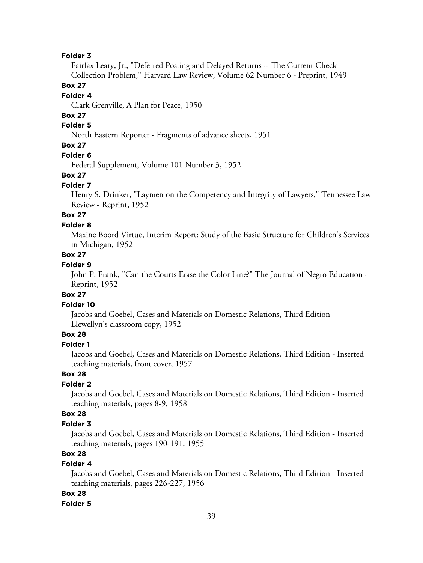Fairfax Leary, Jr., "Deferred Posting and Delayed Returns -- The Current Check Collection Problem," Harvard Law Review, Volume 62 Number 6 - Preprint, 1949

### **Box 27**

## **Folder 4**

Clark Grenville, A Plan for Peace, 1950

## **Box 27**

## **Folder 5**

North Eastern Reporter - Fragments of advance sheets, 1951

# **Box 27**

#### **Folder 6**

Federal Supplement, Volume 101 Number 3, 1952

#### **Box 27**

#### **Folder 7**

Henry S. Drinker, "Laymen on the Competency and Integrity of Lawyers," Tennessee Law Review - Reprint, 1952

# **Box 27**

#### **Folder 8**

Maxine Boord Virtue, Interim Report: Study of the Basic Structure for Children's Services in Michigan, 1952

## **Box 27**

# **Folder 9**

John P. Frank, "Can the Courts Erase the Color Line?" The Journal of Negro Education - Reprint, 1952

## **Box 27**

#### **Folder 10**

Jacobs and Goebel, Cases and Materials on Domestic Relations, Third Edition - Llewellyn's classroom copy, 1952

# **Box 28**

# **Folder 1**

Jacobs and Goebel, Cases and Materials on Domestic Relations, Third Edition - Inserted teaching materials, front cover, 1957

## **Box 28**

## **Folder 2**

Jacobs and Goebel, Cases and Materials on Domestic Relations, Third Edition - Inserted teaching materials, pages 8-9, 1958

## **Box 28**

#### **Folder 3**

Jacobs and Goebel, Cases and Materials on Domestic Relations, Third Edition - Inserted teaching materials, pages 190-191, 1955

# **Box 28**

#### **Folder 4**

Jacobs and Goebel, Cases and Materials on Domestic Relations, Third Edition - Inserted teaching materials, pages 226-227, 1956

#### **Box 28**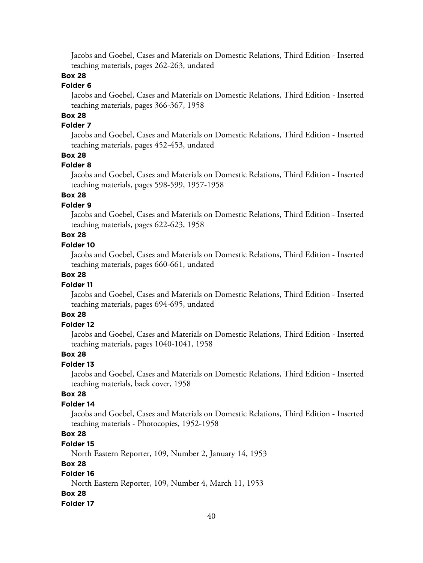Jacobs and Goebel, Cases and Materials on Domestic Relations, Third Edition - Inserted teaching materials, pages 262-263, undated

# **Box 28**

# **Folder 6**

Jacobs and Goebel, Cases and Materials on Domestic Relations, Third Edition - Inserted teaching materials, pages 366-367, 1958

# **Box 28**

## **Folder 7**

Jacobs and Goebel, Cases and Materials on Domestic Relations, Third Edition - Inserted teaching materials, pages 452-453, undated

## **Box 28**

#### **Folder 8**

Jacobs and Goebel, Cases and Materials on Domestic Relations, Third Edition - Inserted teaching materials, pages 598-599, 1957-1958

## **Box 28**

## **Folder 9**

Jacobs and Goebel, Cases and Materials on Domestic Relations, Third Edition - Inserted teaching materials, pages 622-623, 1958

# **Box 28**

#### **Folder 10**

Jacobs and Goebel, Cases and Materials on Domestic Relations, Third Edition - Inserted teaching materials, pages 660-661, undated

## **Box 28**

#### **Folder 11**

Jacobs and Goebel, Cases and Materials on Domestic Relations, Third Edition - Inserted teaching materials, pages 694-695, undated

# **Box 28**

## **Folder 12**

Jacobs and Goebel, Cases and Materials on Domestic Relations, Third Edition - Inserted teaching materials, pages 1040-1041, 1958

## **Box 28**

## **Folder 13**

Jacobs and Goebel, Cases and Materials on Domestic Relations, Third Edition - Inserted teaching materials, back cover, 1958

## **Box 28**

## **Folder 14**

Jacobs and Goebel, Cases and Materials on Domestic Relations, Third Edition - Inserted teaching materials - Photocopies, 1952-1958

## **Box 28**

#### **Folder 15**

North Eastern Reporter, 109, Number 2, January 14, 1953

#### **Box 28**

## **Folder 16**

North Eastern Reporter, 109, Number 4, March 11, 1953

#### **Box 28**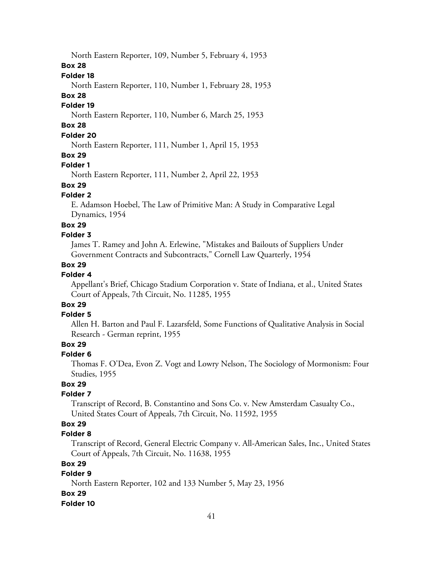North Eastern Reporter, 109, Number 5, February 4, 1953

#### **Box 28**

## **Folder 18**

North Eastern Reporter, 110, Number 1, February 28, 1953

#### **Box 28**

### **Folder 19**

North Eastern Reporter, 110, Number 6, March 25, 1953

# **Box 28**

# **Folder 20**

North Eastern Reporter, 111, Number 1, April 15, 1953

## **Box 29**

#### **Folder 1**

North Eastern Reporter, 111, Number 2, April 22, 1953

# **Box 29**

# **Folder 2**

E. Adamson Hoebel, The Law of Primitive Man: A Study in Comparative Legal Dynamics, 1954

#### **Box 29**

#### **Folder 3**

James T. Ramey and John A. Erlewine, "Mistakes and Bailouts of Suppliers Under Government Contracts and Subcontracts," Cornell Law Quarterly, 1954

## **Box 29**

## **Folder 4**

Appellant's Brief, Chicago Stadium Corporation v. State of Indiana, et al., United States Court of Appeals, 7th Circuit, No. 11285, 1955

# **Box 29**

## **Folder 5**

Allen H. Barton and Paul F. Lazarsfeld, Some Functions of Qualitative Analysis in Social Research - German reprint, 1955

## **Box 29**

#### **Folder 6**

Thomas F. O'Dea, Evon Z. Vogt and Lowry Nelson, The Sociology of Mormonism: Four Studies, 1955

# **Box 29**

## **Folder 7**

Transcript of Record, B. Constantino and Sons Co. v. New Amsterdam Casualty Co., United States Court of Appeals, 7th Circuit, No. 11592, 1955

# **Box 29**

## **Folder 8**

Transcript of Record, General Electric Company v. All-American Sales, Inc., United States Court of Appeals, 7th Circuit, No. 11638, 1955

## **Box 29**

# **Folder 9**

North Eastern Reporter, 102 and 133 Number 5, May 23, 1956

#### **Box 29**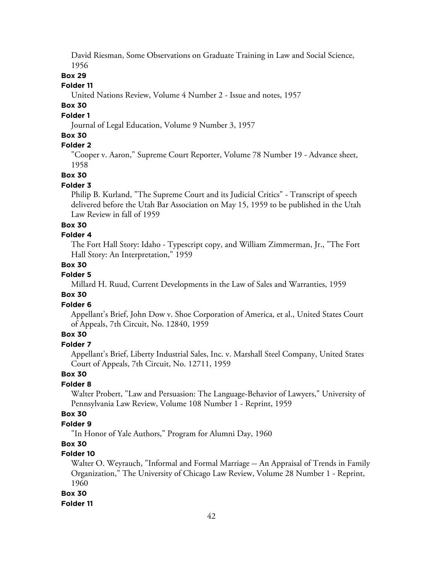David Riesman, Some Observations on Graduate Training in Law and Social Science, 1956

## **Box 29**

#### **Folder 11**

United Nations Review, Volume 4 Number 2 - Issue and notes, 1957

## **Box 30**

# **Folder 1**

Journal of Legal Education, Volume 9 Number 3, 1957

## **Box 30**

## **Folder 2**

"Cooper v. Aaron," Supreme Court Reporter, Volume 78 Number 19 - Advance sheet, 1958

**Box 30**

#### **Folder 3**

Philip B. Kurland, "The Supreme Court and its Judicial Critics" - Transcript of speech delivered before the Utah Bar Association on May 15, 1959 to be published in the Utah Law Review in fall of 1959

#### **Box 30**

#### **Folder 4**

The Fort Hall Story: Idaho - Typescript copy, and William Zimmerman, Jr., "The Fort Hall Story: An Interpretation," 1959

#### **Box 30**

# **Folder 5**

Millard H. Ruud, Current Developments in the Law of Sales and Warranties, 1959

#### **Box 30**

#### **Folder 6**

Appellant's Brief, John Dow v. Shoe Corporation of America, et al., United States Court of Appeals, 7th Circuit, No. 12840, 1959

## **Box 30**

# **Folder 7**

Appellant's Brief, Liberty Industrial Sales, Inc. v. Marshall Steel Company, United States Court of Appeals, 7th Circuit, No. 12711, 1959

# **Box 30**

#### **Folder 8**

Walter Probert, "Law and Persuasion: The Language-Behavior of Lawyers," University of Pennsylvania Law Review, Volume 108 Number 1 - Reprint, 1959

### **Box 30**

## **Folder 9**

"In Honor of Yale Authors," Program for Alumni Day, 1960

# **Box 30**

## **Folder 10**

Walter O. Weyrauch, "Informal and Formal Marriage -- An Appraisal of Trends in Family Organization," The University of Chicago Law Review, Volume 28 Number 1 - Reprint, 1960

#### **Box 30**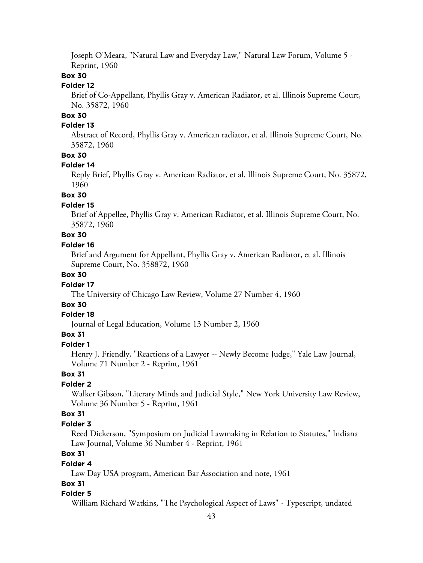Joseph O'Meara, "Natural Law and Everyday Law," Natural Law Forum, Volume 5 - Reprint, 1960

### **Box 30**

#### **Folder 12**

Brief of Co-Appellant, Phyllis Gray v. American Radiator, et al. Illinois Supreme Court, No. 35872, 1960

# **Box 30**

## **Folder 13**

Abstract of Record, Phyllis Gray v. American radiator, et al. Illinois Supreme Court, No. 35872, 1960

#### **Box 30**

#### **Folder 14**

Reply Brief, Phyllis Gray v. American Radiator, et al. Illinois Supreme Court, No. 35872, 1960

## **Box 30**

#### **Folder 15**

Brief of Appellee, Phyllis Gray v. American Radiator, et al. Illinois Supreme Court, No. 35872, 1960

# **Box 30**

#### **Folder 16**

Brief and Argument for Appellant, Phyllis Gray v. American Radiator, et al. Illinois Supreme Court, No. 358872, 1960

## **Box 30**

#### **Folder 17**

The University of Chicago Law Review, Volume 27 Number 4, 1960

## **Box 30**

#### **Folder 18**

Journal of Legal Education, Volume 13 Number 2, 1960

#### **Box 31**

#### **Folder 1**

Henry J. Friendly, "Reactions of a Lawyer -- Newly Become Judge," Yale Law Journal, Volume 71 Number 2 - Reprint, 1961

#### **Box 31**

#### **Folder 2**

Walker Gibson, "Literary Minds and Judicial Style," New York University Law Review, Volume 36 Number 5 - Reprint, 1961

### **Box 31**

#### **Folder 3**

Reed Dickerson, "Symposium on Judicial Lawmaking in Relation to Statutes," Indiana Law Journal, Volume 36 Number 4 - Reprint, 1961

# **Box 31**

#### **Folder 4**

Law Day USA program, American Bar Association and note, 1961

#### **Box 31**

#### **Folder 5**

William Richard Watkins, "The Psychological Aspect of Laws" - Typescript, undated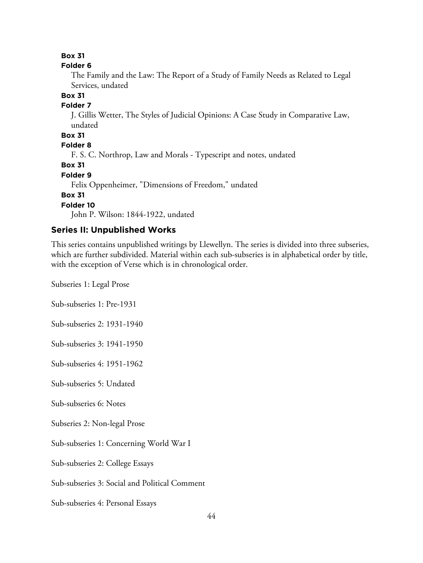#### **Folder 6**

The Family and the Law: The Report of a Study of Family Needs as Related to Legal Services, undated

## **Box 31**

# **Folder 7**

J. Gillis Wetter, The Styles of Judicial Opinions: A Case Study in Comparative Law, undated

## **Box 31**

**Folder 8**

F. S. C. Northrop, Law and Morals - Typescript and notes, undated

**Box 31**

**Folder 9**

Felix Oppenheimer, "Dimensions of Freedom," undated

**Box 31**

**Folder 10**

John P. Wilson: 1844-1922, undated

## **Series II: Unpublished Works**

This series contains unpublished writings by Llewellyn. The series is divided into three subseries, which are further subdivided. Material within each sub-subseries is in alphabetical order by title, with the exception of Verse which is in chronological order.

Subseries 1: Legal Prose

Sub-subseries 1: Pre-1931

Sub-subseries 2: 1931-1940

Sub-subseries 3: 1941-1950

Sub-subseries 4: 1951-1962

Sub-subseries 5: Undated

Sub-subseries 6: Notes

Subseries 2: Non-legal Prose

Sub-subseries 1: Concerning World War I

Sub-subseries 2: College Essays

Sub-subseries 3: Social and Political Comment

Sub-subseries 4: Personal Essays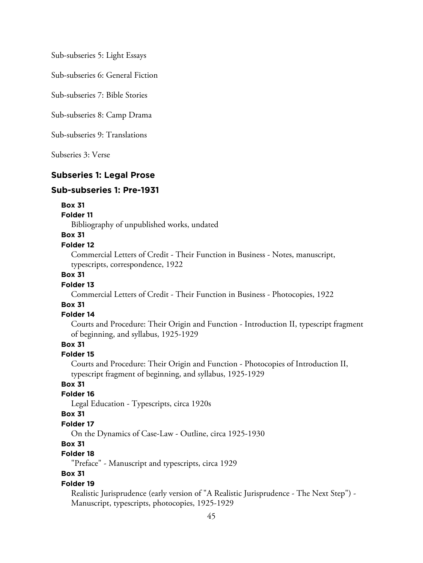Sub-subseries 5: Light Essays

Sub-subseries 6: General Fiction

Sub-subseries 7: Bible Stories

Sub-subseries 8: Camp Drama

Sub-subseries 9: Translations

Subseries 3: Verse

#### **Subseries 1: Legal Prose**

#### **Sub-subseries 1: Pre-1931**

#### **Box 31**

#### **Folder 11**

Bibliography of unpublished works, undated

## **Box 31**

#### **Folder 12**

Commercial Letters of Credit - Their Function in Business - Notes, manuscript, typescripts, correspondence, 1922

#### **Box 31**

#### **Folder 13**

Commercial Letters of Credit - Their Function in Business - Photocopies, 1922

## **Box 31**

#### **Folder 14**

Courts and Procedure: Their Origin and Function - Introduction II, typescript fragment of beginning, and syllabus, 1925-1929

## **Box 31**

#### **Folder 15**

Courts and Procedure: Their Origin and Function - Photocopies of Introduction II, typescript fragment of beginning, and syllabus, 1925-1929

## **Box 31**

### **Folder 16**

Legal Education - Typescripts, circa 1920s

#### **Box 31**

#### **Folder 17**

On the Dynamics of Case-Law - Outline, circa 1925-1930

#### **Box 31**

# **Folder 18**

"Preface" - Manuscript and typescripts, circa 1929

## **Box 31**

#### **Folder 19**

Realistic Jurisprudence (early version of "A Realistic Jurisprudence - The Next Step") - Manuscript, typescripts, photocopies, 1925-1929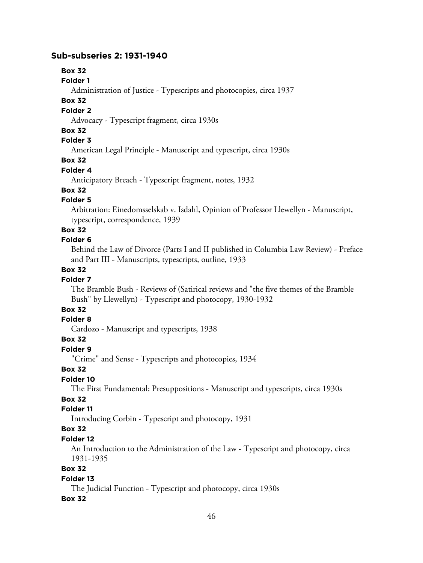#### **Sub-subseries 2: 1931-1940**

# **Box 32**

#### **Folder 1**

Administration of Justice - Typescripts and photocopies, circa 1937

### **Box 32**

### **Folder 2**

Advocacy - Typescript fragment, circa 1930s

#### **Box 32**

#### **Folder 3**

American Legal Principle - Manuscript and typescript, circa 1930s

## **Box 32**

## **Folder 4**

Anticipatory Breach - Typescript fragment, notes, 1932

# **Box 32**

## **Folder 5**

Arbitration: Einedomsselskab v. Isdahl, Opinion of Professor Llewellyn - Manuscript, typescript, correspondence, 1939

## **Box 32**

#### **Folder 6**

Behind the Law of Divorce (Parts I and II published in Columbia Law Review) - Preface and Part III - Manuscripts, typescripts, outline, 1933

#### **Box 32**

## **Folder 7**

The Bramble Bush - Reviews of (Satirical reviews and "the five themes of the Bramble Bush" by Llewellyn) - Typescript and photocopy, 1930-1932

# **Box 32**

# **Folder 8**

Cardozo - Manuscript and typescripts, 1938

# **Box 32**

## **Folder 9**

"Crime" and Sense - Typescripts and photocopies, 1934

#### **Box 32**

## **Folder 10**

The First Fundamental: Presuppositions - Manuscript and typescripts, circa 1930s

# **Box 32**

# **Folder 11**

Introducing Corbin - Typescript and photocopy, 1931

# **Box 32**

# **Folder 12**

An Introduction to the Administration of the Law - Typescript and photocopy, circa 1931-1935

## **Box 32**

#### **Folder 13**

The Judicial Function - Typescript and photocopy, circa 1930s

#### **Box 32**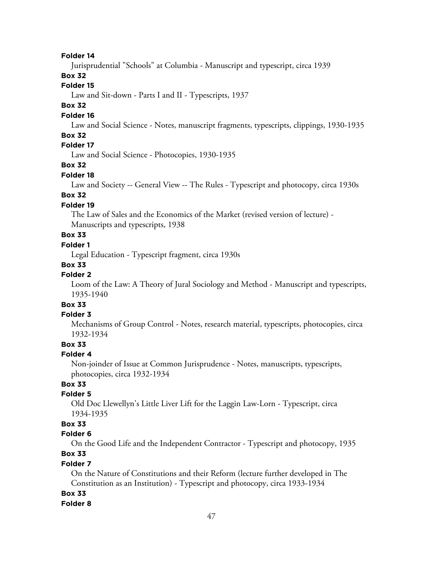Jurisprudential "Schools" at Columbia - Manuscript and typescript, circa 1939

## **Box 32**

# **Folder 15**

Law and Sit-down - Parts I and II - Typescripts, 1937

#### **Box 32**

#### **Folder 16**

Law and Social Science - Notes, manuscript fragments, typescripts, clippings, 1930-1935

### **Box 32**

# **Folder 17**

Law and Social Science - Photocopies, 1930-1935

#### **Box 32**

#### **Folder 18**

Law and Society -- General View -- The Rules - Typescript and photocopy, circa 1930s

# **Box 32**

## **Folder 19**

The Law of Sales and the Economics of the Market (revised version of lecture) - Manuscripts and typescripts, 1938

# **Box 33**

# **Folder 1**

Legal Education - Typescript fragment, circa 1930s

#### **Box 33**

## **Folder 2**

Loom of the Law: A Theory of Jural Sociology and Method - Manuscript and typescripts, 1935-1940

# **Box 33**

## **Folder 3**

Mechanisms of Group Control - Notes, research material, typescripts, photocopies, circa 1932-1934

## **Box 33**

#### **Folder 4**

Non-joinder of Issue at Common Jurisprudence - Notes, manuscripts, typescripts, photocopies, circa 1932-1934

# **Box 33**

### **Folder 5**

Old Doc Llewellyn's Little Liver Lift for the Laggin Law-Lorn - Typescript, circa 1934-1935

## **Box 33**

#### **Folder 6**

On the Good Life and the Independent Contractor - Typescript and photocopy, 1935 **Box 33**

#### **Folder 7**

On the Nature of Constitutions and their Reform (lecture further developed in The Constitution as an Institution) - Typescript and photocopy, circa 1933-1934

#### **Box 33**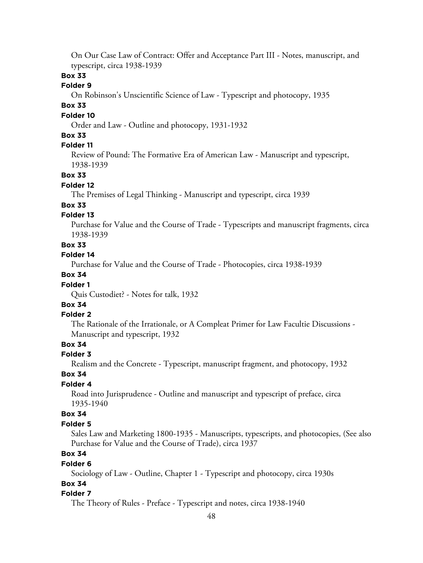On Our Case Law of Contract: Offer and Acceptance Part III - Notes, manuscript, and typescript, circa 1938-1939

## **Box 33**

#### **Folder 9**

On Robinson's Unscientific Science of Law - Typescript and photocopy, 1935

## **Box 33**

#### **Folder 10**

Order and Law - Outline and photocopy, 1931-1932

### **Box 33**

## **Folder 11**

Review of Pound: The Formative Era of American Law - Manuscript and typescript, 1938-1939

#### **Box 33**

#### **Folder 12**

The Premises of Legal Thinking - Manuscript and typescript, circa 1939

## **Box 33**

## **Folder 13**

Purchase for Value and the Course of Trade - Typescripts and manuscript fragments, circa 1938-1939

## **Box 33**

## **Folder 14**

Purchase for Value and the Course of Trade - Photocopies, circa 1938-1939

# **Box 34**

## **Folder 1**

Quis Custodiet? - Notes for talk, 1932

# **Box 34**

## **Folder 2**

The Rationale of the Irrationale, or A Compleat Primer for Law Facultie Discussions - Manuscript and typescript, 1932

## **Box 34**

#### **Folder 3**

Realism and the Concrete - Typescript, manuscript fragment, and photocopy, 1932

## **Box 34**

## **Folder 4**

Road into Jurisprudence - Outline and manuscript and typescript of preface, circa 1935-1940

#### **Box 34**

#### **Folder 5**

Sales Law and Marketing 1800-1935 - Manuscripts, typescripts, and photocopies, (See also Purchase for Value and the Course of Trade), circa 1937

# **Box 34**

#### **Folder 6**

Sociology of Law - Outline, Chapter 1 - Typescript and photocopy, circa 1930s

## **Box 34**

#### **Folder 7**

The Theory of Rules - Preface - Typescript and notes, circa 1938-1940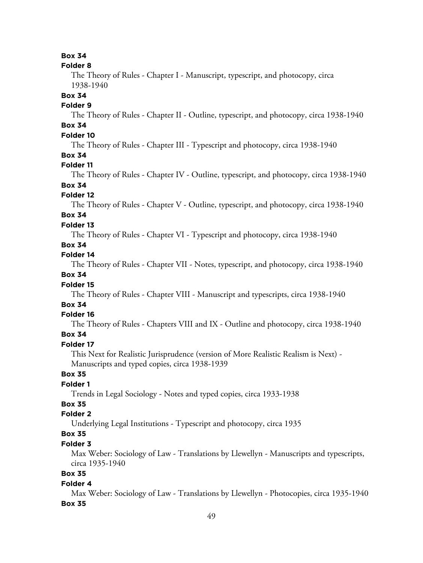#### **Folder 8**

The Theory of Rules - Chapter I - Manuscript, typescript, and photocopy, circa 1938-1940

#### **Box 34**

#### **Folder 9**

The Theory of Rules - Chapter II - Outline, typescript, and photocopy, circa 1938-1940

# **Box 34**

# **Folder 10**

The Theory of Rules - Chapter III - Typescript and photocopy, circa 1938-1940

## **Box 34**

### **Folder 11**

The Theory of Rules - Chapter IV - Outline, typescript, and photocopy, circa 1938-1940

# **Box 34**

## **Folder 12**

The Theory of Rules - Chapter V - Outline, typescript, and photocopy, circa 1938-1940

# **Box 34**

# **Folder 13**

The Theory of Rules - Chapter VI - Typescript and photocopy, circa 1938-1940

# **Box 34**

# **Folder 14**

The Theory of Rules - Chapter VII - Notes, typescript, and photocopy, circa 1938-1940

# **Box 34**

# **Folder 15**

The Theory of Rules - Chapter VIII - Manuscript and typescripts, circa 1938-1940

# **Box 34**

#### **Folder 16**

The Theory of Rules - Chapters VIII and IX - Outline and photocopy, circa 1938-1940

## **Box 34**

## **Folder 17**

This Next for Realistic Jurisprudence (version of More Realistic Realism is Next) - Manuscripts and typed copies, circa 1938-1939

## **Box 35**

## **Folder 1**

Trends in Legal Sociology - Notes and typed copies, circa 1933-1938

# **Box 35**

# **Folder 2**

Underlying Legal Institutions - Typescript and photocopy, circa 1935

# **Box 35**

#### **Folder 3**

Max Weber: Sociology of Law - Translations by Llewellyn - Manuscripts and typescripts, circa 1935-1940

# **Box 35**

#### **Folder 4**

Max Weber: Sociology of Law - Translations by Llewellyn - Photocopies, circa 1935-1940 **Box 35**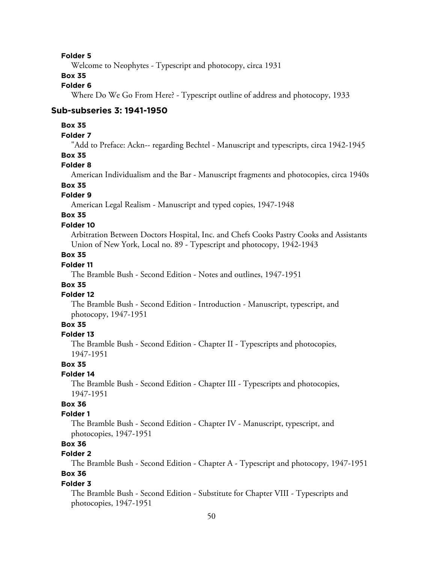Welcome to Neophytes - Typescript and photocopy, circa 1931

# **Box 35**

#### **Folder 6**

Where Do We Go From Here? - Typescript outline of address and photocopy, 1933

#### **Sub-subseries 3: 1941-1950**

#### **Box 35**

## **Folder 7**

"Add to Preface: Ackn-- regarding Bechtel - Manuscript and typescripts, circa 1942-1945

#### **Box 35**

### **Folder 8**

American Individualism and the Bar - Manuscript fragments and photocopies, circa 1940s

#### **Box 35**

#### **Folder 9**

American Legal Realism - Manuscript and typed copies, 1947-1948

# **Box 35**

#### **Folder 10**

Arbitration Between Doctors Hospital, Inc. and Chefs Cooks Pastry Cooks and Assistants Union of New York, Local no. 89 - Typescript and photocopy, 1942-1943

### **Box 35**

## **Folder 11**

The Bramble Bush - Second Edition - Notes and outlines, 1947-1951

## **Box 35**

#### **Folder 12**

The Bramble Bush - Second Edition - Introduction - Manuscript, typescript, and photocopy, 1947-1951

## **Box 35**

#### **Folder 13**

The Bramble Bush - Second Edition - Chapter II - Typescripts and photocopies, 1947-1951

#### **Box 35**

#### **Folder 14**

The Bramble Bush - Second Edition - Chapter III - Typescripts and photocopies, 1947-1951

# **Box 36**

#### **Folder 1**

The Bramble Bush - Second Edition - Chapter IV - Manuscript, typescript, and photocopies, 1947-1951

## **Box 36**

## **Folder 2**

The Bramble Bush - Second Edition - Chapter A - Typescript and photocopy, 1947-1951 **Box 36**

#### **Folder 3**

The Bramble Bush - Second Edition - Substitute for Chapter VIII - Typescripts and photocopies, 1947-1951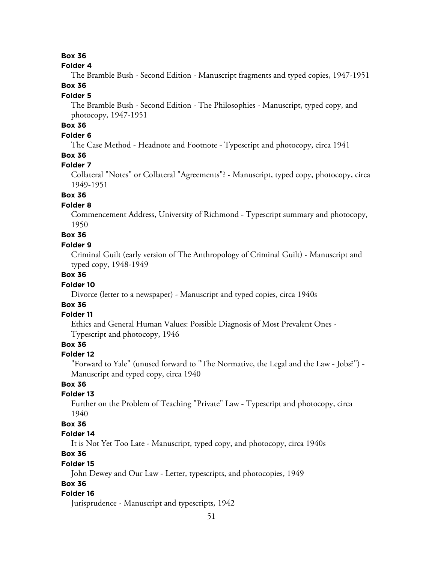#### **Folder 4**

The Bramble Bush - Second Edition - Manuscript fragments and typed copies, 1947-1951 **Box 36**

#### **Folder 5**

The Bramble Bush - Second Edition - The Philosophies - Manuscript, typed copy, and photocopy, 1947-1951

# **Box 36**

# **Folder 6**

The Case Method - Headnote and Footnote - Typescript and photocopy, circa 1941

## **Box 36**

#### **Folder 7**

Collateral "Notes" or Collateral "Agreements"? - Manuscript, typed copy, photocopy, circa 1949-1951

## **Box 36**

## **Folder 8**

Commencement Address, University of Richmond - Typescript summary and photocopy, 1950

## **Box 36**

#### **Folder 9**

Criminal Guilt (early version of The Anthropology of Criminal Guilt) - Manuscript and typed copy, 1948-1949

## **Box 36**

#### **Folder 10**

Divorce (letter to a newspaper) - Manuscript and typed copies, circa 1940s

# **Box 36**

#### **Folder 11**

Ethics and General Human Values: Possible Diagnosis of Most Prevalent Ones - Typescript and photocopy, 1946

# **Box 36**

#### **Folder 12**

"Forward to Yale" (unused forward to "The Normative, the Legal and the Law - Jobs?") - Manuscript and typed copy, circa 1940

#### **Box 36**

#### **Folder 13**

Further on the Problem of Teaching "Private" Law - Typescript and photocopy, circa 1940

## **Box 36**

#### **Folder 14**

It is Not Yet Too Late - Manuscript, typed copy, and photocopy, circa 1940s

## **Box 36**

#### **Folder 15**

John Dewey and Our Law - Letter, typescripts, and photocopies, 1949

## **Box 36**

## **Folder 16**

Jurisprudence - Manuscript and typescripts, 1942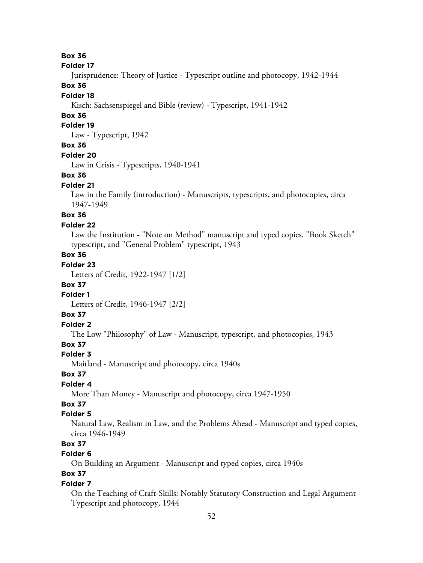#### **Folder 17**

Jurisprudence: Theory of Justice - Typescript outline and photocopy, 1942-1944

## **Box 36**

## **Folder 18**

Kisch: Sachsenspiegel and Bible (review) - Typescript, 1941-1942

## **Box 36**

## **Folder 19**

Law - Typescript, 1942

## **Box 36**

#### **Folder 20**

Law in Crisis - Typescripts, 1940-1941

#### **Box 36**

#### **Folder 21**

Law in the Family (introduction) - Manuscripts, typescripts, and photocopies, circa 1947-1949

## **Box 36**

#### **Folder 22**

Law the Institution - "Note on Method" manuscript and typed copies, "Book Sketch" typescript, and "General Problem" typescript, 1943

# **Box 36**

# **Folder 23**

Letters of Credit, 1922-1947 [1/2]

#### **Box 37**

## **Folder 1**

Letters of Credit, 1946-1947 [2/2]

# **Box 37**

# **Folder 2**

The Low "Philosophy" of Law - Manuscript, typescript, and photocopies, 1943

# **Box 37**

#### **Folder 3**

Maitland - Manuscript and photocopy, circa 1940s

## **Box 37**

# **Folder 4**

More Than Money - Manuscript and photocopy, circa 1947-1950

# **Box 37**

## **Folder 5**

Natural Law, Realism in Law, and the Problems Ahead - Manuscript and typed copies, circa 1946-1949

# **Box 37**

# **Folder 6**

On Building an Argument - Manuscript and typed copies, circa 1940s

# **Box 37**

## **Folder 7**

On the Teaching of Craft-Skills: Notably Statutory Construction and Legal Argument - Typescript and photocopy, 1944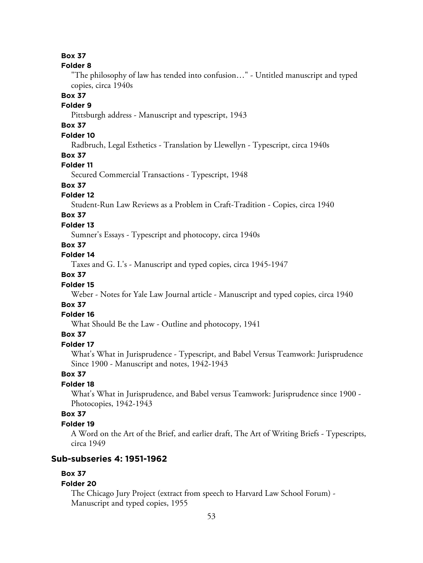#### **Folder 8**

"The philosophy of law has tended into confusion…" - Untitled manuscript and typed copies, circa 1940s

## **Box 37**

# **Folder 9**

Pittsburgh address - Manuscript and typescript, 1943

# **Box 37**

# **Folder 10**

Radbruch, Legal Esthetics - Translation by Llewellyn - Typescript, circa 1940s

#### **Box 37**

#### **Folder 11**

Secured Commercial Transactions - Typescript, 1948

## **Box 37**

#### **Folder 12**

Student-Run Law Reviews as a Problem in Craft-Tradition - Copies, circa 1940

# **Box 37**

### **Folder 13**

Sumner's Essays - Typescript and photocopy, circa 1940s

## **Box 37**

# **Folder 14**

Taxes and G. I.'s - Manuscript and typed copies, circa 1945-1947

## **Box 37**

#### **Folder 15**

Weber - Notes for Yale Law Journal article - Manuscript and typed copies, circa 1940

## **Box 37**

#### **Folder 16**

What Should Be the Law - Outline and photocopy, 1941

### **Box 37**

#### **Folder 17**

What's What in Jurisprudence - Typescript, and Babel Versus Teamwork: Jurisprudence Since 1900 - Manuscript and notes, 1942-1943

#### **Box 37**

#### **Folder 18**

What's What in Jurisprudence, and Babel versus Teamwork: Jurisprudence since 1900 - Photocopies, 1942-1943

### **Box 37**

#### **Folder 19**

A Word on the Art of the Brief, and earlier draft, The Art of Writing Briefs - Typescripts, circa 1949

### **Sub-subseries 4: 1951-1962**

#### **Box 37**

#### **Folder 20**

The Chicago Jury Project (extract from speech to Harvard Law School Forum) - Manuscript and typed copies, 1955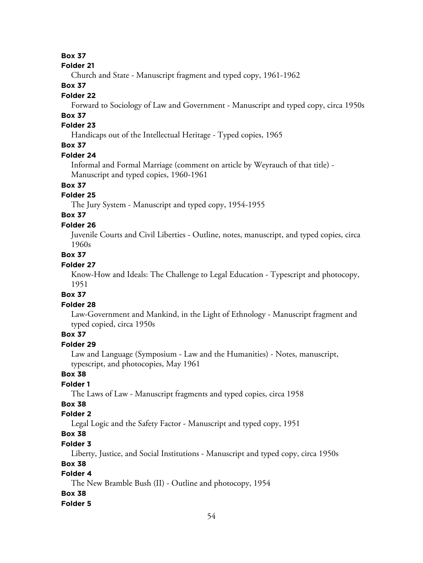#### **Folder 21**

Church and State - Manuscript fragment and typed copy, 1961-1962

## **Box 37**

## **Folder 22**

Forward to Sociology of Law and Government - Manuscript and typed copy, circa 1950s

# **Box 37**

# **Folder 23**

Handicaps out of the Intellectual Heritage - Typed copies, 1965

# **Box 37**

## **Folder 24**

Informal and Formal Marriage (comment on article by Weyrauch of that title) - Manuscript and typed copies, 1960-1961

# **Box 37**

# **Folder 25**

The Jury System - Manuscript and typed copy, 1954-1955

# **Box 37**

## **Folder 26**

Juvenile Courts and Civil Liberties - Outline, notes, manuscript, and typed copies, circa 1960s

# **Box 37**

# **Folder 27**

Know-How and Ideals: The Challenge to Legal Education - Typescript and photocopy, 1951

## **Box 37**

# **Folder 28**

Law-Government and Mankind, in the Light of Ethnology - Manuscript fragment and typed copied, circa 1950s

# **Box 37**

# **Folder 29**

Law and Language (Symposium - Law and the Humanities) - Notes, manuscript, typescript, and photocopies, May 1961

# **Box 38**

# **Folder 1**

The Laws of Law - Manuscript fragments and typed copies, circa 1958

# **Box 38**

## **Folder 2**

Legal Logic and the Safety Factor - Manuscript and typed copy, 1951

# **Box 38**

# **Folder 3**

Liberty, Justice, and Social Institutions - Manuscript and typed copy, circa 1950s

# **Box 38**

# **Folder 4**

The New Bramble Bush (II) - Outline and photocopy, 1954

## **Box 38**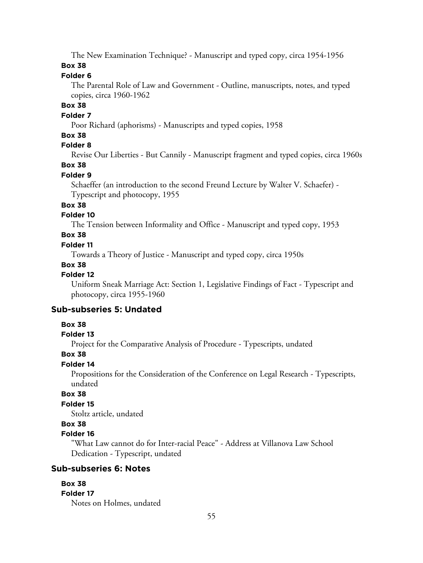The New Examination Technique? - Manuscript and typed copy, circa 1954-1956

## **Box 38**

## **Folder 6**

The Parental Role of Law and Government - Outline, manuscripts, notes, and typed copies, circa 1960-1962

# **Box 38**

#### **Folder 7**

Poor Richard (aphorisms) - Manuscripts and typed copies, 1958

## **Box 38**

# **Folder 8**

Revise Our Liberties - But Cannily - Manuscript fragment and typed copies, circa 1960s

# **Box 38**

### **Folder 9**

Schaeffer (an introduction to the second Freund Lecture by Walter V. Schaefer) - Typescript and photocopy, 1955

## **Box 38**

### **Folder 10**

The Tension between Informality and Office - Manuscript and typed copy, 1953

# **Box 38**

### **Folder 11**

Towards a Theory of Justice - Manuscript and typed copy, circa 1950s

## **Box 38**

#### **Folder 12**

Uniform Sneak Marriage Act: Section 1, Legislative Findings of Fact - Typescript and photocopy, circa 1955-1960

## **Sub-subseries 5: Undated**

## **Box 38**

#### **Folder 13**

Project for the Comparative Analysis of Procedure - Typescripts, undated

#### **Box 38**

## **Folder 14**

Propositions for the Consideration of the Conference on Legal Research - Typescripts, undated

## **Box 38**

## **Folder 15**

Stoltz article, undated

# **Box 38**

## **Folder 16**

"What Law cannot do for Inter-racial Peace" - Address at Villanova Law School Dedication - Typescript, undated

## **Sub-subseries 6: Notes**

## **Box 38**

## **Folder 17**

Notes on Holmes, undated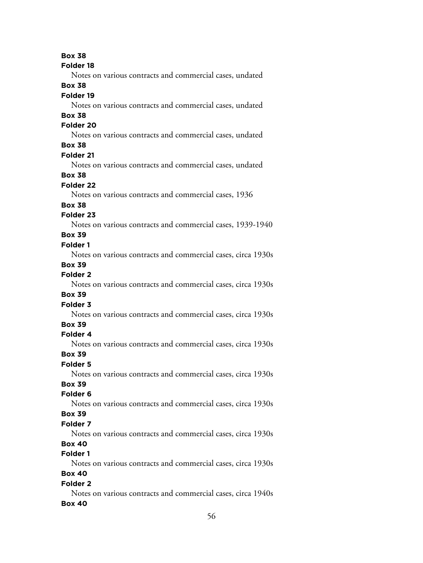#### **Folder 18**

Notes on various contracts and commercial cases, undated

## **Box 38**

## **Folder 19**

Notes on various contracts and commercial cases, undated

# **Box 38**

## **Folder 20**

Notes on various contracts and commercial cases, undated

# **Box 38**

## **Folder 21**

Notes on various contracts and commercial cases, undated

# **Box 38**

## **Folder 22**

Notes on various contracts and commercial cases, 1936

### **Box 38**

## **Folder 23**

Notes on various contracts and commercial cases, 1939-1940

## **Box 39**

#### **Folder 1**

Notes on various contracts and commercial cases, circa 1930s

## **Box 39**

## **Folder 2**

Notes on various contracts and commercial cases, circa 1930s

#### **Box 39**

## **Folder 3**

Notes on various contracts and commercial cases, circa 1930s

# **Box 39**

## **Folder 4**

Notes on various contracts and commercial cases, circa 1930s

#### **Box 39**

## **Folder 5**

Notes on various contracts and commercial cases, circa 1930s

# **Box 39**

## **Folder 6**

Notes on various contracts and commercial cases, circa 1930s

## **Box 39**

## **Folder 7**

Notes on various contracts and commercial cases, circa 1930s

# **Box 40**

# **Folder 1**

Notes on various contracts and commercial cases, circa 1930s

# **Box 40**

## **Folder 2**

Notes on various contracts and commercial cases, circa 1940s **Box 40**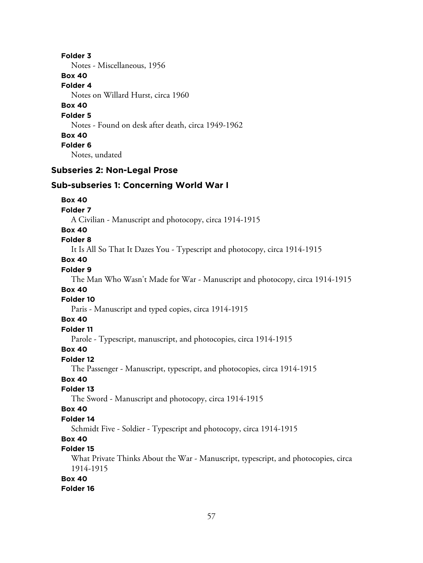**Folder 3** Notes - Miscellaneous, 1956 **Box 40 Folder 4** Notes on Willard Hurst, circa 1960 **Box 40 Folder 5** Notes - Found on desk after death, circa 1949-1962 **Box 40 Folder 6** Notes, undated

# **Subseries 2: Non-Legal Prose**

## **Sub-subseries 1: Concerning World War I**

#### **Box 40**

**Folder 7**

A Civilian - Manuscript and photocopy, circa 1914-1915

#### **Box 40**

#### **Folder 8**

It Is All So That It Dazes You - Typescript and photocopy, circa 1914-1915

## **Box 40**

## **Folder 9**

The Man Who Wasn't Made for War - Manuscript and photocopy, circa 1914-1915

### **Box 40**

#### **Folder 10**

Paris - Manuscript and typed copies, circa 1914-1915

#### **Box 40**

#### **Folder 11**

Parole - Typescript, manuscript, and photocopies, circa 1914-1915

## **Box 40**

## **Folder 12**

The Passenger - Manuscript, typescript, and photocopies, circa 1914-1915

# **Box 40**

## **Folder 13**

The Sword - Manuscript and photocopy, circa 1914-1915

# **Box 40**

# **Folder 14**

Schmidt Five - Soldier - Typescript and photocopy, circa 1914-1915

### **Box 40**

#### **Folder 15**

What Private Thinks About the War - Manuscript, typescript, and photocopies, circa 1914-1915

#### **Box 40**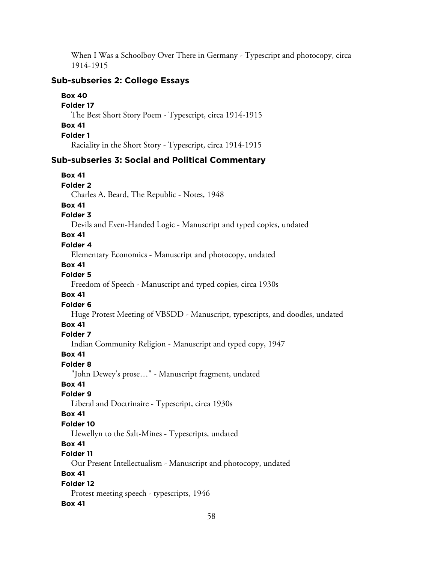When I Was a Schoolboy Over There in Germany - Typescript and photocopy, circa 1914-1915

# **Sub-subseries 2: College Essays**

**Box 40 Folder 17** The Best Short Story Poem - Typescript, circa 1914-1915 **Box 41 Folder 1** Raciality in the Short Story - Typescript, circa 1914-1915

# **Sub-subseries 3: Social and Political Commentary**

| <b>Box 41</b>                                                                 |
|-------------------------------------------------------------------------------|
| <b>Folder 2</b>                                                               |
| Charles A. Beard, The Republic - Notes, 1948                                  |
| <b>Box 41</b>                                                                 |
| <b>Folder 3</b>                                                               |
| Devils and Even-Handed Logic - Manuscript and typed copies, undated           |
| <b>Box 41</b>                                                                 |
| Folder 4                                                                      |
| Elementary Economics - Manuscript and photocopy, undated                      |
| <b>Box 41</b>                                                                 |
| Folder 5                                                                      |
| Freedom of Speech - Manuscript and typed copies, circa 1930s                  |
| <b>Box 41</b>                                                                 |
| Folder <sub>6</sub>                                                           |
| Huge Protest Meeting of VBSDD - Manuscript, typescripts, and doodles, undated |
| <b>Box 41</b>                                                                 |
| Folder 7                                                                      |
| Indian Community Religion - Manuscript and typed copy, 1947                   |
| <b>Box 41</b>                                                                 |
| Folder <sub>8</sub>                                                           |
| "John Dewey's prose" - Manuscript fragment, undated                           |
| <b>Box 41</b>                                                                 |
| Folder 9                                                                      |
| Liberal and Doctrinaire - Typescript, circa 1930s                             |
| <b>Box 41</b>                                                                 |
| Folder 10                                                                     |
| Llewellyn to the Salt-Mines - Typescripts, undated                            |
| <b>Box 41</b>                                                                 |
| Folder 11                                                                     |
| Our Present Intellectualism - Manuscript and photocopy, undated               |
| <b>Box 41</b>                                                                 |
| Folder 12                                                                     |
| Protest meeting speech - typescripts, 1946<br><b>Box 41</b>                   |
|                                                                               |
| 58                                                                            |
|                                                                               |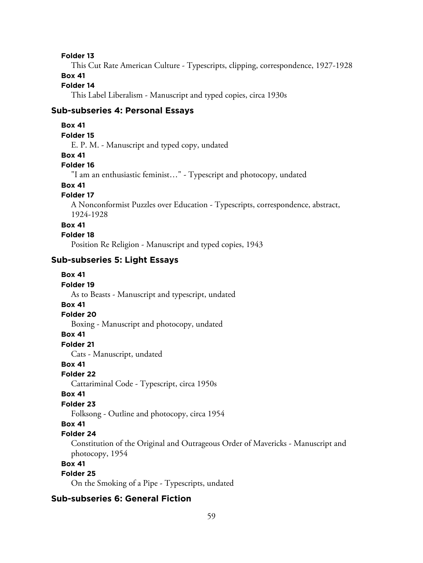This Cut Rate American Culture - Typescripts, clipping, correspondence, 1927-1928

# **Box 41**

# **Folder 14**

This Label Liberalism - Manuscript and typed copies, circa 1930s

## **Sub-subseries 4: Personal Essays**

#### **Box 41**

#### **Folder 15**

E. P. M. - Manuscript and typed copy, undated

#### **Box 41**

## **Folder 16**

"I am an enthusiastic feminist…" - Typescript and photocopy, undated

# **Box 41**

## **Folder 17**

A Nonconformist Puzzles over Education - Typescripts, correspondence, abstract, 1924-1928

#### **Box 41**

#### **Folder 18**

Position Re Religion - Manuscript and typed copies, 1943

# **Sub-subseries 5: Light Essays**

#### **Box 41**

#### **Folder 19**

As to Beasts - Manuscript and typescript, undated

## **Box 41**

#### **Folder 20**

Boxing - Manuscript and photocopy, undated

#### **Box 41**

**Folder 21**

Cats - Manuscript, undated

#### **Box 41**

#### **Folder 22**

Cattariminal Code - Typescript, circa 1950s

#### **Box 41**

#### **Folder 23**

Folksong - Outline and photocopy, circa 1954

#### **Box 41**

## **Folder 24**

Constitution of the Original and Outrageous Order of Mavericks - Manuscript and photocopy, 1954

## **Box 41**

# **Folder 25**

On the Smoking of a Pipe - Typescripts, undated

## **Sub-subseries 6: General Fiction**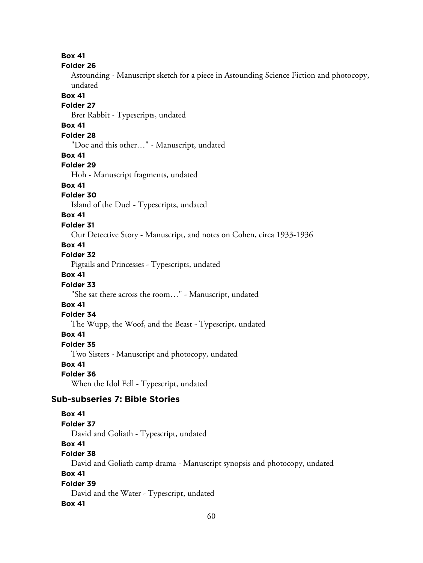#### **Folder 26**

Astounding - Manuscript sketch for a piece in Astounding Science Fiction and photocopy, undated

#### **Box 41**

#### **Folder 27**

Brer Rabbit - Typescripts, undated

## **Box 41**

## **Folder 28**

"Doc and this other…" - Manuscript, undated

#### **Box 41**

## **Folder 29**

Hoh - Manuscript fragments, undated

# **Box 41**

# **Folder 30**

Island of the Duel - Typescripts, undated

## **Box 41**

## **Folder 31**

Our Detective Story - Manuscript, and notes on Cohen, circa 1933-1936

## **Box 41**

#### **Folder 32**

Pigtails and Princesses - Typescripts, undated

## **Box 41**

# **Folder 33**

"She sat there across the room…" - Manuscript, undated

# **Box 41**

## **Folder 34**

The Wupp, the Woof, and the Beast - Typescript, undated

## **Box 41**

#### **Folder 35**

Two Sisters - Manuscript and photocopy, undated

## **Box 41**

## **Folder 36**

When the Idol Fell - Typescript, undated

# **Sub-subseries 7: Bible Stories**

## **Box 41**

#### **Folder 37**

David and Goliath - Typescript, undated

# **Box 41**

# **Folder 38**

David and Goliath camp drama - Manuscript synopsis and photocopy, undated

## **Box 41**

#### **Folder 39** David and the Water - Typescript, undated

# **Box 41**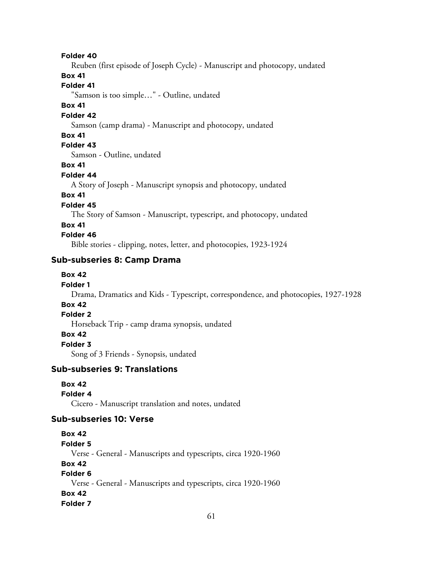Reuben (first episode of Joseph Cycle) - Manuscript and photocopy, undated

#### **Box 41**

#### **Folder 41**

"Samson is too simple…" - Outline, undated

#### **Box 41**

#### **Folder 42**

Samson (camp drama) - Manuscript and photocopy, undated

#### **Box 41**

# **Folder 43**

Samson - Outline, undated

## **Box 41**

### **Folder 44**

A Story of Joseph - Manuscript synopsis and photocopy, undated

# **Box 41**

# **Folder 45**

The Story of Samson - Manuscript, typescript, and photocopy, undated

#### **Box 41**

## **Folder 46**

Bible stories - clipping, notes, letter, and photocopies, 1923-1924

### **Sub-subseries 8: Camp Drama**

## **Box 42**

#### **Folder 1**

Drama, Dramatics and Kids - Typescript, correspondence, and photocopies, 1927-1928

# **Box 42**

# **Folder 2**

Horseback Trip - camp drama synopsis, undated

### **Box 42**

**Folder 3**

Song of 3 Friends - Synopsis, undated

## **Sub-subseries 9: Translations**

#### **Box 42**

#### **Folder 4**

Cicero - Manuscript translation and notes, undated

## **Sub-subseries 10: Verse**

# **Box 42**

#### **Folder 5**

Verse - General - Manuscripts and typescripts, circa 1920-1960

#### **Box 42**

# **Folder 6**

Verse - General - Manuscripts and typescripts, circa 1920-1960 **Box 42**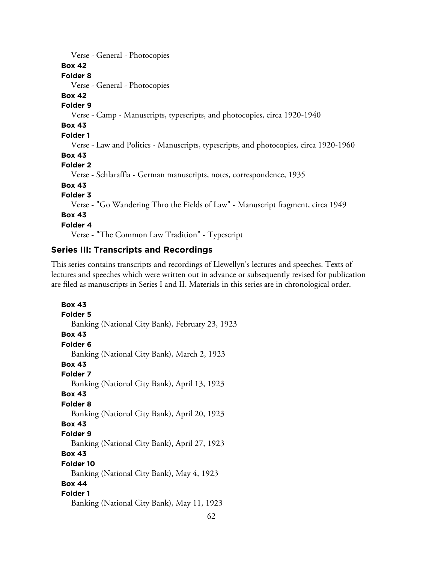| Verse - General - Photocopies                                                         |
|---------------------------------------------------------------------------------------|
| <b>Box 42</b>                                                                         |
| Folder <sub>8</sub>                                                                   |
| Verse - General - Photocopies                                                         |
| <b>Box 42</b>                                                                         |
| Folder 9                                                                              |
| Verse - Camp - Manuscripts, typescripts, and photocopies, circa 1920-1940             |
| <b>Box 43</b>                                                                         |
| <b>Folder 1</b>                                                                       |
| Verse - Law and Politics - Manuscripts, typescripts, and photocopies, circa 1920-1960 |
| <b>Box 43</b>                                                                         |
| <b>Folder 2</b>                                                                       |
| Verse - Schlaraffia - German manuscripts, notes, correspondence, 1935                 |
| <b>Box 43</b>                                                                         |
| <b>Folder 3</b>                                                                       |
| Verse - "Go Wandering Thro the Fields of Law" - Manuscript fragment, circa 1949       |
| <b>Box 43</b>                                                                         |
| Folder 4                                                                              |
| Verse - "The Common Law Tradition" - Typescript                                       |

## **Series III: Transcripts and Recordings**

This series contains transcripts and recordings of Llewellyn's lectures and speeches. Texts of lectures and speeches which were written out in advance or subsequently revised for publication are filed as manuscripts in Series I and II. Materials in this series are in chronological order.

**Box 43 Folder 5** Banking (National City Bank), February 23, 1923 **Box 43 Folder 6** Banking (National City Bank), March 2, 1923 **Box 43 Folder 7** Banking (National City Bank), April 13, 1923 **Box 43 Folder 8** Banking (National City Bank), April 20, 1923 **Box 43 Folder 9** Banking (National City Bank), April 27, 1923 **Box 43 Folder 10** Banking (National City Bank), May 4, 1923 **Box 44 Folder 1** Banking (National City Bank), May 11, 1923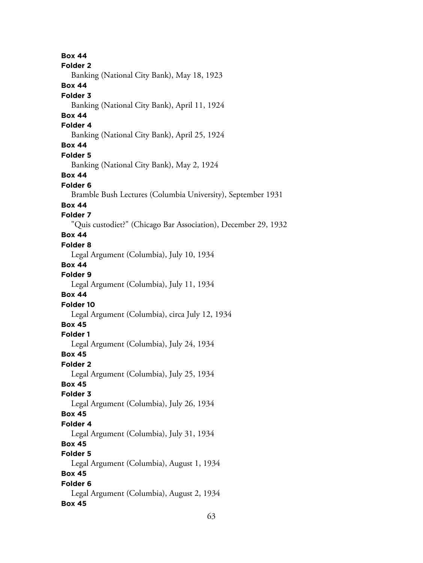**Box 44 Folder 2** Banking (National City Bank), May 18, 1923 **Box 44 Folder 3** Banking (National City Bank), April 11, 1924 **Box 44 Folder 4** Banking (National City Bank), April 25, 1924 **Box 44 Folder 5** Banking (National City Bank), May 2, 1924 **Box 44 Folder 6** Bramble Bush Lectures (Columbia University), September 1931 **Box 44 Folder 7** "Quis custodiet?" (Chicago Bar Association), December 29, 1932 **Box 44 Folder 8** Legal Argument (Columbia), July 10, 1934 **Box 44 Folder 9** Legal Argument (Columbia), July 11, 1934 **Box 44 Folder 10** Legal Argument (Columbia), circa July 12, 1934 **Box 45 Folder 1** Legal Argument (Columbia), July 24, 1934 **Box 45 Folder 2** Legal Argument (Columbia), July 25, 1934 **Box 45 Folder 3** Legal Argument (Columbia), July 26, 1934 **Box 45 Folder 4** Legal Argument (Columbia), July 31, 1934 **Box 45 Folder 5** Legal Argument (Columbia), August 1, 1934 **Box 45 Folder 6** Legal Argument (Columbia), August 2, 1934 **Box 45**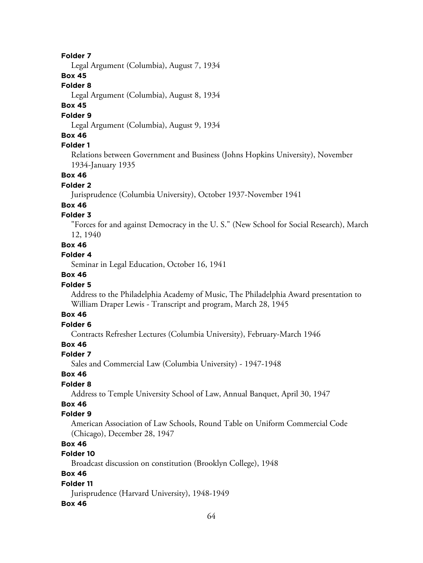Legal Argument (Columbia), August 7, 1934

## **Box 45**

### **Folder 8**

Legal Argument (Columbia), August 8, 1934

# **Box 45**

#### **Folder 9**

Legal Argument (Columbia), August 9, 1934

## **Box 46**

## **Folder 1**

Relations between Government and Business (Johns Hopkins University), November 1934-January 1935

## **Box 46**

#### **Folder 2**

Jurisprudence (Columbia University), October 1937-November 1941

#### **Box 46**

### **Folder 3**

"Forces for and against Democracy in the U. S." (New School for Social Research), March 12, 1940

## **Box 46**

### **Folder 4**

Seminar in Legal Education, October 16, 1941

## **Box 46**

## **Folder 5**

Address to the Philadelphia Academy of Music, The Philadelphia Award presentation to William Draper Lewis - Transcript and program, March 28, 1945

## **Box 46**

# **Folder 6**

Contracts Refresher Lectures (Columbia University), February-March 1946

# **Box 46**

#### **Folder 7**

Sales and Commercial Law (Columbia University) - 1947-1948

#### **Box 46**

## **Folder 8**

Address to Temple University School of Law, Annual Banquet, April 30, 1947

# **Box 46**

### **Folder 9**

American Association of Law Schools, Round Table on Uniform Commercial Code (Chicago), December 28, 1947

# **Box 46**

## **Folder 10**

Broadcast discussion on constitution (Brooklyn College), 1948

## **Box 46**

### **Folder 11**

Jurisprudence (Harvard University), 1948-1949

#### **Box 46**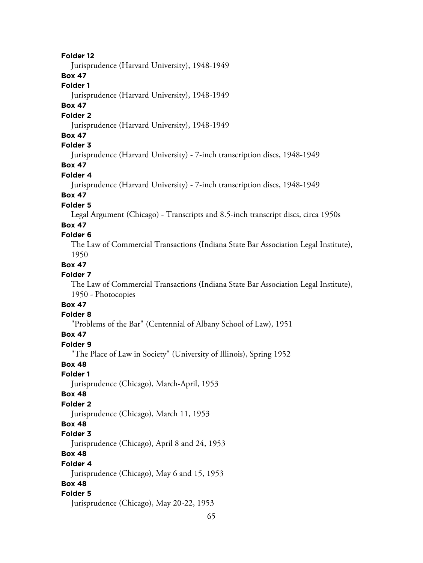Jurisprudence (Harvard University), 1948-1949

#### **Box 47**

#### **Folder 1**

Jurisprudence (Harvard University), 1948-1949

# **Box 47**

### **Folder 2**

Jurisprudence (Harvard University), 1948-1949

## **Box 47**

# **Folder 3**

Jurisprudence (Harvard University) - 7-inch transcription discs, 1948-1949

# **Box 47**

## **Folder 4**

Jurisprudence (Harvard University) - 7-inch transcription discs, 1948-1949

# **Box 47**

## **Folder 5**

Legal Argument (Chicago) - Transcripts and 8.5-inch transcript discs, circa 1950s

# **Box 47**

#### **Folder 6**

The Law of Commercial Transactions (Indiana State Bar Association Legal Institute), 1950

#### **Box 47**

## **Folder 7**

The Law of Commercial Transactions (Indiana State Bar Association Legal Institute), 1950 - Photocopies

# **Box 47**

## **Folder 8**

"Problems of the Bar" (Centennial of Albany School of Law), 1951

#### **Box 47**

#### **Folder 9**

"The Place of Law in Society" (University of Illinois), Spring 1952

#### **Box 48**

#### **Folder 1**

Jurisprudence (Chicago), March-April, 1953

#### **Box 48**

#### **Folder 2**

Jurisprudence (Chicago), March 11, 1953

# **Box 48**

#### **Folder 3**

Jurisprudence (Chicago), April 8 and 24, 1953

# **Box 48**

#### **Folder 4**

Jurisprudence (Chicago), May 6 and 15, 1953

## **Box 48**

#### **Folder 5**

Jurisprudence (Chicago), May 20-22, 1953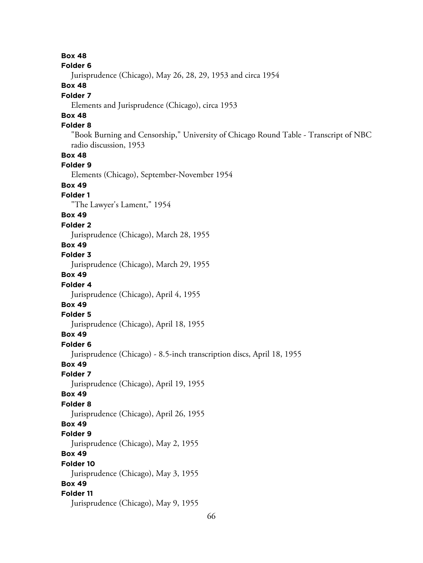**Box 48 Folder 6** Jurisprudence (Chicago), May 26, 28, 29, 1953 and circa 1954 **Box 48 Folder 7** Elements and Jurisprudence (Chicago), circa 1953 **Box 48 Folder 8** "Book Burning and Censorship," University of Chicago Round Table - Transcript of NBC radio discussion, 1953 **Box 48 Folder 9** Elements (Chicago), September-November 1954 **Box 49 Folder 1** "The Lawyer's Lament," 1954 **Box 49 Folder 2** Jurisprudence (Chicago), March 28, 1955 **Box 49 Folder 3** Jurisprudence (Chicago), March 29, 1955 **Box 49 Folder 4** Jurisprudence (Chicago), April 4, 1955 **Box 49 Folder 5** Jurisprudence (Chicago), April 18, 1955 **Box 49 Folder 6** Jurisprudence (Chicago) - 8.5-inch transcription discs, April 18, 1955 **Box 49 Folder 7** Jurisprudence (Chicago), April 19, 1955 **Box 49 Folder 8** Jurisprudence (Chicago), April 26, 1955 **Box 49 Folder 9** Jurisprudence (Chicago), May 2, 1955 **Box 49 Folder 10** Jurisprudence (Chicago), May 3, 1955 **Box 49 Folder 11** Jurisprudence (Chicago), May 9, 1955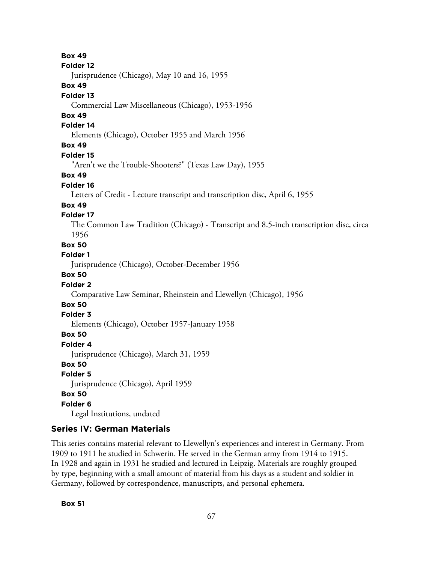#### **Folder 12**

Jurisprudence (Chicago), May 10 and 16, 1955

## **Box 49**

### **Folder 13**

Commercial Law Miscellaneous (Chicago), 1953-1956

# **Box 49**

### **Folder 14**

Elements (Chicago), October 1955 and March 1956

# **Box 49**

#### **Folder 15**

"Aren't we the Trouble-Shooters?" (Texas Law Day), 1955

## **Box 49**

## **Folder 16**

Letters of Credit - Lecture transcript and transcription disc, April 6, 1955

## **Box 49**

# **Folder 17**

The Common Law Tradition (Chicago) - Transcript and 8.5-inch transcription disc, circa 1956

## **Box 50**

## **Folder 1**

Jurisprudence (Chicago), October-December 1956

## **Box 50**

## **Folder 2**

Comparative Law Seminar, Rheinstein and Llewellyn (Chicago), 1956

# **Box 50**

## **Folder 3**

Elements (Chicago), October 1957-January 1958

## **Box 50**

**Folder 4**

Jurisprudence (Chicago), March 31, 1959

## **Box 50**

# **Folder 5**

Jurisprudence (Chicago), April 1959

#### **Box 50**

# **Folder 6**

Legal Institutions, undated

# **Series IV: German Materials**

This series contains material relevant to Llewellyn's experiences and interest in Germany. From 1909 to 1911 he studied in Schwerin. He served in the German army from 1914 to 1915. In 1928 and again in 1931 he studied and lectured in Leipzig. Materials are roughly grouped by type, beginning with a small amount of material from his days as a student and soldier in Germany, followed by correspondence, manuscripts, and personal ephemera.

## **Box 51**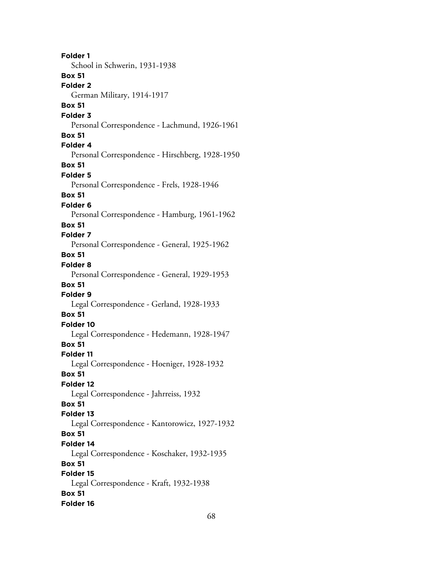**Folder 1** School in Schwerin, 1931-1938 **Box 51 Folder 2** German Military, 1914-1917 **Box 51 Folder 3** Personal Correspondence - Lachmund, 1926-1961 **Box 51 Folder 4** Personal Correspondence - Hirschberg, 1928-1950 **Box 51 Folder 5** Personal Correspondence - Frels, 1928-1946 **Box 51 Folder 6** Personal Correspondence - Hamburg, 1961-1962 **Box 51 Folder 7** Personal Correspondence - General, 1925-1962 **Box 51 Folder 8** Personal Correspondence - General, 1929-1953 **Box 51 Folder 9** Legal Correspondence - Gerland, 1928-1933 **Box 51 Folder 10** Legal Correspondence - Hedemann, 1928-1947 **Box 51 Folder 11** Legal Correspondence - Hoeniger, 1928-1932 **Box 51 Folder 12** Legal Correspondence - Jahrreiss, 1932 **Box 51 Folder 13** Legal Correspondence - Kantorowicz, 1927-1932 **Box 51 Folder 14** Legal Correspondence - Koschaker, 1932-1935 **Box 51 Folder 15** Legal Correspondence - Kraft, 1932-1938 **Box 51 Folder 16**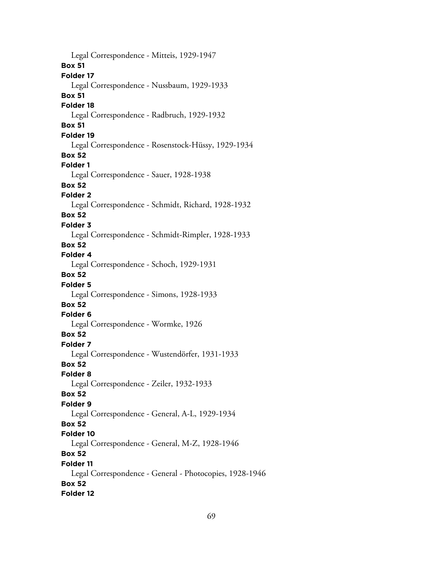Legal Correspondence - Mitteis, 1929-1947 **Box 51 Folder 17** Legal Correspondence - Nussbaum, 1929-1933 **Box 51 Folder 18** Legal Correspondence - Radbruch, 1929-1932 **Box 51 Folder 19** Legal Correspondence - Rosenstock-Hüssy, 1929-1934 **Box 52 Folder 1** Legal Correspondence - Sauer, 1928-1938 **Box 52 Folder 2** Legal Correspondence - Schmidt, Richard, 1928-1932 **Box 52 Folder 3** Legal Correspondence - Schmidt-Rimpler, 1928-1933 **Box 52 Folder 4** Legal Correspondence - Schoch, 1929-1931 **Box 52 Folder 5** Legal Correspondence - Simons, 1928-1933 **Box 52 Folder 6** Legal Correspondence - Wormke, 1926 **Box 52 Folder 7** Legal Correspondence - Wustendörfer, 1931-1933 **Box 52 Folder 8** Legal Correspondence - Zeiler, 1932-1933 **Box 52 Folder 9** Legal Correspondence - General, A-L, 1929-1934 **Box 52 Folder 10** Legal Correspondence - General, M-Z, 1928-1946 **Box 52 Folder 11** Legal Correspondence - General - Photocopies, 1928-1946 **Box 52 Folder 12**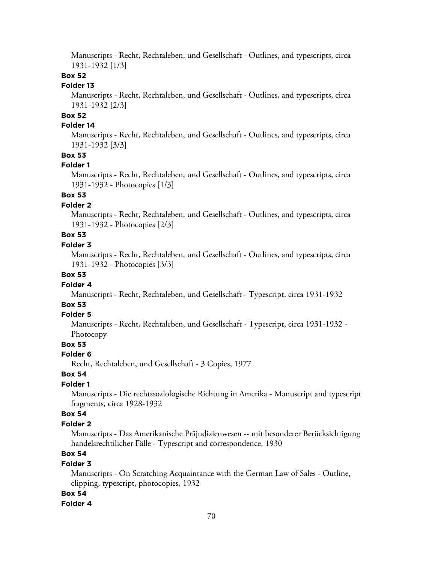Manuscripts - Recht, Rechtaleben, und Gesellschaft - Outlines, and typescripts, circa 1931-1932 [1/3]

## **Box 52**

#### **Folder 13**

Manuscripts - Recht, Rechtaleben, und Gesellschaft - Outlines, and typescripts, circa 1931-1932 [2/3]

# **Box 52**

## **Folder 14**

Manuscripts - Recht, Rechtaleben, und Gesellschaft - Outlines, and typescripts, circa 1931-1932 [3/3]

## **Box 53**

#### **Folder 1**

Manuscripts - Recht, Rechtaleben, und Gesellschaft - Outlines, and typescripts, circa 1931-1932 - Photocopies [1/3]

# **Box 53**

#### **Folder 2**

Manuscripts - Recht, Rechtaleben, und Gesellschaft - Outlines, and typescripts, circa 1931-1932 - Photocopies [2/3]

# **Box 53**

## **Folder 3**

Manuscripts - Recht, Rechtaleben, und Gesellschaft - Outlines, and typescripts, circa 1931-1932 - Photocopies [3/3]

## **Box 53**

#### **Folder 4**

Manuscripts - Recht, Rechtaleben, und Gesellschaft - Typescript, circa 1931-1932

# **Box 53**

#### **Folder 5**

Manuscripts - Recht, Rechtaleben, und Gesellschaft - Typescript, circa 1931-1932 - Photocopy

## **Box 53**

#### **Folder 6**

Recht, Rechtaleben, und Gesellschaft - 3 Copies, 1977

# **Box 54**

## **Folder 1**

Manuscripts - Die rechtssoziologische Richtung in Amerika - Manuscript and typescript fragments, circa 1928-1932

### **Box 54**

## **Folder 2**

Manuscripts - Das Amerikanische Präjudizienwesen -- mit besonderer Berücksichtigung handelsrechtilicher Fälle - Typescript and correspondence, 1930

# **Box 54**

#### **Folder 3**

Manuscripts - On Scratching Acquaintance with the German Law of Sales - Outline, clipping, typescript, photocopies, 1932

#### **Box 54**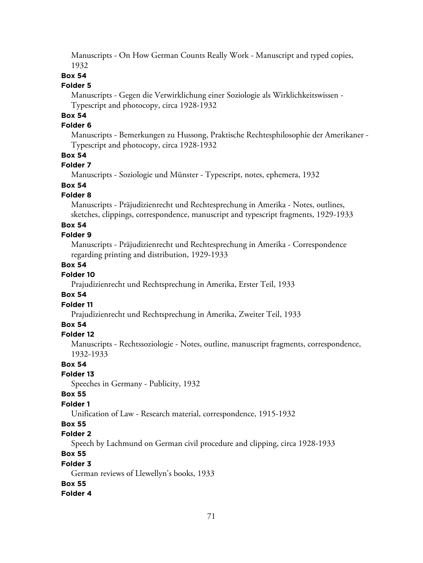Manuscripts - On How German Counts Really Work - Manuscript and typed copies, 1932

## **Box 54**

#### **Folder 5**

Manuscripts - Gegen die Verwirklichung einer Soziologie als Wirklichkeitswissen - Typescript and photocopy, circa 1928-1932

# **Box 54**

## **Folder 6**

Manuscripts - Bemerkungen zu Hussong, Praktische Rechtesphilosophie der Amerikaner - Typescript and photocopy, circa 1928-1932

## **Box 54**

#### **Folder 7**

Manuscripts - Soziologie und Münster - Typescript, notes, ephemera, 1932

# **Box 54**

## **Folder 8**

Manuscripts - Präjudizienrecht und Rechtesprechung in Amerika - Notes, outlines, sketches, clippings, correspondence, manuscript and typescript fragments, 1929-1933

### **Box 54**

## **Folder 9**

Manuscripts - Präjudizienrecht und Rechtesprechung in Amerika - Correspondence regarding printing and distribution, 1929-1933

#### **Box 54**

# **Folder 10**

Prajudizienrecht und Rechtsprechung in Amerika, Erster Teil, 1933

## **Box 54**

# **Folder 11**

Prajudizienrecht und Rechtsprechung in Amerika, Zweiter Teil, 1933

### **Box 54**

#### **Folder 12**

Manuscripts - Rechtssoziologie - Notes, outline, manuscript fragments, correspondence, 1932-1933

#### **Box 54**

## **Folder 13**

Speeches in Germany - Publicity, 1932

#### **Box 55**

## **Folder 1**

Unification of Law - Research material, correspondence, 1915-1932

#### **Box 55**

## **Folder 2**

Speech by Lachmund on German civil procedure and clipping, circa 1928-1933

# **Box 55**

## **Folder 3**

German reviews of Llewellyn's books, 1933

#### **Box 55**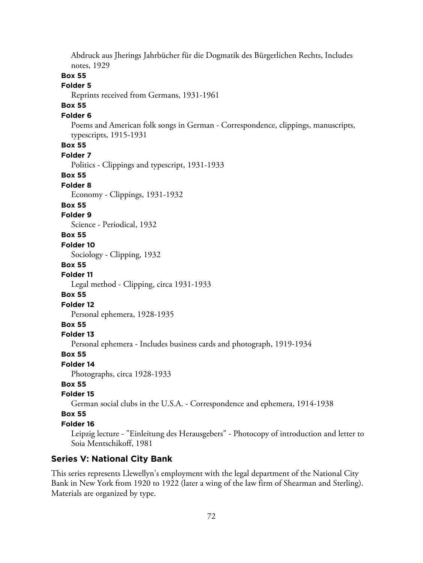Abdruck aus Jherings Jahrbücher für die Dogmatik des Bürgerlichen Rechts, Includes notes, 1929 **Box 55 Folder 5** Reprints received from Germans, 1931-1961 **Box 55 Folder 6** Poems and American folk songs in German - Correspondence, clippings, manuscripts, typescripts, 1915-1931 **Box 55 Folder 7** Politics - Clippings and typescript, 1931-1933 **Box 55 Folder 8** Economy - Clippings, 1931-1932 **Box 55 Folder 9** Science - Periodical, 1932 **Box 55 Folder 10** Sociology - Clipping, 1932 **Box 55 Folder 11** Legal method - Clipping, circa 1931-1933 **Box 55 Folder 12** Personal ephemera, 1928-1935 **Box 55 Folder 13** Personal ephemera - Includes business cards and photograph, 1919-1934 **Box 55 Folder 14** Photographs, circa 1928-1933 **Box 55 Folder 15** German social clubs in the U.S.A. - Correspondence and ephemera, 1914-1938 **Box 55 Folder 16** Leipzig lecture - "Einleitung des Herausgebers" - Photocopy of introduction and letter to Soia Mentschikoff, 1981

## **Series V: National City Bank**

This series represents Llewellyn's employment with the legal department of the National City Bank in New York from 1920 to 1922 (later a wing of the law firm of Shearman and Sterling). Materials are organized by type.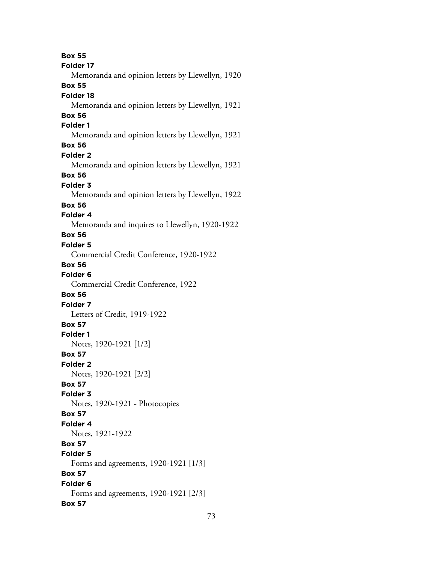**Box 55 Folder 17** Memoranda and opinion letters by Llewellyn, 1920 **Box 55 Folder 18** Memoranda and opinion letters by Llewellyn, 1921 **Box 56 Folder 1** Memoranda and opinion letters by Llewellyn, 1921 **Box 56 Folder 2** Memoranda and opinion letters by Llewellyn, 1921 **Box 56 Folder 3** Memoranda and opinion letters by Llewellyn, 1922 **Box 56 Folder 4** Memoranda and inquires to Llewellyn, 1920-1922 **Box 56 Folder 5** Commercial Credit Conference, 1920-1922 **Box 56 Folder 6** Commercial Credit Conference, 1922 **Box 56 Folder 7** Letters of Credit, 1919-1922 **Box 57 Folder 1** Notes, 1920-1921 [1/2] **Box 57 Folder 2** Notes, 1920-1921 [2/2] **Box 57 Folder 3** Notes, 1920-1921 - Photocopies **Box 57 Folder 4** Notes, 1921-1922 **Box 57 Folder 5** Forms and agreements, 1920-1921 [1/3] **Box 57 Folder 6** Forms and agreements, 1920-1921 [2/3] **Box 57**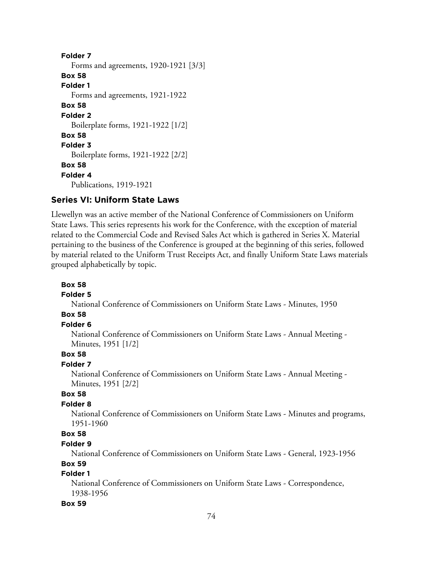**Folder 7** Forms and agreements, 1920-1921 [3/3] **Box 58 Folder 1** Forms and agreements, 1921-1922 **Box 58 Folder 2** Boilerplate forms, 1921-1922 [1/2] **Box 58 Folder 3** Boilerplate forms, 1921-1922 [2/2] **Box 58 Folder 4** Publications, 1919-1921

## **Series VI: Uniform State Laws**

Llewellyn was an active member of the National Conference of Commissioners on Uniform State Laws. This series represents his work for the Conference, with the exception of material related to the Commercial Code and Revised Sales Act which is gathered in Series X. Material pertaining to the business of the Conference is grouped at the beginning of this series, followed by material related to the Uniform Trust Receipts Act, and finally Uniform State Laws materials grouped alphabetically by topic.

#### **Box 58**

### **Folder 5**

National Conference of Commissioners on Uniform State Laws - Minutes, 1950

## **Box 58**

## **Folder 6**

National Conference of Commissioners on Uniform State Laws - Annual Meeting - Minutes, 1951 [1/2]

# **Box 58**

## **Folder 7**

National Conference of Commissioners on Uniform State Laws - Annual Meeting - Minutes, 1951 [2/2]

## **Box 58**

### **Folder 8**

National Conference of Commissioners on Uniform State Laws - Minutes and programs, 1951-1960

## **Box 58**

#### **Folder 9**

National Conference of Commissioners on Uniform State Laws - General, 1923-1956

## **Box 59**

## **Folder 1**

National Conference of Commissioners on Uniform State Laws - Correspondence, 1938-1956

#### **Box 59**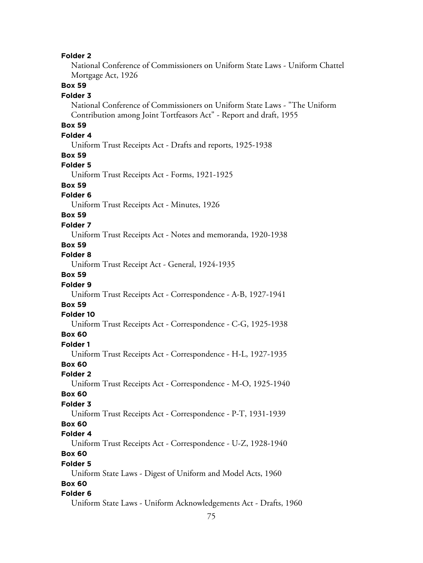### **Folder 2**

National Conference of Commissioners on Uniform State Laws - Uniform Chattel Mortgage Act, 1926

## **Box 59**

#### **Folder 3**

National Conference of Commissioners on Uniform State Laws - "The Uniform Contribution among Joint Tortfeasors Act" - Report and draft, 1955

# **Box 59**

### **Folder 4**

Uniform Trust Receipts Act - Drafts and reports, 1925-1938

#### **Box 59**

### **Folder 5**

Uniform Trust Receipts Act - Forms, 1921-1925

## **Box 59**

### **Folder 6**

Uniform Trust Receipts Act - Minutes, 1926

# **Box 59**

### **Folder 7**

Uniform Trust Receipts Act - Notes and memoranda, 1920-1938

## **Box 59**

## **Folder 8**

Uniform Trust Receipt Act - General, 1924-1935

### **Box 59**

### **Folder 9**

Uniform Trust Receipts Act - Correspondence - A-B, 1927-1941

### **Box 59**

#### **Folder 10**

Uniform Trust Receipts Act - Correspondence - C-G, 1925-1938

## **Box 60**

#### **Folder 1**

Uniform Trust Receipts Act - Correspondence - H-L, 1927-1935

# **Box 60**

# **Folder 2**

Uniform Trust Receipts Act - Correspondence - M-O, 1925-1940

#### **Box 60 Folder 3**

# Uniform Trust Receipts Act - Correspondence - P-T, 1931-1939

## **Box 60**

### **Folder 4**

Uniform Trust Receipts Act - Correspondence - U-Z, 1928-1940 **Box 60**

### **Folder 5**

Uniform State Laws - Digest of Uniform and Model Acts, 1960

## **Box 60**

## **Folder 6**

Uniform State Laws - Uniform Acknowledgements Act - Drafts, 1960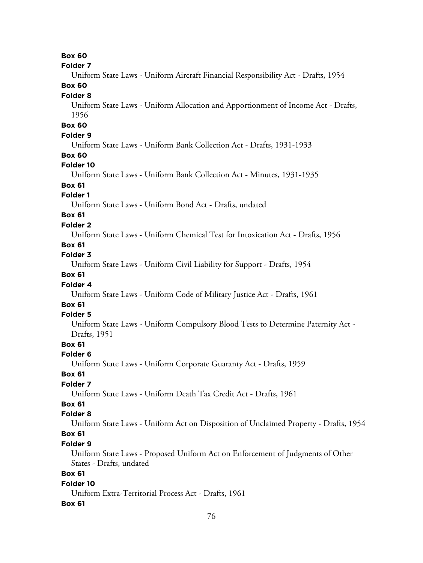| old<br>le |  |
|-----------|--|
|-----------|--|

Uniform State Laws - Uniform Aircraft Financial Responsibility Act - Drafts, 1954

# **Box 60**

### **Folder 8**

Uniform State Laws - Uniform Allocation and Apportionment of Income Act - Drafts, 1956

## **Box 60**

### **Folder 9**

Uniform State Laws - Uniform Bank Collection Act - Drafts, 1931-1933

### **Box 60**

### **Folder 10**

Uniform State Laws - Uniform Bank Collection Act - Minutes, 1931-1935

## **Box 61**

## **Folder 1**

Uniform State Laws - Uniform Bond Act - Drafts, undated

# **Box 61**

### **Folder 2**

Uniform State Laws - Uniform Chemical Test for Intoxication Act - Drafts, 1956

## **Box 61**

# **Folder 3**

Uniform State Laws - Uniform Civil Liability for Support - Drafts, 1954

## **Box 61**

## **Folder 4**

Uniform State Laws - Uniform Code of Military Justice Act - Drafts, 1961

## **Box 61**

## **Folder 5**

Uniform State Laws - Uniform Compulsory Blood Tests to Determine Paternity Act - Drafts, 1951

# **Box 61**

## **Folder 6**

Uniform State Laws - Uniform Corporate Guaranty Act - Drafts, 1959

### **Box 61**

## **Folder 7**

Uniform State Laws - Uniform Death Tax Credit Act - Drafts, 1961

# **Box 61**

## **Folder 8**

Uniform State Laws - Uniform Act on Disposition of Unclaimed Property - Drafts, 1954

# **Box 61**

## **Folder 9**

Uniform State Laws - Proposed Uniform Act on Enforcement of Judgments of Other States - Drafts, undated

# **Box 61**

## **Folder 10**

Uniform Extra-Territorial Process Act - Drafts, 1961

## **Box 61**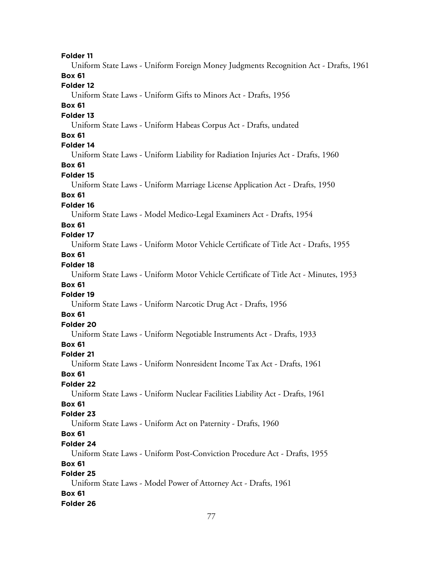**Folder 11** Uniform State Laws - Uniform Foreign Money Judgments Recognition Act - Drafts, 1961 **Box 61 Folder 12** Uniform State Laws - Uniform Gifts to Minors Act - Drafts, 1956 **Box 61 Folder 13** Uniform State Laws - Uniform Habeas Corpus Act - Drafts, undated **Box 61 Folder 14** Uniform State Laws - Uniform Liability for Radiation Injuries Act - Drafts, 1960 **Box 61 Folder 15** Uniform State Laws - Uniform Marriage License Application Act - Drafts, 1950 **Box 61 Folder 16** Uniform State Laws - Model Medico-Legal Examiners Act - Drafts, 1954 **Box 61 Folder 17** Uniform State Laws - Uniform Motor Vehicle Certificate of Title Act - Drafts, 1955 **Box 61 Folder 18** Uniform State Laws - Uniform Motor Vehicle Certificate of Title Act - Minutes, 1953 **Box 61 Folder 19** Uniform State Laws - Uniform Narcotic Drug Act - Drafts, 1956 **Box 61 Folder 20** Uniform State Laws - Uniform Negotiable Instruments Act - Drafts, 1933 **Box 61 Folder 21** Uniform State Laws - Uniform Nonresident Income Tax Act - Drafts, 1961 **Box 61 Folder 22** Uniform State Laws - Uniform Nuclear Facilities Liability Act - Drafts, 1961 **Box 61 Folder 23** Uniform State Laws - Uniform Act on Paternity - Drafts, 1960 **Box 61 Folder 24** Uniform State Laws - Uniform Post-Conviction Procedure Act - Drafts, 1955 **Box 61 Folder 25** Uniform State Laws - Model Power of Attorney Act - Drafts, 1961 **Box 61 Folder 26**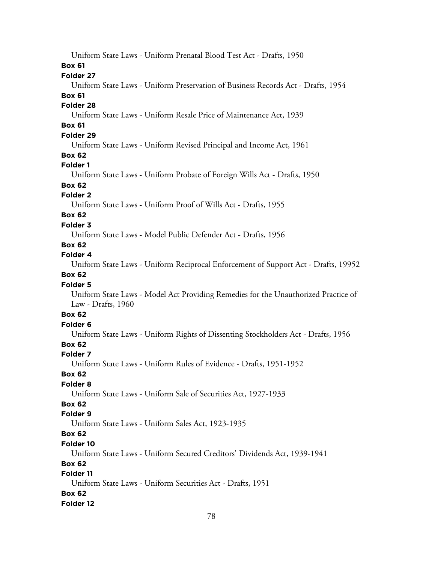Uniform State Laws - Uniform Prenatal Blood Test Act - Drafts, 1950

## **Box 61**

## **Folder 27**

Uniform State Laws - Uniform Preservation of Business Records Act - Drafts, 1954

## **Box 61**

## **Folder 28**

Uniform State Laws - Uniform Resale Price of Maintenance Act, 1939

# **Box 61**

# **Folder 29**

Uniform State Laws - Uniform Revised Principal and Income Act, 1961

## **Box 62**

# **Folder 1**

Uniform State Laws - Uniform Probate of Foreign Wills Act - Drafts, 1950

# **Box 62**

# **Folder 2**

Uniform State Laws - Uniform Proof of Wills Act - Drafts, 1955

# **Box 62**

# **Folder 3**

Uniform State Laws - Model Public Defender Act - Drafts, 1956

# **Box 62**

# **Folder 4**

Uniform State Laws - Uniform Reciprocal Enforcement of Support Act - Drafts, 19952

# **Box 62**

# **Folder 5**

Uniform State Laws - Model Act Providing Remedies for the Unauthorized Practice of Law - Drafts, 1960

# **Box 62**

# **Folder 6**

Uniform State Laws - Uniform Rights of Dissenting Stockholders Act - Drafts, 1956

# **Box 62**

## **Folder 7**

Uniform State Laws - Uniform Rules of Evidence - Drafts, 1951-1952

## **Box 62**

# **Folder 8**

Uniform State Laws - Uniform Sale of Securities Act, 1927-1933

# **Box 62**

# **Folder 9**

Uniform State Laws - Uniform Sales Act, 1923-1935

# **Box 62**

# **Folder 10**

Uniform State Laws - Uniform Secured Creditors' Dividends Act, 1939-1941

# **Box 62**

# **Folder 11**

Uniform State Laws - Uniform Securities Act - Drafts, 1951

## **Box 62**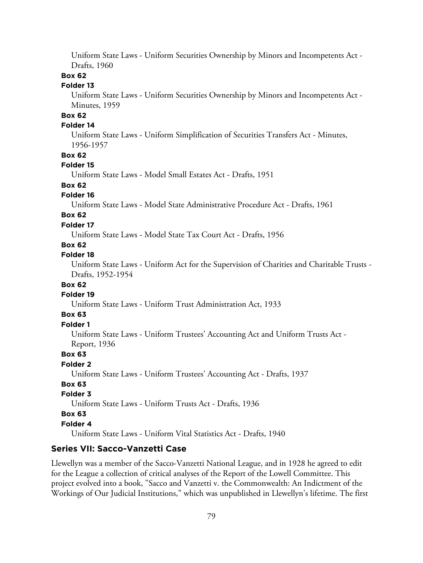Uniform State Laws - Uniform Securities Ownership by Minors and Incompetents Act - Drafts, 1960

### **Box 62**

## **Folder 13**

Uniform State Laws - Uniform Securities Ownership by Minors and Incompetents Act - Minutes, 1959

# **Box 62**

### **Folder 14**

Uniform State Laws - Uniform Simplification of Securities Transfers Act - Minutes, 1956-1957

### **Box 62**

### **Folder 15**

Uniform State Laws - Model Small Estates Act - Drafts, 1951

## **Box 62**

### **Folder 16**

Uniform State Laws - Model State Administrative Procedure Act - Drafts, 1961

## **Box 62**

### **Folder 17**

Uniform State Laws - Model State Tax Court Act - Drafts, 1956

## **Box 62**

## **Folder 18**

Uniform State Laws - Uniform Act for the Supervision of Charities and Charitable Trusts - Drafts, 1952-1954

### **Box 62**

### **Folder 19**

Uniform State Laws - Uniform Trust Administration Act, 1933

## **Box 63**

## **Folder 1**

Uniform State Laws - Uniform Trustees' Accounting Act and Uniform Trusts Act - Report, 1936

## **Box 63**

**Folder 2**

Uniform State Laws - Uniform Trustees' Accounting Act - Drafts, 1937

### **Box 63**

## **Folder 3**

Uniform State Laws - Uniform Trusts Act - Drafts, 1936

### **Box 63**

#### **Folder 4**

Uniform State Laws - Uniform Vital Statistics Act - Drafts, 1940

### **Series VII: Sacco-Vanzetti Case**

Llewellyn was a member of the Sacco-Vanzetti National League, and in 1928 he agreed to edit for the League a collection of critical analyses of the Report of the Lowell Committee. This project evolved into a book, "Sacco and Vanzetti v. the Commonwealth: An Indictment of the Workings of Our Judicial Institutions," which was unpublished in Llewellyn's lifetime. The first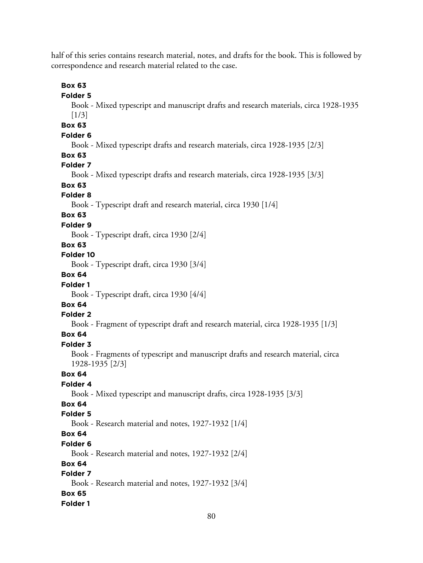half of this series contains research material, notes, and drafts for the book. This is followed by correspondence and research material related to the case.

**Box 63**

**Folder 5** Book - Mixed typescript and manuscript drafts and research materials, circa 1928-1935  $[1/3]$ **Box 63 Folder 6** Book - Mixed typescript drafts and research materials, circa 1928-1935 [2/3] **Box 63 Folder 7** Book - Mixed typescript drafts and research materials, circa 1928-1935 [3/3] **Box 63 Folder 8** Book - Typescript draft and research material, circa 1930 [1/4] **Box 63 Folder 9** Book - Typescript draft, circa 1930 [2/4] **Box 63 Folder 10** Book - Typescript draft, circa 1930 [3/4] **Box 64 Folder 1** Book - Typescript draft, circa 1930 [4/4] **Box 64 Folder 2** Book - Fragment of typescript draft and research material, circa 1928-1935 [1/3] **Box 64 Folder 3** Book - Fragments of typescript and manuscript drafts and research material, circa 1928-1935 [2/3] **Box 64 Folder 4** Book - Mixed typescript and manuscript drafts, circa 1928-1935 [3/3] **Box 64 Folder 5** Book - Research material and notes, 1927-1932 [1/4] **Box 64 Folder 6** Book - Research material and notes, 1927-1932 [2/4] **Box 64 Folder 7** Book - Research material and notes, 1927-1932 [3/4] **Box 65**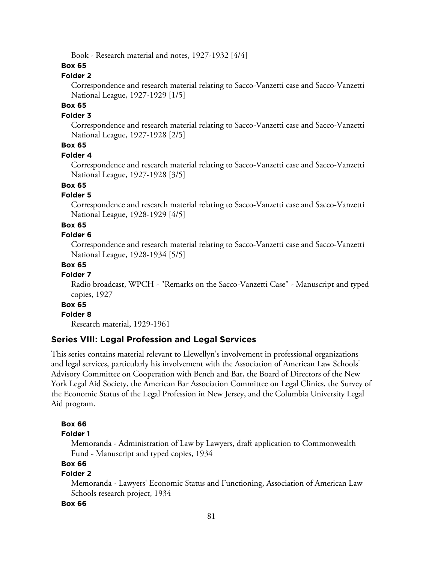Book - Research material and notes, 1927-1932 [4/4]

### **Box 65**

## **Folder 2**

Correspondence and research material relating to Sacco-Vanzetti case and Sacco-Vanzetti National League, 1927-1929 [1/5]

## **Box 65**

### **Folder 3**

Correspondence and research material relating to Sacco-Vanzetti case and Sacco-Vanzetti National League, 1927-1928 [2/5]

# **Box 65**

#### **Folder 4**

Correspondence and research material relating to Sacco-Vanzetti case and Sacco-Vanzetti National League, 1927-1928 [3/5]

## **Box 65**

### **Folder 5**

Correspondence and research material relating to Sacco-Vanzetti case and Sacco-Vanzetti National League, 1928-1929 [4/5]

#### **Box 65**

#### **Folder 6**

Correspondence and research material relating to Sacco-Vanzetti case and Sacco-Vanzetti National League, 1928-1934 [5/5]

### **Box 65**

### **Folder 7**

Radio broadcast, WPCH - "Remarks on the Sacco-Vanzetti Case" - Manuscript and typed copies, 1927

# **Box 65**

### **Folder 8**

Research material, 1929-1961

## **Series VIII: Legal Profession and Legal Services**

This series contains material relevant to Llewellyn's involvement in professional organizations and legal services, particularly his involvement with the Association of American Law Schools' Advisory Committee on Cooperation with Bench and Bar, the Board of Directors of the New York Legal Aid Society, the American Bar Association Committee on Legal Clinics, the Survey of the Economic Status of the Legal Profession in New Jersey, and the Columbia University Legal Aid program.

### **Box 66**

### **Folder 1**

Memoranda - Administration of Law by Lawyers, draft application to Commonwealth Fund - Manuscript and typed copies, 1934

#### **Box 66**

### **Folder 2**

Memoranda - Lawyers' Economic Status and Functioning, Association of American Law Schools research project, 1934

#### **Box 66**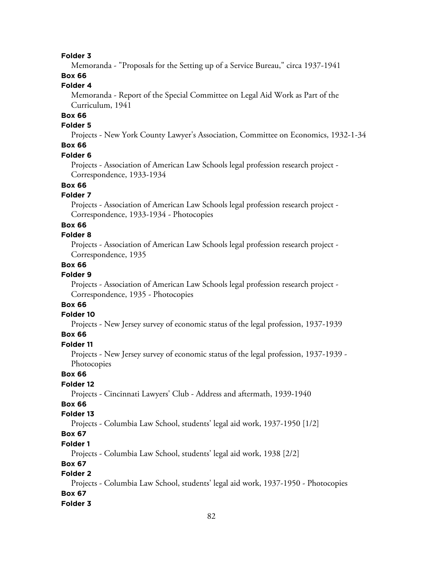### **Folder 3**

Memoranda - "Proposals for the Setting up of a Service Bureau," circa 1937-1941

# **Box 66**

## **Folder 4**

Memoranda - Report of the Special Committee on Legal Aid Work as Part of the Curriculum, 1941

# **Box 66**

## **Folder 5**

Projects - New York County Lawyer's Association, Committee on Economics, 1932-1-34

## **Box 66**

#### **Folder 6**

Projects - Association of American Law Schools legal profession research project - Correspondence, 1933-1934

## **Box 66**

## **Folder 7**

Projects - Association of American Law Schools legal profession research project - Correspondence, 1933-1934 - Photocopies

### **Box 66**

### **Folder 8**

Projects - Association of American Law Schools legal profession research project - Correspondence, 1935

### **Box 66**

### **Folder 9**

Projects - Association of American Law Schools legal profession research project - Correspondence, 1935 - Photocopies

# **Box 66**

### **Folder 10**

Projects - New Jersey survey of economic status of the legal profession, 1937-1939

## **Box 66**

#### **Folder 11**

Projects - New Jersey survey of economic status of the legal profession, 1937-1939 - **Photocopies** 

## **Box 66**

## **Folder 12**

Projects - Cincinnati Lawyers' Club - Address and aftermath, 1939-1940

# **Box 66**

### **Folder 13**

Projects - Columbia Law School, students' legal aid work, 1937-1950 [1/2]

## **Box 67**

### **Folder 1**

Projects - Columbia Law School, students' legal aid work, 1938 [2/2]

### **Box 67**

## **Folder 2**

Projects - Columbia Law School, students' legal aid work, 1937-1950 - Photocopies **Box 67**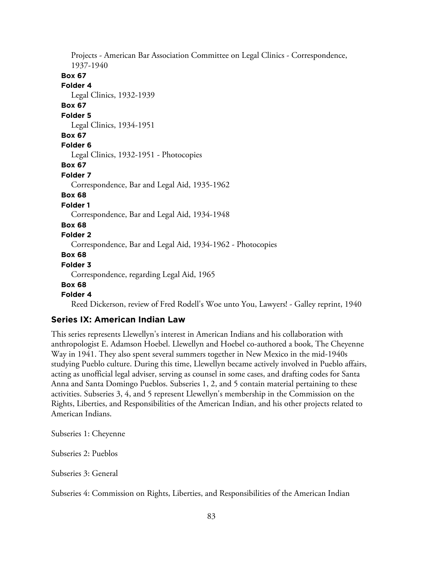Projects - American Bar Association Committee on Legal Clinics - Correspondence, 1937-1940 **Box 67 Folder 4** Legal Clinics, 1932-1939 **Box 67 Folder 5** Legal Clinics, 1934-1951 **Box 67 Folder 6** Legal Clinics, 1932-1951 - Photocopies **Box 67 Folder 7** Correspondence, Bar and Legal Aid, 1935-1962 **Box 68 Folder 1** Correspondence, Bar and Legal Aid, 1934-1948 **Box 68 Folder 2** Correspondence, Bar and Legal Aid, 1934-1962 - Photocopies **Box 68 Folder 3** Correspondence, regarding Legal Aid, 1965 **Box 68 Folder 4** Reed Dickerson, review of Fred Rodell's Woe unto You, Lawyers! - Galley reprint, 1940

## **Series IX: American Indian Law**

This series represents Llewellyn's interest in American Indians and his collaboration with anthropologist E. Adamson Hoebel. Llewellyn and Hoebel co-authored a book, The Cheyenne Way in 1941. They also spent several summers together in New Mexico in the mid-1940s studying Pueblo culture. During this time, Llewellyn became actively involved in Pueblo affairs, acting as unofficial legal adviser, serving as counsel in some cases, and drafting codes for Santa Anna and Santa Domingo Pueblos. Subseries 1, 2, and 5 contain material pertaining to these activities. Subseries 3, 4, and 5 represent Llewellyn's membership in the Commission on the Rights, Liberties, and Responsibilities of the American Indian, and his other projects related to American Indians.

Subseries 1: Cheyenne

Subseries 2: Pueblos

Subseries 3: General

Subseries 4: Commission on Rights, Liberties, and Responsibilities of the American Indian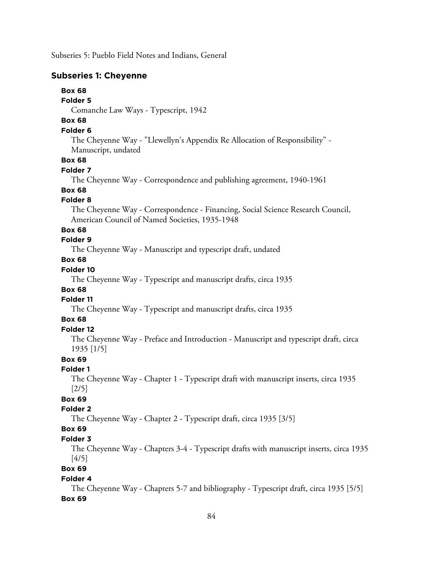Subseries 5: Pueblo Field Notes and Indians, General

### **Subseries 1: Cheyenne**

# **Box 68**

**Folder 5**

Comanche Law Ways - Typescript, 1942

# **Box 68**

# **Folder 6**

The Cheyenne Way - "Llewellyn's Appendix Re Allocation of Responsibility" - Manuscript, undated

### **Box 68**

### **Folder 7**

The Cheyenne Way - Correspondence and publishing agreement, 1940-1961

# **Box 68**

### **Folder 8**

The Cheyenne Way - Correspondence - Financing, Social Science Research Council, American Council of Named Societies, 1935-1948

## **Box 68**

## **Folder 9**

The Cheyenne Way - Manuscript and typescript draft, undated

## **Box 68**

### **Folder 10**

The Cheyenne Way - Typescript and manuscript drafts, circa 1935

## **Box 68**

## **Folder 11**

The Cheyenne Way - Typescript and manuscript drafts, circa 1935

## **Box 68**

#### **Folder 12**

The Cheyenne Way - Preface and Introduction - Manuscript and typescript draft, circa 1935 [1/5]

### **Box 69**

## **Folder 1**

The Cheyenne Way - Chapter 1 - Typescript draft with manuscript inserts, circa 1935 [2/5]

# **Box 69**

# **Folder 2**

The Cheyenne Way - Chapter 2 - Typescript draft, circa 1935 [3/5]

## **Box 69**

### **Folder 3**

The Cheyenne Way - Chapters 3-4 - Typescript drafts with manuscript inserts, circa 1935 [4/5]

## **Box 69**

### **Folder 4**

The Cheyenne Way - Chapters 5-7 and bibliography - Typescript draft, circa 1935 [5/5] **Box 69**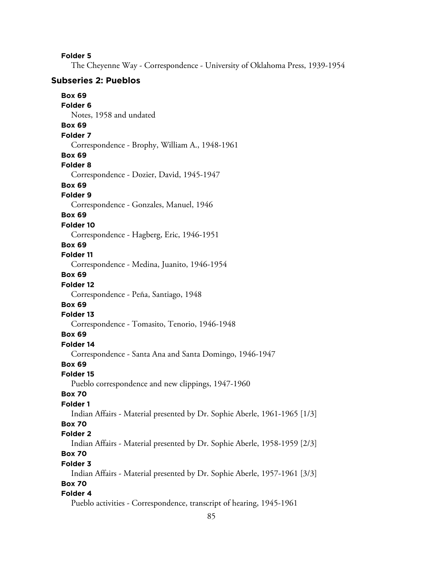**Folder 5**

The Cheyenne Way - Correspondence - University of Oklahoma Press, 1939-1954

### **Subseries 2: Pueblos**

**Box 69 Folder 6** Notes, 1958 and undated **Box 69 Folder 7** Correspondence - Brophy, William A., 1948-1961 **Box 69 Folder 8** Correspondence - Dozier, David, 1945-1947 **Box 69 Folder 9** Correspondence - Gonzales, Manuel, 1946 **Box 69 Folder 10** Correspondence - Hagberg, Eric, 1946-1951 **Box 69 Folder 11** Correspondence - Medina, Juanito, 1946-1954 **Box 69 Folder 12** Correspondence - Peña, Santiago, 1948 **Box 69 Folder 13** Correspondence - Tomasito, Tenorio, 1946-1948 **Box 69 Folder 14** Correspondence - Santa Ana and Santa Domingo, 1946-1947 **Box 69 Folder 15** Pueblo correspondence and new clippings, 1947-1960 **Box 70 Folder 1** Indian Affairs - Material presented by Dr. Sophie Aberle, 1961-1965 [1/3] **Box 70 Folder 2** Indian Affairs - Material presented by Dr. Sophie Aberle, 1958-1959 [2/3] **Box 70 Folder 3** Indian Affairs - Material presented by Dr. Sophie Aberle, 1957-1961 [3/3] **Box 70 Folder 4** Pueblo activities - Correspondence, transcript of hearing, 1945-1961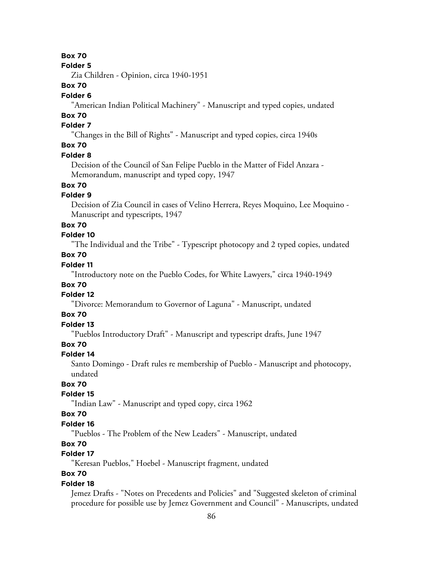#### **Folder 5**

Zia Children - Opinion, circa 1940-1951

## **Box 70**

## **Folder 6**

"American Indian Political Machinery" - Manuscript and typed copies, undated

#### **Box 70 Folder 7**

"Changes in the Bill of Rights" - Manuscript and typed copies, circa 1940s

## **Box 70**

### **Folder 8**

Decision of the Council of San Felipe Pueblo in the Matter of Fidel Anzara - Memorandum, manuscript and typed copy, 1947

# **Box 70**

## **Folder 9**

Decision of Zia Council in cases of Velino Herrera, Reyes Moquino, Lee Moquino - Manuscript and typescripts, 1947

### **Box 70**

# **Folder 10**

"The Individual and the Tribe" - Typescript photocopy and 2 typed copies, undated

# **Box 70**

# **Folder 11**

"Introductory note on the Pueblo Codes, for White Lawyers," circa 1940-1949

# **Box 70**

## **Folder 12**

"Divorce: Memorandum to Governor of Laguna" - Manuscript, undated

## **Box 70**

# **Folder 13**

"Pueblos Introductory Draft" - Manuscript and typescript drafts, June 1947

## **Box 70**

#### **Folder 14**

Santo Domingo - Draft rules re membership of Pueblo - Manuscript and photocopy, undated

# **Box 70**

## **Folder 15**

"Indian Law" - Manuscript and typed copy, circa 1962

## **Box 70**

### **Folder 16**

"Pueblos - The Problem of the New Leaders" - Manuscript, undated

## **Box 70**

# **Folder 17**

"Keresan Pueblos," Hoebel - Manuscript fragment, undated

# **Box 70**

### **Folder 18**

Jemez Drafts - "Notes on Precedents and Policies" and "Suggested skeleton of criminal procedure for possible use by Jemez Government and Council" - Manuscripts, undated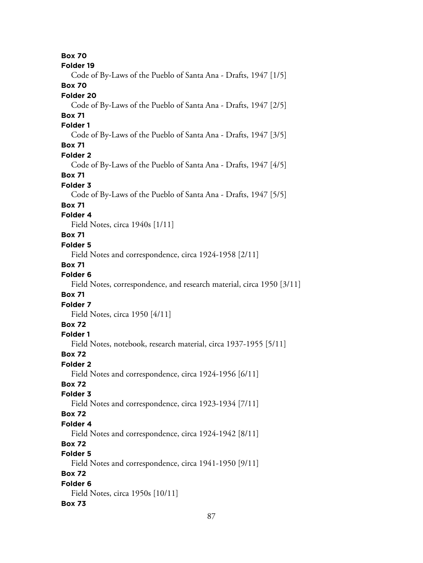**Box 70 Folder 19** Code of By-Laws of the Pueblo of Santa Ana - Drafts, 1947 [1/5] **Box 70 Folder 20** Code of By-Laws of the Pueblo of Santa Ana - Drafts, 1947 [2/5] **Box 71 Folder 1** Code of By-Laws of the Pueblo of Santa Ana - Drafts, 1947 [3/5] **Box 71 Folder 2** Code of By-Laws of the Pueblo of Santa Ana - Drafts, 1947 [4/5] **Box 71 Folder 3** Code of By-Laws of the Pueblo of Santa Ana - Drafts, 1947 [5/5] **Box 71 Folder 4** Field Notes, circa 1940s [1/11] **Box 71 Folder 5** Field Notes and correspondence, circa 1924-1958 [2/11] **Box 71 Folder 6** Field Notes, correspondence, and research material, circa 1950 [3/11] **Box 71 Folder 7** Field Notes, circa 1950 [4/11] **Box 72 Folder 1** Field Notes, notebook, research material, circa 1937-1955 [5/11] **Box 72 Folder 2** Field Notes and correspondence, circa 1924-1956 [6/11] **Box 72 Folder 3** Field Notes and correspondence, circa 1923-1934 [7/11] **Box 72 Folder 4** Field Notes and correspondence, circa 1924-1942 [8/11] **Box 72 Folder 5** Field Notes and correspondence, circa 1941-1950 [9/11] **Box 72 Folder 6** Field Notes, circa 1950s [10/11] **Box 73**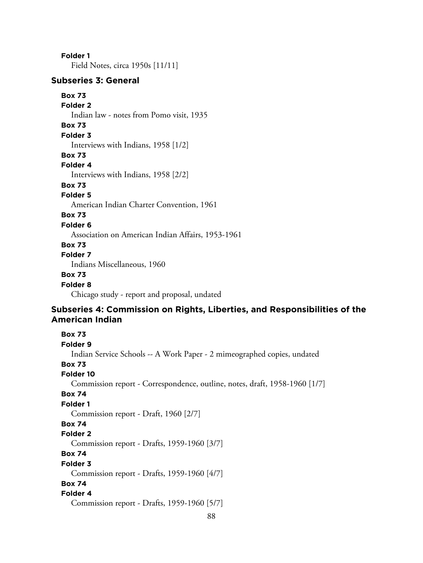**Folder 1**

Field Notes, circa 1950s [11/11]

## **Subseries 3: General**

### **Box 73**

**Folder 2**

Indian law - notes from Pomo visit, 1935

# **Box 73**

**Folder 3**

Interviews with Indians, 1958 [1/2]

### **Box 73**

## **Folder 4**

Interviews with Indians, 1958 [2/2]

# **Box 73**

## **Folder 5**

American Indian Charter Convention, 1961

## **Box 73**

#### **Folder 6**

Association on American Indian Affairs, 1953-1961

## **Box 73**

## **Folder 7**

Indians Miscellaneous, 1960

## **Box 73**

### **Folder 8**

Chicago study - report and proposal, undated

## **Subseries 4: Commission on Rights, Liberties, and Responsibilities of the American Indian**

# **Box 73 Folder 9** Indian Service Schools -- A Work Paper - 2 mimeographed copies, undated **Box 73 Folder 10** Commission report - Correspondence, outline, notes, draft, 1958-1960 [1/7] **Box 74 Folder 1** Commission report - Draft, 1960 [2/7] **Box 74 Folder 2** Commission report - Drafts, 1959-1960 [3/7] **Box 74 Folder 3** Commission report - Drafts, 1959-1960 [4/7] **Box 74 Folder 4** Commission report - Drafts, 1959-1960 [5/7]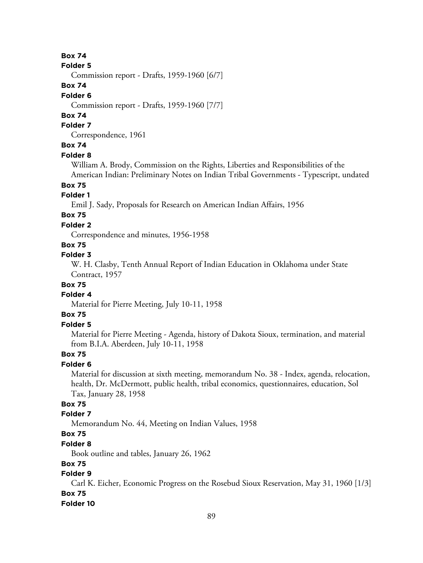#### **Folder 5**

Commission report - Drafts, 1959-1960 [6/7]

## **Box 74**

#### **Folder 6**

Commission report - Drafts, 1959-1960 [7/7]

## **Box 74**

## **Folder 7**

Correspondence, 1961

# **Box 74**

### **Folder 8**

William A. Brody, Commission on the Rights, Liberties and Responsibilities of the

American Indian: Preliminary Notes on Indian Tribal Governments - Typescript, undated **Box 75**

### **Folder 1**

Emil J. Sady, Proposals for Research on American Indian Affairs, 1956

# **Box 75**

## **Folder 2**

Correspondence and minutes, 1956-1958

## **Box 75**

### **Folder 3**

W. H. Clasby, Tenth Annual Report of Indian Education in Oklahoma under State Contract, 1957

## **Box 75**

## **Folder 4**

Material for Pierre Meeting, July 10-11, 1958

## **Box 75**

## **Folder 5**

Material for Pierre Meeting - Agenda, history of Dakota Sioux, termination, and material from B.I.A. Aberdeen, July 10-11, 1958

## **Box 75**

## **Folder 6**

Material for discussion at sixth meeting, memorandum No. 38 - Index, agenda, relocation, health, Dr. McDermott, public health, tribal economics, questionnaires, education, Sol Tax, January 28, 1958

# **Box 75**

### **Folder 7**

Memorandum No. 44, Meeting on Indian Values, 1958

# **Box 75**

### **Folder 8**

Book outline and tables, January 26, 1962

## **Box 75**

# **Folder 9**

Carl K. Eicher, Economic Progress on the Rosebud Sioux Reservation, May 31, 1960 [1/3] **Box 75**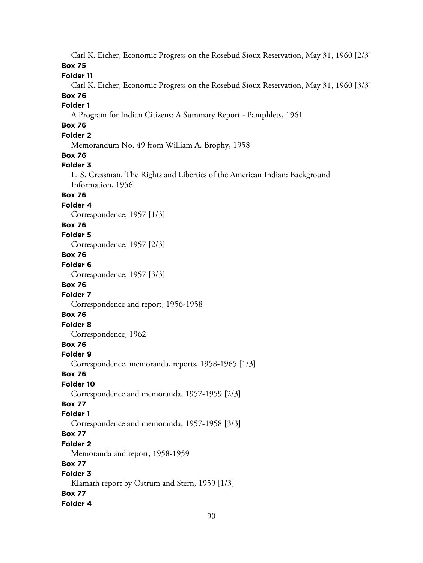Carl K. Eicher, Economic Progress on the Rosebud Sioux Reservation, May 31, 1960 [2/3] **Box 75**

**Folder 11**

Carl K. Eicher, Economic Progress on the Rosebud Sioux Reservation, May 31, 1960 [3/3]

# **Box 76**

## **Folder 1**

A Program for Indian Citizens: A Summary Report - Pamphlets, 1961

# **Box 76**

# **Folder 2**

Memorandum No. 49 from William A. Brophy, 1958

### **Box 76**

## **Folder 3**

L. S. Cressman, The Rights and Liberties of the American Indian: Background Information, 1956

## **Box 76**

#### **Folder 4**

Correspondence, 1957 [1/3]

## **Box 76**

**Folder 5**

Correspondence, 1957 [2/3]

# **Box 76**

**Folder 6**

Correspondence, 1957 [3/3]

# **Box 76**

**Folder 7**

Correspondence and report, 1956-1958

## **Box 76**

**Folder 8**

Correspondence, 1962

# **Box 76**

### **Folder 9**

Correspondence, memoranda, reports, 1958-1965 [1/3]

### **Box 76**

## **Folder 10**

Correspondence and memoranda, 1957-1959 [2/3]

## **Box 77**

### **Folder 1**

Correspondence and memoranda, 1957-1958 [3/3]

# **Box 77**

**Folder 2**

Memoranda and report, 1958-1959

## **Box 77**

# **Folder 3**

Klamath report by Ostrum and Stern, 1959 [1/3] **Box 77**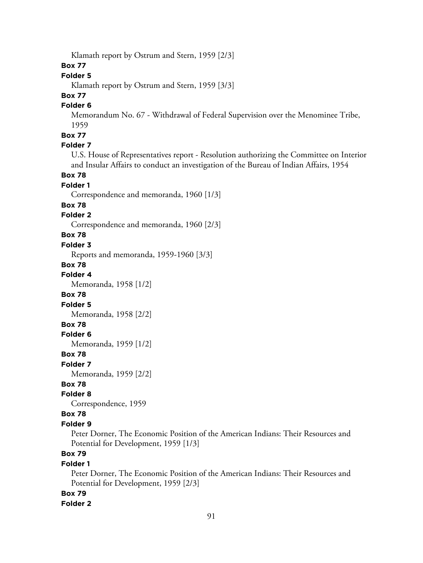Klamath report by Ostrum and Stern, 1959 [2/3]

## **Box 77**

# **Folder 5**

Klamath report by Ostrum and Stern, 1959 [3/3]

# **Box 77**

## **Folder 6**

Memorandum No. 67 - Withdrawal of Federal Supervision over the Menominee Tribe, 1959

# **Box 77**

# **Folder 7**

U.S. House of Representatives report - Resolution authorizing the Committee on Interior and Insular Affairs to conduct an investigation of the Bureau of Indian Affairs, 1954

### **Box 78**

### **Folder 1**

Correspondence and memoranda, 1960 [1/3]

### **Box 78**

### **Folder 2**

Correspondence and memoranda, 1960 [2/3]

## **Box 78**

### **Folder 3**

Reports and memoranda, 1959-1960 [3/3]

### **Box 78**

**Folder 4**

Memoranda, 1958 [1/2]

#### **Box 78**

**Folder 5**

Memoranda, 1958 [2/2]

## **Box 78**

### **Folder 6**

Memoranda, 1959 [1/2]

### **Box 78**

**Folder 7**

Memoranda, 1959 [2/2]

### **Box 78**

### **Folder 8**

Correspondence, 1959

### **Box 78**

#### **Folder 9**

Peter Dorner, The Economic Position of the American Indians: Their Resources and Potential for Development, 1959 [1/3]

# **Box 79**

### **Folder 1**

Peter Dorner, The Economic Position of the American Indians: Their Resources and Potential for Development, 1959 [2/3]

### **Box 79**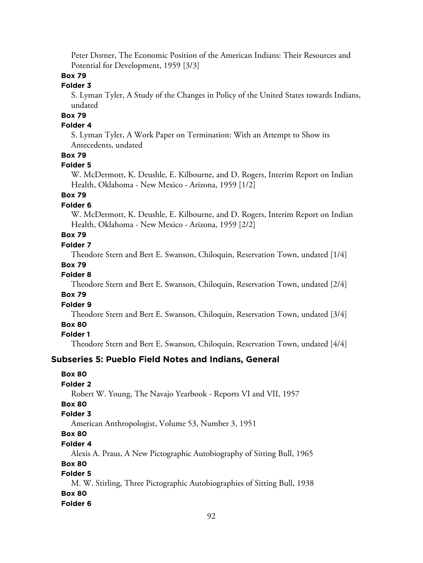Peter Dorner, The Economic Position of the American Indians: Their Resources and Potential for Development, 1959 [3/3]

## **Box 79**

## **Folder 3**

S. Lyman Tyler, A Study of the Changes in Policy of the United States towards Indians, undated

# **Box 79**

## **Folder 4**

S. Lyman Tyler, A Work Paper on Termination: With an Attempt to Show its Antecedents, undated

## **Box 79**

#### **Folder 5**

W. McDermott, K. Deushle, E. Kilbourne, and D. Rogers, Interim Report on Indian Health, Oklahoma - New Mexico - Arizona, 1959 [1/2]

## **Box 79**

### **Folder 6**

W. McDermott, K. Deushle, E. Kilbourne, and D. Rogers, Interim Report on Indian Health, Oklahoma - New Mexico - Arizona, 1959 [2/2]

# **Box 79**

## **Folder 7**

Theodore Stern and Bert E. Swanson, Chiloquin, Reservation Town, undated [1/4]

#### **Box 79**

# **Folder 8**

Theodore Stern and Bert E. Swanson, Chiloquin, Reservation Town, undated [2/4]

### **Box 79**

### **Folder 9**

Theodore Stern and Bert E. Swanson, Chiloquin, Reservation Town, undated [3/4]

## **Box 80**

**Folder 1**

Theodore Stern and Bert E. Swanson, Chiloquin, Reservation Town, undated [4/4]

### **Subseries 5: Pueblo Field Notes and Indians, General**

## **Box 80**

### **Folder 2**

Robert W. Young, The Navajo Yearbook - Reports VI and VII, 1957

## **Box 80**

### **Folder 3**

American Anthropologist, Volume 53, Number 3, 1951

# **Box 80**

## **Folder 4**

Alexis A. Praus, A New Pictographic Autobiography of Sitting Bull, 1965

## **Box 80**

# **Folder 5**

M. W. Stirling, Three Pictographic Autobiographies of Sitting Bull, 1938 **Box 80**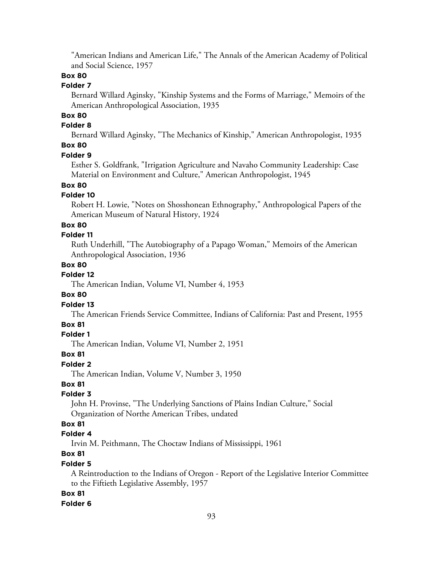"American Indians and American Life," The Annals of the American Academy of Political and Social Science, 1957

## **Box 80**

## **Folder 7**

Bernard Willard Aginsky, "Kinship Systems and the Forms of Marriage," Memoirs of the American Anthropological Association, 1935

# **Box 80**

### **Folder 8**

Bernard Willard Aginsky, "The Mechanics of Kinship," American Anthropologist, 1935

# **Box 80**

#### **Folder 9**

Esther S. Goldfrank, "Irrigation Agriculture and Navaho Community Leadership: Case Material on Environment and Culture," American Anthropologist, 1945

## **Box 80**

### **Folder 10**

Robert H. Lowie, "Notes on Shosshonean Ethnography," Anthropological Papers of the American Museum of Natural History, 1924

### **Box 80**

## **Folder 11**

Ruth Underhill, "The Autobiography of a Papago Woman," Memoirs of the American Anthropological Association, 1936

### **Box 80**

## **Folder 12**

The American Indian, Volume VI, Number 4, 1953

### **Box 80**

#### **Folder 13**

The American Friends Service Committee, Indians of California: Past and Present, 1955

### **Box 81**

### **Folder 1**

The American Indian, Volume VI, Number 2, 1951

### **Box 81**

### **Folder 2**

The American Indian, Volume V, Number 3, 1950

## **Box 81**

## **Folder 3**

John H. Provinse, "The Underlying Sanctions of Plains Indian Culture," Social Organization of Northe American Tribes, undated

## **Box 81**

### **Folder 4**

Irvin M. Peithmann, The Choctaw Indians of Mississippi, 1961

## **Box 81**

### **Folder 5**

A Reintroduction to the Indians of Oregon - Report of the Legislative Interior Committee to the Fiftieth Legislative Assembly, 1957

### **Box 81**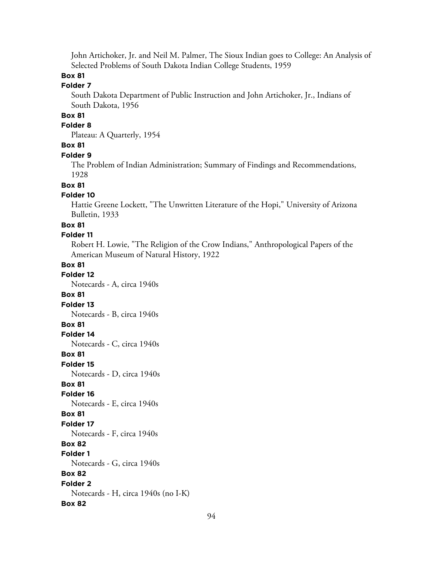John Artichoker, Jr. and Neil M. Palmer, The Sioux Indian goes to College: An Analysis of Selected Problems of South Dakota Indian College Students, 1959

## **Box 81**

## **Folder 7**

South Dakota Department of Public Instruction and John Artichoker, Jr., Indians of South Dakota, 1956

## **Box 81**

## **Folder 8**

Plateau: A Quarterly, 1954

### **Box 81**

#### **Folder 9**

The Problem of Indian Administration; Summary of Findings and Recommendations, 1928

#### **Box 81**

### **Folder 10**

Hattie Greene Lockett, "The Unwritten Literature of the Hopi," University of Arizona Bulletin, 1933

#### **Box 81**

### **Folder 11**

Robert H. Lowie, "The Religion of the Crow Indians," Anthropological Papers of the American Museum of Natural History, 1922

#### **Box 81 Folder 12**

Notecards - A, circa 1940s

#### **Box 81**

**Folder 13**

Notecards - B, circa 1940s

### **Box 81**

**Folder 14**

Notecards - C, circa 1940s

**Box 81**

**Folder 15**

Notecards - D, circa 1940s

### **Box 81**

**Folder 16**

Notecards - E, circa 1940s

## **Box 81**

**Folder 17**

Notecards - F, circa 1940s

# **Box 82**

**Folder 1**

Notecards - G, circa 1940s

# **Box 82**

**Folder 2** Notecards - H, circa 1940s (no I-K)

#### **Box 82**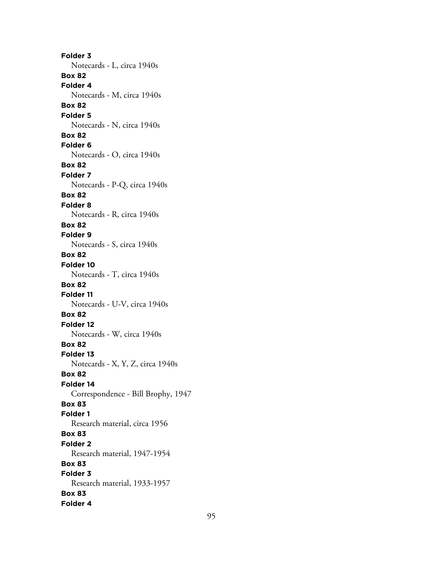**Folder 3** Notecards - L, circa 1940s **Box 82 Folder 4** Notecards - M, circa 1940s **Box 82 Folder 5** Notecards - N, circa 1940s **Box 82 Folder 6** Notecards - O, circa 1940s **Box 82 Folder 7** Notecards - P-Q, circa 1940s **Box 82 Folder 8** Notecards - R, circa 1940s **Box 82 Folder 9** Notecards - S, circa 1940s **Box 82 Folder 10** Notecards - T, circa 1940s **Box 82 Folder 11** Notecards - U-V, circa 1940s **Box 82 Folder 12** Notecards - W, circa 1940s **Box 82 Folder 13** Notecards - X, Y, Z, circa 1940s **Box 82 Folder 14** Correspondence - Bill Brophy, 1947 **Box 83 Folder 1** Research material, circa 1956 **Box 83 Folder 2** Research material, 1947-1954 **Box 83 Folder 3** Research material, 1933-1957 **Box 83 Folder 4**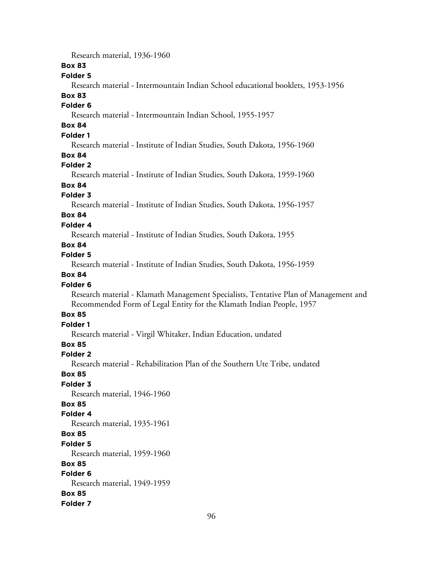Research material, 1936-1960

### **Box 83**

## **Folder 5**

Research material - Intermountain Indian School educational booklets, 1953-1956

# **Box 83**

# **Folder 6**

Research material - Intermountain Indian School, 1955-1957

# **Box 84**

# **Folder 1**

Research material - Institute of Indian Studies, South Dakota, 1956-1960

### **Box 84**

### **Folder 2**

Research material - Institute of Indian Studies, South Dakota, 1959-1960

# **Box 84**

## **Folder 3**

Research material - Institute of Indian Studies, South Dakota, 1956-1957

# **Box 84**

### **Folder 4**

Research material - Institute of Indian Studies, South Dakota, 1955

### **Box 84**

## **Folder 5**

Research material - Institute of Indian Studies, South Dakota, 1956-1959

## **Box 84**

### **Folder 6**

Research material - Klamath Management Specialists, Tentative Plan of Management and Recommended Form of Legal Entity for the Klamath Indian People, 1957

## **Box 85**

## **Folder 1**

Research material - Virgil Whitaker, Indian Education, undated

## **Box 85**

## **Folder 2**

Research material - Rehabilitation Plan of the Southern Ute Tribe, undated

### **Box 85**

## **Folder 3**

Research material, 1946-1960

## **Box 85**

### **Folder 4**

Research material, 1935-1961

# **Box 85**

#### **Folder 5**

Research material, 1959-1960

### **Box 85**

# **Folder 6**

Research material, 1949-1959 **Box 85**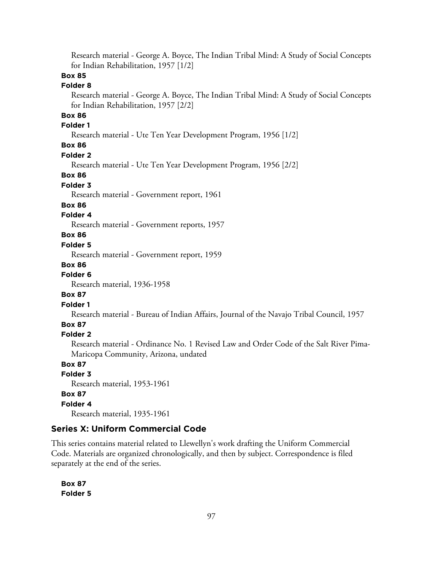Research material - George A. Boyce, The Indian Tribal Mind: A Study of Social Concepts for Indian Rehabilitation, 1957 [1/2]

## **Box 85**

### **Folder 8**

Research material - George A. Boyce, The Indian Tribal Mind: A Study of Social Concepts for Indian Rehabilitation, 1957 [2/2]

## **Box 86**

### **Folder 1**

Research material - Ute Ten Year Development Program, 1956 [1/2]

## **Box 86**

### **Folder 2**

Research material - Ute Ten Year Development Program, 1956 [2/2]

### **Box 86**

#### **Folder 3**

Research material - Government report, 1961

#### **Box 86**

### **Folder 4**

Research material - Government reports, 1957

## **Box 86**

### **Folder 5**

Research material - Government report, 1959

#### **Box 86**

#### **Folder 6**

Research material, 1936-1958

### **Box 87**

#### **Folder 1**

Research material - Bureau of Indian Affairs, Journal of the Navajo Tribal Council, 1957

### **Box 87**

### **Folder 2**

Research material - Ordinance No. 1 Revised Law and Order Code of the Salt River Pima-Maricopa Community, Arizona, undated

### **Box 87**

## **Folder 3**

Research material, 1953-1961

#### **Box 87**

#### **Folder 4**

Research material, 1935-1961

## **Series X: Uniform Commercial Code**

This series contains material related to Llewellyn's work drafting the Uniform Commercial Code. Materials are organized chronologically, and then by subject. Correspondence is filed separately at the end of the series.

**Box 87 Folder 5**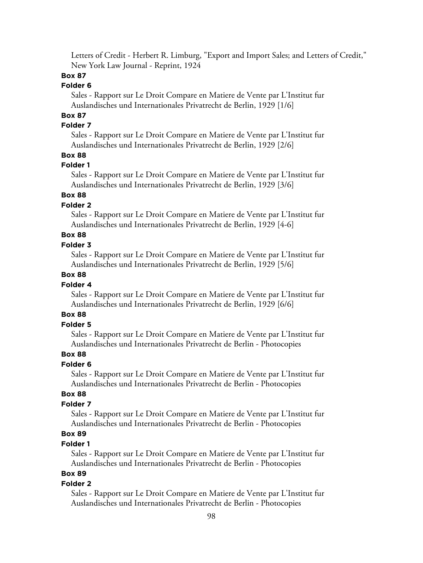Letters of Credit - Herbert R. Limburg, "Export and Import Sales; and Letters of Credit," New York Law Journal - Reprint, 1924

## **Box 87**

## **Folder 6**

Sales - Rapport sur Le Droit Compare en Matiere de Vente par L'Institut fur Auslandisches und Internationales Privatrecht de Berlin, 1929 [1/6]

# **Box 87**

## **Folder 7**

Sales - Rapport sur Le Droit Compare en Matiere de Vente par L'Institut fur Auslandisches und Internationales Privatrecht de Berlin, 1929 [2/6]

## **Box 88**

#### **Folder 1**

Sales - Rapport sur Le Droit Compare en Matiere de Vente par L'Institut fur Auslandisches und Internationales Privatrecht de Berlin, 1929 [3/6]

## **Box 88**

### **Folder 2**

Sales - Rapport sur Le Droit Compare en Matiere de Vente par L'Institut fur Auslandisches und Internationales Privatrecht de Berlin, 1929 [4-6]

# **Box 88**

### **Folder 3**

Sales - Rapport sur Le Droit Compare en Matiere de Vente par L'Institut fur Auslandisches und Internationales Privatrecht de Berlin, 1929 [5/6]

## **Box 88**

### **Folder 4**

Sales - Rapport sur Le Droit Compare en Matiere de Vente par L'Institut fur Auslandisches und Internationales Privatrecht de Berlin, 1929 [6/6]

## **Box 88**

### **Folder 5**

Sales - Rapport sur Le Droit Compare en Matiere de Vente par L'Institut fur Auslandisches und Internationales Privatrecht de Berlin - Photocopies

## **Box 88**

### **Folder 6**

Sales - Rapport sur Le Droit Compare en Matiere de Vente par L'Institut fur Auslandisches und Internationales Privatrecht de Berlin - Photocopies

### **Box 88**

## **Folder 7**

Sales - Rapport sur Le Droit Compare en Matiere de Vente par L'Institut fur Auslandisches und Internationales Privatrecht de Berlin - Photocopies

# **Box 89**

## **Folder 1**

Sales - Rapport sur Le Droit Compare en Matiere de Vente par L'Institut fur Auslandisches und Internationales Privatrecht de Berlin - Photocopies

## **Box 89**

#### **Folder 2**

Sales - Rapport sur Le Droit Compare en Matiere de Vente par L'Institut fur Auslandisches und Internationales Privatrecht de Berlin - Photocopies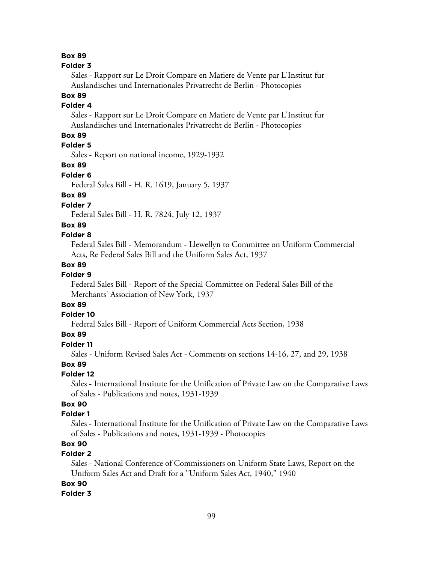#### **Folder 3**

Sales - Rapport sur Le Droit Compare en Matiere de Vente par L'Institut fur Auslandisches und Internationales Privatrecht de Berlin - Photocopies

## **Box 89**

## **Folder 4**

Sales - Rapport sur Le Droit Compare en Matiere de Vente par L'Institut fur Auslandisches und Internationales Privatrecht de Berlin - Photocopies

## **Box 89**

# **Folder 5**

Sales - Report on national income, 1929-1932

### **Box 89**

### **Folder 6**

Federal Sales Bill - H. R. 1619, January 5, 1937

## **Box 89**

## **Folder 7**

Federal Sales Bill - H. R. 7824, July 12, 1937

### **Box 89**

## **Folder 8**

Federal Sales Bill - Memorandum - Llewellyn to Committee on Uniform Commercial Acts, Re Federal Sales Bill and the Uniform Sales Act, 1937

## **Box 89**

## **Folder 9**

Federal Sales Bill - Report of the Special Committee on Federal Sales Bill of the Merchants' Association of New York, 1937

## **Box 89**

#### **Folder 10**

Federal Sales Bill - Report of Uniform Commercial Acts Section, 1938

### **Box 89**

## **Folder 11**

Sales - Uniform Revised Sales Act - Comments on sections 14-16, 27, and 29, 1938

### **Box 89**

### **Folder 12**

Sales - International Institute for the Unification of Private Law on the Comparative Laws of Sales - Publications and notes, 1931-1939

# **Box 90**

### **Folder 1**

Sales - International Institute for the Unification of Private Law on the Comparative Laws of Sales - Publications and notes, 1931-1939 - Photocopies

# **Box 90**

## **Folder 2**

Sales - National Conference of Commissioners on Uniform State Laws, Report on the Uniform Sales Act and Draft for a "Uniform Sales Act, 1940," 1940

## **Box 90**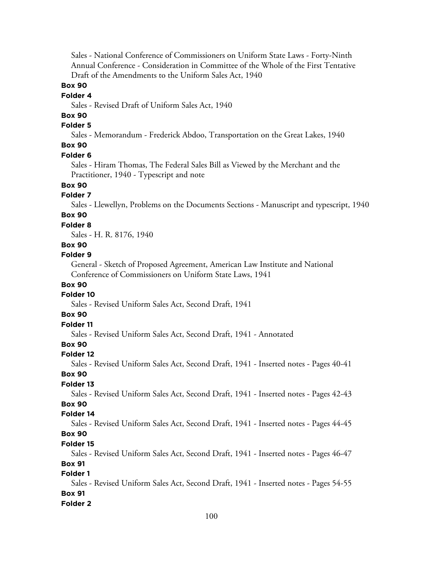Sales - National Conference of Commissioners on Uniform State Laws - Forty-Ninth Annual Conference - Consideration in Committee of the Whole of the First Tentative Draft of the Amendments to the Uniform Sales Act, 1940

### **Box 90**

### **Folder 4**

Sales - Revised Draft of Uniform Sales Act, 1940

# **Box 90**

# **Folder 5**

Sales - Memorandum - Frederick Abdoo, Transportation on the Great Lakes, 1940 **Box 90**

# **Folder 6**

Sales - Hiram Thomas, The Federal Sales Bill as Viewed by the Merchant and the Practitioner, 1940 - Typescript and note

## **Box 90**

### **Folder 7**

Sales - Llewellyn, Problems on the Documents Sections - Manuscript and typescript, 1940 **Box 90**

# **Folder 8**

Sales - H. R. 8176, 1940

#### **Box 90**

#### **Folder 9**

General - Sketch of Proposed Agreement, American Law Institute and National Conference of Commissioners on Uniform State Laws, 1941

### **Box 90**

### **Folder 10**

Sales - Revised Uniform Sales Act, Second Draft, 1941

## **Box 90**

## **Folder 11**

Sales - Revised Uniform Sales Act, Second Draft, 1941 - Annotated

## **Box 90**

#### **Folder 12**

Sales - Revised Uniform Sales Act, Second Draft, 1941 - Inserted notes - Pages 40-41

### **Box 90**

### **Folder 13**

Sales - Revised Uniform Sales Act, Second Draft, 1941 - Inserted notes - Pages 42-43

# **Box 90**

# **Folder 14**

Sales - Revised Uniform Sales Act, Second Draft, 1941 - Inserted notes - Pages 44-45 **Box 90**

# **Folder 15**

Sales - Revised Uniform Sales Act, Second Draft, 1941 - Inserted notes - Pages 46-47

## **Box 91**

## **Folder 1**

Sales - Revised Uniform Sales Act, Second Draft, 1941 - Inserted notes - Pages 54-55 **Box 91**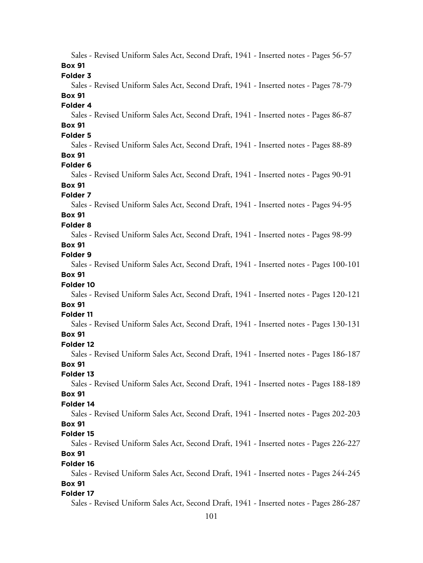Sales - Revised Uniform Sales Act, Second Draft, 1941 - Inserted notes - Pages 56-57 **Box 91 Folder 3** Sales - Revised Uniform Sales Act, Second Draft, 1941 - Inserted notes - Pages 78-79 **Box 91 Folder 4** Sales - Revised Uniform Sales Act, Second Draft, 1941 - Inserted notes - Pages 86-87 **Box 91 Folder 5** Sales - Revised Uniform Sales Act, Second Draft, 1941 - Inserted notes - Pages 88-89 **Box 91 Folder 6** Sales - Revised Uniform Sales Act, Second Draft, 1941 - Inserted notes - Pages 90-91 **Box 91 Folder 7** Sales - Revised Uniform Sales Act, Second Draft, 1941 - Inserted notes - Pages 94-95 **Box 91 Folder 8** Sales - Revised Uniform Sales Act, Second Draft, 1941 - Inserted notes - Pages 98-99 **Box 91 Folder 9** Sales - Revised Uniform Sales Act, Second Draft, 1941 - Inserted notes - Pages 100-101 **Box 91 Folder 10** Sales - Revised Uniform Sales Act, Second Draft, 1941 - Inserted notes - Pages 120-121 **Box 91 Folder 11** Sales - Revised Uniform Sales Act, Second Draft, 1941 - Inserted notes - Pages 130-131 **Box 91 Folder 12** Sales - Revised Uniform Sales Act, Second Draft, 1941 - Inserted notes - Pages 186-187 **Box 91 Folder 13** Sales - Revised Uniform Sales Act, Second Draft, 1941 - Inserted notes - Pages 188-189 **Box 91 Folder 14** Sales - Revised Uniform Sales Act, Second Draft, 1941 - Inserted notes - Pages 202-203 **Box 91 Folder 15** Sales - Revised Uniform Sales Act, Second Draft, 1941 - Inserted notes - Pages 226-227 **Box 91 Folder 16** Sales - Revised Uniform Sales Act, Second Draft, 1941 - Inserted notes - Pages 244-245 **Box 91 Folder 17** Sales - Revised Uniform Sales Act, Second Draft, 1941 - Inserted notes - Pages 286-287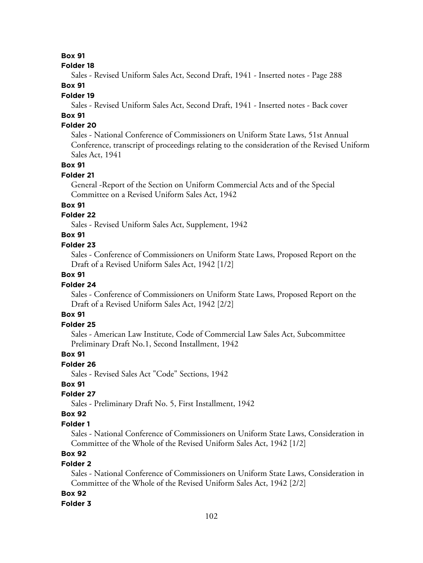#### **Folder 18**

Sales - Revised Uniform Sales Act, Second Draft, 1941 - Inserted notes - Page 288

## **Box 91**

### **Folder 19**

Sales - Revised Uniform Sales Act, Second Draft, 1941 - Inserted notes - Back cover

# **Box 91**

## **Folder 20**

Sales - National Conference of Commissioners on Uniform State Laws, 51st Annual Conference, transcript of proceedings relating to the consideration of the Revised Uniform Sales Act, 1941

### **Box 91**

### **Folder 21**

General -Report of the Section on Uniform Commercial Acts and of the Special Committee on a Revised Uniform Sales Act, 1942

## **Box 91**

## **Folder 22**

Sales - Revised Uniform Sales Act, Supplement, 1942

### **Box 91**

### **Folder 23**

Sales - Conference of Commissioners on Uniform State Laws, Proposed Report on the Draft of a Revised Uniform Sales Act, 1942 [1/2]

## **Box 91**

### **Folder 24**

Sales - Conference of Commissioners on Uniform State Laws, Proposed Report on the Draft of a Revised Uniform Sales Act, 1942 [2/2]

## **Box 91**

## **Folder 25**

Sales - American Law Institute, Code of Commercial Law Sales Act, Subcommittee Preliminary Draft No.1, Second Installment, 1942

### **Box 91**

### **Folder 26**

Sales - Revised Sales Act "Code" Sections, 1942

## **Box 91**

## **Folder 27**

Sales - Preliminary Draft No. 5, First Installment, 1942

### **Box 92**

### **Folder 1**

Sales - National Conference of Commissioners on Uniform State Laws, Consideration in Committee of the Whole of the Revised Uniform Sales Act, 1942 [1/2]

# **Box 92**

### **Folder 2**

Sales - National Conference of Commissioners on Uniform State Laws, Consideration in Committee of the Whole of the Revised Uniform Sales Act, 1942 [2/2]

### **Box 92**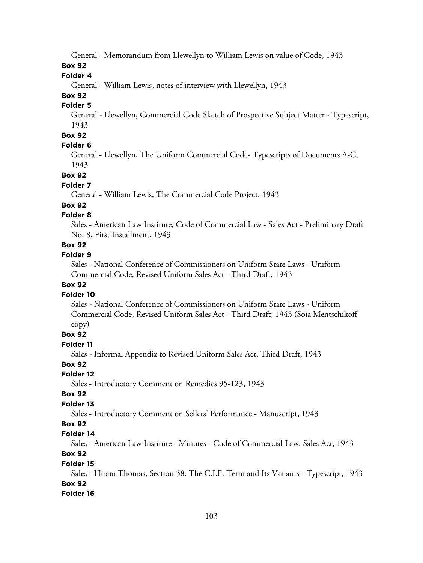General - Memorandum from Llewellyn to William Lewis on value of Code, 1943

**Box 92**

**Folder 4**

General - William Lewis, notes of interview with Llewellyn, 1943

**Box 92**

**Folder 5**

General - Llewellyn, Commercial Code Sketch of Prospective Subject Matter - Typescript, 1943

## **Box 92**

### **Folder 6**

General - Llewellyn, The Uniform Commercial Code- Typescripts of Documents A-C, 1943

**Box 92**

#### **Folder 7**

General - William Lewis, The Commercial Code Project, 1943

### **Box 92**

### **Folder 8**

Sales - American Law Institute, Code of Commercial Law - Sales Act - Preliminary Draft No. 8, First Installment, 1943

## **Box 92**

### **Folder 9**

Sales - National Conference of Commissioners on Uniform State Laws - Uniform Commercial Code, Revised Uniform Sales Act - Third Draft, 1943

## **Box 92**

#### **Folder 10**

Sales - National Conference of Commissioners on Uniform State Laws - Uniform Commercial Code, Revised Uniform Sales Act - Third Draft, 1943 (Soia Mentschikoff copy)

### **Box 92**

### **Folder 11**

Sales - Informal Appendix to Revised Uniform Sales Act, Third Draft, 1943

### **Box 92**

**Folder 12**

Sales - Introductory Comment on Remedies 95-123, 1943

### **Box 92**

### **Folder 13**

Sales - Introductory Comment on Sellers' Performance - Manuscript, 1943

### **Box 92**

## **Folder 14**

Sales - American Law Institute - Minutes - Code of Commercial Law, Sales Act, 1943

## **Box 92**

### **Folder 15**

Sales - Hiram Thomas, Section 38. The C.I.F. Term and Its Variants - Typescript, 1943 **Box 92**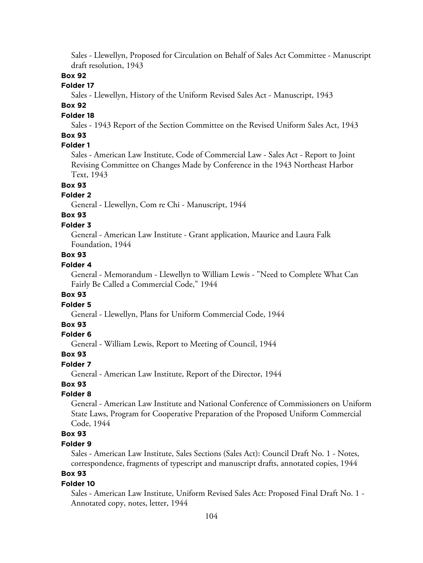Sales - Llewellyn, Proposed for Circulation on Behalf of Sales Act Committee - Manuscript draft resolution, 1943

### **Box 92**

### **Folder 17**

Sales - Llewellyn, History of the Uniform Revised Sales Act - Manuscript, 1943

## **Box 92**

### **Folder 18**

Sales - 1943 Report of the Section Committee on the Revised Uniform Sales Act, 1943

## **Box 93**

## **Folder 1**

Sales - American Law Institute, Code of Commercial Law - Sales Act - Report to Joint Revising Committee on Changes Made by Conference in the 1943 Northeast Harbor Text, 1943

# **Box 93**

## **Folder 2**

General - Llewellyn, Com re Chi - Manuscript, 1944

# **Box 93**

### **Folder 3**

General - American Law Institute - Grant application, Maurice and Laura Falk Foundation, 1944

## **Box 93**

## **Folder 4**

General - Memorandum - Llewellyn to William Lewis - "Need to Complete What Can Fairly Be Called a Commercial Code," 1944

### **Box 93**

## **Folder 5**

General - Llewellyn, Plans for Uniform Commercial Code, 1944

### **Box 93**

### **Folder 6**

General - William Lewis, Report to Meeting of Council, 1944

### **Box 93**

## **Folder 7**

General - American Law Institute, Report of the Director, 1944

## **Box 93**

## **Folder 8**

General - American Law Institute and National Conference of Commissioners on Uniform State Laws, Program for Cooperative Preparation of the Proposed Uniform Commercial Code, 1944

# **Box 93**

## **Folder 9**

Sales - American Law Institute, Sales Sections (Sales Act): Council Draft No. 1 - Notes, correspondence, fragments of typescript and manuscript drafts, annotated copies, 1944

# **Box 93**

### **Folder 10**

Sales - American Law Institute, Uniform Revised Sales Act: Proposed Final Draft No. 1 - Annotated copy, notes, letter, 1944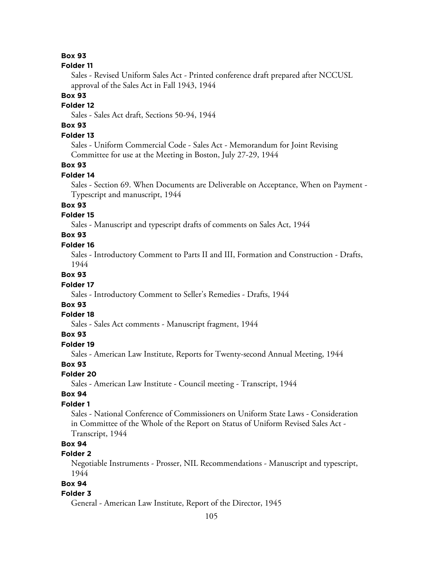#### **Folder 11**

Sales - Revised Uniform Sales Act - Printed conference draft prepared after NCCUSL approval of the Sales Act in Fall 1943, 1944

### **Box 93**

#### **Folder 12**

Sales - Sales Act draft, Sections 50-94, 1944

# **Box 93**

## **Folder 13**

Sales - Uniform Commercial Code - Sales Act - Memorandum for Joint Revising Committee for use at the Meeting in Boston, July 27-29, 1944

### **Box 93**

#### **Folder 14**

Sales - Section 69. When Documents are Deliverable on Acceptance, When on Payment - Typescript and manuscript, 1944

## **Box 93**

## **Folder 15**

Sales - Manuscript and typescript drafts of comments on Sales Act, 1944

## **Box 93**

### **Folder 16**

Sales - Introductory Comment to Parts II and III, Formation and Construction - Drafts, 1944

### **Box 93**

### **Folder 17**

Sales - Introductory Comment to Seller's Remedies - Drafts, 1944

## **Box 93**

### **Folder 18**

Sales - Sales Act comments - Manuscript fragment, 1944

### **Box 93**

### **Folder 19**

Sales - American Law Institute, Reports for Twenty-second Annual Meeting, 1944

## **Box 93**

## **Folder 20**

Sales - American Law Institute - Council meeting - Transcript, 1944

### **Box 94**

### **Folder 1**

Sales - National Conference of Commissioners on Uniform State Laws - Consideration in Committee of the Whole of the Report on Status of Uniform Revised Sales Act - Transcript, 1944

## **Box 94**

## **Folder 2**

Negotiable Instruments - Prosser, NIL Recommendations - Manuscript and typescript, 1944

## **Box 94**

### **Folder 3**

General - American Law Institute, Report of the Director, 1945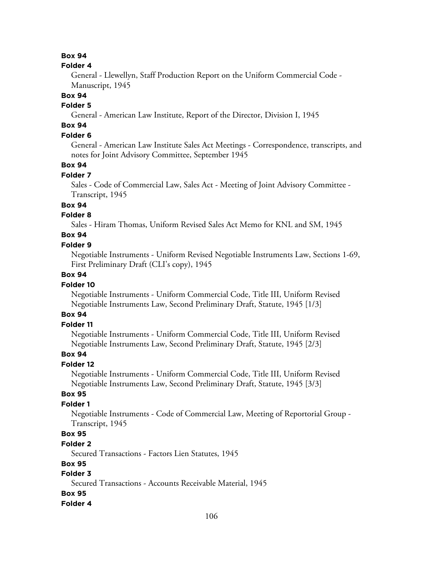### **Folder 4**

General - Llewellyn, Staff Production Report on the Uniform Commercial Code - Manuscript, 1945

## **Box 94**

# **Folder 5**

General - American Law Institute, Report of the Director, Division I, 1945

# **Box 94**

## **Folder 6**

General - American Law Institute Sales Act Meetings - Correspondence, transcripts, and notes for Joint Advisory Committee, September 1945

## **Box 94**

### **Folder 7**

Sales - Code of Commercial Law, Sales Act - Meeting of Joint Advisory Committee - Transcript, 1945

## **Box 94**

## **Folder 8**

Sales - Hiram Thomas, Uniform Revised Sales Act Memo for KNL and SM, 1945

# **Box 94**

### **Folder 9**

Negotiable Instruments - Uniform Revised Negotiable Instruments Law, Sections 1-69, First Preliminary Draft (CLI's copy), 1945

## **Box 94**

### **Folder 10**

Negotiable Instruments - Uniform Commercial Code, Title III, Uniform Revised Negotiable Instruments Law, Second Preliminary Draft, Statute, 1945 [1/3]

## **Box 94**

### **Folder 11**

Negotiable Instruments - Uniform Commercial Code, Title III, Uniform Revised Negotiable Instruments Law, Second Preliminary Draft, Statute, 1945 [2/3]

## **Box 94**

### **Folder 12**

Negotiable Instruments - Uniform Commercial Code, Title III, Uniform Revised Negotiable Instruments Law, Second Preliminary Draft, Statute, 1945 [3/3]

### **Box 95**

### **Folder 1**

Negotiable Instruments - Code of Commercial Law, Meeting of Reportorial Group - Transcript, 1945

## **Box 95**

#### **Folder 2**

Secured Transactions - Factors Lien Statutes, 1945

### **Box 95**

## **Folder 3**

Secured Transactions - Accounts Receivable Material, 1945

## **Box 95**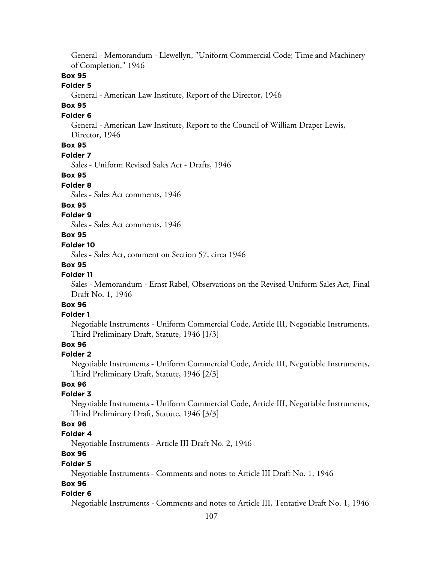General - Memorandum - Llewellyn, "Uniform Commercial Code; Time and Machinery of Completion," 1946

## **Box 95**

### **Folder 5**

General - American Law Institute, Report of the Director, 1946

## **Box 95**

### **Folder 6**

General - American Law Institute, Report to the Council of William Draper Lewis, Director, 1946

# **Box 95**

### **Folder 7**

Sales - Uniform Revised Sales Act - Drafts, 1946

### **Box 95**

### **Folder 8**

Sales - Sales Act comments, 1946

## **Box 95**

## **Folder 9**

Sales - Sales Act comments, 1946

## **Box 95**

### **Folder 10**

Sales - Sales Act, comment on Section 57, circa 1946

### **Box 95**

## **Folder 11**

Sales - Memorandum - Ernst Rabel, Observations on the Revised Uniform Sales Act, Final Draft No. 1, 1946

# **Box 96**

## **Folder 1**

Negotiable Instruments - Uniform Commercial Code, Article III, Negotiable Instruments, Third Preliminary Draft, Statute, 1946 [1/3]

# **Box 96**

### **Folder 2**

Negotiable Instruments - Uniform Commercial Code, Article III, Negotiable Instruments, Third Preliminary Draft, Statute, 1946 [2/3]

# **Box 96**

### **Folder 3**

Negotiable Instruments - Uniform Commercial Code, Article III, Negotiable Instruments, Third Preliminary Draft, Statute, 1946 [3/3]

## **Box 96**

### **Folder 4**

Negotiable Instruments - Article III Draft No. 2, 1946

# **Box 96**

### **Folder 5**

Negotiable Instruments - Comments and notes to Article III Draft No. 1, 1946

## **Box 96**

#### **Folder 6**

Negotiable Instruments - Comments and notes to Article III, Tentative Draft No. 1, 1946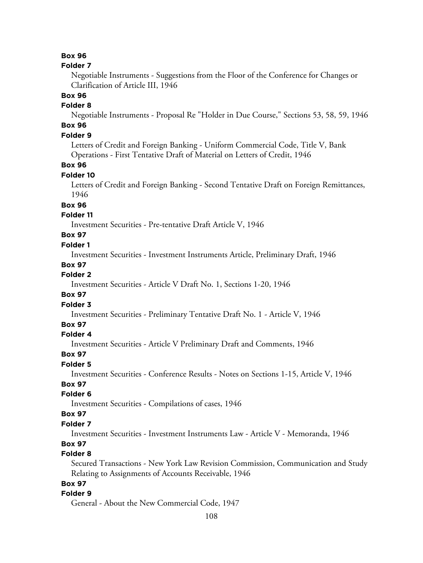#### **Folder 7**

Negotiable Instruments - Suggestions from the Floor of the Conference for Changes or Clarification of Article III, 1946

# **Box 96**

## **Folder 8**

Negotiable Instruments - Proposal Re "Holder in Due Course," Sections 53, 58, 59, 1946

# **Box 96**

# **Folder 9**

Letters of Credit and Foreign Banking - Uniform Commercial Code, Title V, Bank Operations - First Tentative Draft of Material on Letters of Credit, 1946

### **Box 96**

#### **Folder 10**

Letters of Credit and Foreign Banking - Second Tentative Draft on Foreign Remittances, 1946

### **Box 96**

## **Folder 11**

Investment Securities - Pre-tentative Draft Article V, 1946

## **Box 97**

### **Folder 1**

Investment Securities - Investment Instruments Article, Preliminary Draft, 1946

### **Box 97**

## **Folder 2**

Investment Securities - Article V Draft No. 1, Sections 1-20, 1946

## **Box 97**

## **Folder 3**

Investment Securities - Preliminary Tentative Draft No. 1 - Article V, 1946

### **Box 97**

### **Folder 4**

Investment Securities - Article V Preliminary Draft and Comments, 1946

#### **Box 97**

## **Folder 5**

Investment Securities - Conference Results - Notes on Sections 1-15, Article V, 1946

## **Box 97**

## **Folder 6**

Investment Securities - Compilations of cases, 1946

### **Box 97**

### **Folder 7**

Investment Securities - Investment Instruments Law - Article V - Memoranda, 1946

## **Box 97**

## **Folder 8**

Secured Transactions - New York Law Revision Commission, Communication and Study Relating to Assignments of Accounts Receivable, 1946

# **Box 97**

### **Folder 9**

General - About the New Commercial Code, 1947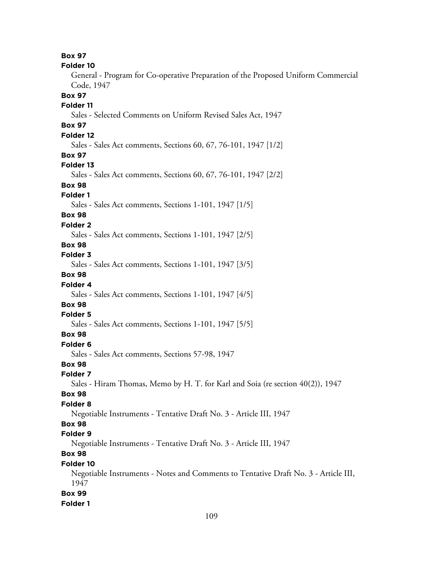**Box 97 Folder 10** General - Program for Co-operative Preparation of the Proposed Uniform Commercial Code, 1947 **Box 97 Folder 11** Sales - Selected Comments on Uniform Revised Sales Act, 1947 **Box 97 Folder 12** Sales - Sales Act comments, Sections 60, 67, 76-101, 1947 [1/2] **Box 97 Folder 13** Sales - Sales Act comments, Sections 60, 67, 76-101, 1947 [2/2] **Box 98 Folder 1** Sales - Sales Act comments, Sections 1-101, 1947 [1/5] **Box 98 Folder 2** Sales - Sales Act comments, Sections 1-101, 1947 [2/5] **Box 98 Folder 3** Sales - Sales Act comments, Sections 1-101, 1947 [3/5] **Box 98 Folder 4** Sales - Sales Act comments, Sections 1-101, 1947 [4/5] **Box 98 Folder 5** Sales - Sales Act comments, Sections 1-101, 1947 [5/5] **Box 98 Folder 6** Sales - Sales Act comments, Sections 57-98, 1947 **Box 98 Folder 7** Sales - Hiram Thomas, Memo by H. T. for Karl and Soia (re section 40(2)), 1947 **Box 98 Folder 8** Negotiable Instruments - Tentative Draft No. 3 - Article III, 1947 **Box 98 Folder 9** Negotiable Instruments - Tentative Draft No. 3 - Article III, 1947 **Box 98 Folder 10** Negotiable Instruments - Notes and Comments to Tentative Draft No. 3 - Article III, 1947 **Box 99 Folder 1**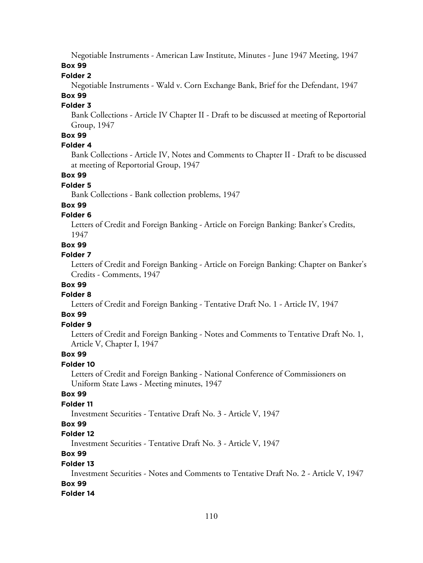Negotiable Instruments - American Law Institute, Minutes - June 1947 Meeting, 1947 **Box 99**

### **Folder 2**

Negotiable Instruments - Wald v. Corn Exchange Bank, Brief for the Defendant, 1947

# **Box 99**

# **Folder 3**

Bank Collections - Article IV Chapter II - Draft to be discussed at meeting of Reportorial Group, 1947

# **Box 99**

# **Folder 4**

Bank Collections - Article IV, Notes and Comments to Chapter II - Draft to be discussed at meeting of Reportorial Group, 1947

## **Box 99**

## **Folder 5**

Bank Collections - Bank collection problems, 1947

# **Box 99**

# **Folder 6**

Letters of Credit and Foreign Banking - Article on Foreign Banking: Banker's Credits, 1947

# **Box 99**

# **Folder 7**

Letters of Credit and Foreign Banking - Article on Foreign Banking: Chapter on Banker's Credits - Comments, 1947

# **Box 99**

## **Folder 8**

Letters of Credit and Foreign Banking - Tentative Draft No. 1 - Article IV, 1947

# **Box 99**

# **Folder 9**

Letters of Credit and Foreign Banking - Notes and Comments to Tentative Draft No. 1, Article V, Chapter I, 1947

# **Box 99**

## **Folder 10**

Letters of Credit and Foreign Banking - National Conference of Commissioners on Uniform State Laws - Meeting minutes, 1947

## **Box 99**

# **Folder 11**

Investment Securities - Tentative Draft No. 3 - Article V, 1947

## **Box 99**

## **Folder 12**

Investment Securities - Tentative Draft No. 3 - Article V, 1947

# **Box 99**

## **Folder 13**

Investment Securities - Notes and Comments to Tentative Draft No. 2 - Article V, 1947

# **Box 99**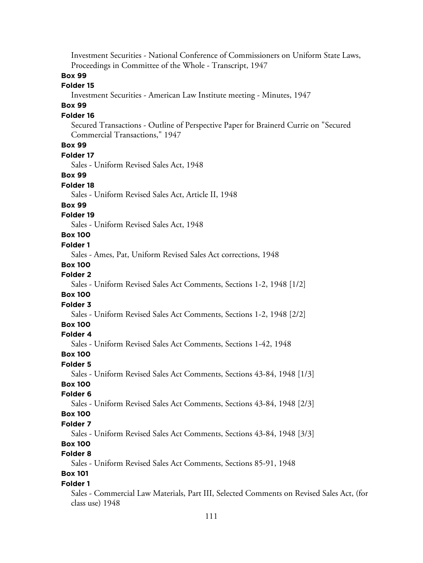Investment Securities - National Conference of Commissioners on Uniform State Laws, Proceedings in Committee of the Whole - Transcript, 1947 **Box 99 Folder 15** Investment Securities - American Law Institute meeting - Minutes, 1947 **Box 99 Folder 16** Secured Transactions - Outline of Perspective Paper for Brainerd Currie on "Secured Commercial Transactions," 1947 **Box 99 Folder 17** Sales - Uniform Revised Sales Act, 1948 **Box 99 Folder 18** Sales - Uniform Revised Sales Act, Article II, 1948 **Box 99 Folder 19** Sales - Uniform Revised Sales Act, 1948 **Box 100 Folder 1** Sales - Ames, Pat, Uniform Revised Sales Act corrections, 1948 **Box 100 Folder 2** Sales - Uniform Revised Sales Act Comments, Sections 1-2, 1948 [1/2] **Box 100 Folder 3** Sales - Uniform Revised Sales Act Comments, Sections 1-2, 1948 [2/2] **Box 100 Folder 4** Sales - Uniform Revised Sales Act Comments, Sections 1-42, 1948 **Box 100 Folder 5** Sales - Uniform Revised Sales Act Comments, Sections 43-84, 1948 [1/3] **Box 100 Folder 6** Sales - Uniform Revised Sales Act Comments, Sections 43-84, 1948 [2/3] **Box 100 Folder 7** Sales - Uniform Revised Sales Act Comments, Sections 43-84, 1948 [3/3] **Box 100 Folder 8** Sales - Uniform Revised Sales Act Comments, Sections 85-91, 1948 **Box 101 Folder 1** Sales - Commercial Law Materials, Part III, Selected Comments on Revised Sales Act, (for class use) 1948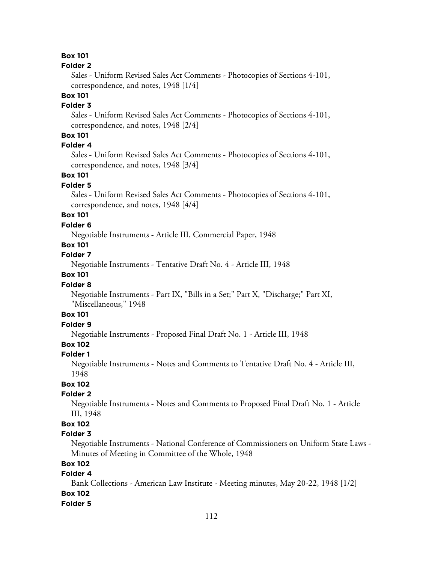# **Box 101**

#### **Folder 2**

Sales - Uniform Revised Sales Act Comments - Photocopies of Sections 4-101, correspondence, and notes, 1948 [1/4]

# **Box 101**

# **Folder 3**

Sales - Uniform Revised Sales Act Comments - Photocopies of Sections 4-101, correspondence, and notes, 1948 [2/4]

# **Box 101**

# **Folder 4**

Sales - Uniform Revised Sales Act Comments - Photocopies of Sections 4-101, correspondence, and notes, 1948 [3/4]

## **Box 101**

#### **Folder 5**

Sales - Uniform Revised Sales Act Comments - Photocopies of Sections 4-101, correspondence, and notes, 1948 [4/4]

# **Box 101**

#### **Folder 6**

Negotiable Instruments - Article III, Commercial Paper, 1948

# **Box 101**

# **Folder 7**

Negotiable Instruments - Tentative Draft No. 4 - Article III, 1948

# **Box 101**

#### **Folder 8**

Negotiable Instruments - Part IX, "Bills in a Set;" Part X, "Discharge;" Part XI, "Miscellaneous," 1948

# **Box 101**

# **Folder 9**

Negotiable Instruments - Proposed Final Draft No. 1 - Article III, 1948

# **Box 102**

#### **Folder 1**

Negotiable Instruments - Notes and Comments to Tentative Draft No. 4 - Article III, 1948

# **Box 102**

#### **Folder 2**

Negotiable Instruments - Notes and Comments to Proposed Final Draft No. 1 - Article III, 1948

# **Box 102**

## **Folder 3**

Negotiable Instruments - National Conference of Commissioners on Uniform State Laws - Minutes of Meeting in Committee of the Whole, 1948

# **Box 102**

# **Folder 4**

Bank Collections - American Law Institute - Meeting minutes, May 20-22, 1948 [1/2] **Box 102**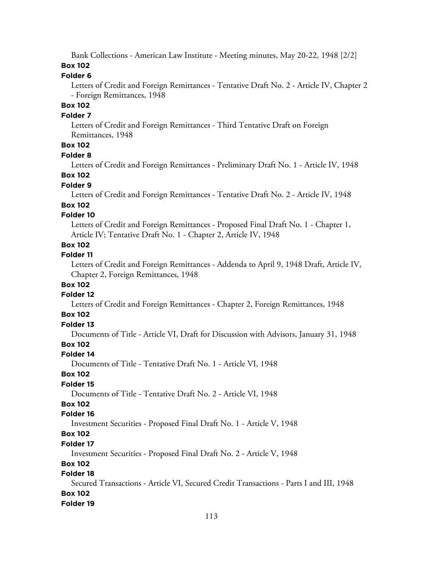Bank Collections - American Law Institute - Meeting minutes, May 20-22, 1948 [2/2]

# **Box 102**

### **Folder 6**

Letters of Credit and Foreign Remittances - Tentative Draft No. 2 - Article IV, Chapter 2 - Foreign Remittances, 1948

# **Box 102**

### **Folder 7**

Letters of Credit and Foreign Remittances - Third Tentative Draft on Foreign Remittances, 1948

# **Box 102**

#### **Folder 8**

Letters of Credit and Foreign Remittances - Preliminary Draft No. 1 - Article IV, 1948

# **Box 102**

### **Folder 9**

Letters of Credit and Foreign Remittances - Tentative Draft No. 2 - Article IV, 1948

### **Box 102**

### **Folder 10**

Letters of Credit and Foreign Remittances - Proposed Final Draft No. 1 - Chapter 1, Article IV; Tentative Draft No. 1 - Chapter 2, Article IV, 1948

# **Box 102**

### **Folder 11**

Letters of Credit and Foreign Remittances - Addenda to April 9, 1948 Draft, Article IV, Chapter 2, Foreign Remittances, 1948

## **Box 102**

### **Folder 12**

Letters of Credit and Foreign Remittances - Chapter 2, Foreign Remittances, 1948

# **Box 102**

# **Folder 13**

Documents of Title - Article VI, Draft for Discussion with Advisors, January 31, 1948

# **Box 102**

# **Folder 14**

Documents of Title - Tentative Draft No. 1 - Article VI, 1948

### **Box 102**

## **Folder 15**

Documents of Title - Tentative Draft No. 2 - Article VI, 1948

# **Box 102**

### **Folder 16**

Investment Securities - Proposed Final Draft No. 1 - Article V, 1948

# **Box 102**

### **Folder 17**

Investment Securities - Proposed Final Draft No. 2 - Article V, 1948

# **Box 102**

# **Folder 18**

Secured Transactions - Article VI, Secured Credit Transactions - Parts I and III, 1948 **Box 102**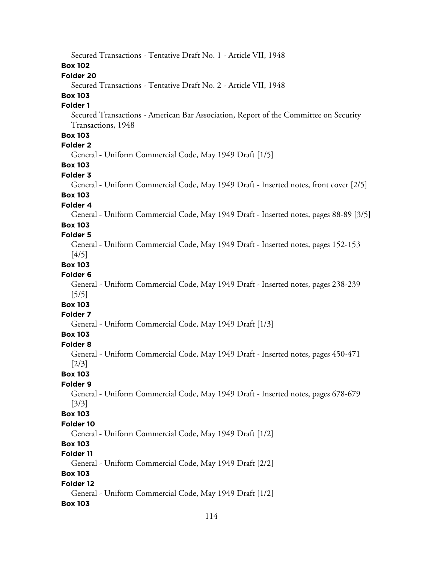114 Secured Transactions - Tentative Draft No. 1 - Article VII, 1948 **Box 102 Folder 20** Secured Transactions - Tentative Draft No. 2 - Article VII, 1948 **Box 103 Folder 1** Secured Transactions - American Bar Association, Report of the Committee on Security Transactions, 1948 **Box 103 Folder 2** General - Uniform Commercial Code, May 1949 Draft [1/5] **Box 103 Folder 3** General - Uniform Commercial Code, May 1949 Draft - Inserted notes, front cover [2/5] **Box 103 Folder 4** General - Uniform Commercial Code, May 1949 Draft - Inserted notes, pages 88-89 [3/5] **Box 103 Folder 5** General - Uniform Commercial Code, May 1949 Draft - Inserted notes, pages 152-153 [4/5] **Box 103 Folder 6** General - Uniform Commercial Code, May 1949 Draft - Inserted notes, pages 238-239 [5/5] **Box 103 Folder 7** General - Uniform Commercial Code, May 1949 Draft [1/3] **Box 103 Folder 8** General - Uniform Commercial Code, May 1949 Draft - Inserted notes, pages 450-471 [2/3] **Box 103 Folder 9** General - Uniform Commercial Code, May 1949 Draft - Inserted notes, pages 678-679 [3/3] **Box 103 Folder 10** General - Uniform Commercial Code, May 1949 Draft [1/2] **Box 103 Folder 11** General - Uniform Commercial Code, May 1949 Draft [2/2] **Box 103 Folder 12** General - Uniform Commercial Code, May 1949 Draft [1/2] **Box 103**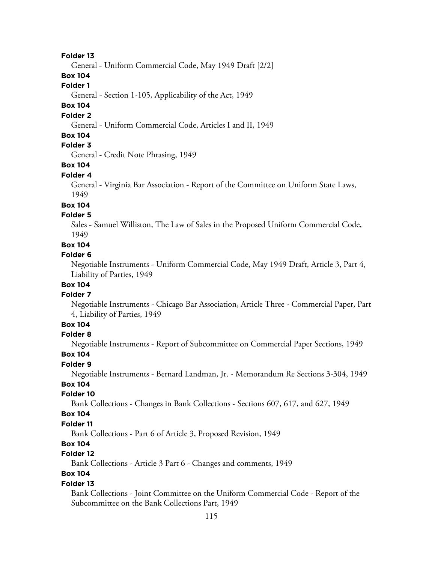General - Uniform Commercial Code, May 1949 Draft [2/2]

**Box 104**

**Folder 1**

General - Section 1-105, Applicability of the Act, 1949

# **Box 104**

### **Folder 2**

General - Uniform Commercial Code, Articles I and II, 1949

### **Box 104**

# **Folder 3**

General - Credit Note Phrasing, 1949

# **Box 104**

### **Folder 4**

General - Virginia Bar Association - Report of the Committee on Uniform State Laws, 1949

# **Box 104**

## **Folder 5**

Sales - Samuel Williston, The Law of Sales in the Proposed Uniform Commercial Code, 1949

### **Box 104**

#### **Folder 6**

Negotiable Instruments - Uniform Commercial Code, May 1949 Draft, Article 3, Part 4, Liability of Parties, 1949

# **Box 104**

#### **Folder 7**

Negotiable Instruments - Chicago Bar Association, Article Three - Commercial Paper, Part 4, Liability of Parties, 1949

# **Box 104**

# **Folder 8**

Negotiable Instruments - Report of Subcommittee on Commercial Paper Sections, 1949

## **Box 104**

### **Folder 9**

Negotiable Instruments - Bernard Landman, Jr. - Memorandum Re Sections 3-304, 1949 **Box 104**

# **Folder 10**

Bank Collections - Changes in Bank Collections - Sections 607, 617, and 627, 1949

#### **Box 104**

#### **Folder 11**

Bank Collections - Part 6 of Article 3, Proposed Revision, 1949

# **Box 104**

# **Folder 12**

Bank Collections - Article 3 Part 6 - Changes and comments, 1949

# **Box 104**

# **Folder 13**

Bank Collections - Joint Committee on the Uniform Commercial Code - Report of the Subcommittee on the Bank Collections Part, 1949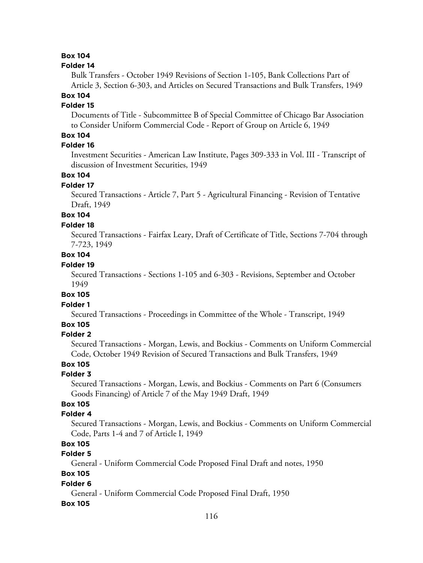# **Box 104**

#### **Folder 14**

Bulk Transfers - October 1949 Revisions of Section 1-105, Bank Collections Part of Article 3, Section 6-303, and Articles on Secured Transactions and Bulk Transfers, 1949

# **Box 104**

# **Folder 15**

Documents of Title - Subcommittee B of Special Committee of Chicago Bar Association to Consider Uniform Commercial Code - Report of Group on Article 6, 1949

# **Box 104**

# **Folder 16**

Investment Securities - American Law Institute, Pages 309-333 in Vol. III - Transcript of discussion of Investment Securities, 1949

# **Box 104**

### **Folder 17**

Secured Transactions - Article 7, Part 5 - Agricultural Financing - Revision of Tentative Draft, 1949

# **Box 104**

#### **Folder 18**

Secured Transactions - Fairfax Leary, Draft of Certificate of Title, Sections 7-704 through 7-723, 1949

# **Box 104**

# **Folder 19**

Secured Transactions - Sections 1-105 and 6-303 - Revisions, September and October 1949

#### **Box 105**

### **Folder 1**

Secured Transactions - Proceedings in Committee of the Whole - Transcript, 1949

### **Box 105**

#### **Folder 2**

Secured Transactions - Morgan, Lewis, and Bockius - Comments on Uniform Commercial Code, October 1949 Revision of Secured Transactions and Bulk Transfers, 1949

# **Box 105**

#### **Folder 3**

Secured Transactions - Morgan, Lewis, and Bockius - Comments on Part 6 (Consumers Goods Financing) of Article 7 of the May 1949 Draft, 1949

# **Box 105**

### **Folder 4**

Secured Transactions - Morgan, Lewis, and Bockius - Comments on Uniform Commercial Code, Parts 1-4 and 7 of Article I, 1949

# **Box 105**

### **Folder 5**

General - Uniform Commercial Code Proposed Final Draft and notes, 1950

# **Box 105**

### **Folder 6**

General - Uniform Commercial Code Proposed Final Draft, 1950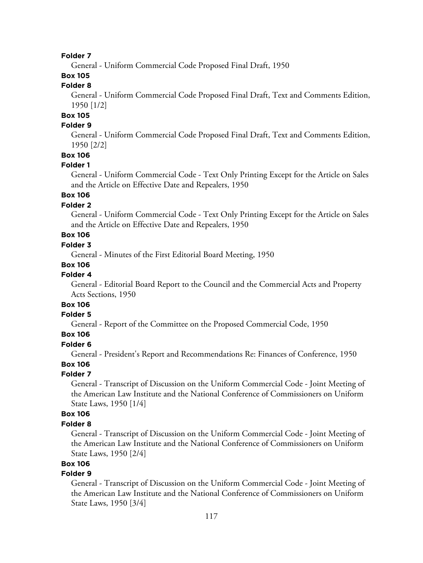General - Uniform Commercial Code Proposed Final Draft, 1950

# **Box 105**

# **Folder 8**

General - Uniform Commercial Code Proposed Final Draft, Text and Comments Edition, 1950 [1/2]

# **Box 105**

# **Folder 9**

General - Uniform Commercial Code Proposed Final Draft, Text and Comments Edition, 1950 [2/2]

# **Box 106**

#### **Folder 1**

General - Uniform Commercial Code - Text Only Printing Except for the Article on Sales and the Article on Effective Date and Repealers, 1950

# **Box 106**

# **Folder 2**

General - Uniform Commercial Code - Text Only Printing Except for the Article on Sales and the Article on Effective Date and Repealers, 1950

# **Box 106**

### **Folder 3**

General - Minutes of the First Editorial Board Meeting, 1950

### **Box 106**

### **Folder 4**

General - Editorial Board Report to the Council and the Commercial Acts and Property Acts Sections, 1950

# **Box 106**

# **Folder 5**

General - Report of the Committee on the Proposed Commercial Code, 1950

### **Box 106**

#### **Folder 6**

General - President's Report and Recommendations Re: Finances of Conference, 1950

# **Box 106**

#### **Folder 7**

General - Transcript of Discussion on the Uniform Commercial Code - Joint Meeting of the American Law Institute and the National Conference of Commissioners on Uniform State Laws, 1950 [1/4]

### **Box 106**

#### **Folder 8**

General - Transcript of Discussion on the Uniform Commercial Code - Joint Meeting of the American Law Institute and the National Conference of Commissioners on Uniform State Laws, 1950 [2/4]

# **Box 106**

### **Folder 9**

General - Transcript of Discussion on the Uniform Commercial Code - Joint Meeting of the American Law Institute and the National Conference of Commissioners on Uniform State Laws, 1950 [3/4]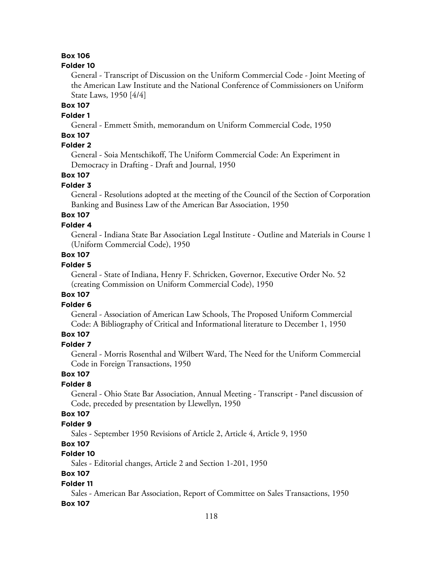# **Box 106**

#### **Folder 10**

General - Transcript of Discussion on the Uniform Commercial Code - Joint Meeting of the American Law Institute and the National Conference of Commissioners on Uniform State Laws, 1950 [4/4]

# **Box 107**

# **Folder 1**

General - Emmett Smith, memorandum on Uniform Commercial Code, 1950

# **Box 107**

# **Folder 2**

General - Soia Mentschikoff, The Uniform Commercial Code: An Experiment in Democracy in Drafting - Draft and Journal, 1950

# **Box 107**

### **Folder 3**

General - Resolutions adopted at the meeting of the Council of the Section of Corporation Banking and Business Law of the American Bar Association, 1950

# **Box 107**

# **Folder 4**

General - Indiana State Bar Association Legal Institute - Outline and Materials in Course 1 (Uniform Commercial Code), 1950

# **Box 107**

# **Folder 5**

General - State of Indiana, Henry F. Schricken, Governor, Executive Order No. 52 (creating Commission on Uniform Commercial Code), 1950

### **Box 107**

### **Folder 6**

General - Association of American Law Schools, The Proposed Uniform Commercial Code: A Bibliography of Critical and Informational literature to December 1, 1950

# **Box 107**

#### **Folder 7**

General - Morris Rosenthal and Wilbert Ward, The Need for the Uniform Commercial Code in Foreign Transactions, 1950

# **Box 107**

# **Folder 8**

General - Ohio State Bar Association, Annual Meeting - Transcript - Panel discussion of Code, preceded by presentation by Llewellyn, 1950

### **Box 107**

### **Folder 9**

Sales - September 1950 Revisions of Article 2, Article 4, Article 9, 1950

# **Box 107**

# **Folder 10**

Sales - Editorial changes, Article 2 and Section 1-201, 1950

# **Box 107**

#### **Folder 11**

Sales - American Bar Association, Report of Committee on Sales Transactions, 1950 **Box 107**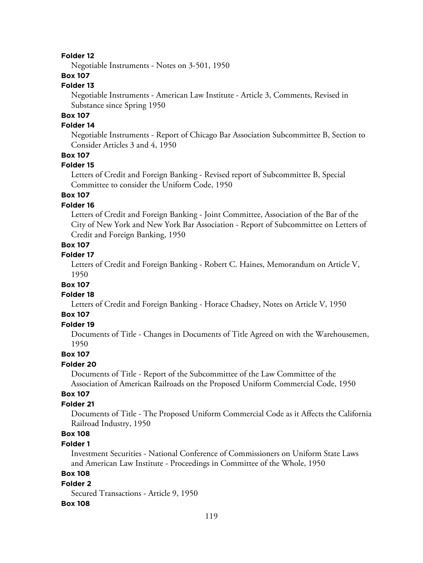Negotiable Instruments - Notes on 3-501, 1950

# **Box 107**

### **Folder 13**

Negotiable Instruments - American Law Institute - Article 3, Comments, Revised in Substance since Spring 1950

# **Box 107**

### **Folder 14**

Negotiable Instruments - Report of Chicago Bar Association Subcommittee B, Section to Consider Articles 3 and 4, 1950

### **Box 107**

#### **Folder 15**

Letters of Credit and Foreign Banking - Revised report of Subcommittee B, Special Committee to consider the Uniform Code, 1950

# **Box 107**

### **Folder 16**

Letters of Credit and Foreign Banking - Joint Committee, Association of the Bar of the City of New York and New York Bar Association - Report of Subcommittee on Letters of Credit and Foreign Banking, 1950

# **Box 107**

# **Folder 17**

Letters of Credit and Foreign Banking - Robert C. Haines, Memorandum on Article V, 1950

#### **Box 107**

#### **Folder 18**

Letters of Credit and Foreign Banking - Horace Chadsey, Notes on Article V, 1950

# **Box 107**

# **Folder 19**

Documents of Title - Changes in Documents of Title Agreed on with the Warehousemen, 1950

# **Box 107**

#### **Folder 20**

Documents of Title - Report of the Subcommittee of the Law Committee of the Association of American Railroads on the Proposed Uniform Commercial Code, 1950

### **Box 107**

### **Folder 21**

Documents of Title - The Proposed Uniform Commercial Code as it Affects the California Railroad Industry, 1950

# **Box 108**

## **Folder 1**

Investment Securities - National Conference of Commissioners on Uniform State Laws and American Law Institute - Proceedings in Committee of the Whole, 1950

# **Box 108**

### **Folder 2**

Secured Transactions - Article 9, 1950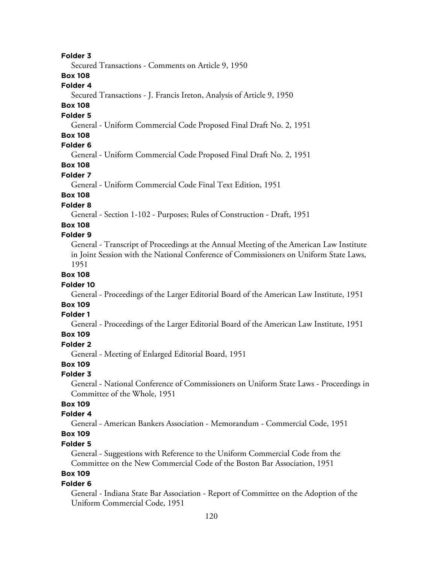Secured Transactions - Comments on Article 9, 1950

# **Box 108**

## **Folder 4**

Secured Transactions - J. Francis Ireton, Analysis of Article 9, 1950

# **Box 108**

#### **Folder 5**

General - Uniform Commercial Code Proposed Final Draft No. 2, 1951

# **Box 108**

# **Folder 6**

General - Uniform Commercial Code Proposed Final Draft No. 2, 1951

# **Box 108**

### **Folder 7**

General - Uniform Commercial Code Final Text Edition, 1951

# **Box 108**

# **Folder 8**

General - Section 1-102 - Purposes; Rules of Construction - Draft, 1951

### **Box 108**

#### **Folder 9**

General - Transcript of Proceedings at the Annual Meeting of the American Law Institute in Joint Session with the National Conference of Commissioners on Uniform State Laws, 1951

# **Box 108**

#### **Folder 10**

General - Proceedings of the Larger Editorial Board of the American Law Institute, 1951

# **Box 109**

# **Folder 1**

General - Proceedings of the Larger Editorial Board of the American Law Institute, 1951

# **Box 109**

#### **Folder 2**

General - Meeting of Enlarged Editorial Board, 1951

## **Box 109**

#### **Folder 3**

General - National Conference of Commissioners on Uniform State Laws - Proceedings in Committee of the Whole, 1951

# **Box 109**

### **Folder 4**

General - American Bankers Association - Memorandum - Commercial Code, 1951

# **Box 109**

# **Folder 5**

General - Suggestions with Reference to the Uniform Commercial Code from the Committee on the New Commercial Code of the Boston Bar Association, 1951

# **Box 109**

#### **Folder 6**

General - Indiana State Bar Association - Report of Committee on the Adoption of the Uniform Commercial Code, 1951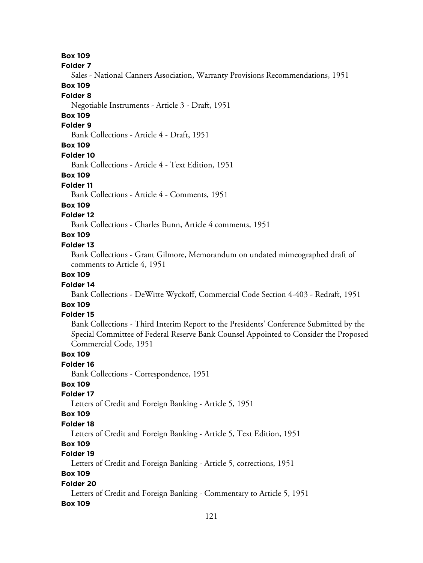**Box 109**

**Folder 7**

Sales - National Canners Association, Warranty Provisions Recommendations, 1951

### **Box 109**

#### **Folder 8**

Negotiable Instruments - Article 3 - Draft, 1951

# **Box 109**

#### **Folder 9**

Bank Collections - Article 4 - Draft, 1951

## **Box 109**

#### **Folder 10**

Bank Collections - Article 4 - Text Edition, 1951

#### **Box 109**

#### **Folder 11**

Bank Collections - Article 4 - Comments, 1951

### **Box 109**

### **Folder 12**

Bank Collections - Charles Bunn, Article 4 comments, 1951

# **Box 109**

# **Folder 13**

Bank Collections - Grant Gilmore, Memorandum on undated mimeographed draft of comments to Article 4, 1951

# **Box 109**

#### **Folder 14**

Bank Collections - DeWitte Wyckoff, Commercial Code Section 4-403 - Redraft, 1951

# **Box 109**

# **Folder 15**

Bank Collections - Third Interim Report to the Presidents' Conference Submitted by the Special Committee of Federal Reserve Bank Counsel Appointed to Consider the Proposed Commercial Code, 1951

## **Box 109**

## **Folder 16**

Bank Collections - Correspondence, 1951

# **Box 109**

### **Folder 17**

Letters of Credit and Foreign Banking - Article 5, 1951

#### **Box 109**

#### **Folder 18**

Letters of Credit and Foreign Banking - Article 5, Text Edition, 1951

# **Box 109**

# **Folder 19**

Letters of Credit and Foreign Banking - Article 5, corrections, 1951

# **Box 109**

## **Folder 20**

Letters of Credit and Foreign Banking - Commentary to Article 5, 1951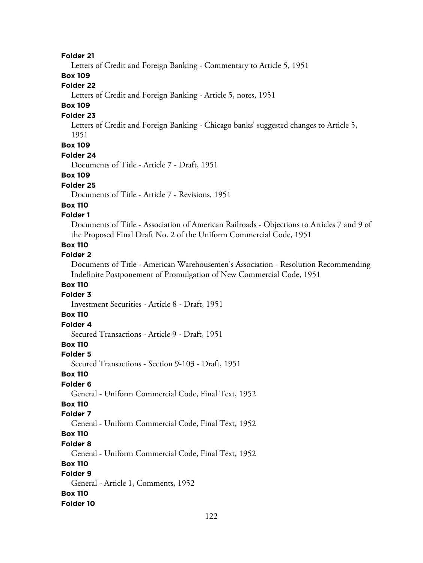Letters of Credit and Foreign Banking - Commentary to Article 5, 1951

# **Box 109**

# **Folder 22**

Letters of Credit and Foreign Banking - Article 5, notes, 1951

# **Box 109**

### **Folder 23**

Letters of Credit and Foreign Banking - Chicago banks' suggested changes to Article 5, 1951

# **Box 109**

#### **Folder 24**

Documents of Title - Article 7 - Draft, 1951

#### **Box 109**

#### **Folder 25**

Documents of Title - Article 7 - Revisions, 1951

#### **Box 110**

### **Folder 1**

Documents of Title - Association of American Railroads - Objections to Articles 7 and 9 of the Proposed Final Draft No. 2 of the Uniform Commercial Code, 1951

# **Box 110**

# **Folder 2**

Documents of Title - American Warehousemen's Association - Resolution Recommending Indefinite Postponement of Promulgation of New Commercial Code, 1951

# **Box 110**

# **Folder 3**

Investment Securities - Article 8 - Draft, 1951

# **Box 110**

# **Folder 4**

Secured Transactions - Article 9 - Draft, 1951

# **Box 110**

#### **Folder 5**

Secured Transactions - Section 9-103 - Draft, 1951

### **Box 110**

### **Folder 6**

General - Uniform Commercial Code, Final Text, 1952

# **Box 110**

### **Folder 7**

General - Uniform Commercial Code, Final Text, 1952

# **Box 110**

#### **Folder 8**

General - Uniform Commercial Code, Final Text, 1952

### **Box 110**

# **Folder 9**

General - Article 1, Comments, 1952

#### **Box 110**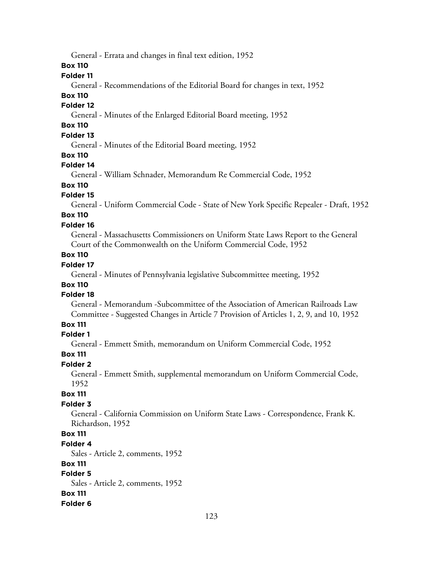General - Errata and changes in final text edition, 1952

**Box 110**

### **Folder 11**

General - Recommendations of the Editorial Board for changes in text, 1952

### **Box 110**

## **Folder 12**

General - Minutes of the Enlarged Editorial Board meeting, 1952

# **Box 110**

# **Folder 13**

General - Minutes of the Editorial Board meeting, 1952

### **Box 110**

#### **Folder 14**

General - William Schnader, Memorandum Re Commercial Code, 1952

# **Box 110**

### **Folder 15**

General - Uniform Commercial Code - State of New York Specific Repealer - Draft, 1952

# **Box 110**

### **Folder 16**

General - Massachusetts Commissioners on Uniform State Laws Report to the General Court of the Commonwealth on the Uniform Commercial Code, 1952

# **Box 110**

# **Folder 17**

General - Minutes of Pennsylvania legislative Subcommittee meeting, 1952

# **Box 110**

## **Folder 18**

General - Memorandum -Subcommittee of the Association of American Railroads Law Committee - Suggested Changes in Article 7 Provision of Articles 1, 2, 9, and 10, 1952

# **Box 111**

# **Folder 1**

General - Emmett Smith, memorandum on Uniform Commercial Code, 1952

#### **Box 111**

#### **Folder 2**

General - Emmett Smith, supplemental memorandum on Uniform Commercial Code, 1952

#### **Box 111**

#### **Folder 3**

General - California Commission on Uniform State Laws - Correspondence, Frank K. Richardson, 1952

# **Box 111**

#### **Folder 4**

Sales - Article 2, comments, 1952

#### **Box 111**

# **Folder 5**

Sales - Article 2, comments, 1952

#### **Box 111**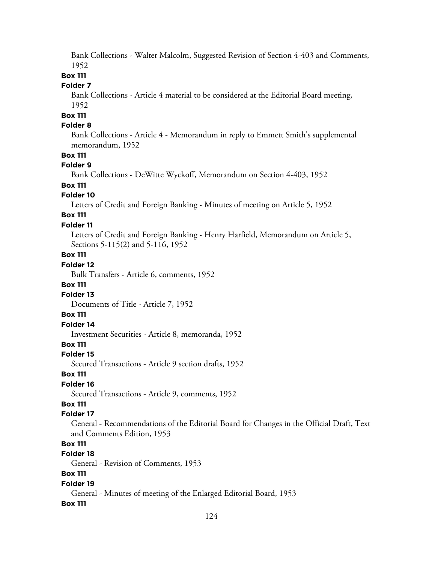Bank Collections - Walter Malcolm, Suggested Revision of Section 4-403 and Comments, 1952

# **Box 111**

### **Folder 7**

Bank Collections - Article 4 material to be considered at the Editorial Board meeting, 1952

# **Box 111**

# **Folder 8**

Bank Collections - Article 4 - Memorandum in reply to Emmett Smith's supplemental memorandum, 1952

### **Box 111**

#### **Folder 9**

Bank Collections - DeWitte Wyckoff, Memorandum on Section 4-403, 1952

### **Box 111**

#### **Folder 10**

Letters of Credit and Foreign Banking - Minutes of meeting on Article 5, 1952

# **Box 111**

### **Folder 11**

Letters of Credit and Foreign Banking - Henry Harfield, Memorandum on Article 5, Sections 5-115(2) and 5-116, 1952

# **Box 111**

# **Folder 12**

Bulk Transfers - Article 6, comments, 1952

#### **Box 111**

## **Folder 13**

Documents of Title - Article 7, 1952

# **Box 111**

# **Folder 14**

Investment Securities - Article 8, memoranda, 1952

# **Box 111**

#### **Folder 15**

Secured Transactions - Article 9 section drafts, 1952

#### **Box 111**

### **Folder 16**

Secured Transactions - Article 9, comments, 1952

# **Box 111**

### **Folder 17**

General - Recommendations of the Editorial Board for Changes in the Official Draft, Text and Comments Edition, 1953

# **Box 111**

# **Folder 18**

General - Revision of Comments, 1953

### **Box 111**

#### **Folder 19**

General - Minutes of meeting of the Enlarged Editorial Board, 1953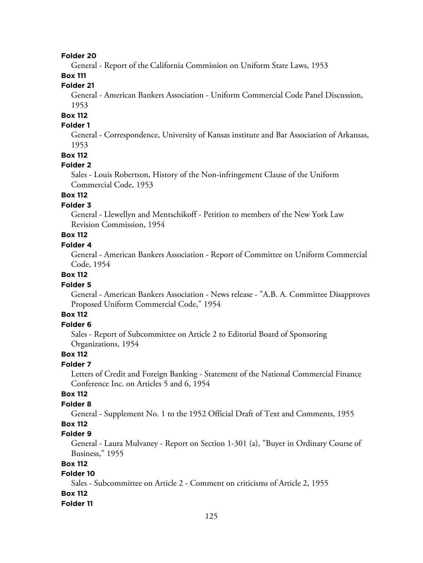General - Report of the California Commission on Uniform State Laws, 1953

# **Box 111**

# **Folder 21**

General - American Bankers Association - Uniform Commercial Code Panel Discussion, 1953

# **Box 112**

# **Folder 1**

General - Correspondence, University of Kansas institute and Bar Association of Arkansas, 1953

### **Box 112**

#### **Folder 2**

Sales - Louis Robertson, History of the Non-infringement Clause of the Uniform Commercial Code, 1953

# **Box 112**

# **Folder 3**

General - Llewellyn and Mentschikoff - Petition to members of the New York Law Revision Commission, 1954

# **Box 112**

# **Folder 4**

General - American Bankers Association - Report of Committee on Uniform Commercial Code, 1954

### **Box 112**

#### **Folder 5**

General - American Bankers Association - News release - "A.B. A. Committee Disapproves Proposed Uniform Commercial Code," 1954

# **Box 112**

# **Folder 6**

Sales - Report of Subcommittee on Article 2 to Editorial Board of Sponsoring Organizations, 1954

## **Box 112**

## **Folder 7**

Letters of Credit and Foreign Banking - Statement of the National Commercial Finance Conference Inc. on Articles 5 and 6, 1954

### **Box 112**

#### **Folder 8**

General - Supplement No. 1 to the 1952 Official Draft of Text and Comments, 1955

# **Box 112**

# **Folder 9**

General - Laura Mulvaney - Report on Section 1-301 (a), "Buyer in Ordinary Course of Business," 1955

### **Box 112**

# **Folder 10**

Sales - Subcommittee on Article 2 - Comment on criticisms of Article 2, 1955 **Box 112**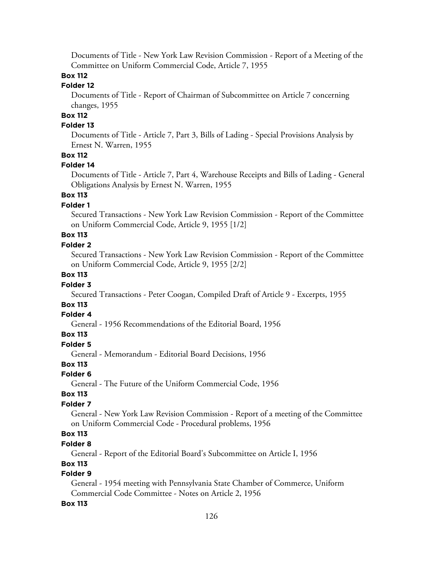Documents of Title - New York Law Revision Commission - Report of a Meeting of the Committee on Uniform Commercial Code, Article 7, 1955

# **Box 112**

### **Folder 12**

Documents of Title - Report of Chairman of Subcommittee on Article 7 concerning changes, 1955

# **Box 112**

# **Folder 13**

Documents of Title - Article 7, Part 3, Bills of Lading - Special Provisions Analysis by Ernest N. Warren, 1955

### **Box 112**

#### **Folder 14**

Documents of Title - Article 7, Part 4, Warehouse Receipts and Bills of Lading - General Obligations Analysis by Ernest N. Warren, 1955

# **Box 113**

# **Folder 1**

Secured Transactions - New York Law Revision Commission - Report of the Committee on Uniform Commercial Code, Article 9, 1955 [1/2]

# **Box 113**

### **Folder 2**

Secured Transactions - New York Law Revision Commission - Report of the Committee on Uniform Commercial Code, Article 9, 1955 [2/2]

# **Box 113**

#### **Folder 3**

Secured Transactions - Peter Coogan, Compiled Draft of Article 9 - Excerpts, 1955

# **Box 113**

### **Folder 4**

General - 1956 Recommendations of the Editorial Board, 1956

### **Box 113**

### **Folder 5**

General - Memorandum - Editorial Board Decisions, 1956

# **Box 113**

# **Folder 6**

General - The Future of the Uniform Commercial Code, 1956

### **Box 113**

### **Folder 7**

General - New York Law Revision Commission - Report of a meeting of the Committee on Uniform Commercial Code - Procedural problems, 1956

# **Box 113**

# **Folder 8**

General - Report of the Editorial Board's Subcommittee on Article I, 1956

### **Box 113**

# **Folder 9**

General - 1954 meeting with Pennsylvania State Chamber of Commerce, Uniform Commercial Code Committee - Notes on Article 2, 1956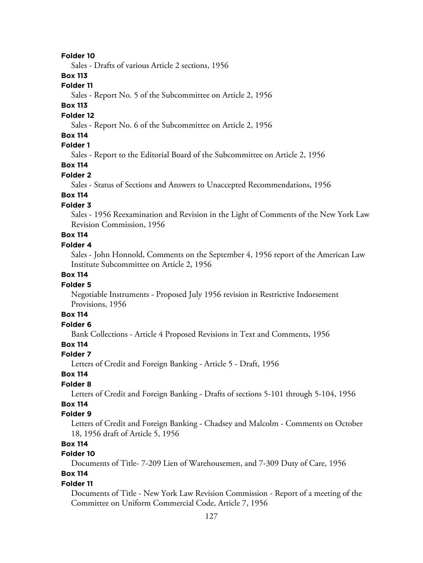Sales - Drafts of various Article 2 sections, 1956

### **Box 113**

### **Folder 11**

Sales - Report No. 5 of the Subcommittee on Article 2, 1956

### **Box 113**

#### **Folder 12**

Sales - Report No. 6 of the Subcommittee on Article 2, 1956

### **Box 114**

# **Folder 1**

Sales - Report to the Editorial Board of the Subcommittee on Article 2, 1956

# **Box 114**

#### **Folder 2**

Sales - Status of Sections and Answers to Unaccepted Recommendations, 1956

# **Box 114**

# **Folder 3**

Sales - 1956 Reexamination and Revision in the Light of Comments of the New York Law Revision Commission, 1956

# **Box 114**

## **Folder 4**

Sales - John Honnold, Comments on the September 4, 1956 report of the American Law Institute Subcommittee on Article 2, 1956

### **Box 114**

#### **Folder 5**

Negotiable Instruments - Proposed July 1956 revision in Restrictive Indorsement Provisions, 1956

# **Box 114**

# **Folder 6**

Bank Collections - Article 4 Proposed Revisions in Text and Comments, 1956

### **Box 114**

#### **Folder 7**

Letters of Credit and Foreign Banking - Article 5 - Draft, 1956

# **Box 114**

### **Folder 8**

Letters of Credit and Foreign Banking - Drafts of sections 5-101 through 5-104, 1956

# **Box 114**

# **Folder 9**

Letters of Credit and Foreign Banking - Chadsey and Malcolm - Comments on October 18, 1956 draft of Article 5, 1956

# **Box 114**

# **Folder 10**

Documents of Title- 7-209 Lien of Warehousemen, and 7-309 Duty of Care, 1956

# **Box 114**

### **Folder 11**

Documents of Title - New York Law Revision Commission - Report of a meeting of the Committee on Uniform Commercial Code, Article 7, 1956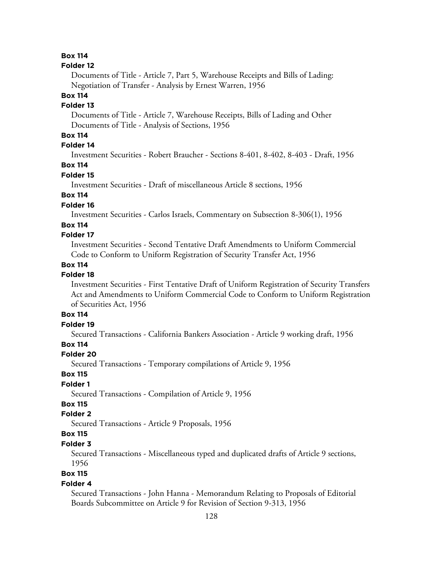### **Box 114**

#### **Folder 12**

Documents of Title - Article 7, Part 5, Warehouse Receipts and Bills of Lading: Negotiation of Transfer - Analysis by Ernest Warren, 1956

# **Box 114**

## **Folder 13**

Documents of Title - Article 7, Warehouse Receipts, Bills of Lading and Other Documents of Title - Analysis of Sections, 1956

# **Box 114**

# **Folder 14**

Investment Securities - Robert Braucher - Sections 8-401, 8-402, 8-403 - Draft, 1956

# **Box 114**

#### **Folder 15**

Investment Securities - Draft of miscellaneous Article 8 sections, 1956

# **Box 114**

### **Folder 16**

Investment Securities - Carlos Israels, Commentary on Subsection 8-306(1), 1956

### **Box 114**

### **Folder 17**

Investment Securities - Second Tentative Draft Amendments to Uniform Commercial Code to Conform to Uniform Registration of Security Transfer Act, 1956

### **Box 114**

# **Folder 18**

Investment Securities - First Tentative Draft of Uniform Registration of Security Transfers Act and Amendments to Uniform Commercial Code to Conform to Uniform Registration of Securities Act, 1956

# **Box 114**

# **Folder 19**

Secured Transactions - California Bankers Association - Article 9 working draft, 1956

# **Box 114**

#### **Folder 20**

Secured Transactions - Temporary compilations of Article 9, 1956

# **Box 115**

# **Folder 1**

Secured Transactions - Compilation of Article 9, 1956

### **Box 115**

# **Folder 2**

Secured Transactions - Article 9 Proposals, 1956

# **Box 115**

## **Folder 3**

Secured Transactions - Miscellaneous typed and duplicated drafts of Article 9 sections, 1956

# **Box 115**

#### **Folder 4**

Secured Transactions - John Hanna - Memorandum Relating to Proposals of Editorial Boards Subcommittee on Article 9 for Revision of Section 9-313, 1956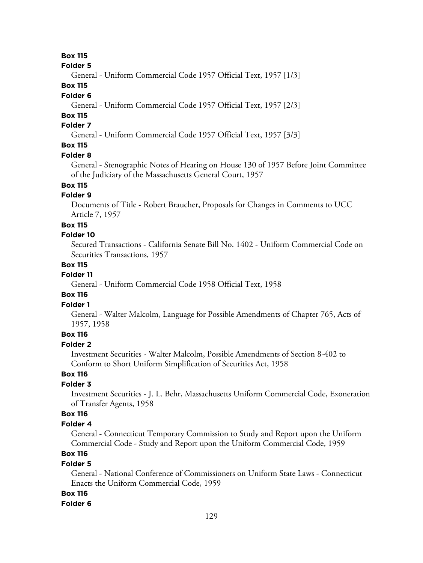# **Box 115**

**Folder 5**

General - Uniform Commercial Code 1957 Official Text, 1957 [1/3]

# **Box 115**

### **Folder 6**

General - Uniform Commercial Code 1957 Official Text, 1957 [2/3]

# **Box 115**

# **Folder 7**

General - Uniform Commercial Code 1957 Official Text, 1957 [3/3]

# **Box 115**

### **Folder 8**

General - Stenographic Notes of Hearing on House 130 of 1957 Before Joint Committee of the Judiciary of the Massachusetts General Court, 1957

# **Box 115**

# **Folder 9**

Documents of Title - Robert Braucher, Proposals for Changes in Comments to UCC Article 7, 1957

#### **Box 115**

### **Folder 10**

Secured Transactions - California Senate Bill No. 1402 - Uniform Commercial Code on Securities Transactions, 1957

# **Box 115**

### **Folder 11**

General - Uniform Commercial Code 1958 Official Text, 1958

### **Box 116**

# **Folder 1**

General - Walter Malcolm, Language for Possible Amendments of Chapter 765, Acts of 1957, 1958

### **Box 116**

### **Folder 2**

Investment Securities - Walter Malcolm, Possible Amendments of Section 8-402 to Conform to Short Uniform Simplification of Securities Act, 1958

# **Box 116**

# **Folder 3**

Investment Securities - J. L. Behr, Massachusetts Uniform Commercial Code, Exoneration of Transfer Agents, 1958

# **Box 116**

#### **Folder 4**

General - Connecticut Temporary Commission to Study and Report upon the Uniform Commercial Code - Study and Report upon the Uniform Commercial Code, 1959

# **Box 116**

### **Folder 5**

General - National Conference of Commissioners on Uniform State Laws - Connecticut Enacts the Uniform Commercial Code, 1959

### **Box 116**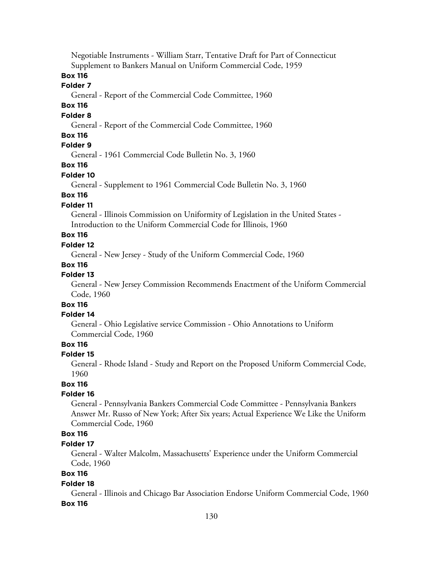Negotiable Instruments - William Starr, Tentative Draft for Part of Connecticut Supplement to Bankers Manual on Uniform Commercial Code, 1959

# **Box 116**

### **Folder 7**

General - Report of the Commercial Code Committee, 1960

### **Box 116**

### **Folder 8**

General - Report of the Commercial Code Committee, 1960

### **Box 116**

## **Folder 9**

General - 1961 Commercial Code Bulletin No. 3, 1960

#### **Box 116**

#### **Folder 10**

General - Supplement to 1961 Commercial Code Bulletin No. 3, 1960

# **Box 116**

# **Folder 11**

General - Illinois Commission on Uniformity of Legislation in the United States - Introduction to the Uniform Commercial Code for Illinois, 1960

# **Box 116**

# **Folder 12**

General - New Jersey - Study of the Uniform Commercial Code, 1960

### **Box 116**

#### **Folder 13**

General - New Jersey Commission Recommends Enactment of the Uniform Commercial Code, 1960

# **Box 116**

### **Folder 14**

General - Ohio Legislative service Commission - Ohio Annotations to Uniform Commercial Code, 1960

### **Box 116**

#### **Folder 15**

General - Rhode Island - Study and Report on the Proposed Uniform Commercial Code, 1960

# **Box 116**

#### **Folder 16**

General - Pennsylvania Bankers Commercial Code Committee - Pennsylvania Bankers Answer Mr. Russo of New York; After Six years; Actual Experience We Like the Uniform Commercial Code, 1960

# **Box 116**

### **Folder 17**

General - Walter Malcolm, Massachusetts' Experience under the Uniform Commercial Code, 1960

# **Box 116**

#### **Folder 18**

General - Illinois and Chicago Bar Association Endorse Uniform Commercial Code, 1960 **Box 116**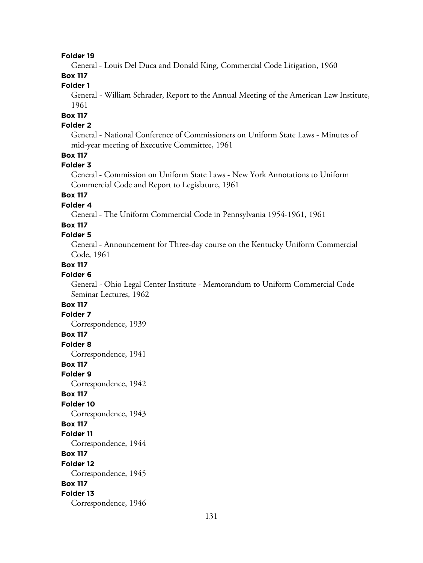General - Louis Del Duca and Donald King, Commercial Code Litigation, 1960

# **Box 117**

# **Folder 1**

General - William Schrader, Report to the Annual Meeting of the American Law Institute, 1961

# **Box 117**

# **Folder 2**

General - National Conference of Commissioners on Uniform State Laws - Minutes of mid-year meeting of Executive Committee, 1961

# **Box 117**

### **Folder 3**

General - Commission on Uniform State Laws - New York Annotations to Uniform Commercial Code and Report to Legislature, 1961

# **Box 117**

# **Folder 4**

General - The Uniform Commercial Code in Pennsylvania 1954-1961, 1961

# **Box 117**

### **Folder 5**

General - Announcement for Three-day course on the Kentucky Uniform Commercial Code, 1961

# **Box 117**

# **Folder 6**

General - Ohio Legal Center Institute - Memorandum to Uniform Commercial Code Seminar Lectures, 1962

# **Box 117**

### **Folder 7**

Correspondence, 1939

### **Box 117**

**Folder 8**

Correspondence, 1941

## **Box 117**

**Folder 9**

Correspondence, 1942

#### **Box 117**

**Folder 10**

Correspondence, 1943

#### **Box 117**

#### **Folder 11**

Correspondence, 1944

#### **Box 117**

**Folder 12**

Correspondence, 1945

#### **Box 117**

**Folder 13**

Correspondence, 1946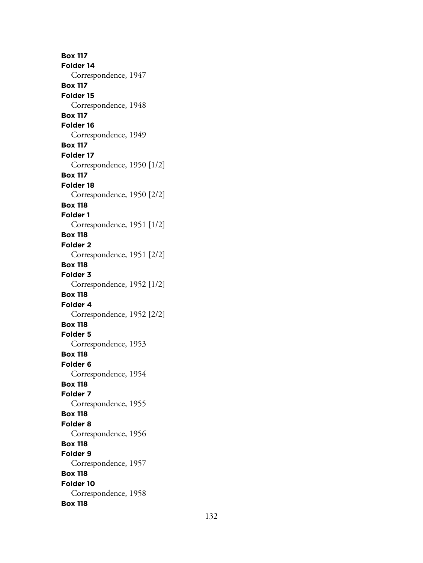**Box 117 Folder 14** Correspondence, 1947 **Box 117 Folder 15** Correspondence, 1948 **Box 117 Folder 16** Correspondence, 1949 **Box 117 Folder 17** Correspondence, 1950 [1/2] **Box 117 Folder 18** Correspondence, 1950 [2/2] **Box 118 Folder 1** Correspondence, 1951 [1/2] **Box 118 Folder 2** Correspondence, 1951 [2/2] **Box 118 Folder 3** Correspondence, 1952 [1/2] **Box 118 Folder 4** Correspondence, 1952 [2/2] **Box 118 Folder 5** Correspondence, 1953 **Box 118 Folder 6** Correspondence, 1954 **Box 118 Folder 7** Correspondence, 1955 **Box 118 Folder 8** Correspondence, 1956 **Box 118 Folder 9** Correspondence, 1957 **Box 118 Folder 10** Correspondence, 1958 **Box 118**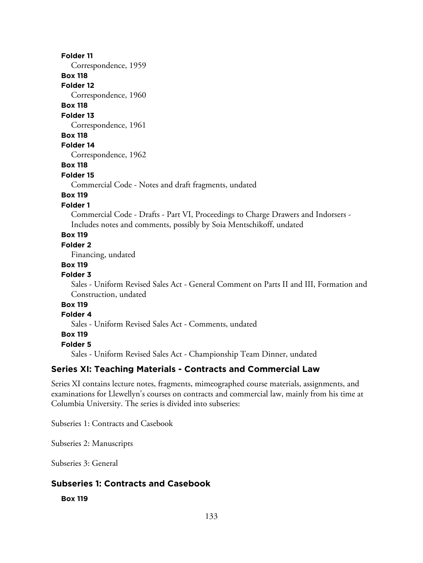Correspondence, 1959

# **Box 118**

**Folder 12**

Correspondence, 1960

# **Box 118**

**Folder 13**

Correspondence, 1961

### **Box 118**

**Folder 14**

Correspondence, 1962

## **Box 118**

#### **Folder 15**

Commercial Code - Notes and draft fragments, undated

# **Box 119**

# **Folder 1**

Commercial Code - Drafts - Part VI, Proceedings to Charge Drawers and Indorsers - Includes notes and comments, possibly by Soia Mentschikoff, undated

# **Box 119**

### **Folder 2**

Financing, undated

#### **Box 119**

#### **Folder 3**

Sales - Uniform Revised Sales Act - General Comment on Parts II and III, Formation and Construction, undated

# **Box 119**

# **Folder 4**

Sales - Uniform Revised Sales Act - Comments, undated

#### **Box 119**

**Folder 5**

Sales - Uniform Revised Sales Act - Championship Team Dinner, undated

# **Series XI: Teaching Materials - Contracts and Commercial Law**

Series XI contains lecture notes, fragments, mimeographed course materials, assignments, and examinations for Llewellyn's courses on contracts and commercial law, mainly from his time at Columbia University. The series is divided into subseries:

Subseries 1: Contracts and Casebook

Subseries 2: Manuscripts

Subseries 3: General

## **Subseries 1: Contracts and Casebook**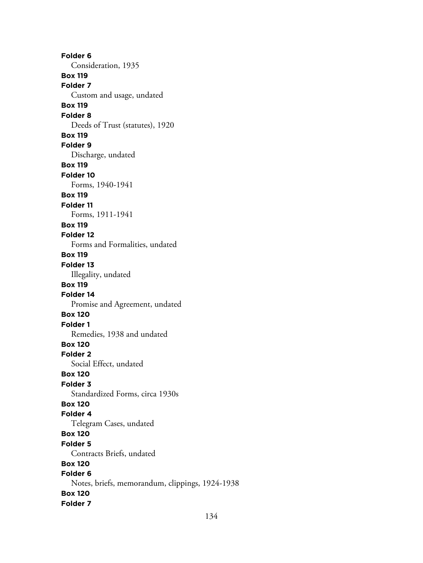**Folder 6** Consideration, 1935 **Box 119 Folder 7** Custom and usage, undated **Box 119 Folder 8** Deeds of Trust (statutes), 1920 **Box 119 Folder 9** Discharge, undated **Box 119 Folder 10** Forms, 1940-1941 **Box 119 Folder 11** Forms, 1911-1941 **Box 119 Folder 12** Forms and Formalities, undated **Box 119 Folder 13** Illegality, undated **Box 119 Folder 14** Promise and Agreement, undated **Box 120 Folder 1** Remedies, 1938 and undated **Box 120 Folder 2** Social Effect, undated **Box 120 Folder 3** Standardized Forms, circa 1930s **Box 120 Folder 4** Telegram Cases, undated **Box 120 Folder 5** Contracts Briefs, undated **Box 120 Folder 6** Notes, briefs, memorandum, clippings, 1924-1938 **Box 120 Folder 7**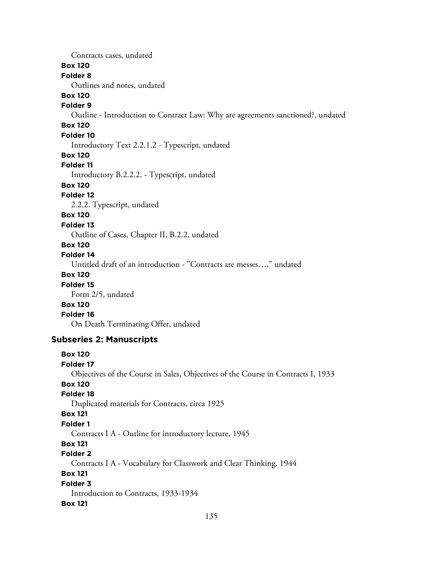Contracts cases, undated **Box 120 Folder 8** Outlines and notes, undated **Box 120 Folder 9** Outline - Introduction to Contract Law: Why are agreements sanctioned?, undated **Box 120 Folder 10** Introductory Text 2.2.1.2 - Typescript, undated **Box 120 Folder 11** Introductory B.2.2.2. - Typescript, undated **Box 120 Folder 12** 2.2.2. Typescript, undated **Box 120 Folder 13** Outline of Cases, Chapter II, B.2.2, undated **Box 120 Folder 14** Untitled draft of an introduction - "Contracts are messes…," undated **Box 120 Folder 15** Form 2/5, undated **Box 120 Folder 16** On Death Terminating Offer, undated **Subseries 2: Manuscripts Box 120 Folder 17** Objectives of the Course in Sales, Objectives of the Course in Contracts I, 1933 **Box 120 Folder 18** Duplicated materials for Contracts, circa 1925 **Box 121 Folder 1**

Contracts I A - Outline for introductory lecture, 1945

### **Box 121**

**Folder 2**

Contracts I A - Vocabulary for Classwork and Clear Thinking, 1944

### **Box 121**

**Folder 3** Introduction to Contracts, 1933-1934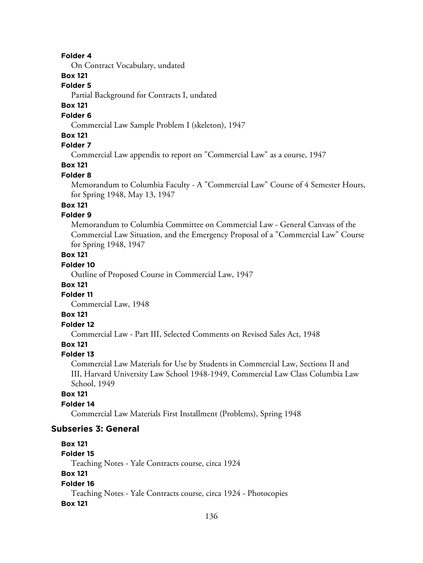On Contract Vocabulary, undated

# **Box 121**

### **Folder 5**

Partial Background for Contracts I, undated

# **Box 121**

# **Folder 6**

Commercial Law Sample Problem I (skeleton), 1947

# **Box 121**

# **Folder 7**

Commercial Law appendix to report on "Commercial Law" as a course, 1947

# **Box 121**

#### **Folder 8**

Memorandum to Columbia Faculty - A "Commercial Law" Course of 4 Semester Hours, for Spring 1948, May 13, 1947

# **Box 121**

# **Folder 9**

Memorandum to Columbia Committee on Commercial Law - General Canvass of the Commercial Law Situation, and the Emergency Proposal of a "Commercial Law" Course for Spring 1948, 1947

# **Box 121**

# **Folder 10**

Outline of Proposed Course in Commercial Law, 1947

### **Box 121**

## **Folder 11**

Commercial Law, 1948

# **Box 121**

# **Folder 12**

Commercial Law - Part III, Selected Comments on Revised Sales Act, 1948

# **Box 121**

#### **Folder 13**

Commercial Law Materials for Use by Students in Commercial Law, Sections II and III, Harvard University Law School 1948-1949, Commercial Law Class Columbia Law School, 1949

### **Box 121**

#### **Folder 14**

Commercial Law Materials First Installment (Problems), Spring 1948

#### **Subseries 3: General**

# **Box 121 Folder 15** Teaching Notes - Yale Contracts course, circa 1924 **Box 121 Folder 16** Teaching Notes - Yale Contracts course, circa 1924 - Photocopies **Box 121**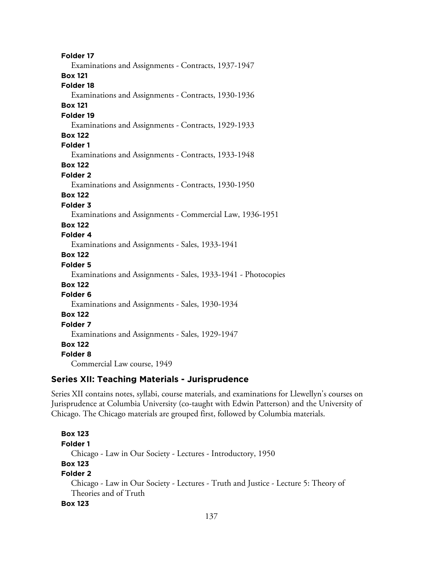**Folder 17** Examinations and Assignments - Contracts, 1937-1947 **Box 121 Folder 18** Examinations and Assignments - Contracts, 1930-1936 **Box 121 Folder 19** Examinations and Assignments - Contracts, 1929-1933 **Box 122 Folder 1** Examinations and Assignments - Contracts, 1933-1948 **Box 122 Folder 2** Examinations and Assignments - Contracts, 1930-1950 **Box 122 Folder 3** Examinations and Assignments - Commercial Law, 1936-1951 **Box 122 Folder 4** Examinations and Assignments - Sales, 1933-1941 **Box 122 Folder 5** Examinations and Assignments - Sales, 1933-1941 - Photocopies **Box 122 Folder 6** Examinations and Assignments - Sales, 1930-1934 **Box 122 Folder 7** Examinations and Assignments - Sales, 1929-1947 **Box 122 Folder 8** Commercial Law course, 1949

# **Series XII: Teaching Materials - Jurisprudence**

Series XII contains notes, syllabi, course materials, and examinations for Llewellyn's courses on Jurisprudence at Columbia University (co-taught with Edwin Patterson) and the University of Chicago. The Chicago materials are grouped first, followed by Columbia materials.

**Box 123 Folder 1** Chicago - Law in Our Society - Lectures - Introductory, 1950 **Box 123 Folder 2** Chicago - Law in Our Society - Lectures - Truth and Justice - Lecture 5: Theory of Theories and of Truth **Box 123**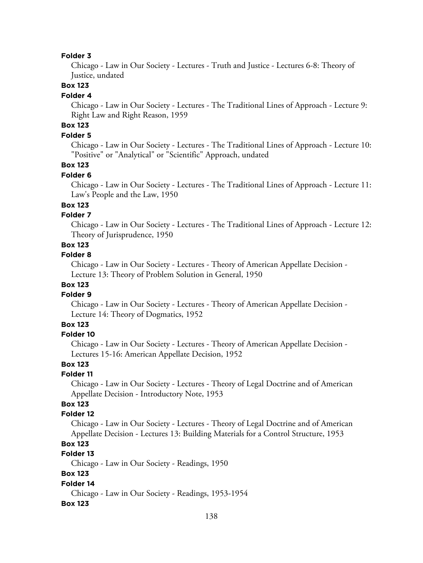Chicago - Law in Our Society - Lectures - Truth and Justice - Lectures 6-8: Theory of Justice, undated

## **Box 123**

#### **Folder 4**

Chicago - Law in Our Society - Lectures - The Traditional Lines of Approach - Lecture 9: Right Law and Right Reason, 1959

# **Box 123**

## **Folder 5**

Chicago - Law in Our Society - Lectures - The Traditional Lines of Approach - Lecture 10: "Positive" or "Analytical" or "Scientific" Approach, undated

# **Box 123**

#### **Folder 6**

Chicago - Law in Our Society - Lectures - The Traditional Lines of Approach - Lecture 11: Law's People and the Law, 1950

## **Box 123**

## **Folder 7**

Chicago - Law in Our Society - Lectures - The Traditional Lines of Approach - Lecture 12: Theory of Jurisprudence, 1950

## **Box 123**

#### **Folder 8**

Chicago - Law in Our Society - Lectures - Theory of American Appellate Decision - Lecture 13: Theory of Problem Solution in General, 1950

#### **Box 123 Folder 9**

Chicago - Law in Our Society - Lectures - Theory of American Appellate Decision - Lecture 14: Theory of Dogmatics, 1952

### **Box 123**

#### **Folder 10**

Chicago - Law in Our Society - Lectures - Theory of American Appellate Decision - Lectures 15-16: American Appellate Decision, 1952

# **Box 123**

#### **Folder 11**

Chicago - Law in Our Society - Lectures - Theory of Legal Doctrine and of American Appellate Decision - Introductory Note, 1953

# **Box 123**

### **Folder 12**

Chicago - Law in Our Society - Lectures - Theory of Legal Doctrine and of American Appellate Decision - Lectures 13: Building Materials for a Control Structure, 1953

## **Box 123**

# **Folder 13**

Chicago - Law in Our Society - Readings, 1950

# **Box 123**

### **Folder 14**

Chicago - Law in Our Society - Readings, 1953-1954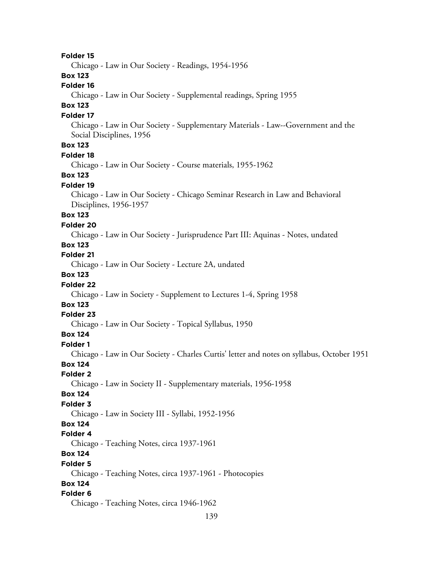**Folder 15** Chicago - Law in Our Society - Readings, 1954-1956 **Box 123 Folder 16** Chicago - Law in Our Society - Supplemental readings, Spring 1955 **Box 123 Folder 17** Chicago - Law in Our Society - Supplementary Materials - Law--Government and the Social Disciplines, 1956 **Box 123 Folder 18** Chicago - Law in Our Society - Course materials, 1955-1962 **Box 123 Folder 19** Chicago - Law in Our Society - Chicago Seminar Research in Law and Behavioral Disciplines, 1956-1957 **Box 123 Folder 20** Chicago - Law in Our Society - Jurisprudence Part III: Aquinas - Notes, undated **Box 123 Folder 21** Chicago - Law in Our Society - Lecture 2A, undated **Box 123 Folder 22** Chicago - Law in Society - Supplement to Lectures 1-4, Spring 1958 **Box 123 Folder 23** Chicago - Law in Our Society - Topical Syllabus, 1950 **Box 124 Folder 1** Chicago - Law in Our Society - Charles Curtis' letter and notes on syllabus, October 1951 **Box 124 Folder 2** Chicago - Law in Society II - Supplementary materials, 1956-1958 **Box 124 Folder 3** Chicago - Law in Society III - Syllabi, 1952-1956 **Box 124 Folder 4** Chicago - Teaching Notes, circa 1937-1961 **Box 124 Folder 5** Chicago - Teaching Notes, circa 1937-1961 - Photocopies **Box 124 Folder 6** Chicago - Teaching Notes, circa 1946-1962

139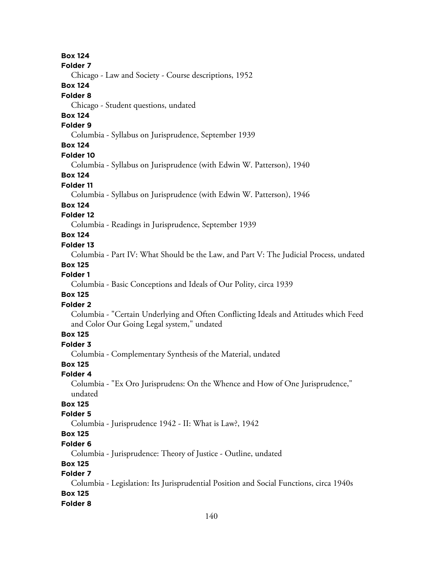# **Box 124**

#### **Folder 7**

Chicago - Law and Society - Course descriptions, 1952

### **Box 124**

### **Folder 8**

Chicago - Student questions, undated

# **Box 124**

# **Folder 9**

Columbia - Syllabus on Jurisprudence, September 1939

# **Box 124**

#### **Folder 10**

Columbia - Syllabus on Jurisprudence (with Edwin W. Patterson), 1940

### **Box 124**

#### **Folder 11**

Columbia - Syllabus on Jurisprudence (with Edwin W. Patterson), 1946

#### **Box 124**

## **Folder 12**

Columbia - Readings in Jurisprudence, September 1939

# **Box 124**

#### **Folder 13**

Columbia - Part IV: What Should be the Law, and Part V: The Judicial Process, undated

### **Box 125**

#### **Folder 1**

Columbia - Basic Conceptions and Ideals of Our Polity, circa 1939

### **Box 125**

# **Folder 2**

Columbia - "Certain Underlying and Often Conflicting Ideals and Attitudes which Feed and Color Our Going Legal system," undated

# **Box 125**

# **Folder 3**

Columbia - Complementary Synthesis of the Material, undated

# **Box 125**

### **Folder 4**

Columbia - "Ex Oro Jurisprudens: On the Whence and How of One Jurisprudence," undated

# **Box 125**

# **Folder 5**

Columbia - Jurisprudence 1942 - II: What is Law?, 1942

# **Box 125**

### **Folder 6**

Columbia - Jurisprudence: Theory of Justice - Outline, undated

#### **Box 125**

# **Folder 7**

Columbia - Legislation: Its Jurisprudential Position and Social Functions, circa 1940s **Box 125**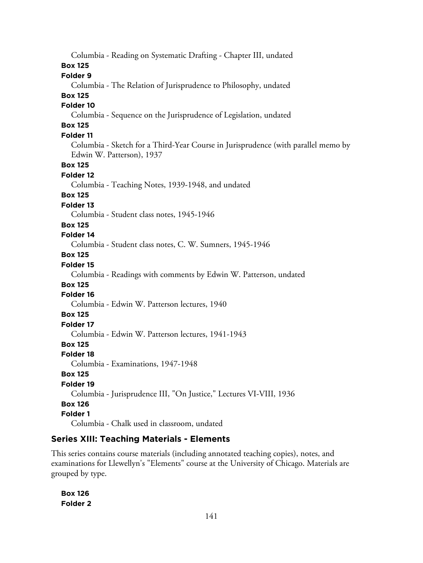Columbia - Reading on Systematic Drafting - Chapter III, undated **Box 125 Folder 9** Columbia - The Relation of Jurisprudence to Philosophy, undated **Box 125 Folder 10** Columbia - Sequence on the Jurisprudence of Legislation, undated **Box 125 Folder 11** Columbia - Sketch for a Third-Year Course in Jurisprudence (with parallel memo by Edwin W. Patterson), 1937 **Box 125 Folder 12** Columbia - Teaching Notes, 1939-1948, and undated **Box 125 Folder 13** Columbia - Student class notes, 1945-1946 **Box 125 Folder 14** Columbia - Student class notes, C. W. Sumners, 1945-1946 **Box 125 Folder 15** Columbia - Readings with comments by Edwin W. Patterson, undated **Box 125 Folder 16** Columbia - Edwin W. Patterson lectures, 1940 **Box 125 Folder 17** Columbia - Edwin W. Patterson lectures, 1941-1943 **Box 125 Folder 18** Columbia - Examinations, 1947-1948 **Box 125 Folder 19** Columbia - Jurisprudence III, "On Justice," Lectures VI-VIII, 1936 **Box 126 Folder 1** Columbia - Chalk used in classroom, undated

# **Series XIII: Teaching Materials - Elements**

This series contains course materials (including annotated teaching copies), notes, and examinations for Llewellyn's "Elements" course at the University of Chicago. Materials are grouped by type.

**Box 126 Folder 2**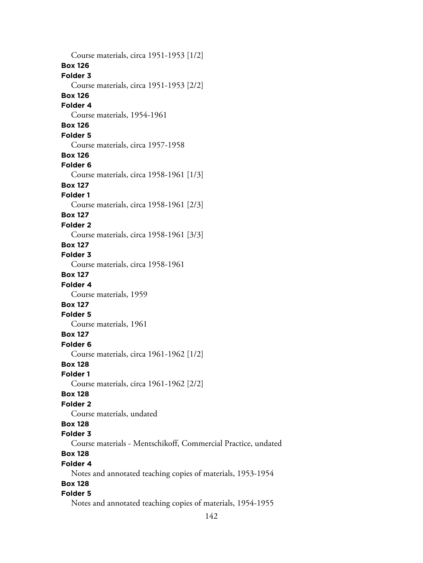Course materials, circa 1951-1953 [1/2] **Box 126 Folder 3** Course materials, circa 1951-1953 [2/2] **Box 126 Folder 4** Course materials, 1954-1961 **Box 126 Folder 5** Course materials, circa 1957-1958 **Box 126 Folder 6** Course materials, circa 1958-1961 [1/3] **Box 127 Folder 1** Course materials, circa 1958-1961 [2/3] **Box 127 Folder 2** Course materials, circa 1958-1961 [3/3] **Box 127 Folder 3** Course materials, circa 1958-1961 **Box 127 Folder 4** Course materials, 1959 **Box 127 Folder 5** Course materials, 1961 **Box 127 Folder 6** Course materials, circa 1961-1962 [1/2] **Box 128 Folder 1** Course materials, circa 1961-1962 [2/2] **Box 128 Folder 2** Course materials, undated **Box 128 Folder 3** Course materials - Mentschikoff, Commercial Practice, undated **Box 128 Folder 4** Notes and annotated teaching copies of materials, 1953-1954 **Box 128 Folder 5** Notes and annotated teaching copies of materials, 1954-1955

142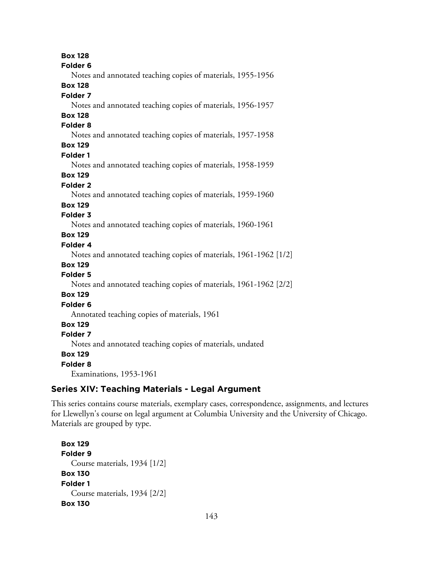**Box 128 Folder 6** Notes and annotated teaching copies of materials, 1955-1956 **Box 128 Folder 7** Notes and annotated teaching copies of materials, 1956-1957 **Box 128 Folder 8** Notes and annotated teaching copies of materials, 1957-1958 **Box 129 Folder 1** Notes and annotated teaching copies of materials, 1958-1959 **Box 129 Folder 2** Notes and annotated teaching copies of materials, 1959-1960 **Box 129 Folder 3** Notes and annotated teaching copies of materials, 1960-1961 **Box 129 Folder 4** Notes and annotated teaching copies of materials, 1961-1962 [1/2] **Box 129 Folder 5** Notes and annotated teaching copies of materials, 1961-1962 [2/2] **Box 129 Folder 6** Annotated teaching copies of materials, 1961 **Box 129 Folder 7** Notes and annotated teaching copies of materials, undated **Box 129 Folder 8**

Examinations, 1953-1961

#### **Series XIV: Teaching Materials - Legal Argument**

This series contains course materials, exemplary cases, correspondence, assignments, and lectures for Llewellyn's course on legal argument at Columbia University and the University of Chicago. Materials are grouped by type.

**Box 129 Folder 9** Course materials, 1934 [1/2] **Box 130 Folder 1** Course materials, 1934 [2/2] **Box 130**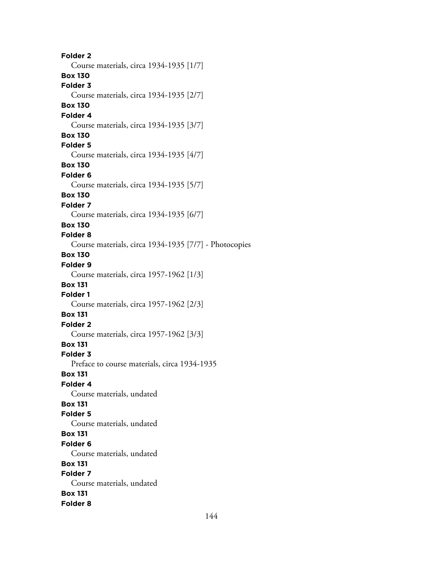**Folder 2** Course materials, circa 1934-1935 [1/7] **Box 130 Folder 3** Course materials, circa 1934-1935 [2/7] **Box 130 Folder 4** Course materials, circa 1934-1935 [3/7] **Box 130 Folder 5** Course materials, circa 1934-1935 [4/7] **Box 130 Folder 6** Course materials, circa 1934-1935 [5/7] **Box 130 Folder 7** Course materials, circa 1934-1935 [6/7] **Box 130 Folder 8** Course materials, circa 1934-1935 [7/7] - Photocopies **Box 130 Folder 9** Course materials, circa 1957-1962 [1/3] **Box 131 Folder 1** Course materials, circa 1957-1962 [2/3] **Box 131 Folder 2** Course materials, circa 1957-1962 [3/3] **Box 131 Folder 3** Preface to course materials, circa 1934-1935 **Box 131 Folder 4** Course materials, undated **Box 131 Folder 5** Course materials, undated **Box 131 Folder 6** Course materials, undated **Box 131 Folder 7** Course materials, undated **Box 131 Folder 8**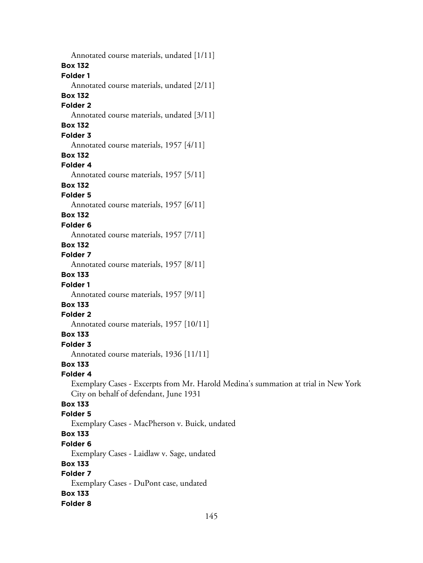Annotated course materials, undated [1/11] **Box 132 Folder 1** Annotated course materials, undated [2/11] **Box 132 Folder 2** Annotated course materials, undated [3/11] **Box 132 Folder 3** Annotated course materials, 1957 [4/11] **Box 132 Folder 4** Annotated course materials, 1957 [5/11] **Box 132 Folder 5** Annotated course materials, 1957 [6/11] **Box 132 Folder 6** Annotated course materials, 1957 [7/11] **Box 132 Folder 7** Annotated course materials, 1957 [8/11] **Box 133 Folder 1** Annotated course materials, 1957 [9/11] **Box 133 Folder 2** Annotated course materials, 1957 [10/11] **Box 133 Folder 3** Annotated course materials, 1936 [11/11] **Box 133 Folder 4** Exemplary Cases - Excerpts from Mr. Harold Medina's summation at trial in New York City on behalf of defendant, June 1931 **Box 133 Folder 5** Exemplary Cases - MacPherson v. Buick, undated **Box 133 Folder 6** Exemplary Cases - Laidlaw v. Sage, undated **Box 133 Folder 7** Exemplary Cases - DuPont case, undated **Box 133 Folder 8**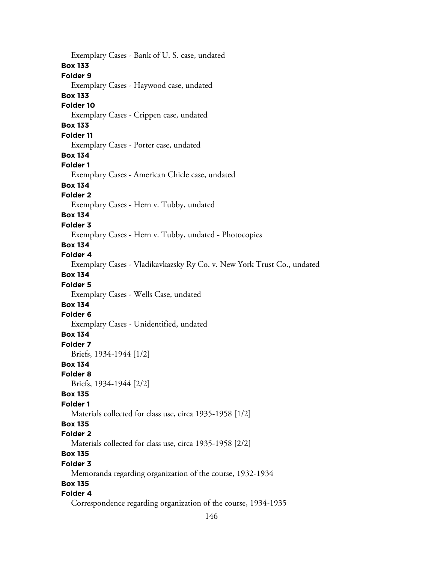Exemplary Cases - Bank of U. S. case, undated **Box 133 Folder 9** Exemplary Cases - Haywood case, undated **Box 133 Folder 10** Exemplary Cases - Crippen case, undated **Box 133 Folder 11** Exemplary Cases - Porter case, undated **Box 134 Folder 1** Exemplary Cases - American Chicle case, undated **Box 134 Folder 2** Exemplary Cases - Hern v. Tubby, undated **Box 134 Folder 3** Exemplary Cases - Hern v. Tubby, undated - Photocopies **Box 134 Folder 4** Exemplary Cases - Vladikavkazsky Ry Co. v. New York Trust Co., undated **Box 134 Folder 5** Exemplary Cases - Wells Case, undated **Box 134 Folder 6** Exemplary Cases - Unidentified, undated **Box 134 Folder 7** Briefs, 1934-1944 [1/2] **Box 134 Folder 8** Briefs, 1934-1944 [2/2] **Box 135 Folder 1** Materials collected for class use, circa 1935-1958 [1/2] **Box 135 Folder 2** Materials collected for class use, circa 1935-1958 [2/2] **Box 135 Folder 3** Memoranda regarding organization of the course, 1932-1934 **Box 135 Folder 4** Correspondence regarding organization of the course, 1934-1935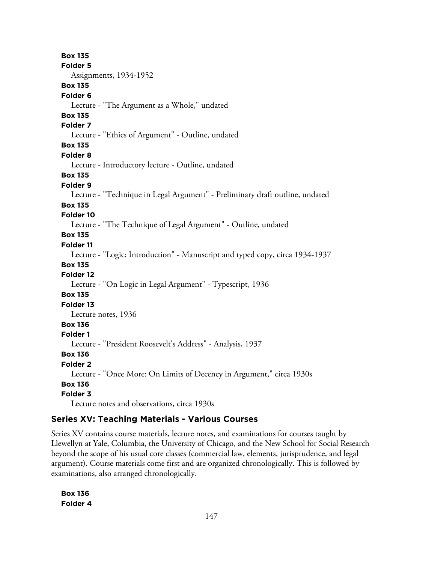**Box 135 Folder 5** Assignments, 1934-1952 **Box 135 Folder 6** Lecture - "The Argument as a Whole," undated **Box 135 Folder 7** Lecture - "Ethics of Argument" - Outline, undated **Box 135 Folder 8** Lecture - Introductory lecture - Outline, undated **Box 135 Folder 9** Lecture - "Technique in Legal Argument" - Preliminary draft outline, undated **Box 135 Folder 10** Lecture - "The Technique of Legal Argument" - Outline, undated **Box 135 Folder 11** Lecture - "Logic: Introduction" - Manuscript and typed copy, circa 1934-1937 **Box 135 Folder 12** Lecture - "On Logic in Legal Argument" - Typescript, 1936 **Box 135 Folder 13** Lecture notes, 1936 **Box 136 Folder 1** Lecture - "President Roosevelt's Address" - Analysis, 1937 **Box 136 Folder 2** Lecture - "Once More: On Limits of Decency in Argument," circa 1930s **Box 136 Folder 3** Lecture notes and observations, circa 1930s

# **Series XV: Teaching Materials - Various Courses**

Series XV contains course materials, lecture notes, and examinations for courses taught by Llewellyn at Yale, Columbia, the University of Chicago, and the New School for Social Research beyond the scope of his usual core classes (commercial law, elements, jurisprudence, and legal argument). Course materials come first and are organized chronologically. This is followed by examinations, also arranged chronologically.

**Box 136 Folder 4**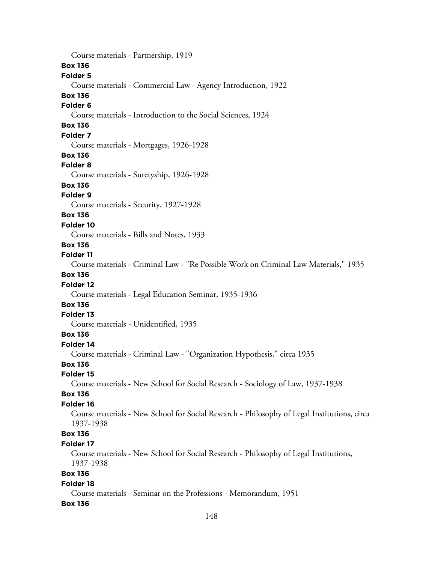148 Course materials - Partnership, 1919 **Box 136 Folder 5** Course materials - Commercial Law - Agency Introduction, 1922 **Box 136 Folder 6** Course materials - Introduction to the Social Sciences, 1924 **Box 136 Folder 7** Course materials - Mortgages, 1926-1928 **Box 136 Folder 8** Course materials - Suretyship, 1926-1928 **Box 136 Folder 9** Course materials - Security, 1927-1928 **Box 136 Folder 10** Course materials - Bills and Notes, 1933 **Box 136 Folder 11** Course materials - Criminal Law - "Re Possible Work on Criminal Law Materials," 1935 **Box 136 Folder 12** Course materials - Legal Education Seminar, 1935-1936 **Box 136 Folder 13** Course materials - Unidentified, 1935 **Box 136 Folder 14** Course materials - Criminal Law - "Organization Hypothesis," circa 1935 **Box 136 Folder 15** Course materials - New School for Social Research - Sociology of Law, 1937-1938 **Box 136 Folder 16** Course materials - New School for Social Research - Philosophy of Legal Institutions, circa 1937-1938 **Box 136 Folder 17** Course materials - New School for Social Research - Philosophy of Legal Institutions, 1937-1938 **Box 136 Folder 18** Course materials - Seminar on the Professions - Memorandum, 1951 **Box 136**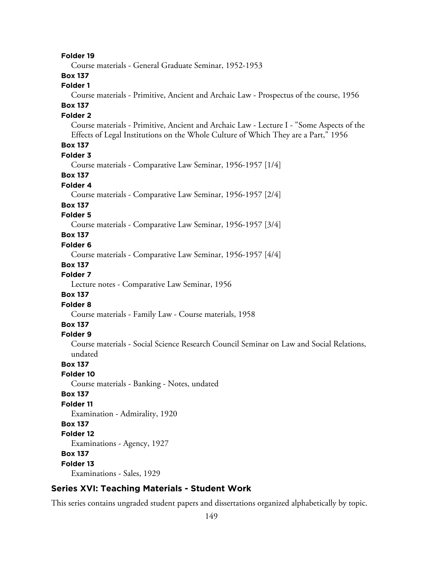**Folder 19**

Course materials - General Graduate Seminar, 1952-1953

# **Box 137**

## **Folder 1**

Course materials - Primitive, Ancient and Archaic Law - Prospectus of the course, 1956 **Box 137**

# **Folder 2**

Course materials - Primitive, Ancient and Archaic Law - Lecture I - "Some Aspects of the Effects of Legal Institutions on the Whole Culture of Which They are a Part," 1956

### **Box 137**

#### **Folder 3**

Course materials - Comparative Law Seminar, 1956-1957 [1/4]

#### **Box 137**

### **Folder 4**

Course materials - Comparative Law Seminar, 1956-1957 [2/4]

#### **Box 137**

#### **Folder 5**

Course materials - Comparative Law Seminar, 1956-1957 [3/4]

## **Box 137**

### **Folder 6**

Course materials - Comparative Law Seminar, 1956-1957 [4/4]

#### **Box 137**

### **Folder 7**

Lecture notes - Comparative Law Seminar, 1956

### **Box 137**

#### **Folder 8**

Course materials - Family Law - Course materials, 1958

# **Box 137**

#### **Folder 9**

Course materials - Social Science Research Council Seminar on Law and Social Relations, undated

### **Box 137**

### **Folder 10**

Course materials - Banking - Notes, undated

#### **Box 137**

#### **Folder 11**

Examination - Admirality, 1920

### **Box 137**

**Folder 12** Examinations - Agency, 1927

# **Box 137**

# **Folder 13**

Examinations - Sales, 1929

## **Series XVI: Teaching Materials - Student Work**

This series contains ungraded student papers and dissertations organized alphabetically by topic.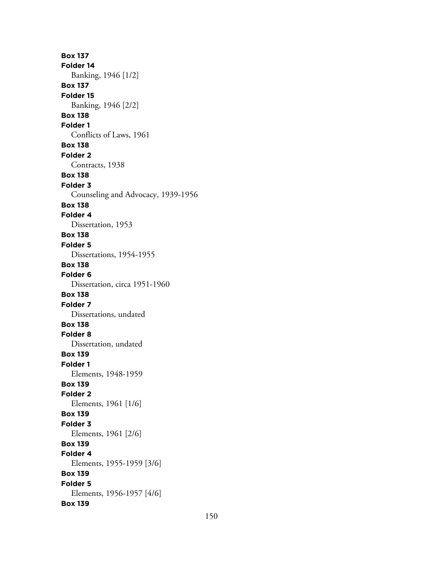**Box 137 Folder 14** Banking, 1946 [1/2] **Box 137 Folder 15** Banking, 1946 [2/2] **Box 138 Folder 1** Conflicts of Laws, 1961 **Box 138 Folder 2** Contracts, 1938 **Box 138 Folder 3** Counseling and Advocacy, 1939-1956 **Box 138 Folder 4** Dissertation, 1953 **Box 138 Folder 5** Dissertations, 1954-1955 **Box 138 Folder 6** Dissertation, circa 1951-1960 **Box 138 Folder 7** Dissertations, undated **Box 138 Folder 8** Dissertation, undated **Box 139 Folder 1** Elements, 1948-1959 **Box 139 Folder 2** Elements, 1961 [1/6] **Box 139 Folder 3** Elements, 1961 [2/6] **Box 139 Folder 4** Elements, 1955-1959 [3/6] **Box 139 Folder 5** Elements, 1956-1957 [4/6] **Box 139**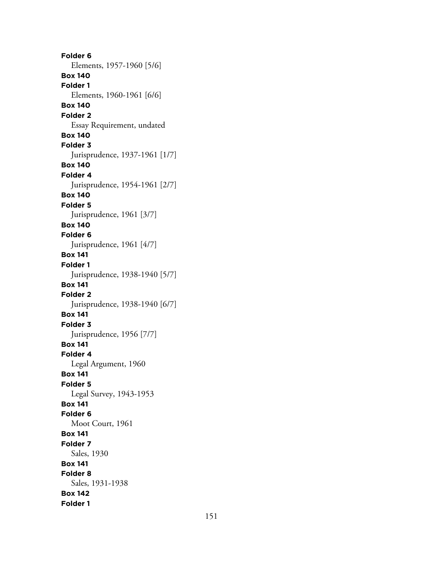**Folder 6** Elements, 1957-1960 [5/6] **Box 140 Folder 1** Elements, 1960-1961 [6/6] **Box 140 Folder 2** Essay Requirement, undated **Box 140 Folder 3** Jurisprudence, 1937-1961 [1/7] **Box 140 Folder 4** Jurisprudence, 1954-1961 [2/7] **Box 140 Folder 5** Jurisprudence, 1961 [3/7] **Box 140 Folder 6** Jurisprudence, 1961 [4/7] **Box 141 Folder 1** Jurisprudence, 1938-1940 [5/7] **Box 141 Folder 2** Jurisprudence, 1938-1940 [6/7] **Box 141 Folder 3** Jurisprudence, 1956 [7/7] **Box 141 Folder 4** Legal Argument, 1960 **Box 141 Folder 5** Legal Survey, 1943-1953 **Box 141 Folder 6** Moot Court, 1961 **Box 141 Folder 7** Sales, 1930 **Box 141 Folder 8** Sales, 1931-1938 **Box 142 Folder 1**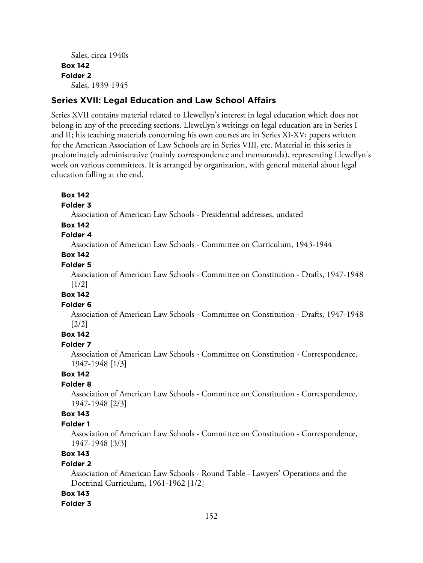```
Sales, circa 1940s
Box 142
Folder 2
  Sales, 1939-1945
```
### **Series XVII: Legal Education and Law School Affairs**

Series XVII contains material related to Llewellyn's interest in legal education which does not belong in any of the preceding sections. Llewellyn's writings on legal education are in Series I and II; his teaching materials concerning his own courses are in Series XI-XV; papers written for the American Association of Law Schools are in Series VIII, etc. Material in this series is predominately administrative (mainly correspondence and memoranda), representing Llewellyn's work on various committees. It is arranged by organization, with general material about legal education falling at the end.

#### **Box 142**

#### **Folder 3**

Association of American Law Schools - Presidential addresses, undated

### **Box 142**

# **Folder 4**

Association of American Law Schools - Committee on Curriculum, 1943-1944

# **Box 142**

# **Folder 5**

Association of American Law Schools - Committee on Constitution - Drafts, 1947-1948 [1/2]

#### **Box 142**

#### **Folder 6**

Association of American Law Schools - Committee on Constitution - Drafts, 1947-1948 [2/2]

# **Box 142**

## **Folder 7**

Association of American Law Schools - Committee on Constitution - Correspondence, 1947-1948 [1/3]

# **Box 142**

# **Folder 8**

Association of American Law Schools - Committee on Constitution - Correspondence, 1947-1948 [2/3]

# **Box 143**

#### **Folder 1**

Association of American Law Schools - Committee on Constitution - Correspondence, 1947-1948 [3/3]

## **Box 143**

#### **Folder 2**

Association of American Law Schools - Round Table - Lawyers' Operations and the Doctrinal Curriculum, 1961-1962 [1/2]

#### **Box 143**

#### **Folder 3**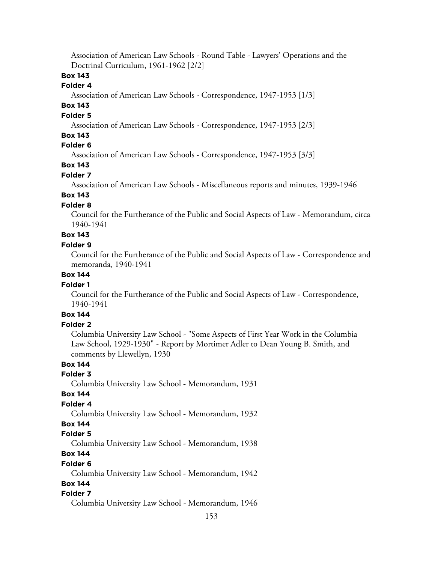Association of American Law Schools - Round Table - Lawyers' Operations and the Doctrinal Curriculum, 1961-1962 [2/2]

## **Box 143**

### **Folder 4**

Association of American Law Schools - Correspondence, 1947-1953 [1/3]

# **Box 143**

### **Folder 5**

Association of American Law Schools - Correspondence, 1947-1953 [2/3]

## **Box 143**

## **Folder 6**

Association of American Law Schools - Correspondence, 1947-1953 [3/3]

# **Box 143**

### **Folder 7**

Association of American Law Schools - Miscellaneous reports and minutes, 1939-1946

# **Box 143**

# **Folder 8**

Council for the Furtherance of the Public and Social Aspects of Law - Memorandum, circa 1940-1941

# **Box 143**

#### **Folder 9**

Council for the Furtherance of the Public and Social Aspects of Law - Correspondence and memoranda, 1940-1941

## **Box 144**

#### **Folder 1**

Council for the Furtherance of the Public and Social Aspects of Law - Correspondence, 1940-1941

# **Box 144**

# **Folder 2**

Columbia University Law School - "Some Aspects of First Year Work in the Columbia Law School, 1929-1930" - Report by Mortimer Adler to Dean Young B. Smith, and comments by Llewellyn, 1930

# **Box 144**

# **Folder 3**

Columbia University Law School - Memorandum, 1931

#### **Box 144**

#### **Folder 4**

Columbia University Law School - Memorandum, 1932

# **Box 144**

#### **Folder 5**

Columbia University Law School - Memorandum, 1938

# **Box 144**

#### **Folder 6**

Columbia University Law School - Memorandum, 1942

## **Box 144**

#### **Folder 7**

Columbia University Law School - Memorandum, 1946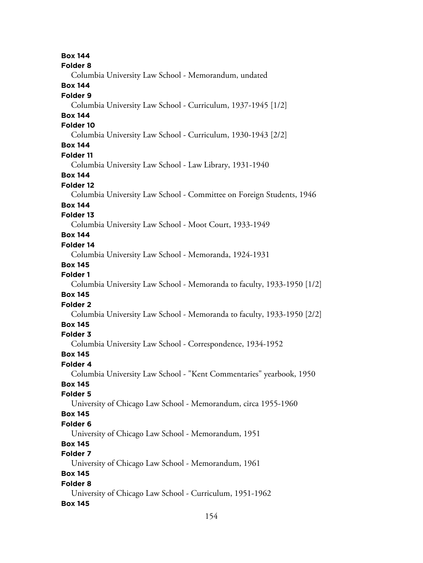**Box 144 Folder 8** Columbia University Law School - Memorandum, undated **Box 144 Folder 9** Columbia University Law School - Curriculum, 1937-1945 [1/2] **Box 144 Folder 10** Columbia University Law School - Curriculum, 1930-1943 [2/2] **Box 144 Folder 11** Columbia University Law School - Law Library, 1931-1940 **Box 144 Folder 12** Columbia University Law School - Committee on Foreign Students, 1946 **Box 144 Folder 13** Columbia University Law School - Moot Court, 1933-1949 **Box 144 Folder 14** Columbia University Law School - Memoranda, 1924-1931 **Box 145 Folder 1** Columbia University Law School - Memoranda to faculty, 1933-1950 [1/2] **Box 145 Folder 2** Columbia University Law School - Memoranda to faculty, 1933-1950 [2/2] **Box 145 Folder 3** Columbia University Law School - Correspondence, 1934-1952 **Box 145 Folder 4** Columbia University Law School - "Kent Commentaries" yearbook, 1950 **Box 145 Folder 5** University of Chicago Law School - Memorandum, circa 1955-1960 **Box 145 Folder 6** University of Chicago Law School - Memorandum, 1951 **Box 145 Folder 7** University of Chicago Law School - Memorandum, 1961 **Box 145 Folder 8** University of Chicago Law School - Curriculum, 1951-1962 **Box 145**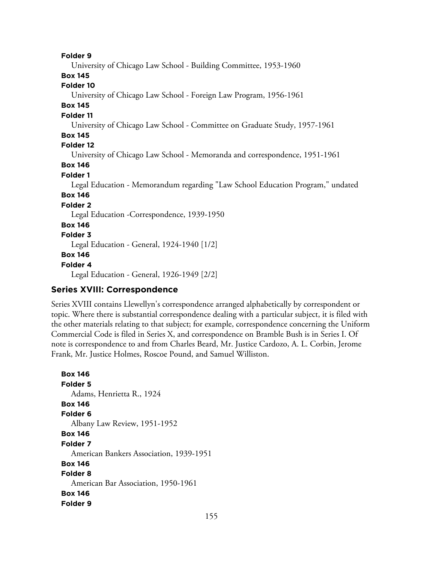**Folder 9** University of Chicago Law School - Building Committee, 1953-1960 **Box 145 Folder 10** University of Chicago Law School - Foreign Law Program, 1956-1961 **Box 145 Folder 11** University of Chicago Law School - Committee on Graduate Study, 1957-1961 **Box 145 Folder 12** University of Chicago Law School - Memoranda and correspondence, 1951-1961 **Box 146 Folder 1** Legal Education - Memorandum regarding "Law School Education Program," undated **Box 146 Folder 2** Legal Education -Correspondence, 1939-1950 **Box 146 Folder 3** Legal Education - General, 1924-1940 [1/2] **Box 146 Folder 4** Legal Education - General, 1926-1949 [2/2]

# **Series XVIII: Correspondence**

Series XVIII contains Llewellyn's correspondence arranged alphabetically by correspondent or topic. Where there is substantial correspondence dealing with a particular subject, it is filed with the other materials relating to that subject; for example, correspondence concerning the Uniform Commercial Code is filed in Series X, and correspondence on Bramble Bush is in Series I. Of note is correspondence to and from Charles Beard, Mr. Justice Cardozo, A. L. Corbin, Jerome Frank, Mr. Justice Holmes, Roscoe Pound, and Samuel Williston.

```
Box 146
Folder 5
  Adams, Henrietta R., 1924
Box 146
Folder 6
  Albany Law Review, 1951-1952
Box 146
Folder 7
  American Bankers Association, 1939-1951
Box 146
Folder 8
  American Bar Association, 1950-1961
Box 146
Folder 9
```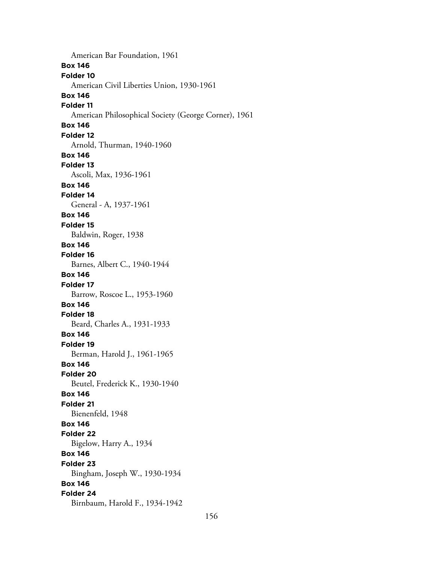American Bar Foundation, 1961 **Box 146 Folder 10** American Civil Liberties Union, 1930-1961 **Box 146 Folder 11** American Philosophical Society (George Corner), 1961 **Box 146 Folder 12** Arnold, Thurman, 1940-1960 **Box 146 Folder 13** Ascoli, Max, 1936-1961 **Box 146 Folder 14** General - A, 1937-1961 **Box 146 Folder 15** Baldwin, Roger, 1938 **Box 146 Folder 16** Barnes, Albert C., 1940-1944 **Box 146 Folder 17** Barrow, Roscoe L., 1953-1960 **Box 146 Folder 18** Beard, Charles A., 1931-1933 **Box 146 Folder 19** Berman, Harold J., 1961-1965 **Box 146 Folder 20** Beutel, Frederick K., 1930-1940 **Box 146 Folder 21** Bienenfeld, 1948 **Box 146 Folder 22** Bigelow, Harry A., 1934 **Box 146 Folder 23** Bingham, Joseph W., 1930-1934 **Box 146 Folder 24** Birnbaum, Harold F., 1934-1942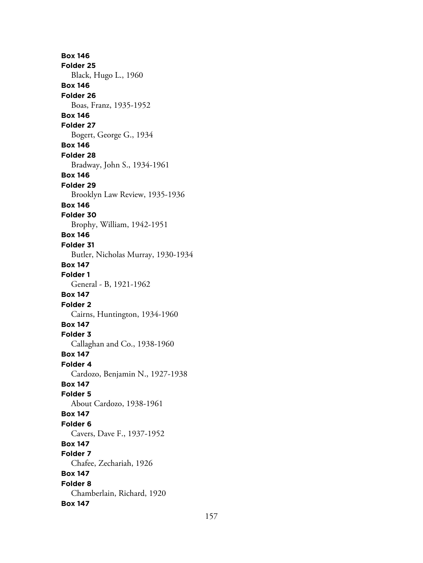**Box 146 Folder 25** Black, Hugo L., 1960 **Box 146 Folder 26** Boas, Franz, 1935-1952 **Box 146 Folder 27** Bogert, George G., 1934 **Box 146 Folder 28** Bradway, John S., 1934-1961 **Box 146 Folder 29** Brooklyn Law Review, 1935-1936 **Box 146 Folder 30** Brophy, William, 1942-1951 **Box 146 Folder 31** Butler, Nicholas Murray, 1930-1934 **Box 147 Folder 1** General - B, 1921-1962 **Box 147 Folder 2** Cairns, Huntington, 1934-1960 **Box 147 Folder 3** Callaghan and Co., 1938-1960 **Box 147 Folder 4** Cardozo, Benjamin N., 1927-1938 **Box 147 Folder 5** About Cardozo, 1938-1961 **Box 147 Folder 6** Cavers, Dave F., 1937-1952 **Box 147 Folder 7** Chafee, Zechariah, 1926 **Box 147 Folder 8** Chamberlain, Richard, 1920 **Box 147**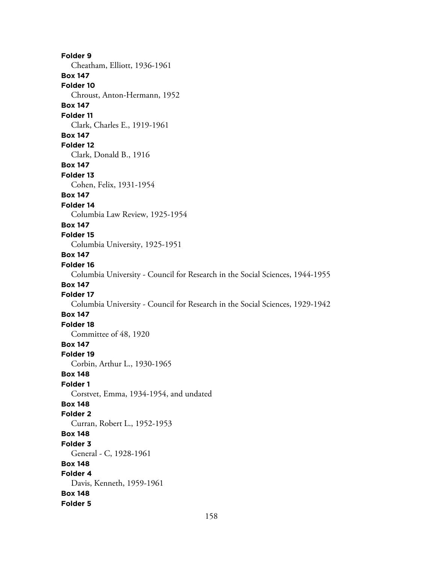**Folder 9** Cheatham, Elliott, 1936-1961 **Box 147 Folder 10** Chroust, Anton-Hermann, 1952 **Box 147 Folder 11** Clark, Charles E., 1919-1961 **Box 147 Folder 12** Clark, Donald B., 1916 **Box 147 Folder 13** Cohen, Felix, 1931-1954 **Box 147 Folder 14** Columbia Law Review, 1925-1954 **Box 147 Folder 15** Columbia University, 1925-1951 **Box 147 Folder 16** Columbia University - Council for Research in the Social Sciences, 1944-1955 **Box 147 Folder 17** Columbia University - Council for Research in the Social Sciences, 1929-1942 **Box 147 Folder 18** Committee of 48, 1920 **Box 147 Folder 19** Corbin, Arthur L., 1930-1965 **Box 148 Folder 1** Corstvet, Emma, 1934-1954, and undated **Box 148 Folder 2** Curran, Robert L., 1952-1953 **Box 148 Folder 3** General - C, 1928-1961 **Box 148 Folder 4** Davis, Kenneth, 1959-1961 **Box 148 Folder 5**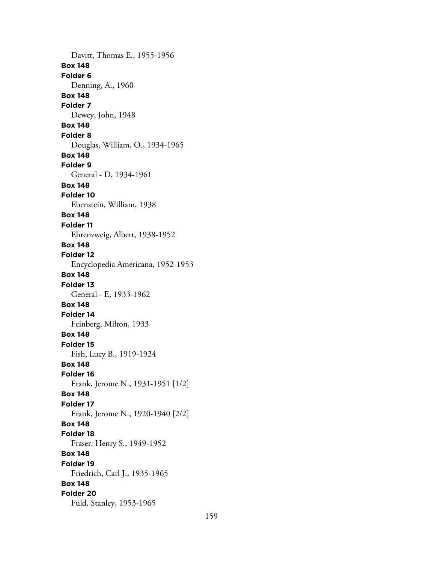Davitt, Thomas E., 1955-1956 **Box 148 Folder 6** Denning, A., 1960 **Box 148 Folder 7** Dewey, John, 1948 **Box 148 Folder 8** Douglas, William, O., 1934-1965 **Box 148 Folder 9** General - D, 1934-1961 **Box 148 Folder 10** Ebenstein, William, 1938 **Box 148 Folder 11** Ehrenzweig, Albert, 1938-1952 **Box 148 Folder 12** Encyclopedia Americana, 1952-1953 **Box 148 Folder 13** General - E, 1933-1962 **Box 148 Folder 14** Feinberg, Milton, 1933 **Box 148 Folder 15** Fish, Lucy B., 1919-1924 **Box 148 Folder 16** Frank, Jerome N., 1931-1951 [1/2] **Box 148 Folder 17** Frank, Jerome N., 1920-1940 [2/2] **Box 148 Folder 18** Fraser, Henry S., 1949-1952 **Box 148 Folder 19** Friedrich, Carl J., 1935-1965 **Box 148 Folder 20** Fuld, Stanley, 1953-1965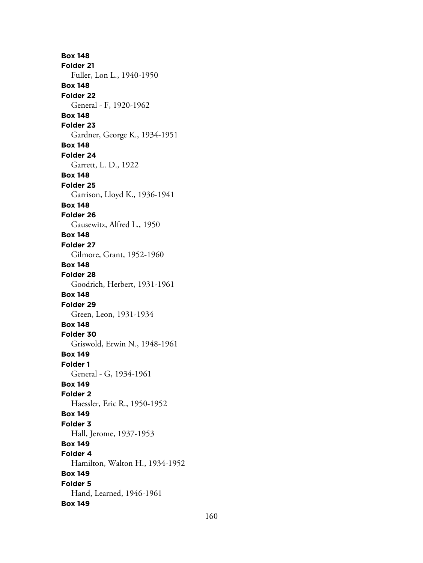**Box 148 Folder 21** Fuller, Lon L., 1940-1950 **Box 148 Folder 22** General - F, 1920-1962 **Box 148 Folder 23** Gardner, George K., 1934-1951 **Box 148 Folder 24** Garrett, L. D., 1922 **Box 148 Folder 25** Garrison, Lloyd K., 1936-1941 **Box 148 Folder 26** Gausewitz, Alfred L., 1950 **Box 148 Folder 27** Gilmore, Grant, 1952-1960 **Box 148 Folder 28** Goodrich, Herbert, 1931-1961 **Box 148 Folder 29** Green, Leon, 1931-1934 **Box 148 Folder 30** Griswold, Erwin N., 1948-1961 **Box 149 Folder 1** General - G, 1934-1961 **Box 149 Folder 2** Haessler, Eric R., 1950-1952 **Box 149 Folder 3** Hall, Jerome, 1937-1953 **Box 149 Folder 4** Hamilton, Walton H., 1934-1952 **Box 149 Folder 5** Hand, Learned, 1946-1961 **Box 149**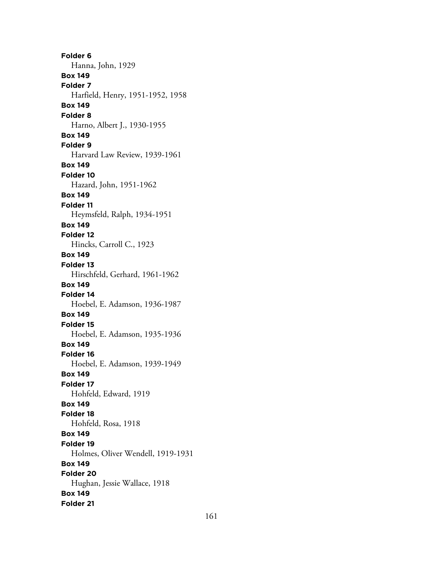**Folder 6** Hanna, John, 1929 **Box 149 Folder 7** Harfield, Henry, 1951-1952, 1958 **Box 149 Folder 8** Harno, Albert J., 1930-1955 **Box 149 Folder 9** Harvard Law Review, 1939-1961 **Box 149 Folder 10** Hazard, John, 1951-1962 **Box 149 Folder 11** Heymsfeld, Ralph, 1934-1951 **Box 149 Folder 12** Hincks, Carroll C., 1923 **Box 149 Folder 13** Hirschfeld, Gerhard, 1961-1962 **Box 149 Folder 14** Hoebel, E. Adamson, 1936-1987 **Box 149 Folder 15** Hoebel, E. Adamson, 1935-1936 **Box 149 Folder 16** Hoebel, E. Adamson, 1939-1949 **Box 149 Folder 17** Hohfeld, Edward, 1919 **Box 149 Folder 18** Hohfeld, Rosa, 1918 **Box 149 Folder 19** Holmes, Oliver Wendell, 1919-1931 **Box 149 Folder 20** Hughan, Jessie Wallace, 1918 **Box 149 Folder 21**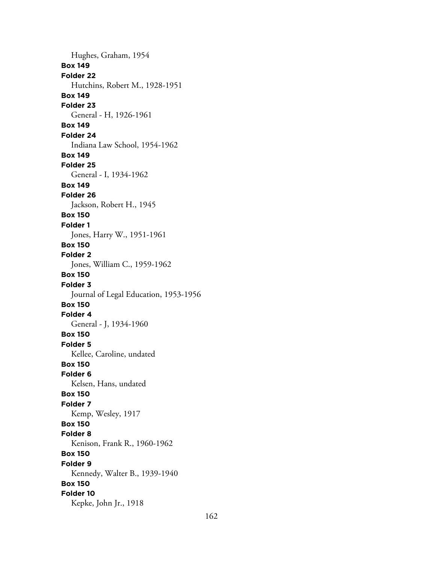Hughes, Graham, 1954 **Box 149 Folder 22** Hutchins, Robert M., 1928-1951 **Box 149 Folder 23** General - H, 1926-1961 **Box 149 Folder 24** Indiana Law School, 1954-1962 **Box 149 Folder 25** General - I, 1934-1962 **Box 149 Folder 26** Jackson, Robert H., 1945 **Box 150 Folder 1** Jones, Harry W., 1951-1961 **Box 150 Folder 2** Jones, William C., 1959-1962 **Box 150 Folder 3** Journal of Legal Education, 1953-1956 **Box 150 Folder 4** General - J, 1934-1960 **Box 150 Folder 5** Kellee, Caroline, undated **Box 150 Folder 6** Kelsen, Hans, undated **Box 150 Folder 7** Kemp, Wesley, 1917 **Box 150 Folder 8** Kenison, Frank R., 1960-1962 **Box 150 Folder 9** Kennedy, Walter B., 1939-1940 **Box 150 Folder 10** Kepke, John Jr., 1918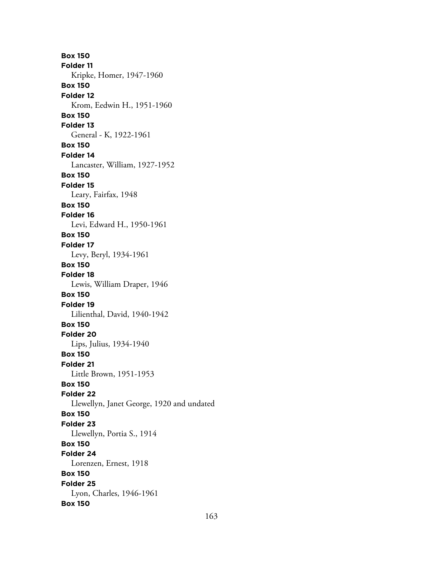**Box 150 Folder 11** Kripke, Homer, 1947-1960 **Box 150 Folder 12** Krom, Eedwin H., 1951-1960 **Box 150 Folder 13** General - K, 1922-1961 **Box 150 Folder 14** Lancaster, William, 1927-1952 **Box 150 Folder 15** Leary, Fairfax, 1948 **Box 150 Folder 16** Levi, Edward H., 1950-1961 **Box 150 Folder 17** Levy, Beryl, 1934-1961 **Box 150 Folder 18** Lewis, William Draper, 1946 **Box 150 Folder 19** Lilienthal, David, 1940-1942 **Box 150 Folder 20** Lips, Julius, 1934-1940 **Box 150 Folder 21** Little Brown, 1951-1953 **Box 150 Folder 22** Llewellyn, Janet George, 1920 and undated **Box 150 Folder 23** Llewellyn, Portia S., 1914 **Box 150 Folder 24** Lorenzen, Ernest, 1918 **Box 150 Folder 25** Lyon, Charles, 1946-1961 **Box 150**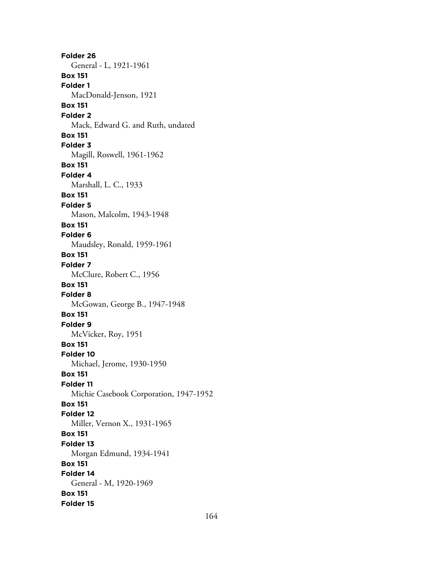**Folder 26** General - L, 1921-1961 **Box 151 Folder 1** MacDonald-Jenson, 1921 **Box 151 Folder 2** Mack, Edward G. and Ruth, undated **Box 151 Folder 3** Magill, Roswell, 1961-1962 **Box 151 Folder 4** Marshall, L. C., 1933 **Box 151 Folder 5** Mason, Malcolm, 1943-1948 **Box 151 Folder 6** Maudsley, Ronald, 1959-1961 **Box 151 Folder 7** McClure, Robert C., 1956 **Box 151 Folder 8** McGowan, George B., 1947-1948 **Box 151 Folder 9** McVicker, Roy, 1951 **Box 151 Folder 10** Michael, Jerome, 1930-1950 **Box 151 Folder 11** Michie Casebook Corporation, 1947-1952 **Box 151 Folder 12** Miller, Vernon X., 1931-1965 **Box 151 Folder 13** Morgan Edmund, 1934-1941 **Box 151 Folder 14** General - M, 1920-1969 **Box 151 Folder 15**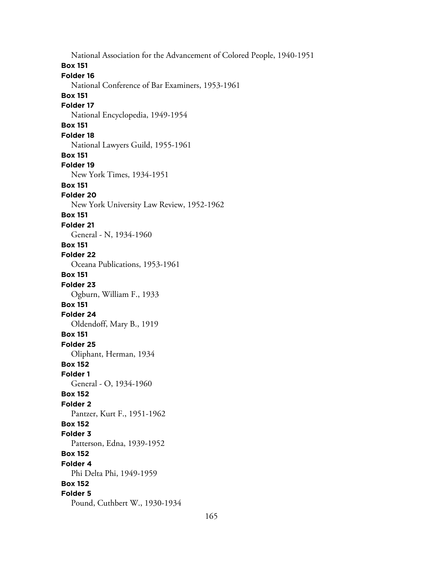National Association for the Advancement of Colored People, 1940-1951 **Box 151 Folder 16** National Conference of Bar Examiners, 1953-1961 **Box 151 Folder 17** National Encyclopedia, 1949-1954 **Box 151 Folder 18** National Lawyers Guild, 1955-1961 **Box 151 Folder 19** New York Times, 1934-1951 **Box 151 Folder 20** New York University Law Review, 1952-1962 **Box 151 Folder 21** General - N, 1934-1960 **Box 151 Folder 22** Oceana Publications, 1953-1961 **Box 151 Folder 23** Ogburn, William F., 1933 **Box 151 Folder 24** Oldendoff, Mary B., 1919 **Box 151 Folder 25** Oliphant, Herman, 1934 **Box 152 Folder 1** General - O, 1934-1960 **Box 152 Folder 2** Pantzer, Kurt F., 1951-1962 **Box 152 Folder 3** Patterson, Edna, 1939-1952 **Box 152 Folder 4** Phi Delta Phi, 1949-1959 **Box 152 Folder 5** Pound, Cuthbert W., 1930-1934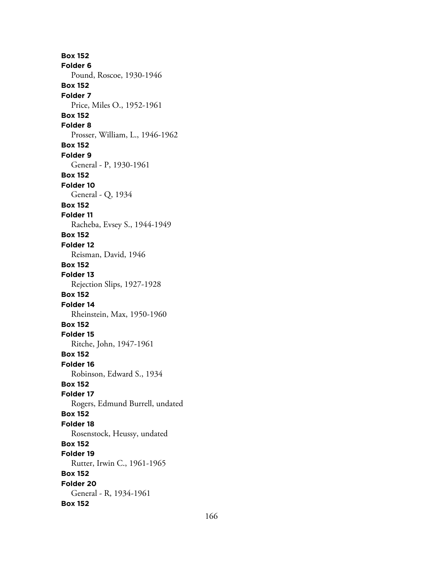**Box 152 Folder 6** Pound, Roscoe, 1930-1946 **Box 152 Folder 7** Price, Miles O., 1952-1961 **Box 152 Folder 8** Prosser, William, L., 1946-1962 **Box 152 Folder 9** General - P, 1930-1961 **Box 152 Folder 10** General - Q, 1934 **Box 152 Folder 11** Racheba, Evsey S., 1944-1949 **Box 152 Folder 12** Reisman, David, 1946 **Box 152 Folder 13** Rejection Slips, 1927-1928 **Box 152 Folder 14** Rheinstein, Max, 1950-1960 **Box 152 Folder 15** Ritche, John, 1947-1961 **Box 152 Folder 16** Robinson, Edward S., 1934 **Box 152 Folder 17** Rogers, Edmund Burrell, undated **Box 152 Folder 18** Rosenstock, Heussy, undated **Box 152 Folder 19** Rutter, Irwin C., 1961-1965 **Box 152 Folder 20** General - R, 1934-1961 **Box 152**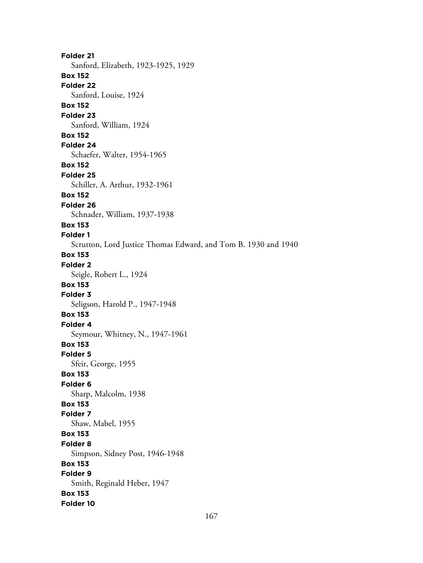**Folder 21** Sanford, Elizabeth, 1923-1925, 1929 **Box 152 Folder 22** Sanford, Louise, 1924 **Box 152 Folder 23** Sanford, William, 1924 **Box 152 Folder 24** Schaefer, Walter, 1954-1965 **Box 152 Folder 25** Schiller, A. Arthur, 1932-1961 **Box 152 Folder 26** Schnader, William, 1937-1938 **Box 153 Folder 1** Scrutton, Lord Justice Thomas Edward, and Tom B. 1930 and 1940 **Box 153 Folder 2** Seigle, Robert L., 1924 **Box 153 Folder 3** Seligson, Harold P., 1947-1948 **Box 153 Folder 4** Seymour, Whitney, N., 1947-1961 **Box 153 Folder 5** Sfeir, George, 1955 **Box 153 Folder 6** Sharp, Malcolm, 1938 **Box 153 Folder 7** Shaw, Mabel, 1955 **Box 153 Folder 8** Simpson, Sidney Post, 1946-1948 **Box 153 Folder 9** Smith, Reginald Heber, 1947 **Box 153 Folder 10**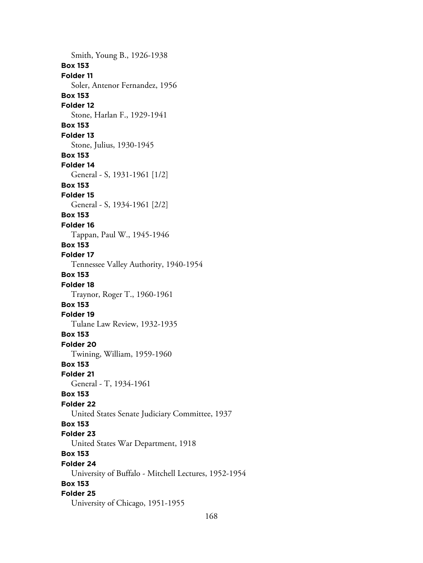Smith, Young B., 1926-1938 **Box 153 Folder 11** Soler, Antenor Fernandez, 1956 **Box 153 Folder 12** Stone, Harlan F., 1929-1941 **Box 153 Folder 13** Stone, Julius, 1930-1945 **Box 153 Folder 14** General - S, 1931-1961 [1/2] **Box 153 Folder 15** General - S, 1934-1961 [2/2] **Box 153 Folder 16** Tappan, Paul W., 1945-1946 **Box 153 Folder 17** Tennessee Valley Authority, 1940-1954 **Box 153 Folder 18** Traynor, Roger T., 1960-1961 **Box 153 Folder 19** Tulane Law Review, 1932-1935 **Box 153 Folder 20** Twining, William, 1959-1960 **Box 153 Folder 21** General - T, 1934-1961 **Box 153 Folder 22** United States Senate Judiciary Committee, 1937 **Box 153 Folder 23** United States War Department, 1918 **Box 153 Folder 24** University of Buffalo - Mitchell Lectures, 1952-1954 **Box 153 Folder 25** University of Chicago, 1951-1955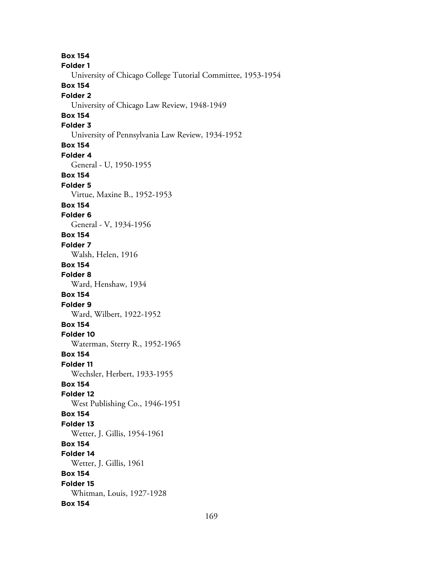**Box 154 Folder 1** University of Chicago College Tutorial Committee, 1953-1954 **Box 154 Folder 2** University of Chicago Law Review, 1948-1949 **Box 154 Folder 3** University of Pennsylvania Law Review, 1934-1952 **Box 154 Folder 4** General - U, 1950-1955 **Box 154 Folder 5** Virtue, Maxine B., 1952-1953 **Box 154 Folder 6** General - V, 1934-1956 **Box 154 Folder 7** Walsh, Helen, 1916 **Box 154 Folder 8** Ward, Henshaw, 1934 **Box 154 Folder 9** Ward, Wilbert, 1922-1952 **Box 154 Folder 10** Waterman, Sterry R., 1952-1965 **Box 154 Folder 11** Wechsler, Herbert, 1933-1955 **Box 154 Folder 12** West Publishing Co., 1946-1951 **Box 154 Folder 13** Wetter, J. Gillis, 1954-1961 **Box 154 Folder 14** Wetter, J. Gillis, 1961 **Box 154 Folder 15** Whitman, Louis, 1927-1928 **Box 154**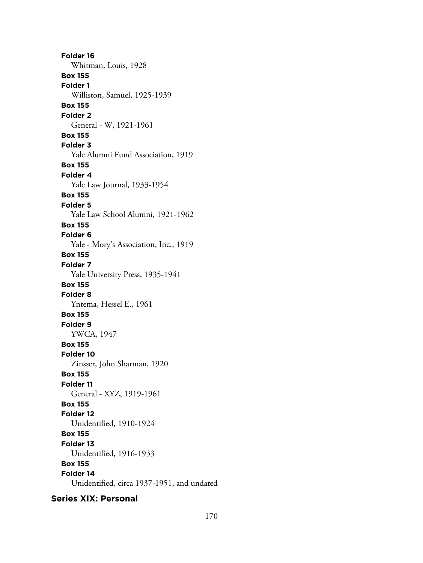**Folder 16** Whitman, Louis, 1928 **Box 155 Folder 1** Williston, Samuel, 1925-1939 **Box 155 Folder 2** General - W, 1921-1961 **Box 155 Folder 3** Yale Alumni Fund Association, 1919 **Box 155 Folder 4** Yale Law Journal, 1933-1954 **Box 155 Folder 5** Yale Law School Alumni, 1921-1962 **Box 155 Folder 6** Yale - Mory's Association, Inc., 1919 **Box 155 Folder 7** Yale University Press, 1935-1941 **Box 155 Folder 8** Yntema, Hessel E., 1961 **Box 155 Folder 9** YWCA, 1947 **Box 155 Folder 10** Zinsser, John Sharman, 1920 **Box 155 Folder 11** General - XYZ, 1919-1961 **Box 155 Folder 12** Unidentified, 1910-1924 **Box 155 Folder 13** Unidentified, 1916-1933 **Box 155 Folder 14** Unidentified, circa 1937-1951, and undated

**Series XIX: Personal**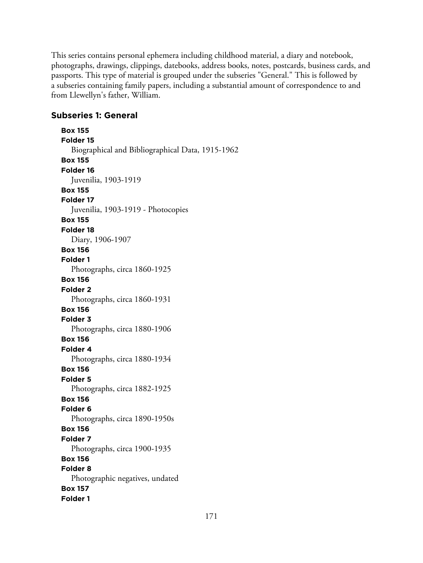This series contains personal ephemera including childhood material, a diary and notebook, photographs, drawings, clippings, datebooks, address books, notes, postcards, business cards, and passports. This type of material is grouped under the subseries "General." This is followed by a subseries containing family papers, including a substantial amount of correspondence to and from Llewellyn's father, William.

# **Subseries 1: General**

**Box 155 Folder 15** Biographical and Bibliographical Data, 1915-1962 **Box 155 Folder 16** Juvenilia, 1903-1919 **Box 155 Folder 17** Juvenilia, 1903-1919 - Photocopies **Box 155 Folder 18** Diary, 1906-1907 **Box 156 Folder 1** Photographs, circa 1860-1925 **Box 156 Folder 2** Photographs, circa 1860-1931 **Box 156 Folder 3** Photographs, circa 1880-1906 **Box 156 Folder 4** Photographs, circa 1880-1934 **Box 156 Folder 5** Photographs, circa 1882-1925 **Box 156 Folder 6** Photographs, circa 1890-1950s **Box 156 Folder 7** Photographs, circa 1900-1935 **Box 156 Folder 8** Photographic negatives, undated **Box 157 Folder 1**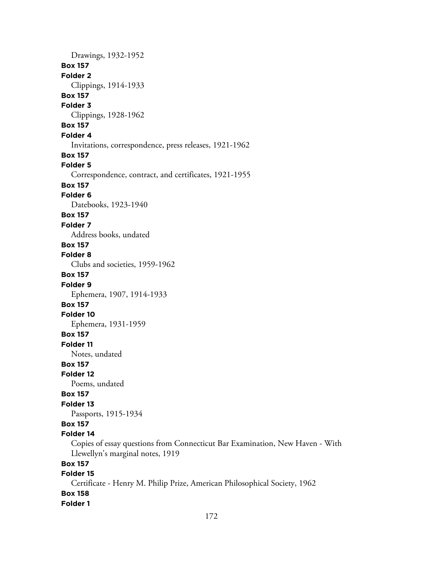Drawings, 1932-1952 **Box 157 Folder 2** Clippings, 1914-1933 **Box 157 Folder 3** Clippings, 1928-1962 **Box 157 Folder 4** Invitations, correspondence, press releases, 1921-1962 **Box 157 Folder 5** Correspondence, contract, and certificates, 1921-1955 **Box 157 Folder 6** Datebooks, 1923-1940 **Box 157 Folder 7** Address books, undated **Box 157 Folder 8** Clubs and societies, 1959-1962 **Box 157 Folder 9** Ephemera, 1907, 1914-1933 **Box 157 Folder 10** Ephemera, 1931-1959 **Box 157 Folder 11** Notes, undated **Box 157 Folder 12** Poems, undated **Box 157 Folder 13** Passports, 1915-1934 **Box 157 Folder 14** Copies of essay questions from Connecticut Bar Examination, New Haven - With Llewellyn's marginal notes, 1919 **Box 157 Folder 15** Certificate - Henry M. Philip Prize, American Philosophical Society, 1962 **Box 158 Folder 1**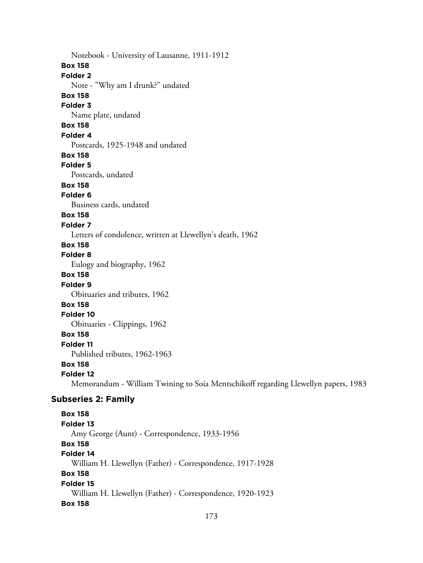Notebook - University of Lausanne, 1911-1912 **Box 158 Folder 2** Note - "Why am I drunk?" undated **Box 158 Folder 3** Name plate, undated **Box 158 Folder 4** Postcards, 1925-1948 and undated **Box 158 Folder 5** Postcards, undated **Box 158 Folder 6** Business cards, undated **Box 158 Folder 7** Letters of condolence, written at Llewellyn's death, 1962 **Box 158 Folder 8** Eulogy and biography, 1962 **Box 158 Folder 9** Obituaries and tributes, 1962 **Box 158 Folder 10** Obituaries - Clippings, 1962 **Box 158 Folder 11** Published tributes, 1962-1963 **Box 158 Folder 12** Memorandum - William Twining to Soia Mentschikoff regarding Llewellyn papers, 1983 **Subseries 2: Family Box 158 Folder 13** Amy George (Aunt) - Correspondence, 1933-1956 **Box 158 Folder 14** William H. Llewellyn (Father) - Correspondence, 1917-1928 **Box 158 Folder 15** William H. Llewellyn (Father) - Correspondence, 1920-1923

#### **Box 158**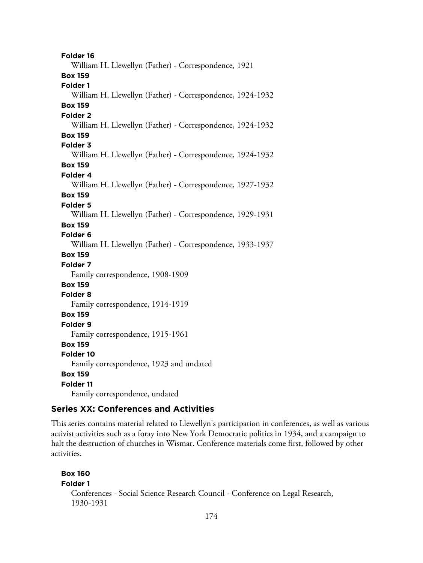**Folder 16** William H. Llewellyn (Father) - Correspondence, 1921 **Box 159 Folder 1** William H. Llewellyn (Father) - Correspondence, 1924-1932 **Box 159 Folder 2** William H. Llewellyn (Father) - Correspondence, 1924-1932 **Box 159 Folder 3** William H. Llewellyn (Father) - Correspondence, 1924-1932 **Box 159 Folder 4** William H. Llewellyn (Father) - Correspondence, 1927-1932 **Box 159 Folder 5** William H. Llewellyn (Father) - Correspondence, 1929-1931 **Box 159 Folder 6** William H. Llewellyn (Father) - Correspondence, 1933-1937 **Box 159 Folder 7** Family correspondence, 1908-1909 **Box 159 Folder 8** Family correspondence, 1914-1919 **Box 159 Folder 9** Family correspondence, 1915-1961 **Box 159 Folder 10** Family correspondence, 1923 and undated **Box 159 Folder 11** Family correspondence, undated

# **Series XX: Conferences and Activities**

This series contains material related to Llewellyn's participation in conferences, as well as various activist activities such as a foray into New York Democratic politics in 1934, and a campaign to halt the destruction of churches in Wismar. Conference materials come first, followed by other activities.

```
Box 160
Folder 1
  Conferences - Social Science Research Council - Conference on Legal Research,
  1930-1931
```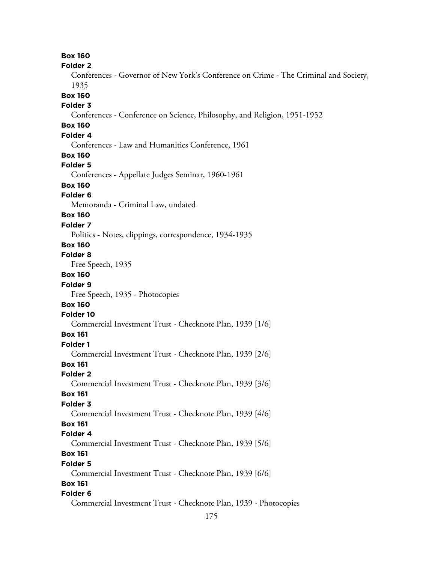**Box 160 Folder 2** Conferences - Governor of New York's Conference on Crime - The Criminal and Society, 1935 **Box 160 Folder 3** Conferences - Conference on Science, Philosophy, and Religion, 1951-1952 **Box 160 Folder 4** Conferences - Law and Humanities Conference, 1961 **Box 160 Folder 5** Conferences - Appellate Judges Seminar, 1960-1961 **Box 160 Folder 6** Memoranda - Criminal Law, undated **Box 160 Folder 7** Politics - Notes, clippings, correspondence, 1934-1935 **Box 160 Folder 8** Free Speech, 1935 **Box 160 Folder 9** Free Speech, 1935 - Photocopies **Box 160 Folder 10** Commercial Investment Trust - Checknote Plan, 1939 [1/6] **Box 161 Folder 1** Commercial Investment Trust - Checknote Plan, 1939 [2/6] **Box 161 Folder 2** Commercial Investment Trust - Checknote Plan, 1939 [3/6] **Box 161 Folder 3** Commercial Investment Trust - Checknote Plan, 1939 [4/6] **Box 161 Folder 4** Commercial Investment Trust - Checknote Plan, 1939 [5/6] **Box 161 Folder 5** Commercial Investment Trust - Checknote Plan, 1939 [6/6] **Box 161 Folder 6** Commercial Investment Trust - Checknote Plan, 1939 - Photocopies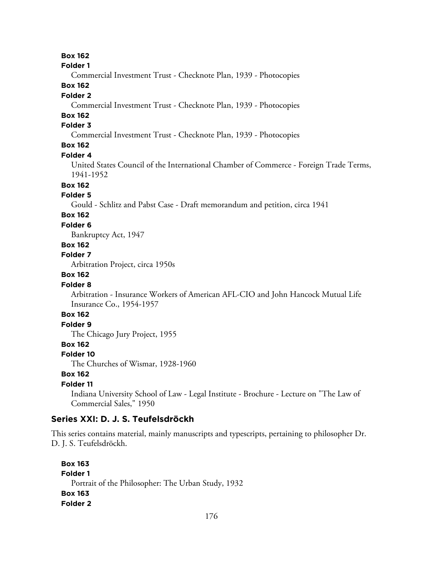## **Box 162**

#### **Folder 1**

Commercial Investment Trust - Checknote Plan, 1939 - Photocopies

## **Box 162**

#### **Folder 2**

Commercial Investment Trust - Checknote Plan, 1939 - Photocopies

# **Box 162**

# **Folder 3**

Commercial Investment Trust - Checknote Plan, 1939 - Photocopies

# **Box 162**

#### **Folder 4**

United States Council of the International Chamber of Commerce - Foreign Trade Terms, 1941-1952

# **Box 162**

#### **Folder 5**

Gould - Schlitz and Pabst Case - Draft memorandum and petition, circa 1941

# **Box 162**

# **Folder 6**

Bankruptcy Act, 1947

# **Box 162**

## **Folder 7**

Arbitration Project, circa 1950s

# **Box 162**

#### **Folder 8**

Arbitration - Insurance Workers of American AFL-CIO and John Hancock Mutual Life Insurance Co., 1954-1957

## **Box 162**

# **Folder 9**

The Chicago Jury Project, 1955

#### **Box 162**

#### **Folder 10**

The Churches of Wismar, 1928-1960

# **Box 162**

## **Folder 11**

Indiana University School of Law - Legal Institute - Brochure - Lecture on "The Law of Commercial Sales," 1950

## **Series XXI: D. J. S. Teufelsdröckh**

This series contains material, mainly manuscripts and typescripts, pertaining to philosopher Dr. D. J. S. Teufelsdröckh.

```
Box 163
Folder 1
  Portrait of the Philosopher: The Urban Study, 1932
Box 163
Folder 2
```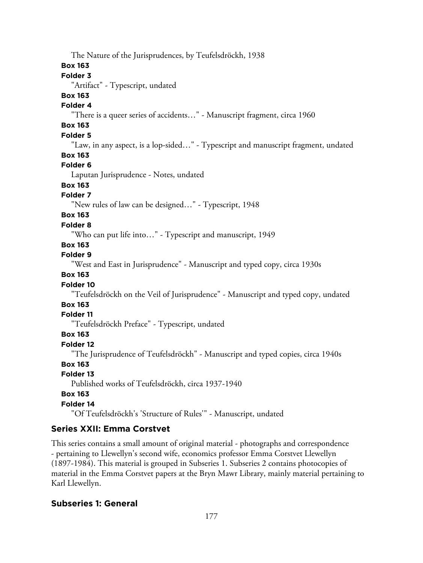The Nature of the Jurisprudences, by Teufelsdröckh, 1938

## **Box 163**

# **Folder 3**

"Artifact" - Typescript, undated

# **Box 163**

# **Folder 4**

"There is a queer series of accidents…" - Manuscript fragment, circa 1960

# **Box 163**

# **Folder 5**

"Law, in any aspect, is a lop-sided…" - Typescript and manuscript fragment, undated

# **Box 163**

# **Folder 6**

Laputan Jurisprudence - Notes, undated

# **Box 163**

# **Folder 7**

"New rules of law can be designed…" - Typescript, 1948

# **Box 163**

# **Folder 8**

"Who can put life into…" - Typescript and manuscript, 1949

# **Box 163**

# **Folder 9**

"West and East in Jurisprudence" - Manuscript and typed copy, circa 1930s

# **Box 163**

# **Folder 10**

"Teufelsdröckh on the Veil of Jurisprudence" - Manuscript and typed copy, undated

# **Box 163**

# **Folder 11**

"Teufelsdröckh Preface" - Typescript, undated

# **Box 163**

# **Folder 12**

"The Jurisprudence of Teufelsdröckh" - Manuscript and typed copies, circa 1940s

# **Box 163**

# **Folder 13**

Published works of Teufelsdröckh, circa 1937-1940

# **Box 163**

# **Folder 14**

"Of Teufelsdröckh's 'Structure of Rules'" - Manuscript, undated

# **Series XXII: Emma Corstvet**

This series contains a small amount of original material - photographs and correspondence - pertaining to Llewellyn's second wife, economics professor Emma Corstvet Llewellyn (1897-1984). This material is grouped in Subseries 1. Subseries 2 contains photocopies of material in the Emma Corstvet papers at the Bryn Mawr Library, mainly material pertaining to Karl Llewellyn.

# **Subseries 1: General**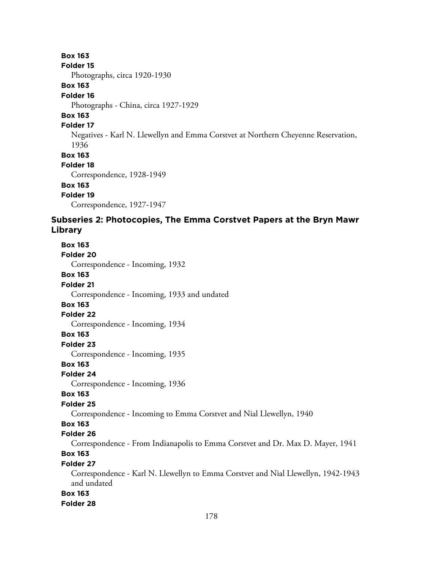## **Box 163**

#### **Folder 15**

Photographs, circa 1920-1930

#### **Box 163**

### **Folder 16**

Photographs - China, circa 1927-1929

# **Box 163**

### **Folder 17**

Negatives - Karl N. Llewellyn and Emma Corstvet at Northern Cheyenne Reservation, 1936

**Box 163**

## **Folder 18**

Correspondence, 1928-1949

## **Box 163**

**Folder 19**

Correspondence, 1927-1947

# **Subseries 2: Photocopies, The Emma Corstvet Papers at the Bryn Mawr Library**

# **Box 163 Folder 20** Correspondence - Incoming, 1932 **Box 163 Folder 21** Correspondence - Incoming, 1933 and undated **Box 163 Folder 22** Correspondence - Incoming, 1934 **Box 163 Folder 23** Correspondence - Incoming, 1935 **Box 163 Folder 24** Correspondence - Incoming, 1936 **Box 163 Folder 25** Correspondence - Incoming to Emma Corstvet and Nial Llewellyn, 1940 **Box 163 Folder 26** Correspondence - From Indianapolis to Emma Corstvet and Dr. Max D. Mayer, 1941 **Box 163 Folder 27** Correspondence - Karl N. Llewellyn to Emma Corstvet and Nial Llewellyn, 1942-1943 and undated **Box 163 Folder 28**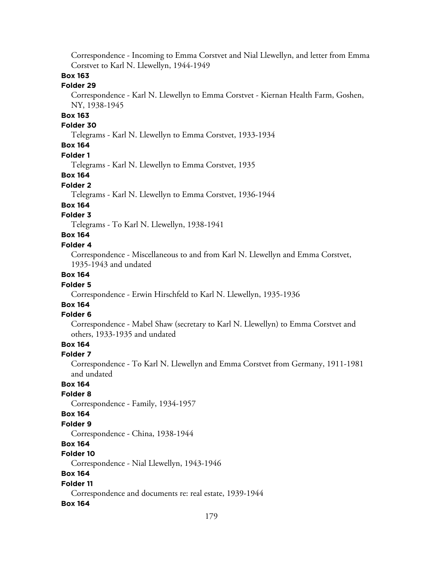Correspondence - Incoming to Emma Corstvet and Nial Llewellyn, and letter from Emma Corstvet to Karl N. Llewellyn, 1944-1949

## **Box 163**

### **Folder 29**

Correspondence - Karl N. Llewellyn to Emma Corstvet - Kiernan Health Farm, Goshen, NY, 1938-1945

# **Box 163**

#### **Folder 30**

Telegrams - Karl N. Llewellyn to Emma Corstvet, 1933-1934

# **Box 164**

#### **Folder 1**

Telegrams - Karl N. Llewellyn to Emma Corstvet, 1935

### **Box 164**

#### **Folder 2**

Telegrams - Karl N. Llewellyn to Emma Corstvet, 1936-1944

#### **Box 164**

### **Folder 3**

Telegrams - To Karl N. Llewellyn, 1938-1941

# **Box 164**

## **Folder 4**

Correspondence - Miscellaneous to and from Karl N. Llewellyn and Emma Corstvet, 1935-1943 and undated

## **Box 164**

#### **Folder 5**

Correspondence - Erwin Hirschfeld to Karl N. Llewellyn, 1935-1936

# **Box 164**

## **Folder 6**

Correspondence - Mabel Shaw (secretary to Karl N. Llewellyn) to Emma Corstvet and others, 1933-1935 and undated

# **Box 164**

#### **Folder 7**

Correspondence - To Karl N. Llewellyn and Emma Corstvet from Germany, 1911-1981 and undated

# **Box 164**

### **Folder 8**

Correspondence - Family, 1934-1957

#### **Box 164**

#### **Folder 9**

Correspondence - China, 1938-1944

### **Box 164**

#### **Folder 10**

Correspondence - Nial Llewellyn, 1943-1946

## **Box 164**

### **Folder 11**

Correspondence and documents re: real estate, 1939-1944

#### **Box 164**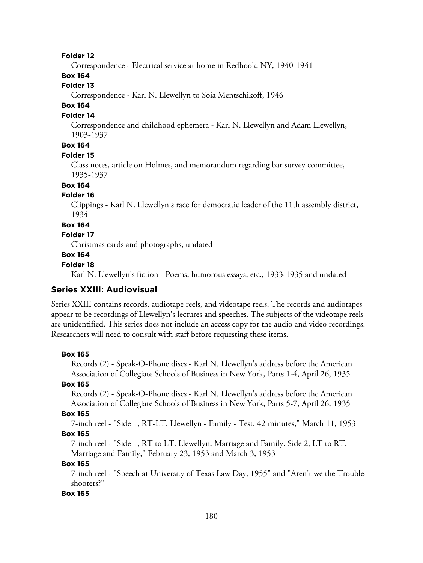**Folder 12**

Correspondence - Electrical service at home in Redhook, NY, 1940-1941

# **Box 164**

# **Folder 13**

Correspondence - Karl N. Llewellyn to Soia Mentschikoff, 1946

# **Box 164**

#### **Folder 14**

Correspondence and childhood ephemera - Karl N. Llewellyn and Adam Llewellyn, 1903-1937

## **Box 164**

#### **Folder 15**

Class notes, article on Holmes, and memorandum regarding bar survey committee, 1935-1937

### **Box 164**

#### **Folder 16**

Clippings - Karl N. Llewellyn's race for democratic leader of the 11th assembly district, 1934

#### **Box 164**

#### **Folder 17**

Christmas cards and photographs, undated

#### **Box 164**

#### **Folder 18**

Karl N. Llewellyn's fiction - Poems, humorous essays, etc., 1933-1935 and undated

### **Series XXIII: Audiovisual**

Series XXIII contains records, audiotape reels, and videotape reels. The records and audiotapes appear to be recordings of Llewellyn's lectures and speeches. The subjects of the videotape reels are unidentified. This series does not include an access copy for the audio and video recordings. Researchers will need to consult with staff before requesting these items.

#### **Box 165**

Records (2) - Speak-O-Phone discs - Karl N. Llewellyn's address before the American Association of Collegiate Schools of Business in New York, Parts 1-4, April 26, 1935

#### **Box 165**

Records (2) - Speak-O-Phone discs - Karl N. Llewellyn's address before the American Association of Collegiate Schools of Business in New York, Parts 5-7, April 26, 1935

#### **Box 165**

7-inch reel - "Side 1, RT-LT. Llewellyn - Family - Test. 42 minutes," March 11, 1953 **Box 165**

7-inch reel - "Side 1, RT to LT. Llewellyn, Marriage and Family. Side 2, LT to RT. Marriage and Family," February 23, 1953 and March 3, 1953

#### **Box 165**

7-inch reel - "Speech at University of Texas Law Day, 1955" and "Aren't we the Troubleshooters?"

#### **Box 165**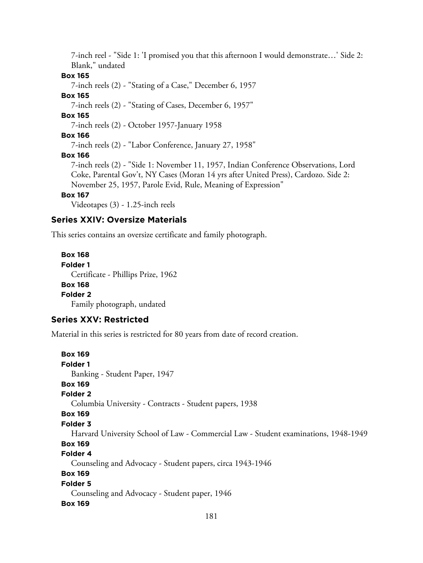7-inch reel - "Side 1: 'I promised you that this afternoon I would demonstrate…' Side 2: Blank," undated

**Box 165**

7-inch reels (2) - "Stating of a Case," December 6, 1957

#### **Box 165**

7-inch reels (2) - "Stating of Cases, December 6, 1957"

## **Box 165**

7-inch reels (2) - October 1957-January 1958

#### **Box 166**

7-inch reels (2) - "Labor Conference, January 27, 1958"

### **Box 166**

7-inch reels (2) - "Side 1: November 11, 1957, Indian Conference Observations, Lord Coke, Parental Gov't, NY Cases (Moran 14 yrs after United Press), Cardozo. Side 2: November 25, 1957, Parole Evid, Rule, Meaning of Expression"

### **Box 167**

Videotapes (3) - 1.25-inch reels

# **Series XXIV: Oversize Materials**

This series contains an oversize certificate and family photograph.

**Box 168 Folder 1** Certificate - Phillips Prize, 1962 **Box 168 Folder 2** Family photograph, undated

# **Series XXV: Restricted**

Material in this series is restricted for 80 years from date of record creation.

```
Box 169
Folder 1
  Banking - Student Paper, 1947
Box 169
Folder 2
  Columbia University - Contracts - Student papers, 1938
Box 169
Folder 3
  Harvard University School of Law - Commercial Law - Student examinations, 1948-1949
Box 169
Folder 4
  Counseling and Advocacy - Student papers, circa 1943-1946
Box 169
Folder 5
  Counseling and Advocacy - Student paper, 1946
Box 169
```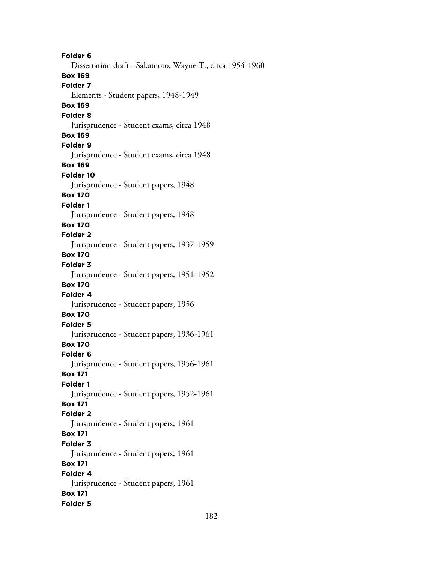**Folder 6** Dissertation draft - Sakamoto, Wayne T., circa 1954-1960 **Box 169 Folder 7** Elements - Student papers, 1948-1949 **Box 169 Folder 8** Jurisprudence - Student exams, circa 1948 **Box 169 Folder 9** Jurisprudence - Student exams, circa 1948 **Box 169 Folder 10** Jurisprudence - Student papers, 1948 **Box 170 Folder 1** Jurisprudence - Student papers, 1948 **Box 170 Folder 2** Jurisprudence - Student papers, 1937-1959 **Box 170 Folder 3** Jurisprudence - Student papers, 1951-1952 **Box 170 Folder 4** Jurisprudence - Student papers, 1956 **Box 170 Folder 5** Jurisprudence - Student papers, 1936-1961 **Box 170 Folder 6** Jurisprudence - Student papers, 1956-1961 **Box 171 Folder 1** Jurisprudence - Student papers, 1952-1961 **Box 171 Folder 2** Jurisprudence - Student papers, 1961 **Box 171 Folder 3** Jurisprudence - Student papers, 1961 **Box 171 Folder 4** Jurisprudence - Student papers, 1961 **Box 171 Folder 5**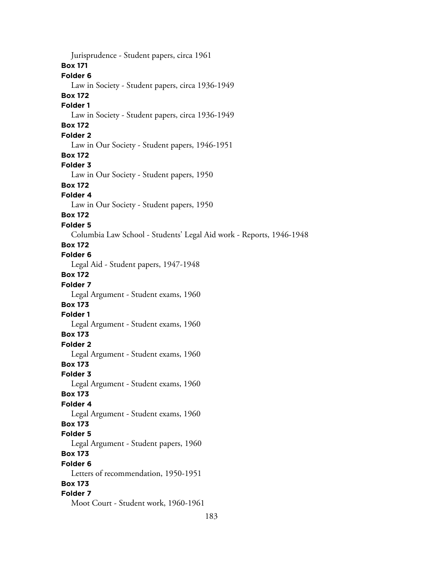Jurisprudence - Student papers, circa 1961 **Box 171 Folder 6** Law in Society - Student papers, circa 1936-1949 **Box 172 Folder 1** Law in Society - Student papers, circa 1936-1949 **Box 172 Folder 2** Law in Our Society - Student papers, 1946-1951 **Box 172 Folder 3** Law in Our Society - Student papers, 1950 **Box 172 Folder 4** Law in Our Society - Student papers, 1950 **Box 172 Folder 5** Columbia Law School - Students' Legal Aid work - Reports, 1946-1948 **Box 172 Folder 6** Legal Aid - Student papers, 1947-1948 **Box 172 Folder 7** Legal Argument - Student exams, 1960 **Box 173 Folder 1** Legal Argument - Student exams, 1960 **Box 173 Folder 2** Legal Argument - Student exams, 1960 **Box 173 Folder 3** Legal Argument - Student exams, 1960 **Box 173 Folder 4** Legal Argument - Student exams, 1960 **Box 173 Folder 5** Legal Argument - Student papers, 1960 **Box 173 Folder 6** Letters of recommendation, 1950-1951 **Box 173 Folder 7** Moot Court - Student work, 1960-1961

183